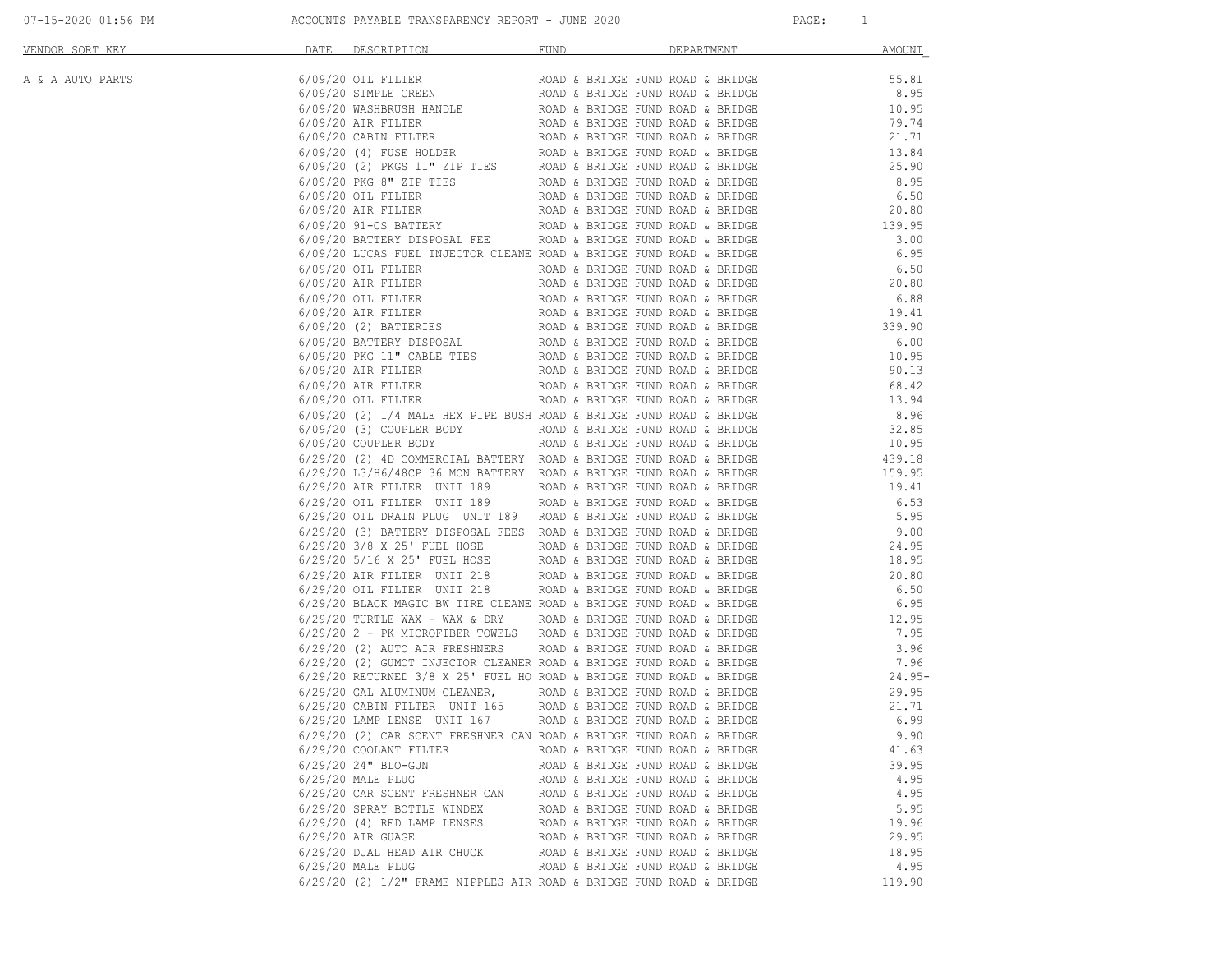| 07-15-2020 01:56 PM |  |  |  |  |  |  |  |
|---------------------|--|--|--|--|--|--|--|
|---------------------|--|--|--|--|--|--|--|

| Activation (a) $\mu$ (a) $\mu$ (a) $\mu$ (a) $\mu$ (a) $\mu$ (a) $\mu$ (a) $\mu$ (a) $\mu$ (a) $\mu$ (a) $\mu$ (a) $\mu$ (a) $\mu$ (a) $\mu$ (a) $\mu$ (a) $\mu$ (a) $\mu$ (a) $\mu$ (a) $\mu$ (a) $\mu$ (b) (a) $\mu$ (a) $\mu$ (b) (a) $\mu$ (a) |                                                                            |                                  |        |
|----------------------------------------------------------------------------------------------------------------------------------------------------------------------------------------------------------------------------------------------------|----------------------------------------------------------------------------|----------------------------------|--------|
|                                                                                                                                                                                                                                                    |                                                                            |                                  |        |
|                                                                                                                                                                                                                                                    |                                                                            |                                  |        |
|                                                                                                                                                                                                                                                    |                                                                            |                                  |        |
|                                                                                                                                                                                                                                                    |                                                                            |                                  |        |
|                                                                                                                                                                                                                                                    |                                                                            |                                  |        |
|                                                                                                                                                                                                                                                    |                                                                            |                                  |        |
|                                                                                                                                                                                                                                                    |                                                                            |                                  |        |
|                                                                                                                                                                                                                                                    |                                                                            |                                  |        |
|                                                                                                                                                                                                                                                    |                                                                            |                                  |        |
|                                                                                                                                                                                                                                                    |                                                                            |                                  |        |
|                                                                                                                                                                                                                                                    |                                                                            |                                  |        |
|                                                                                                                                                                                                                                                    |                                                                            |                                  |        |
|                                                                                                                                                                                                                                                    |                                                                            |                                  |        |
|                                                                                                                                                                                                                                                    |                                                                            |                                  |        |
|                                                                                                                                                                                                                                                    |                                                                            |                                  |        |
|                                                                                                                                                                                                                                                    |                                                                            |                                  |        |
|                                                                                                                                                                                                                                                    |                                                                            |                                  |        |
|                                                                                                                                                                                                                                                    |                                                                            |                                  |        |
|                                                                                                                                                                                                                                                    |                                                                            |                                  |        |
|                                                                                                                                                                                                                                                    |                                                                            |                                  |        |
|                                                                                                                                                                                                                                                    |                                                                            |                                  |        |
|                                                                                                                                                                                                                                                    |                                                                            |                                  |        |
|                                                                                                                                                                                                                                                    |                                                                            |                                  |        |
|                                                                                                                                                                                                                                                    |                                                                            |                                  |        |
|                                                                                                                                                                                                                                                    | 6/29/20 COOLANT FILTER                                                     | ROAD & BRIDGE FUND ROAD & BRIDGE | 41.63  |
|                                                                                                                                                                                                                                                    | 6/29/20 24" BLO-GUN<br>6/29/20 MALE PLUG                                   | ROAD & BRIDGE FUND ROAD & BRIDGE | 39.95  |
|                                                                                                                                                                                                                                                    |                                                                            | ROAD & BRIDGE FUND ROAD & BRIDGE | 4.95   |
|                                                                                                                                                                                                                                                    | $6/29/20$ CAR SCENT FRESHNER CAN $\qquad$ ROAD & BRIDGE FUND ROAD & BRIDGE |                                  | 4.95   |
|                                                                                                                                                                                                                                                    | 6/29/20 SPRAY BOTTLE WINDEX                                                | ROAD & BRIDGE FUND ROAD & BRIDGE | 5.95   |
|                                                                                                                                                                                                                                                    | $6/29/20$ (4) RED LAMP LENSES                                              | ROAD & BRIDGE FUND ROAD & BRIDGE | 19.96  |
|                                                                                                                                                                                                                                                    | $6/29/20$ AIR GUAGE                                                        | ROAD & BRIDGE FUND ROAD & BRIDGE | 29.95  |
|                                                                                                                                                                                                                                                    | 6/29/20 DUAL HEAD AIR CHUCK                                                | ROAD & BRIDGE FUND ROAD & BRIDGE | 18.95  |
|                                                                                                                                                                                                                                                    | $6/29/20$ MALE PLUG                                                        | ROAD & BRIDGE FUND ROAD & BRIDGE | 4.95   |
|                                                                                                                                                                                                                                                    | 6/29/20 (2) 1/2" FRAME NIPPLES AIR ROAD & BRIDGE FUND ROAD & BRIDGE        |                                  | 119.90 |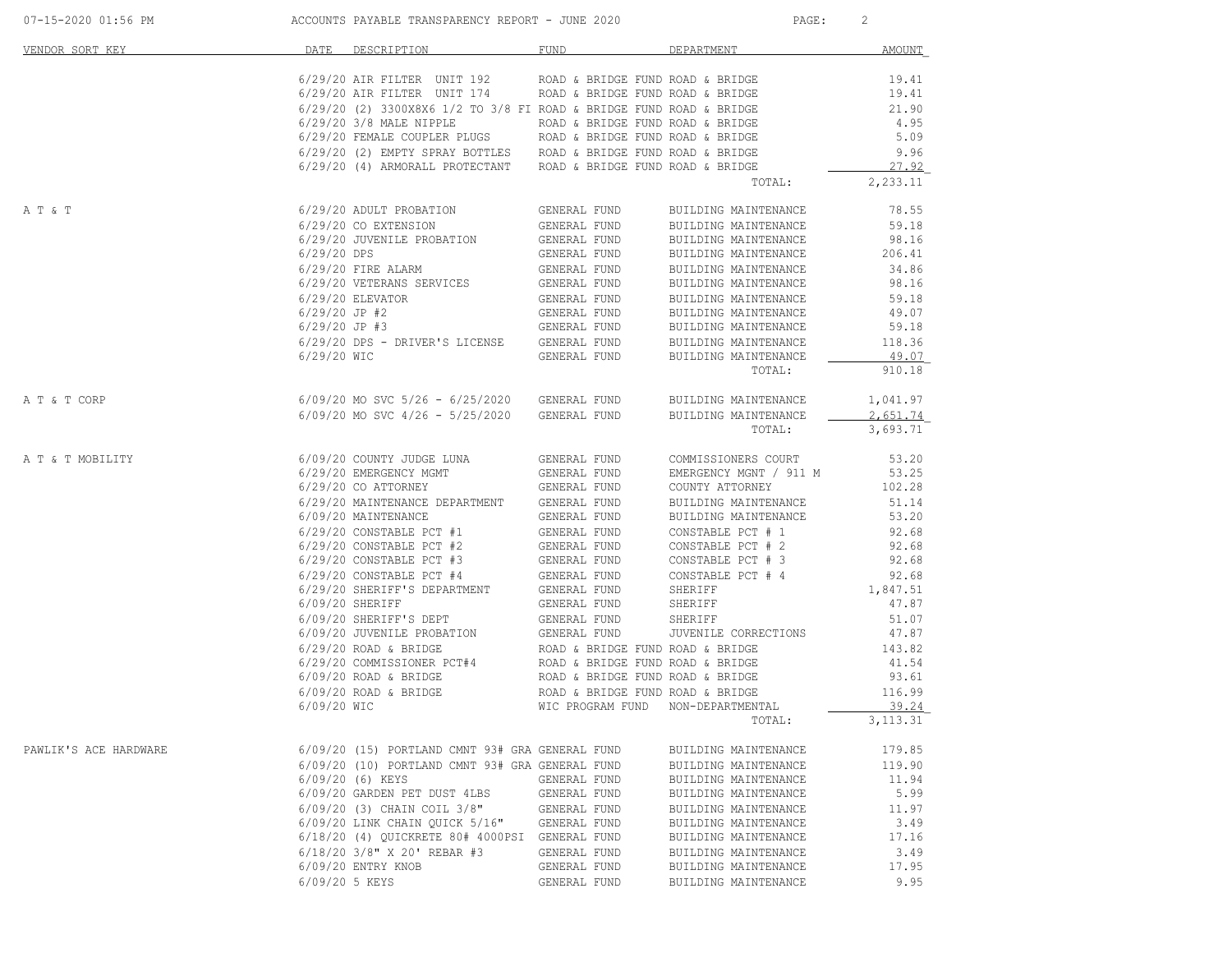| 07-15-2020 01:56 PM   |                 | ACCOUNTS PAYABLE TRANSPARENCY REPORT - JUNE 2020                                                                                                               |                                                      | PAGE:                                        | 2               |
|-----------------------|-----------------|----------------------------------------------------------------------------------------------------------------------------------------------------------------|------------------------------------------------------|----------------------------------------------|-----------------|
| VENDOR SORT KEY       |                 | DATE DESCRIPTION                                                                                                                                               | FUND                                                 | DEPARTMENT                                   | AMOUNT          |
|                       |                 | 6/29/20 AIR FILTER UNIT 192 ROAD & BRIDGE FUND ROAD & BRIDGE                                                                                                   |                                                      |                                              | 19.41           |
|                       |                 | $6/29/20$ AIR FILTER UNIT 174 ROAD & BRIDGE FUND ROAD & BRIDGE                                                                                                 |                                                      |                                              | 19.41           |
|                       |                 | $6/29/20$ (2) 3300X8X6 1/2 TO 3/8 FI ROAD & BRIDGE FUND ROAD & BRIDGE                                                                                          |                                                      |                                              | 21.90           |
|                       |                 | 6/29/20 3/8 MALE NIPPLE                                                                                                                                        | ROAD & BRIDGE FUND ROAD & BRIDGE                     |                                              | 4.95            |
|                       |                 | $6/29/20$ FEMALE COUPLER PLUGS ROAD & BRIDGE FUND ROAD & BRIDGE $6/29/20$ (2) EMPTY SPRAY BOTTLES ROAD & BRIDGE FUND ROAD & BRIDGE                             |                                                      |                                              | 5.09            |
|                       |                 | 6/29/20 (4) ARMORALL PROTECTANT ROAD & BRIDGE FUND ROAD & BRIDGE                                                                                               |                                                      |                                              | 9.96<br>27.92   |
|                       |                 |                                                                                                                                                                |                                                      | TOTAL:                                       | 2,233.11        |
| A T & T               |                 | 6/29/20 ADULT PROBATION                                                                                                                                        | GENERAL FUND                                         | BUILDING MAINTENANCE                         | 78.55           |
|                       |                 | 6/29/20 CO EXTENSION                                                                                                                                           | GENERAL FUND                                         | BUILDING MAINTENANCE                         | 59.18           |
|                       |                 | 6/29/20 JUVENILE PROBATION                                                                                                                                     | GENERAL FUND                                         | BUILDING MAINTENANCE                         | 98.16           |
|                       |                 | $\begin{tabular}{ll} 6/29/20 & DES & & GENERAL FUND \\ 6/29/20 & FIRE ALARM & & GENERAL FUND \\ 6/29/20 & VETERANS SERVICES & & GENERAL FUND \\ \end{tabular}$ |                                                      | BUILDING MAINTENANCE                         | 206.41          |
|                       |                 |                                                                                                                                                                |                                                      | BUILDING MAINTENANCE                         | 34.86           |
|                       |                 |                                                                                                                                                                |                                                      | BUILDING MAINTENANCE                         | 98.16           |
|                       |                 | $6/29/20$ ELEVATOR                                                                                                                                             | GENERAL FUND                                         | BUILDING MAINTENANCE                         | 59.18           |
|                       | $6/29/20$ JP #2 |                                                                                                                                                                | GENERAL FUND                                         | BUILDING MAINTENANCE                         | 49.07           |
|                       | $6/29/20$ JP #3 |                                                                                                                                                                | GENERAL FUND                                         | BUILDING MAINTENANCE                         | 59.18           |
|                       | 6/29/20 WIC     | 6/29/20 DPS - DRIVER'S LICENSE GENERAL FUND                                                                                                                    | GENERAL FUND                                         | BUILDING MAINTENANCE<br>BUILDING MAINTENANCE | 118.36<br>49.07 |
|                       |                 |                                                                                                                                                                |                                                      | TOTAL:                                       | 910.18          |
| A T & T CORP          |                 | 6/09/20 MO SVC 5/26 - 6/25/2020 GENERAL FUND                                                                                                                   |                                                      | BUILDING MAINTENANCE                         | 1,041.97        |
|                       |                 | $6/09/20$ MO SVC $4/26 - 5/25/2020$ GENERAL FUND                                                                                                               |                                                      | BUILDING MAINTENANCE                         | 2,651.74        |
|                       |                 |                                                                                                                                                                |                                                      | TOTAL:                                       | 3,693.71        |
| A T & T MOBILITY      |                 | 6/09/20 COUNTY JUDGE LUNA                                                                                                                                      | GENERAL FUND                                         | COMMISSIONERS COURT                          | 53.20           |
|                       |                 | 6/29/20 EMERGENCY MGMT                                                                                                                                         | GENERAL FUND                                         | EMERGENCY MGNT / 911 M                       | 53.25           |
|                       |                 | 6/29/20 CO ATTORNEY                                                                                                                                            | GENERAL FUND                                         | COUNTY ATTORNEY                              | 102.28          |
|                       |                 | 6/29/20 MAINTENANCE DEPARTMENT GENERAL FUND<br>6/09/20 MAINTENANCE                                                                                             | GENERAL FUND                                         | BUILDING MAINTENANCE<br>BUILDING MAINTENANCE | 51.14<br>53.20  |
|                       |                 | $6/29/20$ CONSTABLE PCT #1                                                                                                                                     | GENERAL FUND                                         | CONSTABLE PCT # 1                            | 92.68           |
|                       |                 | $6/29/20$ CONSTABLE PCT #2                                                                                                                                     | GENERAL FUND                                         | CONSTABLE PCT # 2                            | 92.68           |
|                       |                 | $6/29/20$ CONSTABLE PCT #3                                                                                                                                     | GENERAL FUND                                         | CONSTABLE PCT # 3                            | 92.68           |
|                       |                 | $6/29/20$ CONSTABLE PCT #4                                                                                                                                     | GENERAL FUND                                         | CONSTABLE PCT # 4                            | 92.68           |
|                       |                 | 6/29/20 SHERIFF'S DEPARTMENT GENERAL FUND                                                                                                                      |                                                      | SHERIFF                                      | 1,847.51        |
|                       |                 | $6/09/20$ SHERIFF                                                                                                                                              | GENERAL FUND                                         | SHERIFF                                      | 47.87           |
|                       |                 | 6/09/20 SHERIFF'S DEPT                                                                                                                                         | GENERAL FUND                                         | SHERIFF                                      | 51.07           |
|                       |                 | $6/09/20$ JUVENILE PROBATION GENERAL FUND                                                                                                                      |                                                      | JUVENILE CORRECTIONS                         | 47.87           |
|                       |                 | $6/29/20$ ROAD & BRIDGE                                                                                                                                        | ROAD & BRIDGE FUND ROAD & BRIDGE                     |                                              | 143.82          |
|                       |                 | $6/29/20$ COMMISSIONER PCT#4 ROAD & BRIDGE FUND ROAD & BRIDGE                                                                                                  |                                                      |                                              | 41.54           |
|                       |                 | $6/09/20$ ROAD & BRIDGE                                                                                                                                        | ROAD & BRIDGE FUND ROAD & BRIDGE                     |                                              | 93.61           |
|                       | 6/09/20 WIC     | $6/09/20$ ROAD & BRIDGE                                                                                                                                        | ROAD & BRIDGE FUND ROAD & BRIDGE<br>WIC PROGRAM FUND | NON-DEPARTMENTAL                             | 116.99<br>39.24 |
|                       |                 |                                                                                                                                                                |                                                      | TOTAL:                                       | 3,113.31        |
| PAWLIK'S ACE HARDWARE |                 | 6/09/20 (15) PORTLAND CMNT 93# GRA GENERAL FUND                                                                                                                |                                                      | BUILDING MAINTENANCE                         | 179.85          |
|                       |                 | 6/09/20 (10) PORTLAND CMNT 93# GRA GENERAL FUND                                                                                                                |                                                      | BUILDING MAINTENANCE                         | 119.90          |
|                       |                 | 6/09/20 (6) KEYS                                                                                                                                               | GENERAL FUND                                         | BUILDING MAINTENANCE                         | 11.94           |
|                       |                 | 6/09/20 GARDEN PET DUST 4LBS                                                                                                                                   | GENERAL FUND                                         | BUILDING MAINTENANCE                         | 5.99            |
|                       |                 | 6/09/20 (3) CHAIN COIL 3/8"                                                                                                                                    | GENERAL FUND                                         | BUILDING MAINTENANCE                         | 11.97           |
|                       |                 | 6/09/20 LINK CHAIN QUICK 5/16"                                                                                                                                 | GENERAL FUND                                         | BUILDING MAINTENANCE                         | 3.49            |
|                       |                 | 6/18/20 (4) QUICKRETE 80# 4000PSI GENERAL FUND                                                                                                                 |                                                      | BUILDING MAINTENANCE                         | 17.16           |
|                       |                 | 6/18/20 3/8" X 20' REBAR #3                                                                                                                                    | GENERAL FUND                                         | BUILDING MAINTENANCE                         | 3.49            |
|                       |                 | 6/09/20 ENTRY KNOB                                                                                                                                             | GENERAL FUND                                         | BUILDING MAINTENANCE                         | 17.95           |
|                       | 6/09/20 5 KEYS  |                                                                                                                                                                | GENERAL FUND                                         | BUILDING MAINTENANCE                         | 9.95            |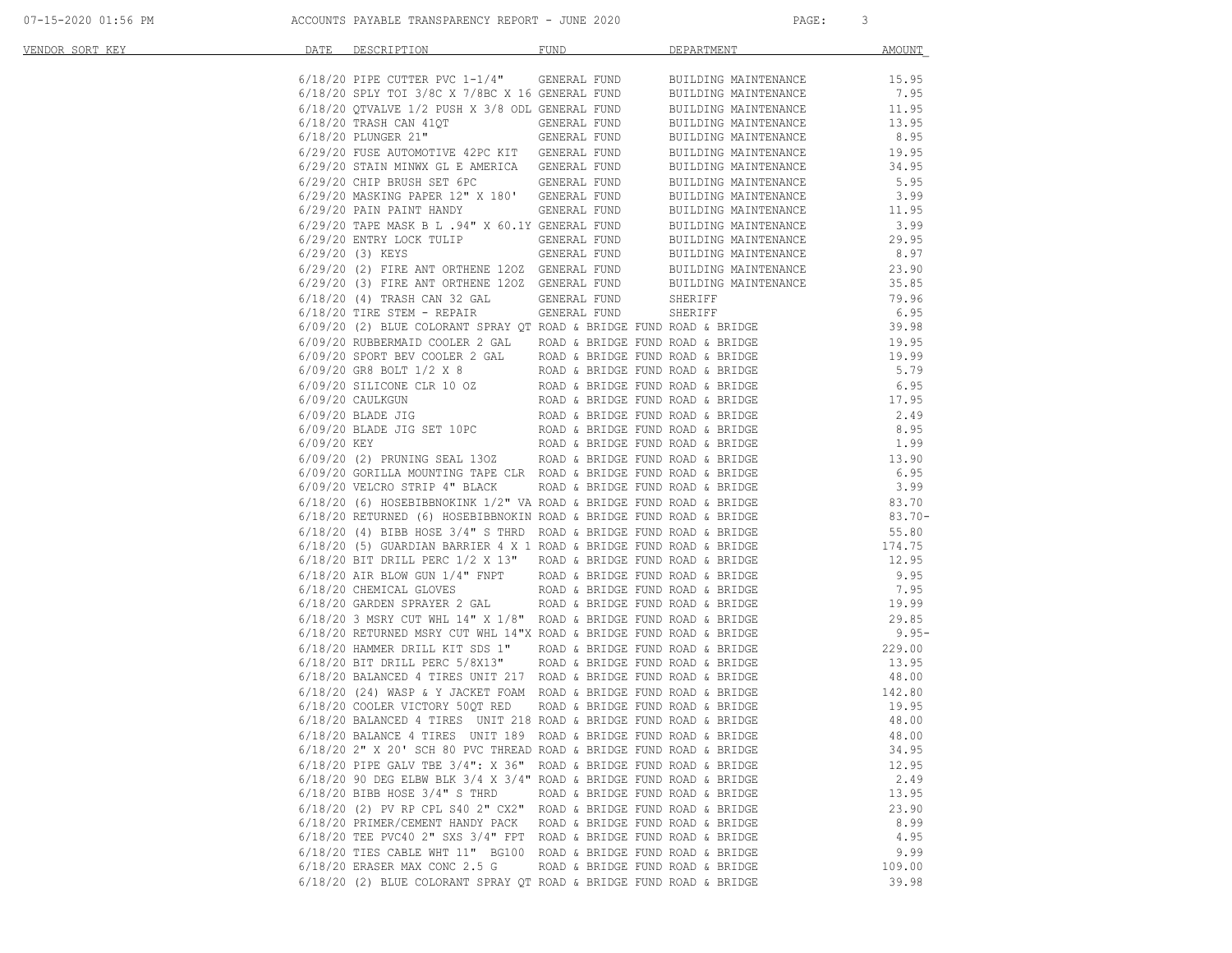| 07-15-2020 01:56 PM |  |  |  |
|---------------------|--|--|--|
|                     |  |  |  |

| <u>VENDOR SORT KEY</u> | DATE | DESCRIPTION <b>DESCRIPTION</b>                                          | FUND                             | DEPARTMENT                                                                                                                                                                                                                             | AMOUNT  |
|------------------------|------|-------------------------------------------------------------------------|----------------------------------|----------------------------------------------------------------------------------------------------------------------------------------------------------------------------------------------------------------------------------------|---------|
|                        |      |                                                                         |                                  |                                                                                                                                                                                                                                        |         |
|                        |      |                                                                         |                                  |                                                                                                                                                                                                                                        |         |
|                        |      |                                                                         |                                  |                                                                                                                                                                                                                                        |         |
|                        |      |                                                                         |                                  |                                                                                                                                                                                                                                        |         |
|                        |      |                                                                         |                                  |                                                                                                                                                                                                                                        |         |
|                        |      |                                                                         |                                  |                                                                                                                                                                                                                                        |         |
|                        |      |                                                                         |                                  | 0.19/20 INSAC CAR TAULE (SEREAL FUND BUILDING MAINTENANCE 13.95<br>6/19/20 PLUNGER 21" GENERAL FUND BUILDING MAINTENANCE 19.95<br>6/29/20 ISBN METHAX (LE AMERICA GENERAL FUND BUILDING MAINTENANCE 19.95<br>6/29/20 ISBN METHAX (L    |         |
|                        |      |                                                                         |                                  |                                                                                                                                                                                                                                        |         |
|                        |      |                                                                         |                                  |                                                                                                                                                                                                                                        |         |
|                        |      |                                                                         |                                  |                                                                                                                                                                                                                                        |         |
|                        |      |                                                                         |                                  |                                                                                                                                                                                                                                        |         |
|                        |      |                                                                         |                                  |                                                                                                                                                                                                                                        |         |
|                        |      |                                                                         |                                  |                                                                                                                                                                                                                                        |         |
|                        |      |                                                                         |                                  |                                                                                                                                                                                                                                        |         |
|                        |      |                                                                         |                                  |                                                                                                                                                                                                                                        |         |
|                        |      |                                                                         |                                  |                                                                                                                                                                                                                                        |         |
|                        |      |                                                                         |                                  |                                                                                                                                                                                                                                        |         |
|                        |      |                                                                         |                                  |                                                                                                                                                                                                                                        |         |
|                        |      |                                                                         |                                  |                                                                                                                                                                                                                                        |         |
|                        |      |                                                                         |                                  |                                                                                                                                                                                                                                        |         |
|                        |      |                                                                         |                                  |                                                                                                                                                                                                                                        |         |
|                        |      |                                                                         |                                  |                                                                                                                                                                                                                                        |         |
|                        |      |                                                                         |                                  |                                                                                                                                                                                                                                        |         |
|                        |      |                                                                         |                                  |                                                                                                                                                                                                                                        |         |
|                        |      |                                                                         |                                  |                                                                                                                                                                                                                                        |         |
|                        |      |                                                                         |                                  |                                                                                                                                                                                                                                        |         |
|                        |      |                                                                         |                                  |                                                                                                                                                                                                                                        |         |
|                        |      |                                                                         |                                  | 6/09/20 (2) PRUNING SEAL 130Z ROAD & BRIDGE FUND ROAD & BRIDGE $6/09/20$ GORILLA MOUNTING TAPE CLR ROAD & BRIDGE FUND ROAD & BRIDGE $6.95$                                                                                             |         |
|                        |      |                                                                         |                                  |                                                                                                                                                                                                                                        |         |
|                        |      |                                                                         |                                  | 6/09/20 VELCRO STRIP 4" BLACK ROAD & BRIDGE FUND ROAD & BRIDGE (6) HOSEBIBBNOKINK 1/2" VA ROAD & BRIDGE FUND ROAD & BRIDGE (6) 3.99                                                                                                    |         |
|                        |      |                                                                         |                                  |                                                                                                                                                                                                                                        |         |
|                        |      |                                                                         |                                  |                                                                                                                                                                                                                                        |         |
|                        |      | $6/18/20$ (4) BIBB HOSE 3/4" S THRD ROAD & BRIDGE FUND ROAD & BRIDGE    |                                  |                                                                                                                                                                                                                                        |         |
|                        |      |                                                                         |                                  |                                                                                                                                                                                                                                        |         |
|                        |      |                                                                         |                                  |                                                                                                                                                                                                                                        |         |
|                        |      |                                                                         |                                  |                                                                                                                                                                                                                                        |         |
|                        |      |                                                                         |                                  |                                                                                                                                                                                                                                        |         |
|                        |      |                                                                         |                                  |                                                                                                                                                                                                                                        | 19.99   |
|                        |      |                                                                         |                                  | 6/18/20 GARDEN SPRAYER 2 GAL KOAD & BRIDGE FUND ROAD & BRIDGE 29.85<br>6/18/20 RETURNED MSRY CUT WHL 14" X 1/8" ROAD & BRIDGE FUND ROAD & BRIDGE 29.85<br>6/18/20 BAMMER DRILL KIT SDS 1" ROAD & BRIDGE FUND ROAD & BRIDGE 229.00<br>6 |         |
|                        |      |                                                                         |                                  |                                                                                                                                                                                                                                        | $9.95-$ |
|                        |      |                                                                         |                                  |                                                                                                                                                                                                                                        |         |
|                        |      |                                                                         |                                  |                                                                                                                                                                                                                                        |         |
|                        |      |                                                                         |                                  |                                                                                                                                                                                                                                        |         |
|                        |      |                                                                         |                                  |                                                                                                                                                                                                                                        |         |
|                        |      |                                                                         |                                  |                                                                                                                                                                                                                                        |         |
|                        |      |                                                                         |                                  |                                                                                                                                                                                                                                        |         |
|                        |      |                                                                         |                                  | $6/18/20$ BALANCE 4 TIRES UNIT 189 ROAD & BRIDGE FUND ROAD & BRIDGE                                                                                                                                                                    | 48.00   |
|                        |      | 6/18/20 2" X 20' SCH 80 PVC THREAD ROAD & BRIDGE FUND ROAD & BRIDGE     |                                  |                                                                                                                                                                                                                                        | 34.95   |
|                        |      | $6/18/20$ PIPE GALV TBE $3/4$ ": X 36" ROAD & BRIDGE FUND ROAD & BRIDGE |                                  |                                                                                                                                                                                                                                        | 12.95   |
|                        |      | $6/18/20$ 90 DEG ELBW BLK 3/4 X 3/4" ROAD & BRIDGE FUND ROAD & BRIDGE   |                                  |                                                                                                                                                                                                                                        | 2.49    |
|                        |      | 6/18/20 BIBB HOSE 3/4" S THRD                                           | ROAD & BRIDGE FUND ROAD & BRIDGE |                                                                                                                                                                                                                                        | 13.95   |
|                        |      | $6/18/20$ (2) PV RP CPL S40 2" CX2" ROAD & BRIDGE FUND ROAD & BRIDGE    |                                  |                                                                                                                                                                                                                                        | 23.90   |
|                        |      | 6/18/20 PRIMER/CEMENT HANDY PACK                                        | ROAD & BRIDGE FUND ROAD & BRIDGE |                                                                                                                                                                                                                                        | 8.99    |
|                        |      | $6/18/20$ TEE PVC40 2" SXS $3/4$ " FPT ROAD & BRIDGE FUND ROAD & BRIDGE |                                  |                                                                                                                                                                                                                                        | 4.95    |
|                        |      | 6/18/20 TIES CABLE WHT 11" BG100 ROAD & BRIDGE FUND ROAD & BRIDGE       |                                  |                                                                                                                                                                                                                                        | 9.99    |
|                        |      | $6/18/20$ ERASER MAX CONC 2.5 G                                         | ROAD & BRIDGE FUND ROAD & BRIDGE |                                                                                                                                                                                                                                        | 109.00  |
|                        |      | 6/18/20 (2) BLUE COLORANT SPRAY QT ROAD & BRIDGE FUND ROAD & BRIDGE     |                                  |                                                                                                                                                                                                                                        | 39.98   |
|                        |      |                                                                         |                                  |                                                                                                                                                                                                                                        |         |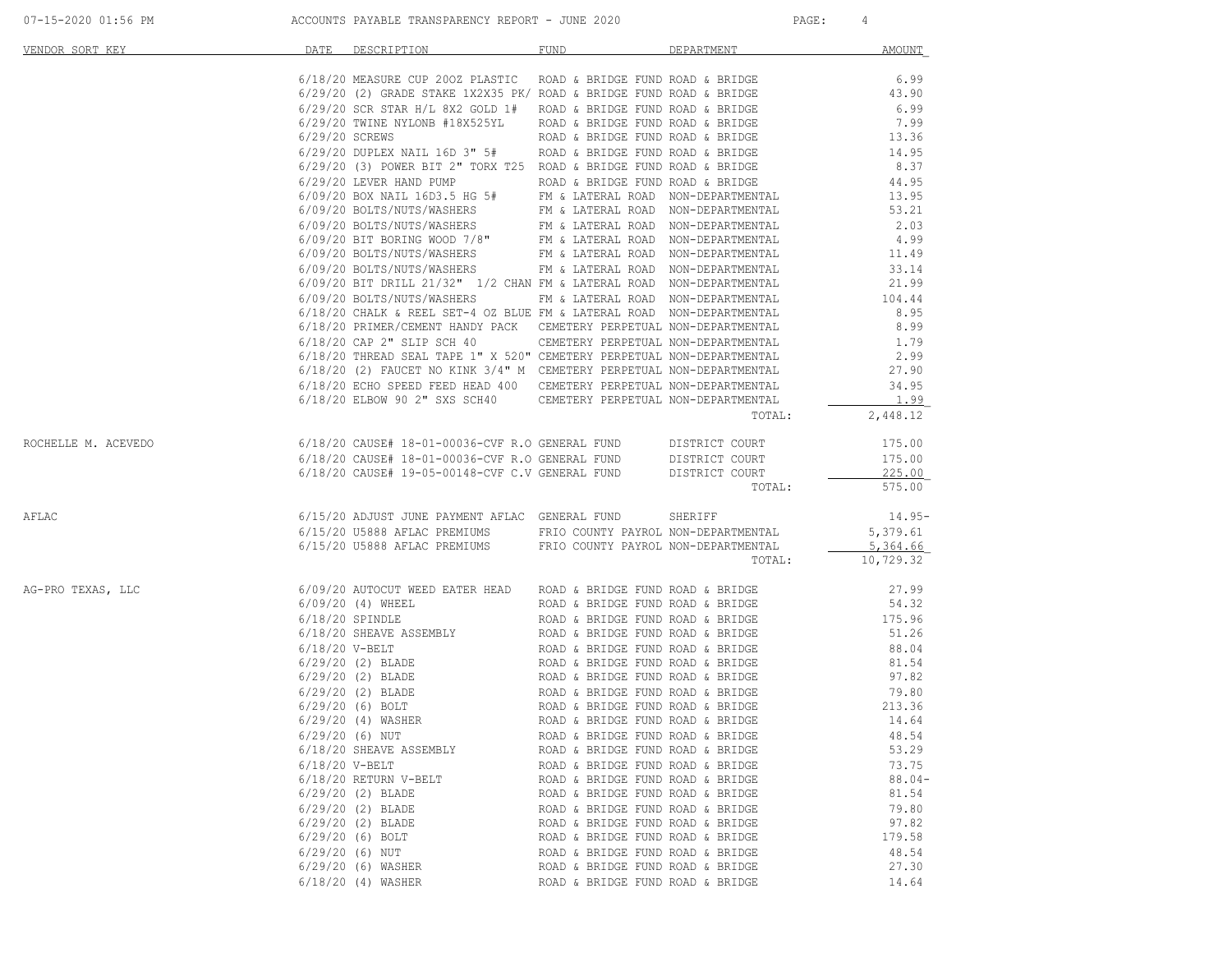| 07-15-2020 01:56 PM |  |
|---------------------|--|
|                     |  |

| VENDOR SORT KEY     | DATE             | DESCRIPTION DESCRIPTION                                                                                                                                                                                                                                                                                                                                                                                              | FUND                                                                 | DEPARTMENT | <b>AMOUNT</b>     |
|---------------------|------------------|----------------------------------------------------------------------------------------------------------------------------------------------------------------------------------------------------------------------------------------------------------------------------------------------------------------------------------------------------------------------------------------------------------------------|----------------------------------------------------------------------|------------|-------------------|
|                     |                  | 6/18/20 MEASURE CUP 200Z PLASTIC ROAD & BRIDGE FUND ROAD & BRIDGE                                                                                                                                                                                                                                                                                                                                                    |                                                                      |            |                   |
|                     |                  | $6/29/20$ (2) GRADE STAKE 1X2X35 PK/ ROAD & BRIDGE FUND ROAD & BRIDGE                                                                                                                                                                                                                                                                                                                                                |                                                                      |            | $6.99$<br>$43.90$ |
|                     |                  | $6/29/20$ SCR STAR H/L 8X2 GOLD 1# ROAD & BRIDGE FUND ROAD & BRIDGE                                                                                                                                                                                                                                                                                                                                                  |                                                                      |            | 6.99              |
|                     |                  | $6/29/20$ TWINE NYLONB #18X525YL ROAD & BRIDGE FUND ROAD & BRIDGE<br>$6/29/20$ TWINE NYLONB #18X525YL ROAD & BRIDGE FUND ROAD & BRIDGE                                                                                                                                                                                                                                                                               |                                                                      |            | 7.99              |
|                     |                  | $6/29/20$ SCREWS<br>$\verb ROAD & BRIDGE \hspace{15pt} FUND \hspace{15pt} RORD \hspace{15pt} RORD \hspace{15pt} RORD \hspace{15pt} RORD \hspace{15pt} RORD \hspace{15pt} RORD \hspace{15pt} RORD \hspace{15pt} RORD \hspace{15pt} RORD \hspace{15pt} RORD \hspace{15pt} RORD \hspace{15pt} RORD \hspace{15pt} RORD \hspace{15pt} RORD \hspace{15pt} RORD \hspace{15pt} RORD \hspace{15pt} RORD \hspace{15pt} RORD \$ |                                                                      |            | 13.36             |
|                     |                  |                                                                                                                                                                                                                                                                                                                                                                                                                      |                                                                      |            | 14.95             |
|                     |                  | $6/29/20$ (3) POWER BIT 2" TORX T25 ROAD & BRIDGE FUND ROAD & BRIDGE                                                                                                                                                                                                                                                                                                                                                 |                                                                      |            | 8.37              |
|                     |                  |                                                                                                                                                                                                                                                                                                                                                                                                                      |                                                                      |            | 44.95             |
|                     |                  |                                                                                                                                                                                                                                                                                                                                                                                                                      |                                                                      |            | 13.95<br>53.21    |
|                     |                  |                                                                                                                                                                                                                                                                                                                                                                                                                      |                                                                      |            | 2.03              |
|                     |                  | 0/29/20 LEVER HAND PUMP<br>6/09/20 BOX NAIL 16D3.5 HG 5#<br>EM & LATERAL ROAD & BRIDGE AND EDGE<br>6/09/20 BOLTS/NUTS/WASHERS<br>FM & LATERAL ROAD NON-DEPARTMENTAL<br>6/09/20 BOLTS/NUTS/WASHERS<br>FM & LATERAL ROAD NON-DEPARTMENTAL<br>6                                                                                                                                                                         |                                                                      |            | 4.99              |
|                     |                  |                                                                                                                                                                                                                                                                                                                                                                                                                      |                                                                      |            |                   |
|                     |                  |                                                                                                                                                                                                                                                                                                                                                                                                                      |                                                                      |            | 11.49<br>33.14    |
|                     |                  | 6/09/20 BIT DRILL 21/32" 1/2 CHAN FM & LATERAL ROAD NON-DEPARTMENTAL                                                                                                                                                                                                                                                                                                                                                 |                                                                      |            | 21.99             |
|                     |                  | 6/09/20 BOLTS/NUTS/WASHERS FM & LATERAL ROAD NON-DEPARTMENTAL                                                                                                                                                                                                                                                                                                                                                        |                                                                      |            | 104.44            |
|                     |                  | 6/18/20 CHALK & REEL SET-4 OZ BLUE FM & LATERAL ROAD NON-DEPARTMENTAL                                                                                                                                                                                                                                                                                                                                                |                                                                      |            | 8.95              |
|                     |                  | $6/18/20$ PRIMER/CEMENT HANDY PACK CEMETERY PERPETUAL NON-DEPARTMENTAL $6/18/20$ CAP 2" SLIP SCH 40 CEMETERY PERPETUAL NON-DEPARTMENTAL                                                                                                                                                                                                                                                                              |                                                                      |            | 8.99              |
|                     |                  |                                                                                                                                                                                                                                                                                                                                                                                                                      |                                                                      |            | 1.79              |
|                     |                  | $6/18/20$ THREAD SEAL TAPE 1" X 520" CEMETERY PERPETUAL NON-DEPARTMENTAL 2.99 6/18/20 (2) FAUCET NO KINK 3/4" M CEMETERY PERPETUAL NON-DEPARTMENTAL 27.90                                                                                                                                                                                                                                                            |                                                                      |            |                   |
|                     |                  |                                                                                                                                                                                                                                                                                                                                                                                                                      |                                                                      |            |                   |
|                     |                  | 6/18/20 (2) FAUCET NO KINK 3/4" M CEMETERY PERPETUAL NON-DEPARTMENTAL $\frac{34.95}{1.99}$                                                                                                                                                                                                                                                                                                                           |                                                                      |            |                   |
|                     |                  |                                                                                                                                                                                                                                                                                                                                                                                                                      |                                                                      | TOTAL:     | 2,448.12          |
| ROCHELLE M. ACEVEDO |                  | 6/18/20 CAUSE# 18-01-00036-CVF R.O GENERAL FUND DISTRICT COURT                                                                                                                                                                                                                                                                                                                                                       |                                                                      |            | 175.00            |
|                     |                  |                                                                                                                                                                                                                                                                                                                                                                                                                      |                                                                      |            | 175.00            |
|                     |                  | $6/18/20$ CAUSE# $18-01-00036$ -CVF R.O GENERAL FUND DISTRICT COURT $6/18/20$ CAUSE# $19-05-00148$ -CVF C.V GENERAL FUND DISTRICT COURT                                                                                                                                                                                                                                                                              |                                                                      |            | $-225.00$         |
|                     |                  |                                                                                                                                                                                                                                                                                                                                                                                                                      |                                                                      | TOTAL:     | 575.00            |
| AFLAC               |                  | 6/15/20 ADJUST JUNE PAYMENT AFLAC GENERAL FUND SHERIFF                                                                                                                                                                                                                                                                                                                                                               |                                                                      |            | $14.95-$          |
|                     |                  | 6/15/20 U5888 AFLAC PREMIUMS FRIO COUNTY PAYROL NON-DEPARTMENTAL                                                                                                                                                                                                                                                                                                                                                     |                                                                      |            | 5,379.61          |
|                     |                  | 6/15/20 U5888 AFLAC PREMIUMS FRIO COUNTY PAYROL NON-DEPARTMENTAL                                                                                                                                                                                                                                                                                                                                                     |                                                                      |            | 5,364.66          |
|                     |                  |                                                                                                                                                                                                                                                                                                                                                                                                                      |                                                                      | TOTAL:     | 10,729.32         |
| AG-PRO TEXAS, LLC   |                  | $6/09/20$ AUTOCUT WEED EATER HEAD ROAD & BRIDGE FUND ROAD & BRIDGE                                                                                                                                                                                                                                                                                                                                                   |                                                                      |            | 27.99             |
|                     |                  |                                                                                                                                                                                                                                                                                                                                                                                                                      |                                                                      |            |                   |
|                     |                  |                                                                                                                                                                                                                                                                                                                                                                                                                      |                                                                      |            |                   |
|                     |                  |                                                                                                                                                                                                                                                                                                                                                                                                                      |                                                                      |            |                   |
|                     |                  |                                                                                                                                                                                                                                                                                                                                                                                                                      |                                                                      |            |                   |
|                     |                  |                                                                                                                                                                                                                                                                                                                                                                                                                      |                                                                      |            |                   |
|                     |                  |                                                                                                                                                                                                                                                                                                                                                                                                                      |                                                                      |            |                   |
|                     |                  |                                                                                                                                                                                                                                                                                                                                                                                                                      |                                                                      |            |                   |
|                     |                  |                                                                                                                                                                                                                                                                                                                                                                                                                      |                                                                      |            |                   |
|                     |                  | $6/29/20$ (6) NUT                                                                                                                                                                                                                                                                                                                                                                                                    | ROAD & BRIDGE FUND ROAD & BRIDGE                                     |            | 48.54             |
|                     |                  | 6/18/20 SHEAVE ASSEMBLY                                                                                                                                                                                                                                                                                                                                                                                              | ROAD & BRIDGE FUND ROAD & BRIDGE                                     |            | 53.29             |
|                     | $6/18/20$ V-BELT |                                                                                                                                                                                                                                                                                                                                                                                                                      | ROAD & BRIDGE FUND ROAD & BRIDGE                                     |            | 73.75             |
|                     |                  | 6/18/20 RETURN V-BELT                                                                                                                                                                                                                                                                                                                                                                                                | ROAD & BRIDGE FUND ROAD & BRIDGE                                     |            | $88.04-$          |
|                     |                  | $6/29/20$ (2) BLADE                                                                                                                                                                                                                                                                                                                                                                                                  | ROAD & BRIDGE FUND ROAD & BRIDGE                                     |            | 81.54             |
|                     |                  | $6/29/20$ (2) BLADE                                                                                                                                                                                                                                                                                                                                                                                                  | ROAD & BRIDGE FUND ROAD & BRIDGE                                     |            | 79.80             |
|                     |                  | $6/29/20$ (2) BLADE<br>$6/29/20$ (6) BOLT                                                                                                                                                                                                                                                                                                                                                                            | ROAD & BRIDGE FUND ROAD & BRIDGE<br>ROAD & BRIDGE FUND ROAD & BRIDGE |            | 97.82<br>179.58   |
|                     |                  | $6/29/20$ (6) NUT                                                                                                                                                                                                                                                                                                                                                                                                    | ROAD & BRIDGE FUND ROAD & BRIDGE                                     |            | 48.54             |
|                     |                  | 6/29/20 (6) WASHER                                                                                                                                                                                                                                                                                                                                                                                                   | ROAD & BRIDGE FUND ROAD & BRIDGE                                     |            | 27.30             |
|                     |                  | $6/18/20$ (4) WASHER                                                                                                                                                                                                                                                                                                                                                                                                 | ROAD & BRIDGE FUND ROAD & BRIDGE                                     |            | 14.64             |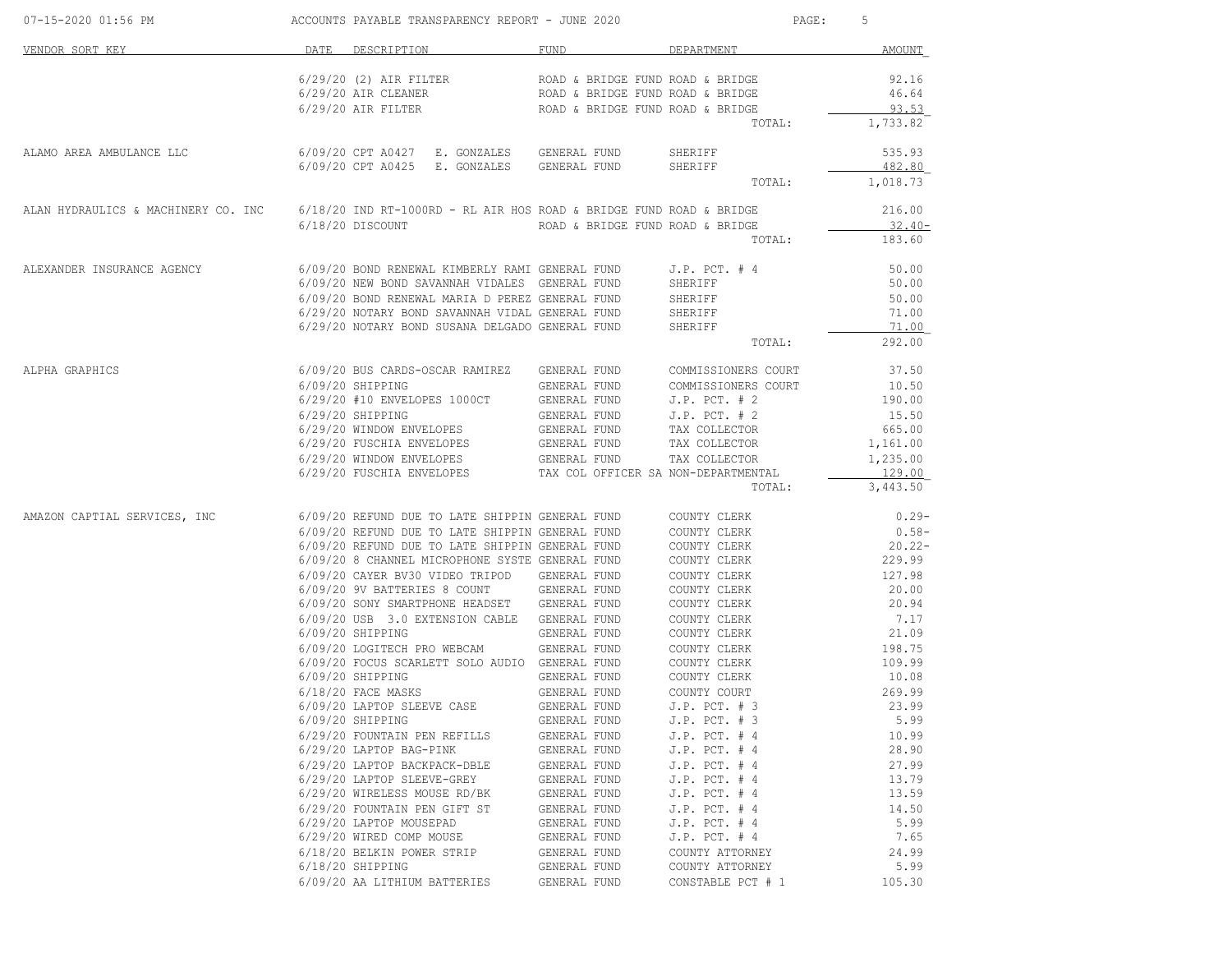| 07-15-2020 01:56 PM                                                                                     |      | ACCOUNTS PAYABLE TRANSPARENCY REPORT - JUNE 2020                                                                      |                                  |                                        | PAGE: 5        |
|---------------------------------------------------------------------------------------------------------|------|-----------------------------------------------------------------------------------------------------------------------|----------------------------------|----------------------------------------|----------------|
| VENDOR SORT KEY                                                                                         | DATE | DESCRIPTION                                                                                                           | FUND                             | DEPARTMENT                             | <b>AMOUNT</b>  |
|                                                                                                         |      | 6/29/20 (2) AIR FILTER                                                                                                | ROAD & BRIDGE FUND ROAD & BRIDGE |                                        | 92.16          |
|                                                                                                         |      | 6/29/20 AIR CLEANER                                                                                                   | ROAD & BRIDGE FUND ROAD & BRIDGE |                                        | 46.64          |
|                                                                                                         |      | 6/29/20 AIR FILTER                                                                                                    | ROAD & BRIDGE FUND ROAD & BRIDGE |                                        | 93.53          |
|                                                                                                         |      |                                                                                                                       |                                  | TOTAL:                                 | 1,733.82       |
| ALAMO AREA AMBULANCE LLC                                                                                |      | 6/09/20 CPT A0427 E. GONZALES GENERAL FUND                                                                            |                                  | SHERIFF                                | 535.93         |
|                                                                                                         |      | 6/09/20 CPT A0425 E. GONZALES GENERAL FUND                                                                            |                                  | SHERIFF                                | 482.80         |
|                                                                                                         |      |                                                                                                                       |                                  | TOTAL:                                 | 1,018.73       |
| ALAN HYDRAULICS & MACHINERY CO. INC 6/18/20 IND RT-1000RD - RL AIR HOS ROAD & BRIDGE FUND ROAD & BRIDGE |      |                                                                                                                       |                                  |                                        | 216.00         |
|                                                                                                         |      | 6/18/20 DISCOUNT                                                                                                      | ROAD & BRIDGE FUND ROAD & BRIDGE |                                        | $32.40-$       |
|                                                                                                         |      |                                                                                                                       |                                  | TOTAL:                                 | 183.60         |
| ALEXANDER INSURANCE AGENCY                                                                              |      | 6/09/20 BOND RENEWAL KIMBERLY RAMI GENERAL FUND J.P. PCT. # 4                                                         |                                  |                                        | 50.00          |
|                                                                                                         |      | 6/09/20 NEW BOND SAVANNAH VIDALES GENERAL FUND                                                                        |                                  | SHERIFF                                | 50.00          |
|                                                                                                         |      | 6/09/20 BOND RENEWAL MARIA D PEREZ GENERAL FUND<br>6/29/20 NOTARY BOND SAVANNAH VIDAL GENERAL FUND SHERIFF            |                                  | SHERIFF                                | 50.00<br>71.00 |
|                                                                                                         |      | 6/29/20 NOTARY BOND SUSANA DELGADO GENERAL FUND                                                                       |                                  | SHERIFF                                | 71.00          |
|                                                                                                         |      |                                                                                                                       |                                  | TOTAL:                                 | 292.00         |
| ALPHA GRAPHICS                                                                                          |      |                                                                                                                       |                                  | COMMISSIONERS COURT                    | 37.50          |
|                                                                                                         |      | $6/09/20$ SHIPPING                                                                                                    | GENERAL FUND                     | COMMISSIONERS COURT                    | 10.50          |
|                                                                                                         |      | 6/29/20 #10 ENVELOPES 1000CT                                                                                          | GENERAL FUND                     | $J.P.$ PCT. $# 2$                      | 190.00         |
|                                                                                                         |      | 6/29/20 SHIPPING                                                                                                      | GENERAL FUND                     | $J.P.$ PCT. $# 2$                      | 15.50          |
|                                                                                                         |      | 6/29/20 WINDOW ENVELOPES                                                                                              | GENERAL FUND                     | TAX COLLECTOR                          | 665.00         |
|                                                                                                         |      | 6/29/20 FUSCHIA ENVELOPES                                                                                             | GENERAL FUND TAX COLLECTOR       |                                        | 1,161.00       |
|                                                                                                         |      | $6/29/20$ WINDOW ENVELOPES GENERAL FUND TAX COLLECTOR $6/29/20$ FUSCHIA ENVELOPES TAX COL OFFICER SA NON-DEPARTMENTAL |                                  |                                        | 1,235.00       |
|                                                                                                         |      |                                                                                                                       |                                  |                                        | 129.00         |
|                                                                                                         |      |                                                                                                                       |                                  | TOTAL:                                 | 3,443.50       |
| AMAZON CAPTIAL SERVICES, INC 6/09/20 REFUND DUE TO LATE SHIPPIN GENERAL FUND COUNTY CLERK               |      |                                                                                                                       |                                  |                                        | $0.29-$        |
|                                                                                                         |      | 6/09/20 REFUND DUE TO LATE SHIPPIN GENERAL FUND                                                                       |                                  | COUNTY CLERK                           | $0.58-$        |
|                                                                                                         |      | 6/09/20 REFUND DUE TO LATE SHIPPIN GENERAL FUND                                                                       |                                  | COUNTY CLERK                           | $20.22 -$      |
|                                                                                                         |      | 6/09/20 8 CHANNEL MICROPHONE SYSTE GENERAL FUND                                                                       |                                  | COUNTY CLERK                           | 229.99         |
|                                                                                                         |      | 6/09/20 CAYER BV30 VIDEO TRIPOD GENERAL FUND                                                                          |                                  | COUNTY CLERK                           | 127.98         |
|                                                                                                         |      | 6/09/20 9V BATTERIES 8 COUNT GENERAL FUND<br>6/09/20 SONY SMARTPHONE HEADSET GENERAL FUND                             |                                  | COUNTY CLERK<br>COUNTY CLERK           | 20.00<br>20.94 |
|                                                                                                         |      | 6/09/20 USB 3.0 EXTENSION CABLE GENERAL FUND                                                                          |                                  | COUNTY CLERK                           | 7.17           |
|                                                                                                         |      | 6/09/20 SHIPPING                                                                                                      | GENERAL FUND                     | COUNTY CLERK                           | 21.09          |
|                                                                                                         |      | 6/09/20 LOGITECH PRO WEBCAM GENERAL FUND                                                                              |                                  | COUNTY CLERK                           | 198.75         |
|                                                                                                         |      | 6/09/20 FOCUS SCARLETT SOLO AUDIO GENERAL FUND                                                                        |                                  | COUNTY CLERK                           | 109.99         |
|                                                                                                         |      | 6/09/20 SHIPPING                                                                                                      | GENERAL FUND                     | COUNTY CLERK                           | 10.08          |
|                                                                                                         |      | 6/18/20 FACE MASKS                                                                                                    | GENERAL FUND                     | COUNTY COURT                           | 269.99         |
|                                                                                                         |      | 6/09/20 LAPTOP SLEEVE CASE<br>$6/09/20$ SHIPPING                                                                      | GENERAL FUND<br>GENERAL FUND     | $J.P.$ PCT. $# 3$<br>$J.P.$ PCT. $# 3$ | 23.99<br>5.99  |
|                                                                                                         |      | 6/29/20 FOUNTAIN PEN REFILLS                                                                                          | GENERAL FUND                     | $J.P.$ PCT. $#4$                       | 10.99          |
|                                                                                                         |      | 6/29/20 LAPTOP BAG-PINK                                                                                               | GENERAL FUND                     | $J.P.$ PCT. $# 4$                      | 28.90          |
|                                                                                                         |      | 6/29/20 LAPTOP BACKPACK-DBLE                                                                                          | GENERAL FUND                     | $J.P.$ PCT. $# 4$                      | 27.99          |
|                                                                                                         |      | 6/29/20 LAPTOP SLEEVE-GREY                                                                                            | GENERAL FUND                     | $J.P.$ PCT. $# 4$                      | 13.79          |
|                                                                                                         |      | 6/29/20 WIRELESS MOUSE RD/BK                                                                                          | GENERAL FUND                     | $J.P.$ PCT. $#4$                       | 13.59          |
|                                                                                                         |      | 6/29/20 FOUNTAIN PEN GIFT ST                                                                                          | GENERAL FUND                     | $J.P.$ PCT. $#4$                       | 14.50          |
|                                                                                                         |      | 6/29/20 LAPTOP MOUSEPAD                                                                                               | GENERAL FUND                     | $J.P.$ PCT. $# 4$                      | 5.99           |
|                                                                                                         |      | 6/29/20 WIRED COMP MOUSE                                                                                              | GENERAL FUND                     | $J.P.$ PCT. $#4$                       | 7.65           |
|                                                                                                         |      | 6/18/20 BELKIN POWER STRIP                                                                                            | GENERAL FUND                     | COUNTY ATTORNEY                        | 24.99          |
|                                                                                                         |      | $6/18/20$ SHIPPING                                                                                                    | GENERAL FUND                     | COUNTY ATTORNEY                        | 5.99           |
|                                                                                                         |      | 6/09/20 AA LITHIUM BATTERIES                                                                                          | GENERAL FUND                     | CONSTABLE PCT # 1                      | 105.30         |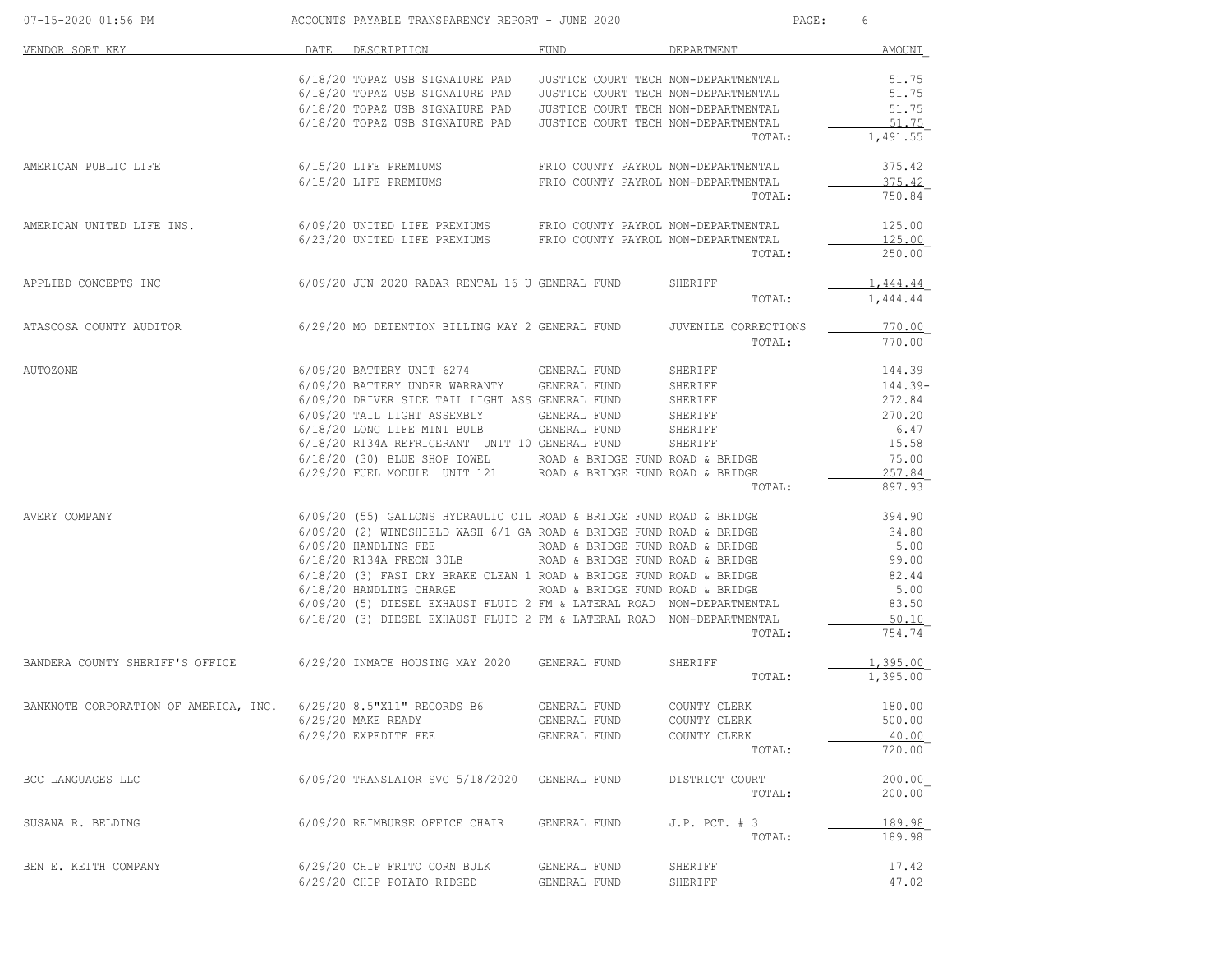| 07-15-2020 01:56 PM                                                                                                                                         | ACCOUNTS PAYABLE TRANSPARENCY REPORT - JUNE 2020                                                                                                              |              |                    | PAGE: 6         |
|-------------------------------------------------------------------------------------------------------------------------------------------------------------|---------------------------------------------------------------------------------------------------------------------------------------------------------------|--------------|--------------------|-----------------|
| DATE DESCRIPTION<br>VENDOR SORT KEY                                                                                                                         |                                                                                                                                                               | FUND         | DEPARTMENT         | AMOUNT          |
|                                                                                                                                                             | 6/18/20 TOPAZ USB SIGNATURE PAD JUSTICE COURT TECH NON-DEPARTMENTAL                                                                                           |              |                    | 51.75           |
|                                                                                                                                                             | 6/18/20 TOPAZ USB SIGNATURE PAD JUSTICE COURT TECH NON-DEPARTMENTAL                                                                                           |              |                    | 51.75           |
|                                                                                                                                                             | 6/18/20 TOPAZ USB SIGNATURE PAD JUSTICE COURT TECH NON-DEPARTMENTAL                                                                                           |              |                    | 51.75           |
|                                                                                                                                                             | 6/18/20 TOPAZ USB SIGNATURE PAD JUSTICE COURT TECH NON-DEPARTMENTAL                                                                                           |              |                    | 51.75           |
|                                                                                                                                                             |                                                                                                                                                               |              | TOTAL:             | 1,491.55        |
| AMERICAN PUBLIC LIFE WAS TRIMING AND SALEM ON THE PREMIUMS TRIO COUNTY PAYROL NON-DEPARTMENTAL                                                              |                                                                                                                                                               |              |                    | 375.42          |
|                                                                                                                                                             | 6/15/20 LIFE PREMIUMS FRIO COUNTY PAYROL NON-DEPARTMENTAL                                                                                                     |              |                    | 375.42          |
|                                                                                                                                                             |                                                                                                                                                               |              | TOTAL:             | 750.84          |
| AMERICAN UNITED LIFE INS. 6/09/20 UNITED LIFE PREMIUMS FRIO COUNTY PAYROL NON-DEPARTMENTAL 6/23/20 UNITED LIFE PREMIUMS FRIO COUNTY PAYROL NON-DEPARTMENTAL |                                                                                                                                                               |              |                    | 125.00          |
|                                                                                                                                                             |                                                                                                                                                               |              |                    | 125.00          |
|                                                                                                                                                             |                                                                                                                                                               |              | TOTAL:             | 250.00          |
| APPLIED CONCEPTS INC 6/09/20 JUN 2020 RADAR RENTAL 16 U GENERAL FUND SHERIFF                                                                                |                                                                                                                                                               |              |                    | 1,444.44        |
|                                                                                                                                                             |                                                                                                                                                               |              | TOTAL:             | 1,444.44        |
| ATASCOSA COUNTY AUDITOR 6/29/20 MO DETENTION BILLING MAY 2 GENERAL FUND JUVENILE CORRECTIONS                                                                |                                                                                                                                                               |              |                    | 770.00          |
|                                                                                                                                                             |                                                                                                                                                               |              | TOTAL:             | 770.00          |
| AUTOZONE                                                                                                                                                    | 6/09/20 BATTERY UNIT 6274 GENERAL FUND SHERIFF STEER STEER THAT 39                                                                                            |              |                    |                 |
|                                                                                                                                                             | 6/09/20 BATTERY UNDER WARRANTY GENERAL FUND                                                                                                                   |              | SHERIFF<br>SHERIFF | 144.39-         |
|                                                                                                                                                             | 6/09/20 DRIVER SIDE TAIL LIGHT ASS GENERAL FUND                                                                                                               |              |                    | 272.84          |
|                                                                                                                                                             | % 6/09/20 TAIL LIGHT ASSEMBLY GENERAL FUND SHERIFF $270.20$<br>% 6/18/20 LONG LIFE MINI BULB GENERAL FUND SHERIFF 6.47                                        |              |                    |                 |
|                                                                                                                                                             | 6/18/20 R134A REFRIGERANT UNIT 10 GENERAL FUND SHERIFF                                                                                                        |              |                    | 6.47            |
|                                                                                                                                                             |                                                                                                                                                               |              |                    | 15.58           |
|                                                                                                                                                             | $6/18/20$ (30) BLUE SHOP TOWEL ROAD & BRIDGE FUND ROAD & BRIDGE $6/29/20$ FUEL MODULE UNIT 121 ROAD & BRIDGE FUND ROAD & BRIDGE                               |              |                    | 75.00<br>257.84 |
|                                                                                                                                                             |                                                                                                                                                               |              | TOTAL:             | 897.93          |
| AVERY COMPANY                                                                                                                                               |                                                                                                                                                               |              |                    |                 |
|                                                                                                                                                             | $6/09/20$ (55) GALLONS HYDRAULIC OIL ROAD & BRIDGE FUND ROAD & BRIDGE 394.90<br>$6/09/20$ (2) WINDSHIELD WASH $6/1$ GA ROAD & BRIDGE FUND ROAD & BRIDGE 34.80 |              |                    |                 |
|                                                                                                                                                             |                                                                                                                                                               |              |                    | 5.00            |
|                                                                                                                                                             |                                                                                                                                                               |              |                    | 99.00           |
|                                                                                                                                                             | 6/18/20 (3) FAST DRY BRAKE CLEAN 1 ROAD & BRIDGE FUND ROAD & BRIDGE                                                                                           |              |                    | 82.44           |
|                                                                                                                                                             |                                                                                                                                                               |              |                    | 5.00            |
|                                                                                                                                                             |                                                                                                                                                               |              |                    | 83.50           |
|                                                                                                                                                             | 6/18/20 (3) DIESEL EXHAUST FLUID 2 FM & LATERAL ROAD NON-DEPARTMENTAL                                                                                         |              |                    | 50.10           |
|                                                                                                                                                             |                                                                                                                                                               |              | TOTAL:             | 754.74          |
| BANDERA COUNTY SHERIFF'S OFFICE 6/29/20 INMATE HOUSING MAY 2020 GENERAL FUND SHERIFF                                                                        |                                                                                                                                                               |              |                    | 1,395.00        |
|                                                                                                                                                             |                                                                                                                                                               |              | TOTAL: 1,395.00    |                 |
| BANKNOTE CORPORATION OF AMERICA, INC. 6/29/20 8.5"X11" RECORDS B6 GENERAL FUND COUNTY CLERK                                                                 |                                                                                                                                                               |              |                    | 180.00          |
|                                                                                                                                                             | 6/29/20 MAKE READY                                                                                                                                            | GENERAL FUND | COUNTY CLERK       | 500.00          |
|                                                                                                                                                             | 6/29/20 EXPEDITE FEE                                                                                                                                          | GENERAL FUND | COUNTY CLERK       | 40.00           |
|                                                                                                                                                             |                                                                                                                                                               |              | TOTAL:             | 720.00          |
| BCC LANGUAGES LLC                                                                                                                                           | 6/09/20 TRANSLATOR SVC 5/18/2020 GENERAL FUND                                                                                                                 |              | DISTRICT COURT     | 200.00          |
|                                                                                                                                                             |                                                                                                                                                               |              | TOTAL:             | 200.00          |
| SUSANA R. BELDING                                                                                                                                           | 6/09/20 REIMBURSE OFFICE CHAIR                                                                                                                                | GENERAL FUND | $J.P.$ PCT. $# 3$  | 189.98          |
|                                                                                                                                                             |                                                                                                                                                               |              | TOTAL:             | 189.98          |
| BEN E. KEITH COMPANY                                                                                                                                        | 6/29/20 CHIP FRITO CORN BULK                                                                                                                                  | GENERAL FUND | SHERIFF            | 17.42           |
|                                                                                                                                                             | 6/29/20 CHIP POTATO RIDGED                                                                                                                                    | GENERAL FUND | SHERIFF            | 47.02           |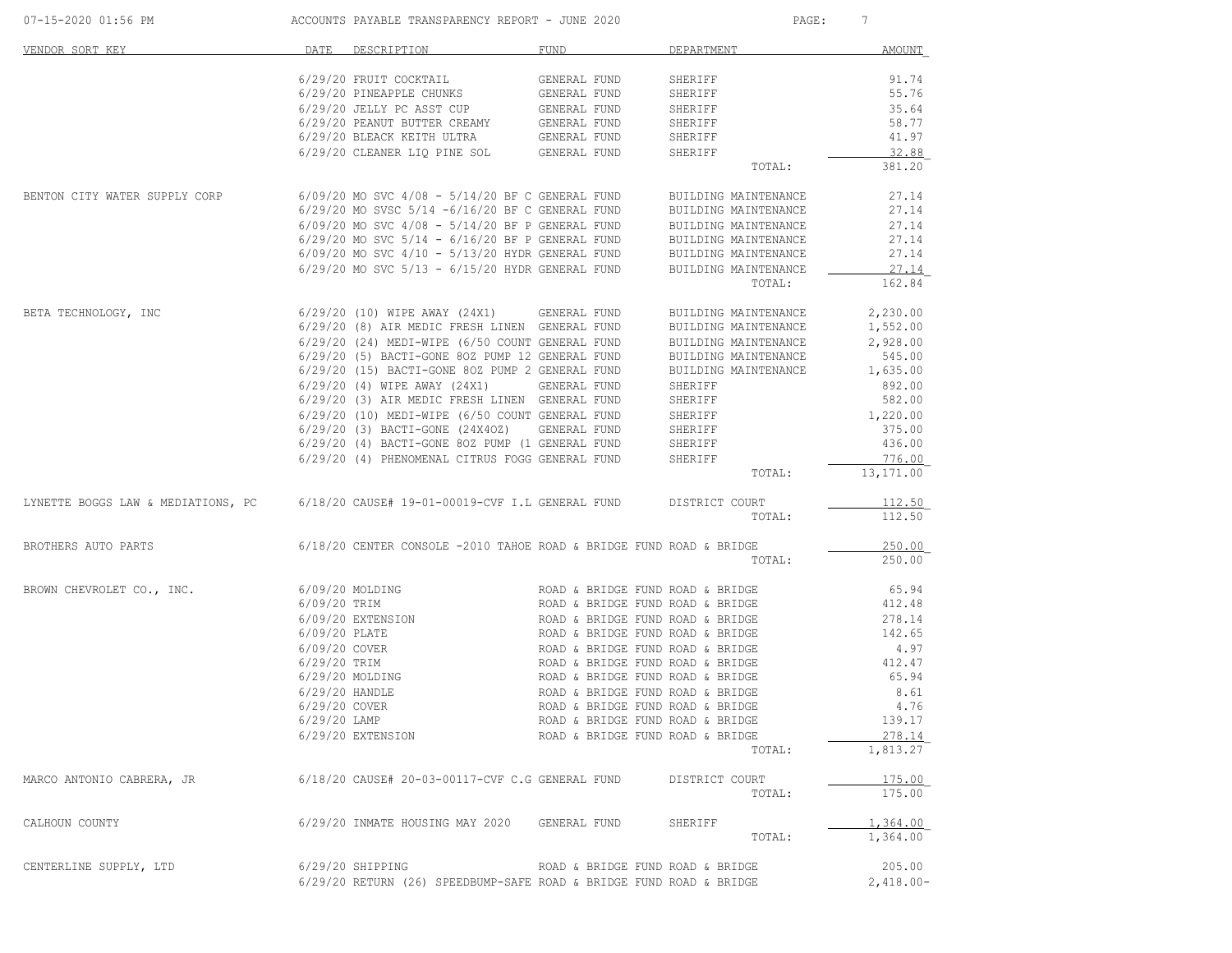| 07-15-2020 01:56 PM                                                                |                | ACCOUNTS PAYABLE TRANSPARENCY REPORT - JUNE 2020                      |              | PAGE:                            | 7                |
|------------------------------------------------------------------------------------|----------------|-----------------------------------------------------------------------|--------------|----------------------------------|------------------|
| VENDOR SORT KEY                                                                    |                | DATE DESCRIPTION                                                      | FUND         | DEPARTMENT                       | AMOUNT           |
|                                                                                    |                | 6/29/20 FRUIT COCKTAIL                                                | GENERAL FUND | SHERIFF                          | 91.74            |
|                                                                                    |                | 6/29/20 PINEAPPLE CHUNKS                                              | GENERAL FUND | SHERIFF                          | 55.76            |
|                                                                                    |                | 6/29/20 JELLY PC ASST CUP                                             | GENERAL FUND | SHERIFF                          | 35.64            |
|                                                                                    |                | 6/29/20 PEANUT BUTTER CREAMY                                          | GENERAL FUND | SHERIFF                          | 58.77            |
|                                                                                    |                | 6/29/20 BLEACK KEITH ULTRA                                            | GENERAL FUND | SHERIFF                          | 41.97            |
|                                                                                    |                | 6/29/20 CLEANER LIQ PINE SOL GENERAL FUND                             |              |                                  | 32.88            |
|                                                                                    |                |                                                                       |              | SHERIFF<br>TOTAL:                | 381.20           |
|                                                                                    |                |                                                                       |              |                                  |                  |
| BENTON CITY WATER SUPPLY CORP                                                      |                | $6/09/20$ MO SVC $4/08$ - $5/14/20$ BF C GENERAL FUND                 |              | BUILDING MAINTENANCE             | 27.14            |
|                                                                                    |                | $6/29/20$ MO SVSC $5/14$ - $6/16/20$ BF C GENERAL FUND                |              | BUILDING MAINTENANCE             | 27.14            |
|                                                                                    |                | $6/09/20$ MO SVC $4/08 - 5/14/20$ BF P GENERAL FUND                   |              | BUILDING MAINTENANCE             | 27.14            |
|                                                                                    |                | $6/29/20$ MO SVC $5/14$ - $6/16/20$ BF P GENERAL FUND                 |              | BUILDING MAINTENANCE             | 27.14            |
|                                                                                    |                | $6/09/20$ MO SVC $4/10$ - $5/13/20$ HYDR GENERAL FUND                 |              | BUILDING MAINTENANCE             | 27.14            |
|                                                                                    |                | $6/29/20$ MO SVC $5/13 - 6/15/20$ HYDR GENERAL FUND                   |              | BUILDING MAINTENANCE             | 27.14            |
|                                                                                    |                |                                                                       |              | TOTAL:                           | 162.84           |
| BETA TECHNOLOGY, INC                                                               |                | 6/29/20 (10) WIPE AWAY (24X1) GENERAL FUND                            |              | BUILDING MAINTENANCE             | 2,230.00         |
|                                                                                    |                | 6/29/20 (8) AIR MEDIC FRESH LINEN GENERAL FUND                        |              | BUILDING MAINTENANCE             | 1,552.00         |
|                                                                                    |                |                                                                       |              |                                  |                  |
|                                                                                    |                | 6/29/20 (24) MEDI-WIPE (6/50 COUNT GENERAL FUND                       |              | BUILDING MAINTENANCE             | 2,928.00         |
|                                                                                    |                | 6/29/20 (5) BACTI-GONE 80Z PUMP 12 GENERAL FUND                       |              | BUILDING MAINTENANCE             | 545.00           |
|                                                                                    |                | 6/29/20 (15) BACTI-GONE 80Z PUMP 2 GENERAL FUND                       |              | BUILDING MAINTENANCE             | 1,635.00         |
|                                                                                    |                | 6/29/20 (4) WIPE AWAY (24X1)                                          | GENERAL FUND | SHERIFF                          | 892.00           |
|                                                                                    |                | 6/29/20 (3) AIR MEDIC FRESH LINEN GENERAL FUND                        |              | SHERIFF                          | 582.00           |
|                                                                                    |                | 6/29/20 (10) MEDI-WIPE (6/50 COUNT GENERAL FUND                       |              | SHERIFF                          | 1,220.00         |
|                                                                                    |                | 6/29/20 (3) BACTI-GONE (24X40Z)                                       | GENERAL FUND | SHERIFF                          | 375.00           |
|                                                                                    |                | 6/29/20 (4) BACTI-GONE 80Z PUMP (1 GENERAL FUND                       |              | SHERIFF                          | 436.00           |
|                                                                                    |                | 6/29/20 (4) PHENOMENAL CITRUS FOGG GENERAL FUND                       |              | SHERIFF                          | 776.00           |
|                                                                                    |                |                                                                       |              | TOTAL:                           | 13,171.00        |
|                                                                                    |                |                                                                       |              |                                  |                  |
| LYNETTE BOGGS LAW & MEDIATIONS, PC 6/18/20 CAUSE# 19-01-00019-CVF I.L GENERAL FUND |                |                                                                       |              | DISTRICT COURT<br>TOTAL:         | 112.50<br>112.50 |
|                                                                                    |                |                                                                       |              |                                  |                  |
| BROTHERS AUTO PARTS                                                                |                | $6/18/20$ CENTER CONSOLE -2010 TAHOE ROAD & BRIDGE FUND ROAD & BRIDGE |              |                                  | 250.00           |
|                                                                                    |                |                                                                       |              | TOTAL:                           | 250.00           |
| BROWN CHEVROLET CO., INC.                                                          |                | 6/09/20 MOLDING                                                       |              | ROAD & BRIDGE FUND ROAD & BRIDGE | 65.94            |
|                                                                                    | 6/09/20 TRIM   |                                                                       |              | ROAD & BRIDGE FUND ROAD & BRIDGE | 412.48           |
|                                                                                    |                | 6/09/20 EXTENSION                                                     |              | ROAD & BRIDGE FUND ROAD & BRIDGE | 278.14           |
|                                                                                    | 6/09/20 PLATE  |                                                                       |              | ROAD & BRIDGE FUND ROAD & BRIDGE | 142.65           |
|                                                                                    | 6/09/20 COVER  |                                                                       |              | ROAD & BRIDGE FUND ROAD & BRIDGE | 4.97             |
|                                                                                    | 6/29/20 TRIM   |                                                                       |              | ROAD & BRIDGE FUND ROAD & BRIDGE | 412.47           |
|                                                                                    |                |                                                                       |              |                                  |                  |
|                                                                                    |                | 6/29/20 MOLDING                                                       |              | ROAD & BRIDGE FUND ROAD & BRIDGE | 65.94            |
|                                                                                    |                | 6/29/20 HANDLE                                                        |              | ROAD & BRIDGE FUND ROAD & BRIDGE | 8.61             |
|                                                                                    | 6/29/20 COVER  |                                                                       |              | ROAD & BRIDGE FUND ROAD & BRIDGE | 4.76             |
|                                                                                    | $6/29/20$ LAMP |                                                                       |              | ROAD & BRIDGE FUND ROAD & BRIDGE | 139.17           |
|                                                                                    |                | 6/29/20 EXTENSION                                                     |              | ROAD & BRIDGE FUND ROAD & BRIDGE | 278.14           |
|                                                                                    |                |                                                                       |              | TOTAL:                           | 1,813.27         |
| MARCO ANTONIO CABRERA, JR                                                          |                | 6/18/20 CAUSE# 20-03-00117-CVF C.G GENERAL FUND                       |              | DISTRICT COURT                   | 175.00           |
|                                                                                    |                |                                                                       |              | TOTAL:                           | 175.00           |
|                                                                                    |                |                                                                       |              |                                  | 1,364.00         |
| CALHOUN COUNTY                                                                     |                | 6/29/20 INMATE HOUSING MAY 2020                                       | GENERAL FUND | SHERIFF<br>TOTAL:                | 1,364.00         |
|                                                                                    |                |                                                                       |              |                                  |                  |
| CENTERLINE SUPPLY, LTD                                                             |                | $6/29/20$ SHIPPING                                                    |              | ROAD & BRIDGE FUND ROAD & BRIDGE | 205.00           |
|                                                                                    |                | 6/29/20 RETURN (26) SPEEDBUMP-SAFE ROAD & BRIDGE FUND ROAD & BRIDGE   |              |                                  | $2,418.00-$      |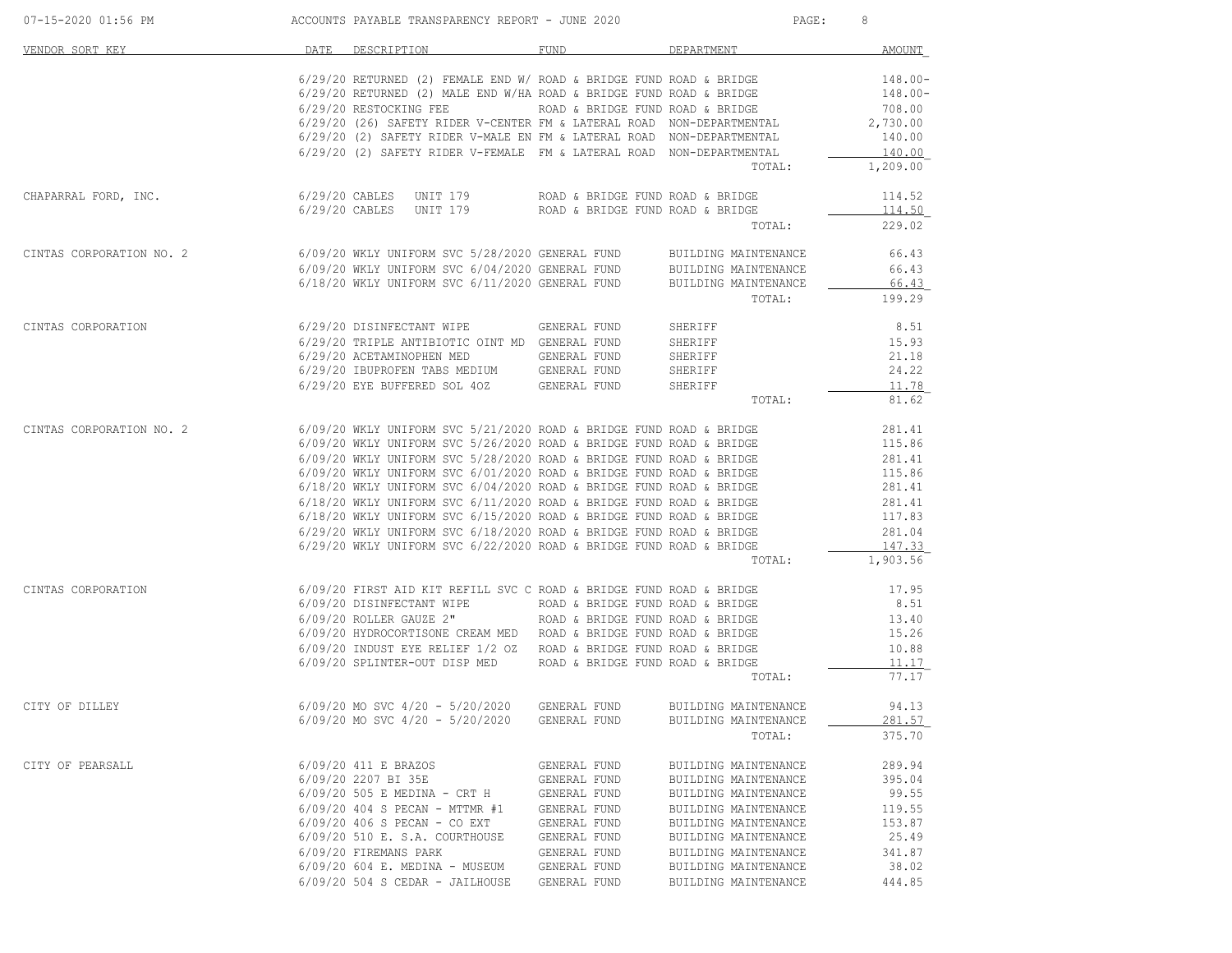| 07-15-2020 01:56 PM                       ACCOUNTS PAYABLE TRANSPARENCY REPORT - JUNE 2020    |                                                                                                                                                                                                                                                                                                                                                                                                                                                                                                                                                                                                           |                                                                                                                                              |                                                                                                                                                                                                                      | 8                                                                                                  |
|-----------------------------------------------------------------------------------------------|-----------------------------------------------------------------------------------------------------------------------------------------------------------------------------------------------------------------------------------------------------------------------------------------------------------------------------------------------------------------------------------------------------------------------------------------------------------------------------------------------------------------------------------------------------------------------------------------------------------|----------------------------------------------------------------------------------------------------------------------------------------------|----------------------------------------------------------------------------------------------------------------------------------------------------------------------------------------------------------------------|----------------------------------------------------------------------------------------------------|
| VENDOR SORT KEY                                                                               | DATE DESCRIPTION FUND FUND DEPARTMENT                                                                                                                                                                                                                                                                                                                                                                                                                                                                                                                                                                     |                                                                                                                                              |                                                                                                                                                                                                                      | <b>AMOUNT</b>                                                                                      |
|                                                                                               | 6/29/20 RETURNED (2) FEMALE END W/ ROAD & BRIDGE FUND ROAD & BRIDGE<br>6/29/20 RETURNED (2) MALE END W/HA ROAD & BRIDGE FUND ROAD & BRIDGE<br>$6/29/20$ RESTOCKING FEE ROAD & BRIDGE FUND ROAD & BRIDGE $6/29/20$ (26) SAFETY RIDER V-CENTER FM & LATERAL ROAD NON-DEPARTMENTAL<br>6/29/20 (20) SAFETY RIDER V-MALE EN FM & LATERAL ROAD NON-DEPARTMENTAL<br>6/29/20 (2) SAFETY RIDER V-FEMALE FM & LATERAL ROAD NON-DEPARTMENTAL                                                                                                                                                                         |                                                                                                                                              | TOTAL:                                                                                                                                                                                                               | 148.00-<br>$148.00 -$<br>708.00<br>2,730.00<br>140.00<br>140.00<br>1,209.00                        |
| CHAPARRAL FORD, INC. $6/29/20$ CABLES UNIT 179 ROAD & BRIDGE FUND ROAD & BRIDGE               | 6/29/20 CABLES UNIT 179 ROAD & BRIDGE FUND ROAD & BRIDGE                                                                                                                                                                                                                                                                                                                                                                                                                                                                                                                                                  |                                                                                                                                              | TOTAL:                                                                                                                                                                                                               | 114.52<br>114.50<br>229.02                                                                         |
| CINTAS CORPORATION NO. 2 6/09/20 WKLY UNIFORM SVC 5/28/2020 GENERAL FUND BUILDING MAINTENANCE | 6/09/20 WKLY UNIFORM SVC 6/04/2020 GENERAL FUND BUILDING MAINTENANCE<br>6/18/20 WKLY UNIFORM SVC 6/11/2020 GENERAL FUND BUILDING MAINTENANCE                                                                                                                                                                                                                                                                                                                                                                                                                                                              |                                                                                                                                              |                                                                                                                                                                                                                      | 66.43<br>66.43<br>66.43<br>TOTAL: 199.29                                                           |
| CINTAS CORPORATION 6/29/20 DISINFECTANT WIPE GENERAL FUND                                     | 6/29/20 TRIPLE ANTIBIOTIC OINT MD GENERAL FUND<br>6/29/20 ACETAMINOPHEN MED GENERAL FUND<br>$6/29/20$ IBUPROFEN TABS MEDIUM GENERAL FUND<br>$6/29/20$ EYE BUFFERED SOL 40Z GENERAL FUND                                                                                                                                                                                                                                                                                                                                                                                                                   |                                                                                                                                              | SHERIFF<br>SHERIFF<br>SHERIFF<br>SHERIFF<br>SHERIFF<br>TOTAL:                                                                                                                                                        | 8.51<br>15.93<br>21.18<br>24.22<br>11.78<br>81.62                                                  |
| CINTAS CORPORATION NO. 2                                                                      | 6/09/20 WKLY UNIFORM SVC 5/21/2020 ROAD & BRIDGE FUND ROAD & BRIDGE 6/09/20 WKLY UNIFORM SVC 5/26/2020 ROAD & BRIDGE FUND ROAD & BRIDGE 6/09/20 WKLY UNIFORM SVC 5/28/2020 ROAD & BRIDGE FUND ROAD & BRIDGE 6/09/20 WKLY UNIF<br>6/18/20 WKLY UNIFORM SVC 6/11/2020 ROAD & BRIDGE FUND ROAD & BRIDGE 6/18/20 WKLY UNIFORM SVC 6/15/2020 ROAD & BRIDGE FUND ROAD & BRIDGE<br>$6/18/20$ WKLY UNIFORM SVC $6/15/2020$ ROAD & BRIDGE FUND ROAD & BRIDGE<br>$6/29/20$ WKLY UNIFORM SVC $6/18/2020$ ROAD & BRIDGE FUND ROAD & BRIDGE<br>$6/29/20$ WKLY UNIFORM SVC $6/22/2020$ ROAD & BRIDGE FUND ROAD & BRIDGE |                                                                                                                                              | TOTAL:                                                                                                                                                                                                               | 281.41<br>115.86<br>281.41<br>115.86<br>281.41<br>281.41<br>117.83<br>281.04<br>147.33<br>1,903.56 |
| CINTAS CORPORATION 6/09/20 FIRST AID KIT REFILL SVC C ROAD & BRIDGE FUND ROAD & BRIDGE        | $6/09/20$ HYDROCORTISONE CREAM MED ROAD & BRIDGE FUND ROAD & BRIDGE<br>$6/09/20$ INDUST EYE RELIEF $1/2$ OZ ROAD & BRIDGE FUND ROAD & BRIDGE<br>6/09/20 SPLINTER-OUT DISP MED ROAD & BRIDGE FUND ROAD & BRIDGE                                                                                                                                                                                                                                                                                                                                                                                            |                                                                                                                                              | TOTAL:                                                                                                                                                                                                               | 17.95<br>8.51<br>13.40<br>15.26<br>10.88<br>11.17<br>77.17                                         |
| CITY OF DILLEY                                                                                | 6/09/20 MO SVC 4/20 - 5/20/2020 GENERAL FUND<br>$6/09/20$ MO SVC $4/20 - 5/20/2020$                                                                                                                                                                                                                                                                                                                                                                                                                                                                                                                       | GENERAL FUND                                                                                                                                 | BUILDING MAINTENANCE<br>BUILDING MAINTENANCE<br>TOTAL:                                                                                                                                                               | 94.13<br>281.57<br>375.70                                                                          |
| CITY OF PEARSALL                                                                              | 6/09/20 411 E BRAZOS<br>6/09/20 2207 BI 35E<br>6/09/20 505 E MEDINA - CRT H<br>6/09/20 404 S PECAN - MTTMR #1<br>$6/09/20$ 406 S PECAN - CO EXT<br>6/09/20 510 E. S.A. COURTHOUSE<br>6/09/20 FIREMANS PARK<br>$6/09/20 604$ E. MEDINA - MUSEUM<br>$6/09/20$ 504 S CEDAR - JAILHOUSE                                                                                                                                                                                                                                                                                                                       | GENERAL FUND<br>GENERAL FUND<br>GENERAL FUND<br>GENERAL FUND<br>GENERAL FUND<br>GENERAL FUND<br>GENERAL FUND<br>GENERAL FUND<br>GENERAL FUND | BUILDING MAINTENANCE<br>BUILDING MAINTENANCE<br>BUILDING MAINTENANCE<br>BUILDING MAINTENANCE<br>BUILDING MAINTENANCE<br>BUILDING MAINTENANCE<br>BUILDING MAINTENANCE<br>BUILDING MAINTENANCE<br>BUILDING MAINTENANCE | 289.94<br>395.04<br>99.55<br>119.55<br>153.87<br>25.49<br>341.87<br>38.02<br>444.85                |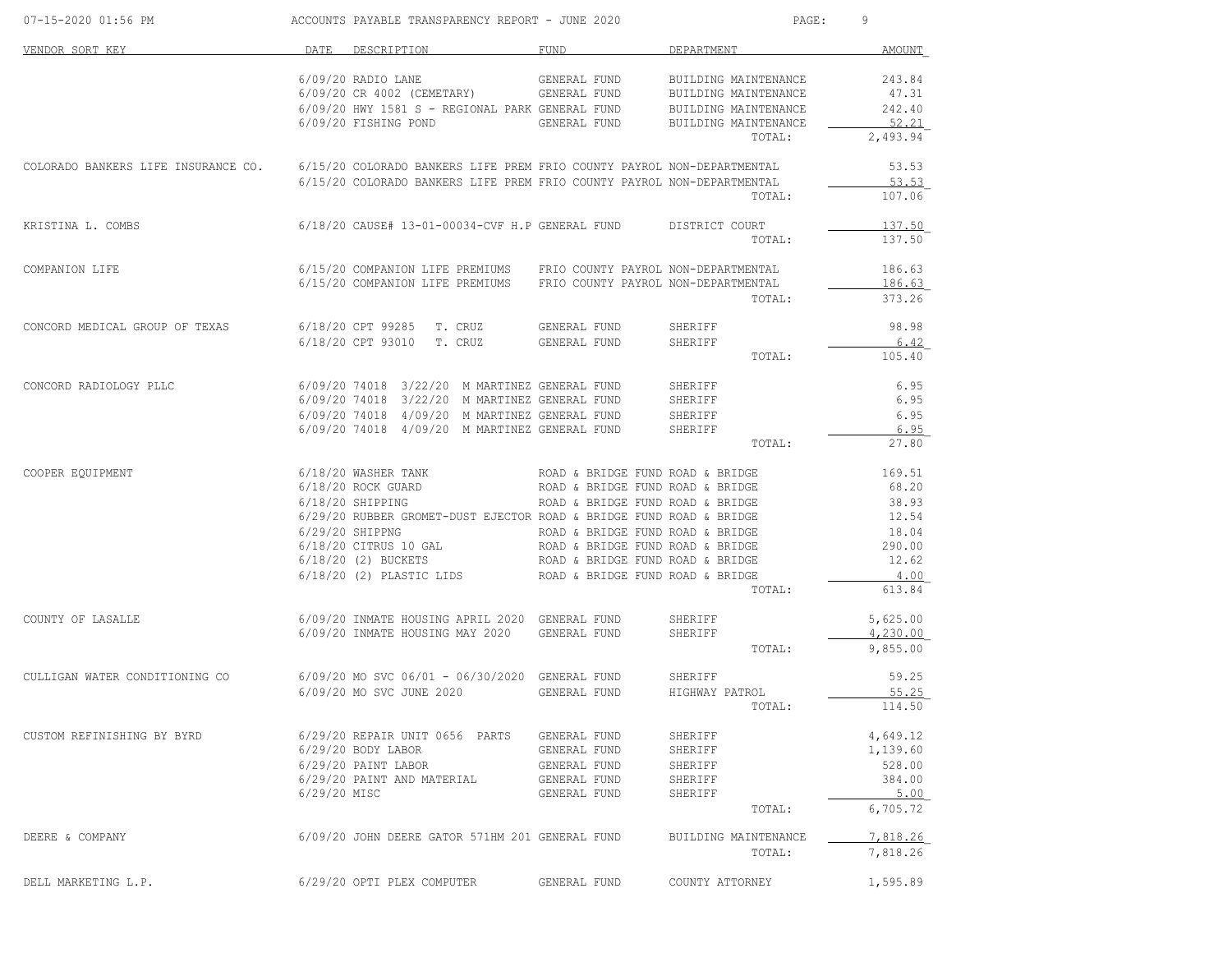| 07-15-2020 01:56 PM                                                                                        |              | ACCOUNTS PAYABLE TRANSPARENCY REPORT - JUNE 2020                                               |                                  | PAGE:                | 9                    |
|------------------------------------------------------------------------------------------------------------|--------------|------------------------------------------------------------------------------------------------|----------------------------------|----------------------|----------------------|
| VENDOR SORT KEY                                                                                            | DATE         | DESCRIPTION                                                                                    | FUND                             | DEPARTMENT           | <b>AMOUNT</b>        |
|                                                                                                            |              | $6/09/20$ RADIO LANE                                                                           | GENERAL FUND                     | BUILDING MAINTENANCE | 243.84               |
|                                                                                                            |              | 6/09/20 CR 4002 (CEMETARY) GENERAL FUND                                                        |                                  | BUILDING MAINTENANCE | 47.31                |
|                                                                                                            |              | 6/09/20 HWY 1581 S - REGIONAL PARK GENERAL FUND                                                |                                  | BUILDING MAINTENANCE | 242.40               |
|                                                                                                            |              | 6/09/20 FISHING POND                                                                           | GENERAL FUND                     | BUILDING MAINTENANCE | 52.21                |
|                                                                                                            |              |                                                                                                |                                  | TOTAL:               | 2,493.94             |
| COLORADO BANKERS LIFE INSURANCE CO. 6/15/20 COLORADO BANKERS LIFE PREM FRIO COUNTY PAYROL NON-DEPARTMENTAL |              |                                                                                                |                                  |                      | 53.53                |
|                                                                                                            |              | 6/15/20 COLORADO BANKERS LIFE PREM FRIO COUNTY PAYROL NON-DEPARTMENTAL                         |                                  |                      | 53.53                |
|                                                                                                            |              |                                                                                                |                                  | TOTAL:               | 107.06               |
| KRISTINA L. COMBS                                                                                          |              | 6/18/20 CAUSE# 13-01-00034-CVF H.P GENERAL FUND DISTRICT COURT                                 |                                  |                      | 137.50               |
|                                                                                                            |              |                                                                                                |                                  | TOTAL:               | 137.50               |
| COMPANION LIFE                                                                                             |              | 6/15/20 COMPANION LIFE PREMIUMS FRIO COUNTY PAYROL NON-DEPARTMENTAL                            |                                  |                      | 186.63               |
|                                                                                                            |              | 6/15/20 COMPANION LIFE PREMIUMS FRIO COUNTY PAYROL NON-DEPARTMENTAL                            |                                  |                      | 186.63               |
|                                                                                                            |              |                                                                                                |                                  | TOTAL:               | 373.26               |
| CONCORD MEDICAL GROUP OF TEXAS                                                                             |              | 6/18/20 CPT 99285 T. CRUZ                                                                      | GENERAL FUND                     | SHERIFF              | 98.98                |
|                                                                                                            |              | 6/18/20 CPT 93010 T. CRUZ                                                                      | GENERAL FUND                     | SHERIFF              | 6.42                 |
|                                                                                                            |              |                                                                                                |                                  | TOTAL:               | 105.40               |
| CONCORD RADIOLOGY PLLC                                                                                     |              | 6/09/20 74018 3/22/20 M MARTINEZ GENERAL FUND                                                  |                                  | SHERIFF              | 6.95                 |
|                                                                                                            |              | 6/09/20 74018 3/22/20 M MARTINEZ GENERAL FUND                                                  |                                  | SHERIFF              | 6.95                 |
|                                                                                                            |              | 6/09/20 74018 4/09/20 M MARTINEZ GENERAL FUND                                                  |                                  | SHERIFF              | 6.95                 |
|                                                                                                            |              | 6/09/20 74018 4/09/20 M MARTINEZ GENERAL FUND                                                  |                                  | SHERIFF              | 6.95                 |
|                                                                                                            |              |                                                                                                |                                  | TOTAL:               | 27.80                |
| COOPER EQUIPMENT                                                                                           |              | 6/18/20 WASHER TANK TAN ROAD & BRIDGE FUND ROAD & BRIDGE                                       |                                  |                      | 169.51               |
|                                                                                                            |              | 6/18/20 ROCK GUARD                                                                             | ROAD & BRIDGE FUND ROAD & BRIDGE |                      | 68.20                |
|                                                                                                            |              | 6/18/20 SHIPPING                                                                               | ROAD & BRIDGE FUND ROAD & BRIDGE |                      | 38.93                |
|                                                                                                            |              | 6/29/20 RUBBER GROMET-DUST EJECTOR ROAD & BRIDGE FUND ROAD & BRIDGE                            |                                  |                      | 12.54                |
|                                                                                                            |              |                                                                                                |                                  |                      | 18.04                |
|                                                                                                            |              |                                                                                                |                                  |                      | 290.00<br>12.62      |
|                                                                                                            |              | $6/18/20$ (2) PLASTIC LIDS ROAD & BRIDGE FUND ROAD & BRIDGE                                    |                                  |                      | 4.00                 |
|                                                                                                            |              |                                                                                                |                                  | TOTAL:               | 613.84               |
|                                                                                                            |              |                                                                                                |                                  |                      |                      |
| COUNTY OF LASALLE                                                                                          |              | 6/09/20 INMATE HOUSING APRIL 2020 GENERAL FUND<br>6/09/20 INMATE HOUSING MAY 2020 GENERAL FUND |                                  | SHERIFF<br>SHERIFF   | 5,625.00<br>4,230.00 |
|                                                                                                            |              |                                                                                                |                                  | TOTAL:               | 9,855.00             |
| CULLIGAN WATER CONDITIONING CO $6/09/20$ MO SVC $06/01 - 06/30/2020$ GENERAL FUND                          |              |                                                                                                |                                  | SHERIFF              | 59.25                |
|                                                                                                            |              | 6/09/20 MO SVC JUNE 2020                                                                       | GENERAL FUND                     | HIGHWAY PATROL       | 55.25                |
|                                                                                                            |              |                                                                                                |                                  | TOTAL:               | 114.50               |
| CUSTOM REFINISHING BY BYRD                                                                                 |              | 6/29/20 REPAIR UNIT 0656 PARTS GENERAL FUND                                                    |                                  | SHERIFF              | 4,649.12             |
|                                                                                                            |              | 6/29/20 BODY LABOR                                                                             | GENERAL FUND                     | SHERIFF              | 1,139.60             |
|                                                                                                            |              | 6/29/20 PAINT LABOR                                                                            | GENERAL FUND                     | SHERIFF              | 528.00               |
|                                                                                                            |              | 6/29/20 PAINT AND MATERIAL                                                                     | GENERAL FUND                     | SHERIFF              | 384.00               |
|                                                                                                            | 6/29/20 MISC |                                                                                                | GENERAL FUND                     | SHERIFF              | 5.00                 |
|                                                                                                            |              |                                                                                                |                                  | TOTAL:               | 6,705.72             |
| DEERE & COMPANY                                                                                            |              | 6/09/20 JOHN DEERE GATOR 571HM 201 GENERAL FUND                                                |                                  | BUILDING MAINTENANCE | 7,818.26             |
|                                                                                                            |              |                                                                                                |                                  | TOTAL:               | 7,818.26             |
| DELL MARKETING L.P.                                                                                        |              | 6/29/20 OPTI PLEX COMPUTER                                                                     | GENERAL FUND                     | COUNTY ATTORNEY      | 1,595.89             |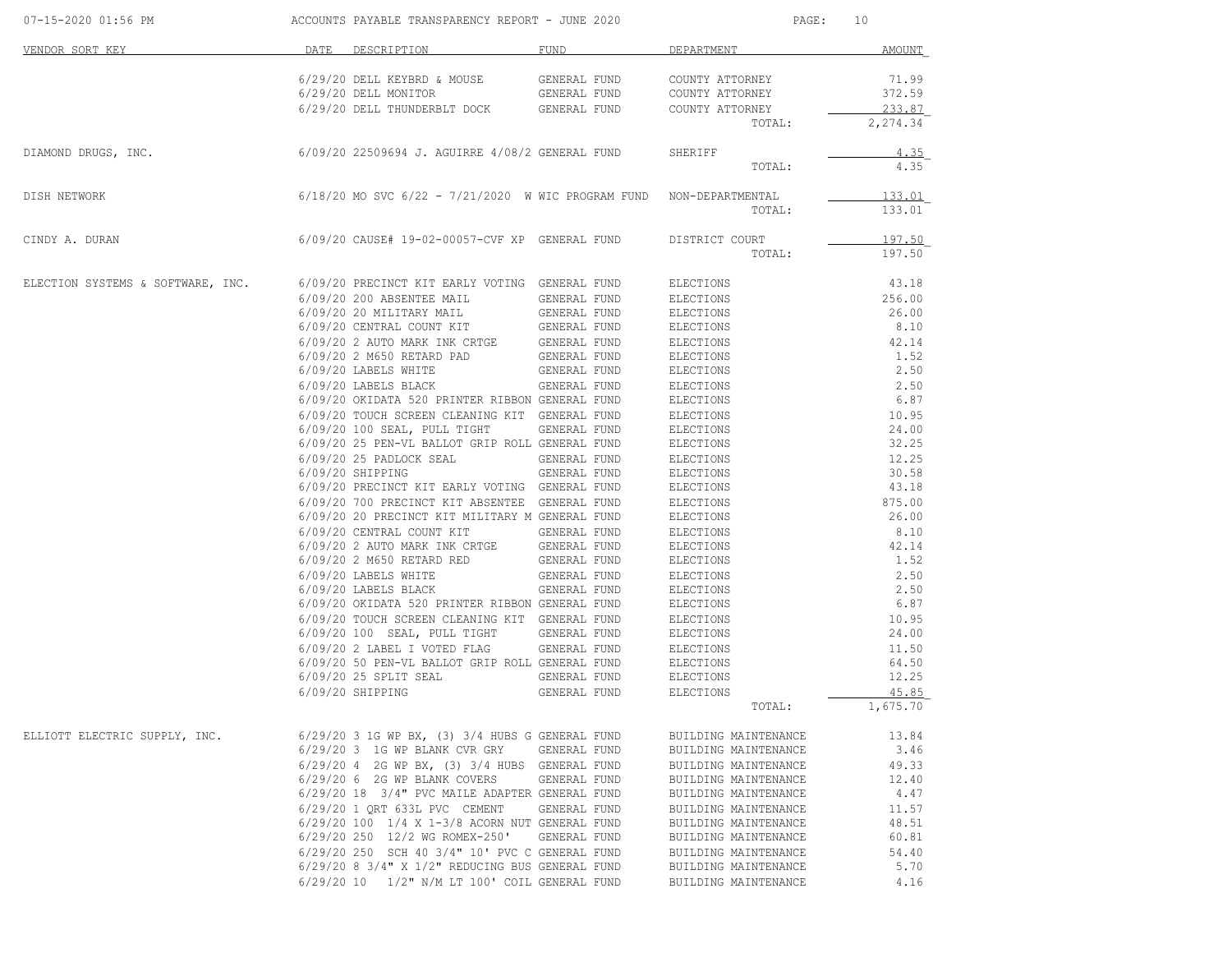| 07-15-2020 01:56 PM               |      | ACCOUNTS PAYABLE TRANSPARENCY REPORT - JUNE 2020                          |              | PAGE:                | 10          |
|-----------------------------------|------|---------------------------------------------------------------------------|--------------|----------------------|-------------|
| VENDOR SORT KEY                   | DATE | DESCRIPTION                                                               | FUND         | DEPARTMENT           | AMOUNT      |
|                                   |      | 6/29/20 DELL KEYBRD & MOUSE                                               | GENERAL FUND | COUNTY ATTORNEY      | 71.99       |
|                                   |      | 6/29/20 DELL MONITOR                                                      | GENERAL FUND | COUNTY ATTORNEY      | 372.59      |
|                                   |      | 6/29/20 DELL THUNDERBLT DOCK                                              | GENERAL FUND | COUNTY ATTORNEY      | 233.87      |
|                                   |      |                                                                           |              | TOTAL:               | 2,274.34    |
| DIAMOND DRUGS, INC.               |      | 6/09/20 22509694 J. AGUIRRE 4/08/2 GENERAL FUND                           |              | SHERIFF              | <u>4.35</u> |
|                                   |      |                                                                           |              | TOTAL:               | 4.35        |
| DISH NETWORK                      |      | $6/18/20$ MO SVC $6/22$ - $7/21/2020$ W WIC PROGRAM FUND NON-DEPARTMENTAL |              |                      | 133.01      |
|                                   |      |                                                                           |              | TOTAL:               | 133.01      |
| CINDY A. DURAN                    |      | $6/09/20$ CAUSE# 19-02-00057-CVF XP GENERAL FUND                          |              | DISTRICT COURT       | 197.50      |
|                                   |      |                                                                           |              | TOTAL:               | 197.50      |
| ELECTION SYSTEMS & SOFTWARE, INC. |      | 6/09/20 PRECINCT KIT EARLY VOTING GENERAL FUND                            |              | ELECTIONS            | 43.18       |
|                                   |      | 6/09/20 200 ABSENTEE MAIL                                                 | GENERAL FUND | ELECTIONS            | 256.00      |
|                                   |      | $6/09/20$ 20 MILITARY MAIL                                                | GENERAL FUND | ELECTIONS            | 26.00       |
|                                   |      | 6/09/20 CENTRAL COUNT KIT                                                 | GENERAL FUND | ELECTIONS            | 8.10        |
|                                   |      | 6/09/20 2 AUTO MARK INK CRTGE                                             | GENERAL FUND | ELECTIONS            | 42.14       |
|                                   |      | 6/09/20 2 M650 RETARD PAD                                                 | GENERAL FUND | ELECTIONS            | 1.52        |
|                                   |      | 6/09/20 LABELS WHITE                                                      | GENERAL FUND | ELECTIONS            | 2.50        |
|                                   |      | 6/09/20 LABELS BLACK                                                      | GENERAL FUND | ELECTIONS            | 2.50        |
|                                   |      | 6/09/20 OKIDATA 520 PRINTER RIBBON GENERAL FUND                           |              | ELECTIONS            | 6.87        |
|                                   |      | 6/09/20 TOUCH SCREEN CLEANING KIT GENERAL FUND                            |              | ELECTIONS            | 10.95       |
|                                   |      | 6/09/20 100 SEAL, PULL TIGHT                                              | GENERAL FUND | ELECTIONS            | 24.00       |
|                                   |      | 6/09/20 25 PEN-VL BALLOT GRIP ROLL GENERAL FUND                           |              | ELECTIONS            | 32.25       |
|                                   |      | 6/09/20 25 PADLOCK SEAL                                                   | GENERAL FUND | ELECTIONS            | 12.25       |
|                                   |      | $6/09/20$ SHIPPING                                                        | GENERAL FUND | ELECTIONS            | 30.58       |
|                                   |      | 6/09/20 PRECINCT KIT EARLY VOTING GENERAL FUND                            |              | ELECTIONS            | 43.18       |
|                                   |      | 6/09/20 700 PRECINCT KIT ABSENTEE GENERAL FUND                            |              | ELECTIONS            | 875.00      |
|                                   |      | 6/09/20 20 PRECINCT KIT MILITARY M GENERAL FUND                           |              | ELECTIONS            | 26.00       |
|                                   |      | 6/09/20 CENTRAL COUNT KIT                                                 | GENERAL FUND | ELECTIONS            | 8.10        |
|                                   |      | 6/09/20 2 AUTO MARK INK CRTGE                                             | GENERAL FUND | ELECTIONS            | 42.14       |
|                                   |      | 6/09/20 2 M650 RETARD RED                                                 | GENERAL FUND | ELECTIONS            | 1.52        |
|                                   |      | 6/09/20 LABELS WHITE                                                      | GENERAL FUND | ELECTIONS            | 2.50        |
|                                   |      | 6/09/20 LABELS BLACK                                                      | GENERAL FUND | ELECTIONS            | 2.50        |
|                                   |      | 6/09/20 OKIDATA 520 PRINTER RIBBON GENERAL FUND                           |              | ELECTIONS            | 6.87        |
|                                   |      | 6/09/20 TOUCH SCREEN CLEANING KIT GENERAL FUND                            |              | ELECTIONS            | 10.95       |
|                                   |      | $6/09/20$ 100 SEAL, PULL TIGHT                                            | GENERAL FUND | ELECTIONS            | 24.00       |
|                                   |      | 6/09/20 2 LABEL I VOTED FLAG                                              | GENERAL FUND | ELECTIONS            | 11.50       |
|                                   |      | 6/09/20 50 PEN-VL BALLOT GRIP ROLL GENERAL FUND                           |              | ELECTIONS            | 64.50       |
|                                   |      | 6/09/20 25 SPLIT SEAL                                                     | GENERAL FUND | ELECTIONS            | 12.25       |
|                                   |      | $6/09/20$ SHIPPING                                                        | GENERAL FUND | ELECTIONS            | 45.85       |
|                                   |      |                                                                           |              | TOTAL:               | 1,675.70    |
| ELLIOTT ELECTRIC SUPPLY, INC.     |      | $6/29/20$ 3 1G WP BX, $(3)$ 3/4 HUBS G GENERAL FUND                       |              | BUILDING MAINTENANCE | 13.84       |
|                                   |      | 6/29/20 3 1G WP BLANK CVR GRY GENERAL FUND                                |              | BUILDING MAINTENANCE | 3.46        |
|                                   |      | 6/29/20 4 2G WP BX, (3) 3/4 HUBS GENERAL FUND                             |              | BUILDING MAINTENANCE | 49.33       |
|                                   |      | 6/29/20 6 2G WP BLANK COVERS                                              | GENERAL FUND | BUILDING MAINTENANCE | 12.40       |
|                                   |      | 6/29/20 18 3/4" PVC MAILE ADAPTER GENERAL FUND                            |              | BUILDING MAINTENANCE | 4.47        |
|                                   |      | 6/29/20 1 QRT 633L PVC CEMENT GENERAL FUND                                |              | BUILDING MAINTENANCE | 11.57       |
|                                   |      | 6/29/20 100 1/4 X 1-3/8 ACORN NUT GENERAL FUND                            |              | BUILDING MAINTENANCE | 48.51       |
|                                   |      | 6/29/20 250 12/2 WG ROMEX-250' GENERAL FUND                               |              | BUILDING MAINTENANCE | 60.81       |
|                                   |      | 6/29/20 250 SCH 40 3/4" 10' PVC C GENERAL FUND                            |              | BUILDING MAINTENANCE | 54.40       |
|                                   |      | $6/29/20$ 8 3/4" X 1/2" REDUCING BUS GENERAL FUND                         |              | BUILDING MAINTENANCE | 5.70        |
|                                   |      | 6/29/20 10 1/2" N/M LT 100' COIL GENERAL FUND                             |              | BUILDING MAINTENANCE | 4.16        |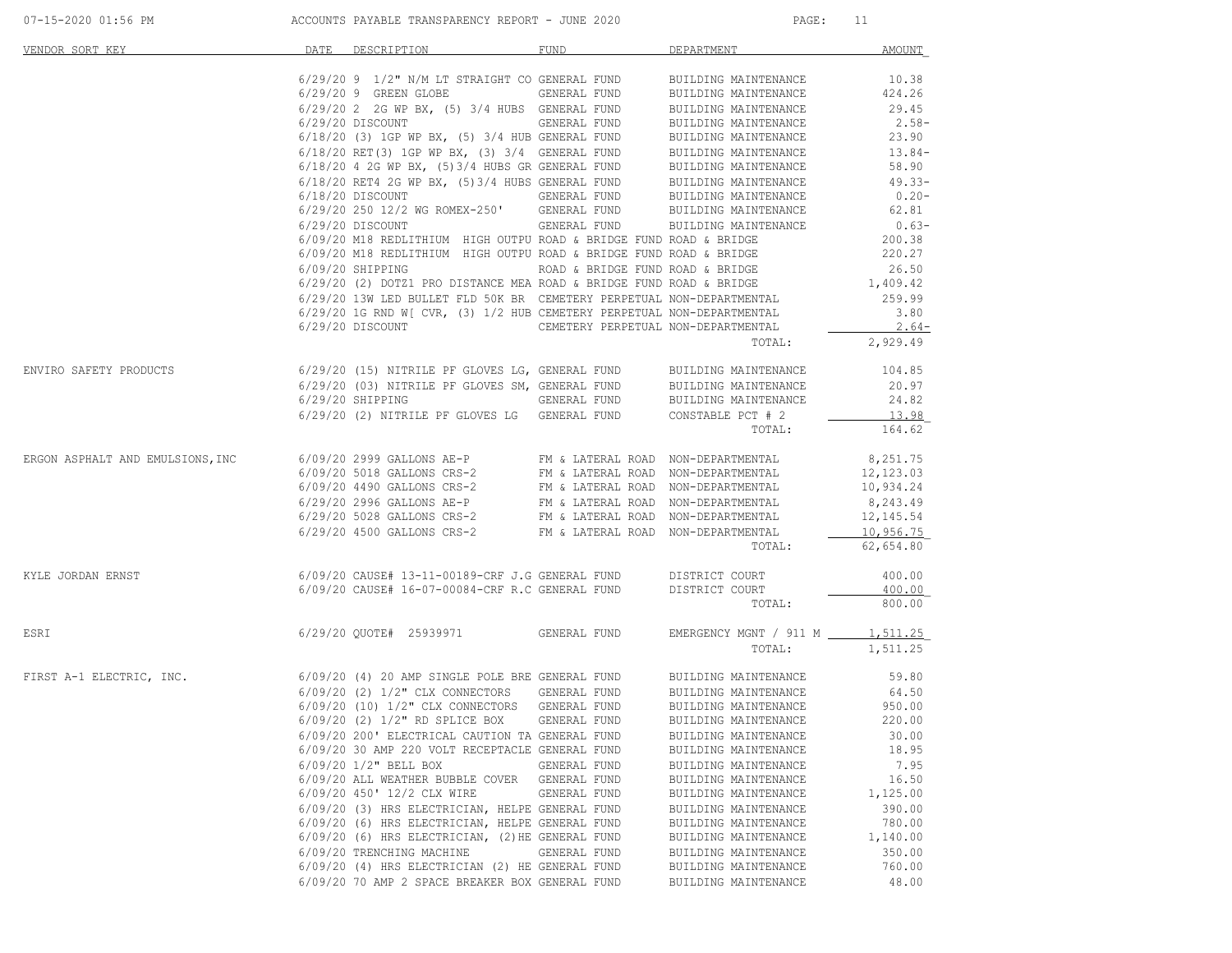| VENDOR SORT KEY                                                                                                                                                                                                                                                                                                                                                                 | DATE | DESCRIPTION DESCRIPTION                                                                                                                                                                                                                                                                                                                                                                           | FUND                | <b>DEPARTMENT</b>                     | AMOUNT           |
|---------------------------------------------------------------------------------------------------------------------------------------------------------------------------------------------------------------------------------------------------------------------------------------------------------------------------------------------------------------------------------|------|---------------------------------------------------------------------------------------------------------------------------------------------------------------------------------------------------------------------------------------------------------------------------------------------------------------------------------------------------------------------------------------------------|---------------------|---------------------------------------|------------------|
|                                                                                                                                                                                                                                                                                                                                                                                 |      |                                                                                                                                                                                                                                                                                                                                                                                                   |                     |                                       |                  |
|                                                                                                                                                                                                                                                                                                                                                                                 |      |                                                                                                                                                                                                                                                                                                                                                                                                   |                     |                                       |                  |
|                                                                                                                                                                                                                                                                                                                                                                                 |      |                                                                                                                                                                                                                                                                                                                                                                                                   |                     |                                       |                  |
|                                                                                                                                                                                                                                                                                                                                                                                 |      |                                                                                                                                                                                                                                                                                                                                                                                                   |                     |                                       |                  |
|                                                                                                                                                                                                                                                                                                                                                                                 |      |                                                                                                                                                                                                                                                                                                                                                                                                   |                     |                                       |                  |
|                                                                                                                                                                                                                                                                                                                                                                                 |      |                                                                                                                                                                                                                                                                                                                                                                                                   |                     |                                       |                  |
|                                                                                                                                                                                                                                                                                                                                                                                 |      |                                                                                                                                                                                                                                                                                                                                                                                                   |                     |                                       |                  |
|                                                                                                                                                                                                                                                                                                                                                                                 |      |                                                                                                                                                                                                                                                                                                                                                                                                   |                     |                                       |                  |
|                                                                                                                                                                                                                                                                                                                                                                                 |      |                                                                                                                                                                                                                                                                                                                                                                                                   |                     |                                       |                  |
|                                                                                                                                                                                                                                                                                                                                                                                 |      |                                                                                                                                                                                                                                                                                                                                                                                                   |                     |                                       |                  |
|                                                                                                                                                                                                                                                                                                                                                                                 |      | $\begin{tabular}{lllllllllllll} \hline 6/29/20 & 250 & 12/2 & \text{NG ROMEX--250} & \text{GEMENT} & \text{GENERAL FUND} & \text{BULIDING MATINERNANCE} & 0.63-\\ \hline 6/29/20 & DISCOUNT & \text{GENERAL FUND} & \text{BULIDING MAINTENANCE} & 0.63-\\ \hline 6/09/20 & \text{M18 REDLITHIUM} & \text{HIGH OUTPU ROMD} & \text{R-RIDGE FUND ROAD & BRIDGE} & 200.38 & \\ \hline \end{tabular}$ |                     |                                       |                  |
|                                                                                                                                                                                                                                                                                                                                                                                 |      |                                                                                                                                                                                                                                                                                                                                                                                                   |                     |                                       |                  |
|                                                                                                                                                                                                                                                                                                                                                                                 |      |                                                                                                                                                                                                                                                                                                                                                                                                   |                     |                                       |                  |
|                                                                                                                                                                                                                                                                                                                                                                                 |      |                                                                                                                                                                                                                                                                                                                                                                                                   |                     |                                       |                  |
|                                                                                                                                                                                                                                                                                                                                                                                 |      |                                                                                                                                                                                                                                                                                                                                                                                                   |                     |                                       |                  |
|                                                                                                                                                                                                                                                                                                                                                                                 |      |                                                                                                                                                                                                                                                                                                                                                                                                   |                     |                                       |                  |
|                                                                                                                                                                                                                                                                                                                                                                                 |      |                                                                                                                                                                                                                                                                                                                                                                                                   |                     |                                       |                  |
|                                                                                                                                                                                                                                                                                                                                                                                 |      | 6/29/20 1G RND W[ CVR, (3) 1/2 HUB CEMETERY PERPETUAL NON-DEPARTMENTAL<br>6/29/20 DISCOUNT CEMETERY PERPETUAL NON-DEPARTMENTAL                                                                                                                                                                                                                                                                    |                     |                                       | 3.80             |
|                                                                                                                                                                                                                                                                                                                                                                                 |      |                                                                                                                                                                                                                                                                                                                                                                                                   |                     |                                       | $2.64-$          |
|                                                                                                                                                                                                                                                                                                                                                                                 |      |                                                                                                                                                                                                                                                                                                                                                                                                   |                     | TOTAL:                                | 2,929.49         |
| $6/29/20\;\; (15)\;\;\text{NITRILE PF GLOVES LG, GENERAL FUND BULIDING MANTENANCE}\; 20.97\; 6/29/20\;\; (03)\;\;\text{NITRILE PF GLOVES SM, GENERAL FUND BULIDING MANTENANCE}\; 20.97\; 6/29/20\;\; SHIPPING\;\; 24.82\;\; 24.82\;\; 25.23\;\; 26.23\;\; 27.24\;\; 28.2\;\; 29.25\;\; 22.26\;\; 24.82\;\; 24.82\;\; 25.26\;\; $                                                |      |                                                                                                                                                                                                                                                                                                                                                                                                   |                     |                                       |                  |
|                                                                                                                                                                                                                                                                                                                                                                                 |      |                                                                                                                                                                                                                                                                                                                                                                                                   |                     |                                       |                  |
|                                                                                                                                                                                                                                                                                                                                                                                 |      |                                                                                                                                                                                                                                                                                                                                                                                                   |                     |                                       |                  |
|                                                                                                                                                                                                                                                                                                                                                                                 |      | 6/29/20 (2) NITRILE PF GLOVES LG GENERAL FUND CONSTABLE PCT # 2                                                                                                                                                                                                                                                                                                                                   |                     |                                       | 13.98            |
|                                                                                                                                                                                                                                                                                                                                                                                 |      |                                                                                                                                                                                                                                                                                                                                                                                                   |                     | TOTAL:                                | 164.62           |
| $\begin{array}{lllllllllllllll} \textsc{ERGON} & \textsc{ASPHALT} & \textsc{RMD} & \textsc{EMULSIONS}\text{, INC} & \textsc{6/09/20 2999 GALLONS} & \textsc{AE-P} & \textsc{FM} & \textsc{LATERAL} & \textsc{ROD} & \textsc{NON-DEPARTMENITAL} \\ & \textsc{6/09/20 5018 GALLONS} & \textsc{CRS-2} & \textsc{FM} & \textsc{LATERAL} & \textsc{ROD} & \textsc{NON-DEPARTMENITAL$ |      |                                                                                                                                                                                                                                                                                                                                                                                                   |                     |                                       | 8,251.75         |
|                                                                                                                                                                                                                                                                                                                                                                                 |      |                                                                                                                                                                                                                                                                                                                                                                                                   |                     |                                       | 12,123.03        |
|                                                                                                                                                                                                                                                                                                                                                                                 |      |                                                                                                                                                                                                                                                                                                                                                                                                   |                     |                                       | 10,934.24        |
|                                                                                                                                                                                                                                                                                                                                                                                 |      |                                                                                                                                                                                                                                                                                                                                                                                                   |                     |                                       | 8,243.49         |
|                                                                                                                                                                                                                                                                                                                                                                                 |      |                                                                                                                                                                                                                                                                                                                                                                                                   |                     |                                       | 12,145.54        |
|                                                                                                                                                                                                                                                                                                                                                                                 |      |                                                                                                                                                                                                                                                                                                                                                                                                   |                     |                                       | 10,956.75        |
|                                                                                                                                                                                                                                                                                                                                                                                 |      |                                                                                                                                                                                                                                                                                                                                                                                                   |                     |                                       | TOTAL: 62,654.80 |
|                                                                                                                                                                                                                                                                                                                                                                                 |      |                                                                                                                                                                                                                                                                                                                                                                                                   |                     |                                       |                  |
| $6/09/20$ CAUSE# 13-11-00189-CRF J.G GENERAL FUND DISTRICT COURT 6/09/20 CAUSE# 16-07-00084-CRF R.C GENERAL FUND DISTRICT COURT                                                                                                                                                                                                                                                 |      |                                                                                                                                                                                                                                                                                                                                                                                                   |                     |                                       | 400.00<br>400.00 |
|                                                                                                                                                                                                                                                                                                                                                                                 |      |                                                                                                                                                                                                                                                                                                                                                                                                   |                     | TOTAL:                                | 800.00           |
|                                                                                                                                                                                                                                                                                                                                                                                 |      |                                                                                                                                                                                                                                                                                                                                                                                                   |                     |                                       |                  |
| ESRI                                                                                                                                                                                                                                                                                                                                                                            |      | 6/29/20 QUOTE# 25939971 GENERAL FUND                                                                                                                                                                                                                                                                                                                                                              |                     | EMERGENCY MGNT / 911 M _____ 1,511.25 |                  |
|                                                                                                                                                                                                                                                                                                                                                                                 |      |                                                                                                                                                                                                                                                                                                                                                                                                   |                     |                                       | TOTAL: 1,511.25  |
| FIRST A-1 ELECTRIC, INC.                                                                                                                                                                                                                                                                                                                                                        |      |                                                                                                                                                                                                                                                                                                                                                                                                   |                     |                                       |                  |
|                                                                                                                                                                                                                                                                                                                                                                                 |      |                                                                                                                                                                                                                                                                                                                                                                                                   |                     |                                       |                  |
|                                                                                                                                                                                                                                                                                                                                                                                 |      |                                                                                                                                                                                                                                                                                                                                                                                                   |                     |                                       |                  |
|                                                                                                                                                                                                                                                                                                                                                                                 |      |                                                                                                                                                                                                                                                                                                                                                                                                   |                     |                                       |                  |
|                                                                                                                                                                                                                                                                                                                                                                                 |      | 6/09/20 200' ELECTRICAL CAUTION TA GENERAL FUND                                                                                                                                                                                                                                                                                                                                                   |                     | BUILDING MAINTENANCE 30.00            |                  |
|                                                                                                                                                                                                                                                                                                                                                                                 |      | 6/09/20 30 AMP 220 VOLT RECEPTACLE GENERAL FUND                                                                                                                                                                                                                                                                                                                                                   |                     | BUILDING MAINTENANCE                  | 18.95            |
|                                                                                                                                                                                                                                                                                                                                                                                 |      | $6/09/20$ $1/2$ " BELL BOX                                                                                                                                                                                                                                                                                                                                                                        | <b>GENERAL FUND</b> | BUILDING MAINTENANCE                  | 7.95             |
|                                                                                                                                                                                                                                                                                                                                                                                 |      | 6/09/20 ALL WEATHER BUBBLE COVER GENERAL FUND                                                                                                                                                                                                                                                                                                                                                     |                     | BUILDING MAINTENANCE                  | 16.50            |
|                                                                                                                                                                                                                                                                                                                                                                                 |      | 6/09/20 450' 12/2 CLX WIRE                                                                                                                                                                                                                                                                                                                                                                        | GENERAL FUND        | BUILDING MAINTENANCE                  | 1,125.00         |
|                                                                                                                                                                                                                                                                                                                                                                                 |      | 6/09/20 (3) HRS ELECTRICIAN, HELPE GENERAL FUND                                                                                                                                                                                                                                                                                                                                                   |                     | BUILDING MAINTENANCE                  | 390.00           |
|                                                                                                                                                                                                                                                                                                                                                                                 |      | 6/09/20 (6) HRS ELECTRICIAN, HELPE GENERAL FUND                                                                                                                                                                                                                                                                                                                                                   |                     | BUILDING MAINTENANCE                  | 780.00           |
|                                                                                                                                                                                                                                                                                                                                                                                 |      | 6/09/20 (6) HRS ELECTRICIAN, (2) HE GENERAL FUND                                                                                                                                                                                                                                                                                                                                                  |                     | BUILDING MAINTENANCE                  | 1,140.00         |
|                                                                                                                                                                                                                                                                                                                                                                                 |      | 6/09/20 TRENCHING MACHINE                                                                                                                                                                                                                                                                                                                                                                         | GENERAL FUND        | BUILDING MAINTENANCE                  | 350.00           |
|                                                                                                                                                                                                                                                                                                                                                                                 |      | 6/09/20 (4) HRS ELECTRICIAN (2) HE GENERAL FUND                                                                                                                                                                                                                                                                                                                                                   |                     | BUILDING MAINTENANCE                  | 760.00           |
|                                                                                                                                                                                                                                                                                                                                                                                 |      | 6/09/20 70 AMP 2 SPACE BREAKER BOX GENERAL FUND                                                                                                                                                                                                                                                                                                                                                   |                     | BUILDING MAINTENANCE                  | 48.00            |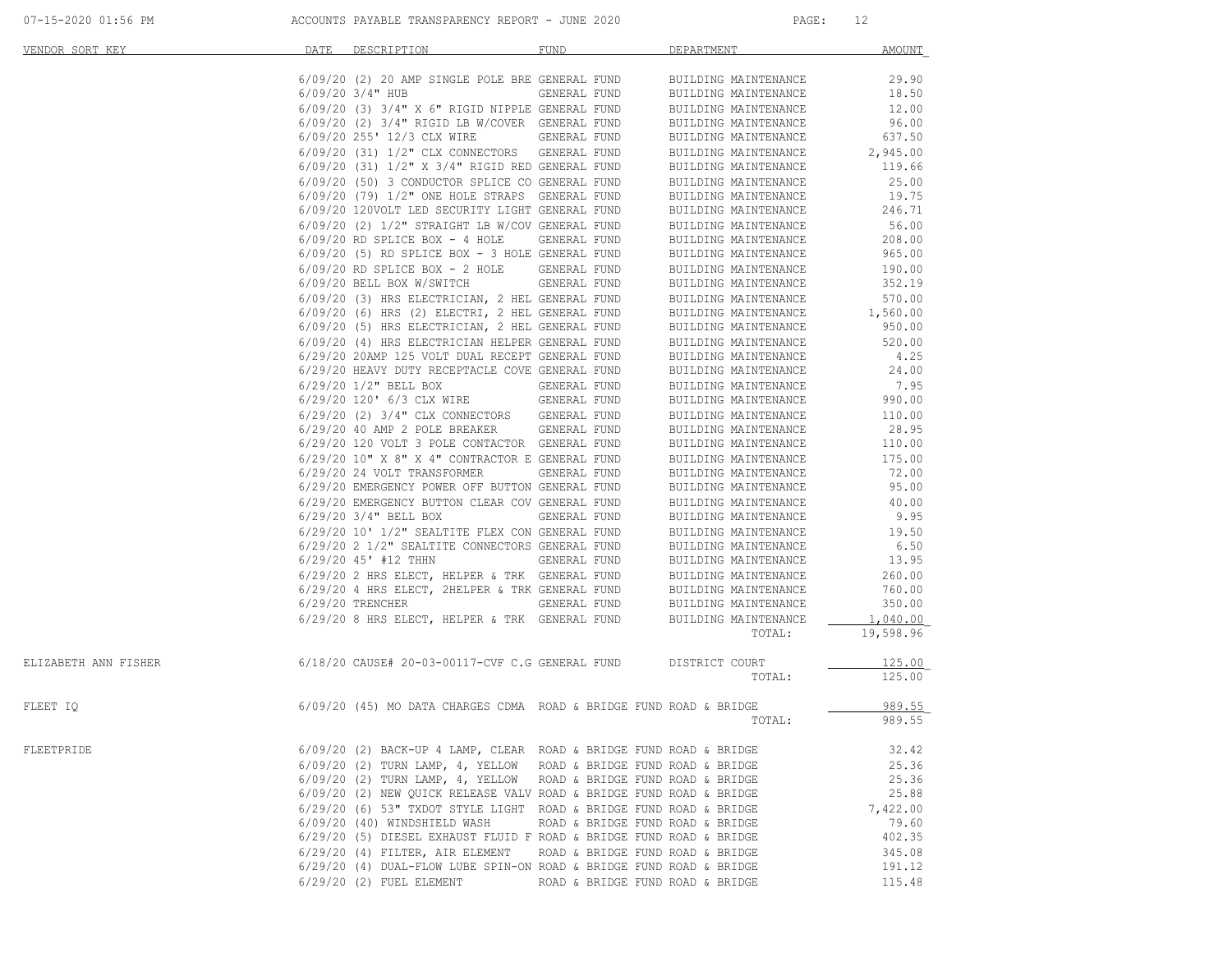|  |  | 07-15-2020 01:56 PM |  |  |
|--|--|---------------------|--|--|
|--|--|---------------------|--|--|

| VENDOR SORT KEY      | DATE | DESCRIPTION                                                         | <b>FUND</b>                      | DEPARTMENT           | <b>AMOUNT</b> |
|----------------------|------|---------------------------------------------------------------------|----------------------------------|----------------------|---------------|
|                      |      | 6/09/20 (2) 20 AMP SINGLE POLE BRE GENERAL FUND                     |                                  | BUILDING MAINTENANCE | 29.90         |
|                      |      | $6/09/20$ 3/4" HUB                                                  | GENERAL FUND                     | BUILDING MAINTENANCE | 18.50         |
|                      |      | 6/09/20 (3) 3/4" X 6" RIGID NIPPLE GENERAL FUND                     |                                  | BUILDING MAINTENANCE | 12.00         |
|                      |      | 6/09/20 (2) 3/4" RIGID LB W/COVER GENERAL FUND                      |                                  | BUILDING MAINTENANCE | 96.00         |
|                      |      | 6/09/20 255' 12/3 CLX WIRE                                          | <b>GENERAL FUND</b>              | BUILDING MAINTENANCE | 637.50        |
|                      |      | 6/09/20 (31) 1/2" CLX CONNECTORS GENERAL FUND                       |                                  | BUILDING MAINTENANCE | 2,945.00      |
|                      |      | 6/09/20 (31) 1/2" X 3/4" RIGID RED GENERAL FUND                     |                                  | BUILDING MAINTENANCE | 119.66        |
|                      |      | 6/09/20 (50) 3 CONDUCTOR SPLICE CO GENERAL FUND                     |                                  | BUILDING MAINTENANCE | 25.00         |
|                      |      | 6/09/20 (79) 1/2" ONE HOLE STRAPS GENERAL FUND                      |                                  | BUILDING MAINTENANCE | 19.75         |
|                      |      | 6/09/20 120VOLT LED SECURITY LIGHT GENERAL FUND                     |                                  | BUILDING MAINTENANCE | 246.71        |
|                      |      | 6/09/20 (2) 1/2" STRAIGHT LB W/COV GENERAL FUND                     |                                  | BUILDING MAINTENANCE | 56.00         |
|                      |      | $6/09/20$ RD SPLICE BOX - 4 HOLE                                    | GENERAL FUND                     | BUILDING MAINTENANCE | 208.00        |
|                      |      | 6/09/20 (5) RD SPLICE BOX - 3 HOLE GENERAL FUND                     |                                  | BUILDING MAINTENANCE | 965.00        |
|                      |      | $6/09/20$ RD SPLICE BOX - 2 HOLE                                    | GENERAL FUND                     | BUILDING MAINTENANCE | 190.00        |
|                      |      | 6/09/20 BELL BOX W/SWITCH                                           | GENERAL FUND                     | BUILDING MAINTENANCE | 352.19        |
|                      |      | 6/09/20 (3) HRS ELECTRICIAN, 2 HEL GENERAL FUND                     |                                  | BUILDING MAINTENANCE | 570.00        |
|                      |      | 6/09/20 (6) HRS (2) ELECTRI, 2 HEL GENERAL FUND                     |                                  | BUILDING MAINTENANCE | 1,560.00      |
|                      |      | 6/09/20 (5) HRS ELECTRICIAN, 2 HEL GENERAL FUND                     |                                  | BUILDING MAINTENANCE | 950.00        |
|                      |      | 6/09/20 (4) HRS ELECTRICIAN HELPER GENERAL FUND                     |                                  | BUILDING MAINTENANCE | 520.00        |
|                      |      | 6/29/20 20AMP 125 VOLT DUAL RECEPT GENERAL FUND                     |                                  | BUILDING MAINTENANCE | 4.25          |
|                      |      | 6/29/20 HEAVY DUTY RECEPTACLE COVE GENERAL FUND                     |                                  | BUILDING MAINTENANCE | 24.00         |
|                      |      | 6/29/20 1/2" BELL BOX                                               | GENERAL FUND                     | BUILDING MAINTENANCE | 7.95          |
|                      |      | 6/29/20 120' 6/3 CLX WIRE                                           | GENERAL FUND                     | BUILDING MAINTENANCE | 990.00        |
|                      |      | 6/29/20 (2) 3/4" CLX CONNECTORS GENERAL FUND                        |                                  | BUILDING MAINTENANCE | 110.00        |
|                      |      | 6/29/20 40 AMP 2 POLE BREAKER GENERAL FUND                          |                                  | BUILDING MAINTENANCE | 28.95         |
|                      |      | 6/29/20 120 VOLT 3 POLE CONTACTOR GENERAL FUND                      |                                  | BUILDING MAINTENANCE | 110.00        |
|                      |      | 6/29/20 10" X 8" X 4" CONTRACTOR E GENERAL FUND                     |                                  | BUILDING MAINTENANCE | 175.00        |
|                      |      | 6/29/20 24 VOLT TRANSFORMER                                         | GENERAL FUND                     | BUILDING MAINTENANCE | 72.00         |
|                      |      | 6/29/20 EMERGENCY POWER OFF BUTTON GENERAL FUND                     |                                  | BUILDING MAINTENANCE | 95.00         |
|                      |      | 6/29/20 EMERGENCY BUTTON CLEAR COV GENERAL FUND                     |                                  | BUILDING MAINTENANCE | 40.00         |
|                      |      | $6/29/20$ 3/4" BELL BOX                                             | GENERAL FUND                     | BUILDING MAINTENANCE | 9.95          |
|                      |      | 6/29/20 10' 1/2" SEALTITE FLEX CON GENERAL FUND                     |                                  | BUILDING MAINTENANCE | 19.50         |
|                      |      | 6/29/20 2 1/2" SEALTITE CONNECTORS GENERAL FUND                     |                                  | BUILDING MAINTENANCE | 6.50          |
|                      |      | $6/29/20$ 45' #12 THHN                                              | GENERAL FUND                     | BUILDING MAINTENANCE | 13.95         |
|                      |      | 6/29/20 2 HRS ELECT, HELPER & TRK GENERAL FUND                      |                                  | BUILDING MAINTENANCE | 260.00        |
|                      |      | 6/29/20 4 HRS ELECT, 2HELPER & TRK GENERAL FUND                     |                                  | BUILDING MAINTENANCE | 760.00        |
|                      |      | $6/29/20$ TRENCHER                                                  | GENERAL FUND                     | BUILDING MAINTENANCE | 350.00        |
|                      |      | 6/29/20 8 HRS ELECT, HELPER & TRK GENERAL FUND                      |                                  | BUILDING MAINTENANCE | 1,040.00      |
|                      |      |                                                                     |                                  | TOTAL:               | 19,598.96     |
| ELIZABETH ANN FISHER |      | 6/18/20 CAUSE# 20-03-00117-CVF C.G GENERAL FUND                     |                                  | DISTRICT COURT       | 125.00        |
|                      |      |                                                                     |                                  | TOTAL:               | 125.00        |
|                      |      |                                                                     |                                  |                      |               |
| FLEET IQ             |      | 6/09/20 (45) MO DATA CHARGES CDMA ROAD & BRIDGE FUND ROAD & BRIDGE  |                                  |                      | 989.55        |
|                      |      |                                                                     |                                  | TOTAL:               | 989.55        |
| FLEETPRIDE           |      | 6/09/20 (2) BACK-UP 4 LAMP, CLEAR ROAD & BRIDGE FUND ROAD & BRIDGE  |                                  |                      | 32.42         |
|                      |      | 6/09/20 (2) TURN LAMP, 4, YELLOW ROAD & BRIDGE FUND ROAD & BRIDGE   |                                  |                      | 25.36         |
|                      |      | $6/09/20$ (2) TURN LAMP, 4, YELLOW ROAD & BRIDGE FUND ROAD & BRIDGE |                                  |                      | 25.36         |
|                      |      | 6/09/20 (2) NEW QUICK RELEASE VALV ROAD & BRIDGE FUND ROAD & BRIDGE |                                  |                      | 25.88         |
|                      |      | 6/29/20 (6) 53" TXDOT STYLE LIGHT ROAD & BRIDGE FUND ROAD & BRIDGE  |                                  |                      | 7,422.00      |
|                      |      | 6/09/20 (40) WINDSHIELD WASH                                        | ROAD & BRIDGE FUND ROAD & BRIDGE |                      | 79.60         |
|                      |      | 6/29/20 (5) DIESEL EXHAUST FLUID F ROAD & BRIDGE FUND ROAD & BRIDGE |                                  |                      | 402.35        |
|                      |      | 6/29/20 (4) FILTER, AIR ELEMENT                                     | ROAD & BRIDGE FUND ROAD & BRIDGE |                      | 345.08        |
|                      |      | 6/29/20 (4) DUAL-FLOW LUBE SPIN-ON ROAD & BRIDGE FUND ROAD & BRIDGE |                                  |                      | 191.12        |
|                      |      | $6/29/20$ (2) FUEL ELEMENT                                          | ROAD & BRIDGE FUND ROAD & BRIDGE |                      | 115.48        |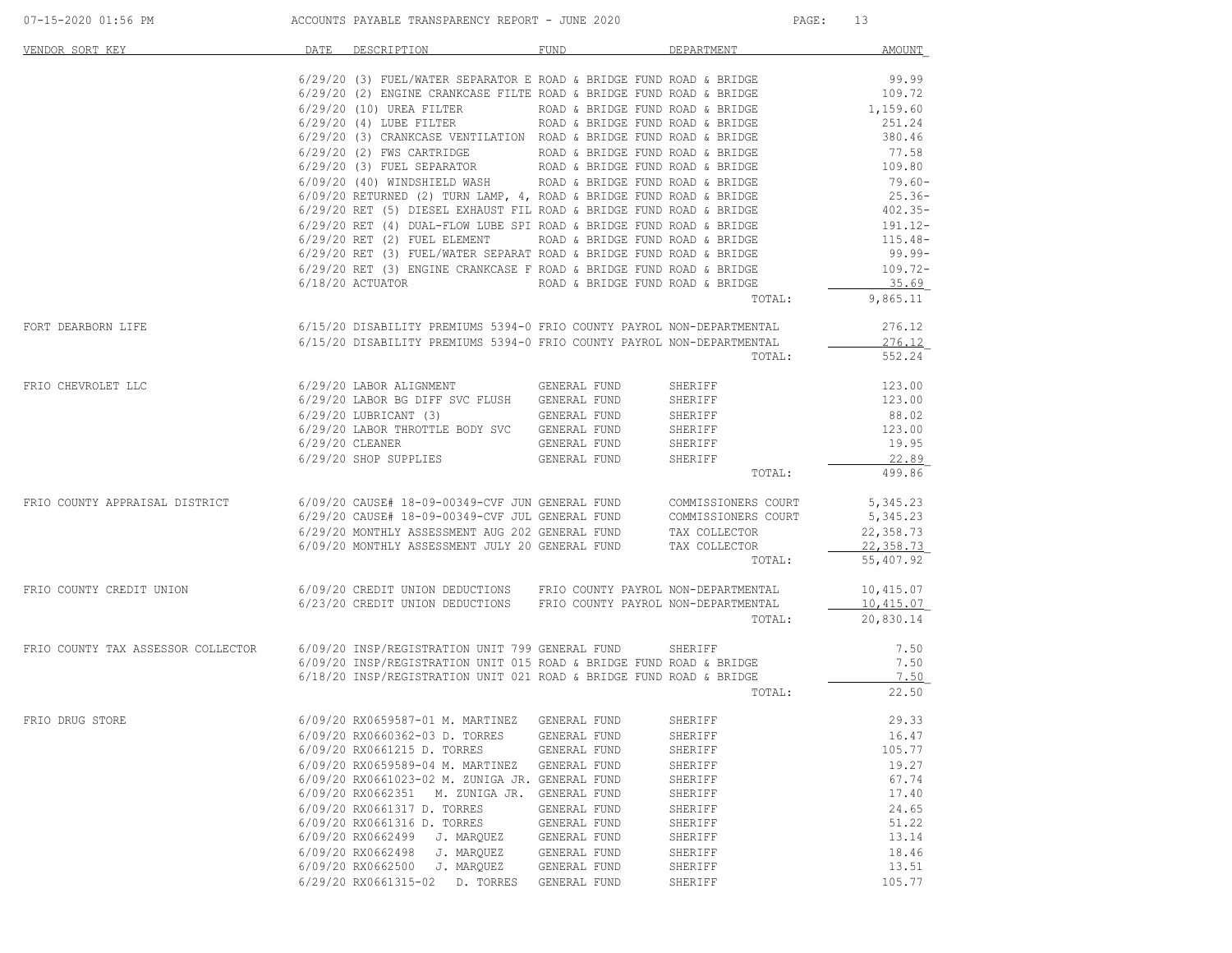| VENDOR SORT KEY                                                                                                                                                                                                                                                                                                                                                                                                                                     | DATE | DESCRIPTION                                                                                                                         | FUND         | DEPARTMENT | AMOUNT    |
|-----------------------------------------------------------------------------------------------------------------------------------------------------------------------------------------------------------------------------------------------------------------------------------------------------------------------------------------------------------------------------------------------------------------------------------------------------|------|-------------------------------------------------------------------------------------------------------------------------------------|--------------|------------|-----------|
|                                                                                                                                                                                                                                                                                                                                                                                                                                                     |      |                                                                                                                                     |              |            |           |
|                                                                                                                                                                                                                                                                                                                                                                                                                                                     |      |                                                                                                                                     |              |            |           |
|                                                                                                                                                                                                                                                                                                                                                                                                                                                     |      |                                                                                                                                     |              |            |           |
|                                                                                                                                                                                                                                                                                                                                                                                                                                                     |      |                                                                                                                                     |              |            |           |
|                                                                                                                                                                                                                                                                                                                                                                                                                                                     |      |                                                                                                                                     |              |            |           |
|                                                                                                                                                                                                                                                                                                                                                                                                                                                     |      |                                                                                                                                     |              |            |           |
|                                                                                                                                                                                                                                                                                                                                                                                                                                                     |      |                                                                                                                                     |              |            |           |
|                                                                                                                                                                                                                                                                                                                                                                                                                                                     |      |                                                                                                                                     |              |            |           |
|                                                                                                                                                                                                                                                                                                                                                                                                                                                     |      |                                                                                                                                     |              |            | $79.60 -$ |
|                                                                                                                                                                                                                                                                                                                                                                                                                                                     |      |                                                                                                                                     |              |            |           |
|                                                                                                                                                                                                                                                                                                                                                                                                                                                     |      |                                                                                                                                     |              |            |           |
|                                                                                                                                                                                                                                                                                                                                                                                                                                                     |      |                                                                                                                                     |              |            |           |
|                                                                                                                                                                                                                                                                                                                                                                                                                                                     |      |                                                                                                                                     |              |            |           |
|                                                                                                                                                                                                                                                                                                                                                                                                                                                     |      |                                                                                                                                     |              |            |           |
|                                                                                                                                                                                                                                                                                                                                                                                                                                                     |      |                                                                                                                                     |              |            |           |
|                                                                                                                                                                                                                                                                                                                                                                                                                                                     |      |                                                                                                                                     |              |            | 35.69     |
|                                                                                                                                                                                                                                                                                                                                                                                                                                                     |      |                                                                                                                                     |              | TOTAL:     | 9,865.11  |
| FORT DEARBORN LIFE                                                                                                                                                                                                                                                                                                                                                                                                                                  |      | 6/15/20 DISABILITY PREMIUMS 5394-0 FRIO COUNTY PAYROL NON-DEPARTMENTAL 276.12                                                       |              |            |           |
|                                                                                                                                                                                                                                                                                                                                                                                                                                                     |      | 6/15/20 DISABILITY PREMIUMS 5394-0 FRIO COUNTY PAYROL NON-DEPARTMENTAL                                                              |              |            | 276.12    |
|                                                                                                                                                                                                                                                                                                                                                                                                                                                     |      |                                                                                                                                     |              | TOTAL:     | 552.24    |
|                                                                                                                                                                                                                                                                                                                                                                                                                                                     |      |                                                                                                                                     |              |            |           |
| FRIO CHEVROLET LLC<br>6/29/20 LABOR ALIGNMENT<br>6/29/20 LABOR BG DIFF SVC FLUSH GENERAL FUND<br>6/29/20 LABOR BG DIFF SVC FLUSH GENERAL FUND                                                                                                                                                                                                                                                                                                       |      |                                                                                                                                     |              | SHERIFF    | 123.00    |
|                                                                                                                                                                                                                                                                                                                                                                                                                                                     |      |                                                                                                                                     |              |            | 123.00    |
|                                                                                                                                                                                                                                                                                                                                                                                                                                                     |      | 6/29/20 LABOR BG DIFF SVC FLUSH GENERAL FUND SHERIFF<br>6/29/20 LUBRICANT (3) GENERAL FUND SHERIFF                                  |              |            | 88.02     |
|                                                                                                                                                                                                                                                                                                                                                                                                                                                     |      |                                                                                                                                     |              |            | 123.00    |
|                                                                                                                                                                                                                                                                                                                                                                                                                                                     |      |                                                                                                                                     |              |            | 19.95     |
|                                                                                                                                                                                                                                                                                                                                                                                                                                                     |      | 6/29/20 SHOP SUPPLIES GENERAL FUND SHERIFF                                                                                          |              |            | 22.89     |
|                                                                                                                                                                                                                                                                                                                                                                                                                                                     |      |                                                                                                                                     |              | TOTAL:     | 499.86    |
|                                                                                                                                                                                                                                                                                                                                                                                                                                                     |      |                                                                                                                                     |              |            | 5,345.23  |
| ${\small \texttt{FRIO}\ \texttt{COUNTY}\ \texttt{APPRAISAL}\ \texttt{DISTRICT} \texttt{03490/20}\ \texttt{CAUSE}\ \texttt{18-09-00349-CVF}\ \texttt{JUN}\ \texttt{GENERAL}\ \texttt{FUND} \texttt{COMMISSIONERS}\ \texttt{COURT} \texttt{GUNR} \texttt{18-09-00349-CVF}\ \texttt{JUL}\ \texttt{GENERAL}\ \texttt{FUND} \texttt{COMMISSIONERS}\ \texttt{COURT} \texttt{18-09-00349-CVF}\ \texttt{JUL}\ \texttt{GENERAL}\ \texttt{FUND} \texttt{COMM$ |      |                                                                                                                                     |              |            | 5,345.23  |
|                                                                                                                                                                                                                                                                                                                                                                                                                                                     |      |                                                                                                                                     |              |            | 22,358.73 |
|                                                                                                                                                                                                                                                                                                                                                                                                                                                     |      | $6/29/20$ MONTHLY ASSESSMENT AUG 202 GENERAL FUND TAX COLLECTOR $6/09/20$ MONTHLY ASSESSMENT JULY 20 GENERAL FUND TAX COLLECTOR     |              |            | 22,358.73 |
|                                                                                                                                                                                                                                                                                                                                                                                                                                                     |      |                                                                                                                                     |              | TOTAL:     | 55,407.92 |
|                                                                                                                                                                                                                                                                                                                                                                                                                                                     |      |                                                                                                                                     |              |            |           |
| FRIO COUNTY CREDIT UNION 6/09/20 CREDIT UNION DEDUCTIONS FRIO COUNTY PAYROL NON-DEPARTMENTAL                                                                                                                                                                                                                                                                                                                                                        |      |                                                                                                                                     |              |            | 10,415.07 |
|                                                                                                                                                                                                                                                                                                                                                                                                                                                     |      | 6/23/20 CREDIT UNION DEDUCTIONS FRIO COUNTY PAYROL NON-DEPARTMENTAL                                                                 |              |            | 10,415.07 |
|                                                                                                                                                                                                                                                                                                                                                                                                                                                     |      |                                                                                                                                     |              | TOTAL:     | 20,830.14 |
| FRIO COUNTY TAX ASSESSOR COLLECTOR 6/09/20 INSP/REGISTRATION UNIT 799 GENERAL FUND SHERIFF                                                                                                                                                                                                                                                                                                                                                          |      |                                                                                                                                     |              |            | 7.50      |
|                                                                                                                                                                                                                                                                                                                                                                                                                                                     |      | 6/09/20 INSP/REGISTRATION UNIT 015 ROAD & BRIDGE FUND ROAD & BRIDGE                                                                 |              |            | 7.50      |
|                                                                                                                                                                                                                                                                                                                                                                                                                                                     |      | 6/18/20 INSP/REGISTRATION UNIT 021 ROAD & BRIDGE FUND ROAD & BRIDGE                                                                 |              |            | 7.50      |
|                                                                                                                                                                                                                                                                                                                                                                                                                                                     |      |                                                                                                                                     |              | TOTAL:     | 22.50     |
|                                                                                                                                                                                                                                                                                                                                                                                                                                                     |      |                                                                                                                                     |              |            |           |
| FRIO DRUG STORE                                                                                                                                                                                                                                                                                                                                                                                                                                     |      | 6/09/20 RX0659587-01 M. MARTINEZ   GENERAL FUND         SHERIFF<br>6/09/20 RX0660362-03 D. TORRES      GENERAL FUND         SHERIFF |              |            | 29.33     |
|                                                                                                                                                                                                                                                                                                                                                                                                                                                     |      |                                                                                                                                     |              |            | 16.47     |
|                                                                                                                                                                                                                                                                                                                                                                                                                                                     |      | 6/09/20 RX0661215 D. TORRES                                                                                                         | GENERAL FUND | SHERIFF    | 105.77    |
|                                                                                                                                                                                                                                                                                                                                                                                                                                                     |      | 6/09/20 RX0659589-04 M. MARTINEZ                                                                                                    | GENERAL FUND | SHERIFF    | 19.27     |
|                                                                                                                                                                                                                                                                                                                                                                                                                                                     |      | 6/09/20 RX0661023-02 M. ZUNIGA JR. GENERAL FUND                                                                                     |              | SHERIFF    | 67.74     |
|                                                                                                                                                                                                                                                                                                                                                                                                                                                     |      | 6/09/20 RX0662351<br>M. ZUNIGA JR.                                                                                                  | GENERAL FUND | SHERIFF    | 17.40     |
|                                                                                                                                                                                                                                                                                                                                                                                                                                                     |      | 6/09/20 RX0661317 D. TORRES                                                                                                         | GENERAL FUND | SHERIFF    | 24.65     |
|                                                                                                                                                                                                                                                                                                                                                                                                                                                     |      | 6/09/20 RX0661316 D. TORRES                                                                                                         | GENERAL FUND | SHERIFF    | 51.22     |
|                                                                                                                                                                                                                                                                                                                                                                                                                                                     |      | 6/09/20 RX0662499<br>J. MARQUEZ                                                                                                     | GENERAL FUND | SHERIFF    | 13.14     |
|                                                                                                                                                                                                                                                                                                                                                                                                                                                     |      | 6/09/20 RX0662498<br>J. MAROUEZ                                                                                                     | GENERAL FUND | SHERIFF    | 18.46     |
|                                                                                                                                                                                                                                                                                                                                                                                                                                                     |      | 6/09/20 RX0662500<br>J. MARQUEZ                                                                                                     | GENERAL FUND | SHERIFF    | 13.51     |
|                                                                                                                                                                                                                                                                                                                                                                                                                                                     |      | 6/29/20 RX0661315-02<br>D. TORRES                                                                                                   | GENERAL FUND | SHERIFF    | 105.77    |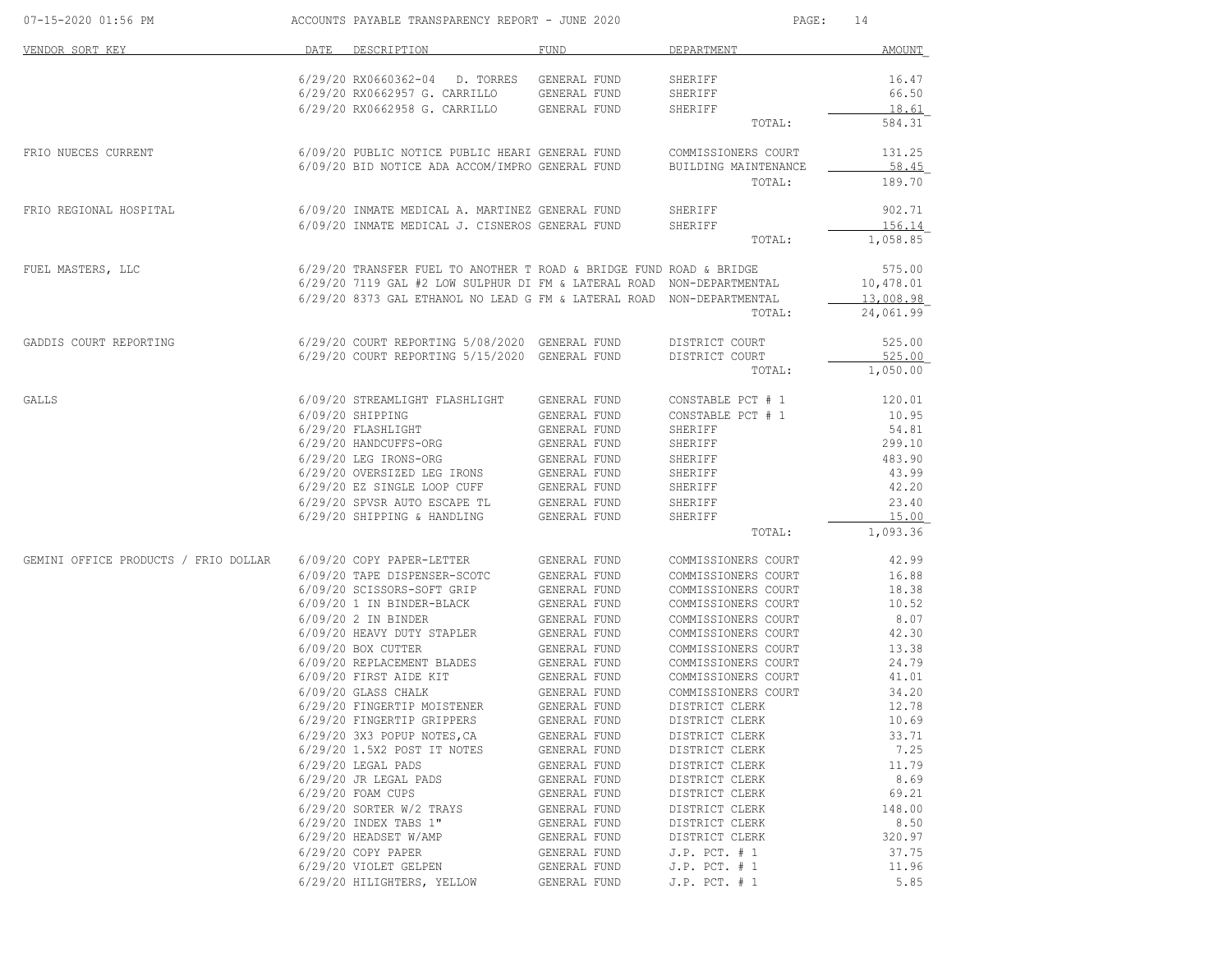| 07-15-2020 01:56 PM                  |      | ACCOUNTS PAYABLE TRANSPARENCY REPORT - JUNE 2020                      |                              | PAGE:                                      | 14                 |
|--------------------------------------|------|-----------------------------------------------------------------------|------------------------------|--------------------------------------------|--------------------|
| VENDOR SORT KEY                      | DATE | DESCRIPTION                                                           | FUND                         | DEPARTMENT                                 | <b>AMOUNT</b>      |
|                                      |      |                                                                       |                              |                                            |                    |
|                                      |      | 6/29/20 RX0660362-04<br>D. TORRES<br>6/29/20 RX0662957 G. CARRILLO    | GENERAL FUND<br>GENERAL FUND | SHERIFF<br>SHERIFF                         | 16.47<br>66.50     |
|                                      |      | 6/29/20 RX0662958 G. CARRILLO                                         | GENERAL FUND                 | SHERIFF                                    | 18.61              |
|                                      |      |                                                                       |                              | TOTAL:                                     | 584.31             |
| FRIO NUECES CURRENT                  |      | 6/09/20 PUBLIC NOTICE PUBLIC HEARI GENERAL FUND                       |                              | COMMISSIONERS COURT                        | 131.25             |
|                                      |      | 6/09/20 BID NOTICE ADA ACCOM/IMPRO GENERAL FUND                       |                              | BUILDING MAINTENANCE                       | 58.45              |
|                                      |      |                                                                       |                              | TOTAL:                                     | 189.70             |
| FRIO REGIONAL HOSPITAL               |      | 6/09/20 INMATE MEDICAL A. MARTINEZ GENERAL FUND                       |                              | SHERIFF                                    | 902.71             |
|                                      |      | 6/09/20 INMATE MEDICAL J. CISNEROS GENERAL FUND                       |                              | SHERIFF                                    | 156.14             |
|                                      |      |                                                                       |                              | TOTAL:                                     | 1,058.85           |
| FUEL MASTERS, LLC                    |      | 6/29/20 TRANSFER FUEL TO ANOTHER T ROAD & BRIDGE FUND ROAD & BRIDGE   |                              |                                            | 575.00             |
|                                      |      | 6/29/20 7119 GAL #2 LOW SULPHUR DI FM & LATERAL ROAD NON-DEPARTMENTAL |                              |                                            | 10,478.01          |
|                                      |      | 6/29/20 8373 GAL ETHANOL NO LEAD G FM & LATERAL ROAD NON-DEPARTMENTAL |                              |                                            | 13,008.98          |
|                                      |      |                                                                       |                              | TOTAL:                                     | 24,061.99          |
| GADDIS COURT REPORTING               |      | 6/29/20 COURT REPORTING 5/08/2020 GENERAL FUND                        |                              | DISTRICT COURT                             | 525.00             |
|                                      |      | 6/29/20 COURT REPORTING 5/15/2020 GENERAL FUND                        |                              | DISTRICT COURT<br>TOTAL:                   | 525.00<br>1,050.00 |
|                                      |      |                                                                       |                              |                                            |                    |
| GALLS                                |      | 6/09/20 STREAMLIGHT FLASHLIGHT                                        | GENERAL FUND                 | CONSTABLE PCT # 1                          | 120.01             |
|                                      |      | 6/09/20 SHIPPING                                                      | GENERAL FUND                 | CONSTABLE PCT # 1                          | 10.95              |
|                                      |      | 6/29/20 FLASHLIGHT                                                    | GENERAL FUND                 | SHERIFF                                    | 54.81              |
|                                      |      | 6/29/20 HANDCUFFS-ORG                                                 | GENERAL FUND                 | SHERIFF                                    | 299.10             |
|                                      |      | 6/29/20 LEG IRONS-ORG<br>6/29/20 OVERSIZED LEG IRONS                  | GENERAL FUND<br>GENERAL FUND | SHERIFF<br>SHERIFF                         | 483.90<br>43.99    |
|                                      |      | 6/29/20 EZ SINGLE LOOP CUFF                                           | GENERAL FUND                 | SHERIFF                                    | 42.20              |
|                                      |      | 6/29/20 SPVSR AUTO ESCAPE TL                                          | GENERAL FUND                 | SHERIFF                                    | 23.40              |
|                                      |      | 6/29/20 SHIPPING & HANDLING                                           | GENERAL FUND                 | SHERIFF                                    | 15.00              |
|                                      |      |                                                                       |                              | TOTAL:                                     | 1,093.36           |
| GEMINI OFFICE PRODUCTS / FRIO DOLLAR |      | 6/09/20 COPY PAPER-LETTER                                             | GENERAL FUND                 | COMMISSIONERS COURT                        | 42.99              |
|                                      |      | 6/09/20 TAPE DISPENSER-SCOTC                                          | GENERAL FUND                 | COMMISSIONERS COURT                        | 16.88              |
|                                      |      | 6/09/20 SCISSORS-SOFT GRIP                                            | GENERAL FUND                 | COMMISSIONERS COURT                        | 18.38              |
|                                      |      | 6/09/20 1 IN BINDER-BLACK                                             | GENERAL FUND                 | COMMISSIONERS COURT                        | 10.52              |
|                                      |      | 6/09/20 2 IN BINDER                                                   | GENERAL FUND                 | COMMISSIONERS COURT                        | 8.07<br>42.30      |
|                                      |      | 6/09/20 HEAVY DUTY STAPLER<br>6/09/20 BOX CUTTER                      | GENERAL FUND<br>GENERAL FUND | COMMISSIONERS COURT<br>COMMISSIONERS COURT | 13.38              |
|                                      |      | 6/09/20 REPLACEMENT BLADES                                            | GENERAL FUND                 | COMMISSIONERS COURT                        | 24.79              |
|                                      |      | 6/09/20 FIRST AIDE KIT                                                | GENERAL FUND                 | COMMISSIONERS COURT                        | 41.01              |
|                                      |      | 6/09/20 GLASS CHALK                                                   | GENERAL FUND                 | COMMISSIONERS COURT                        | 34.20              |
|                                      |      | 6/29/20 FINGERTIP MOISTENER                                           | GENERAL FUND                 | DISTRICT CLERK                             | 12.78              |
|                                      |      | 6/29/20 FINGERTIP GRIPPERS                                            | GENERAL FUND                 | DISTRICT CLERK                             | 10.69              |
|                                      |      | 6/29/20 3X3 POPUP NOTES, CA                                           | GENERAL FUND                 | DISTRICT CLERK                             | 33.71              |
|                                      |      | 6/29/20 1.5X2 POST IT NOTES                                           | GENERAL FUND                 | DISTRICT CLERK                             | 7.25               |
|                                      |      | $6/29/20$ LEGAL PADS                                                  | GENERAL FUND                 | DISTRICT CLERK                             | 11.79              |
|                                      |      | 6/29/20 JR LEGAL PADS<br>6/29/20 FOAM CUPS                            | GENERAL FUND<br>GENERAL FUND | DISTRICT CLERK<br>DISTRICT CLERK           | 8.69<br>69.21      |
|                                      |      | 6/29/20 SORTER W/2 TRAYS                                              | GENERAL FUND                 | DISTRICT CLERK                             | 148.00             |
|                                      |      | 6/29/20 INDEX TABS 1"                                                 | GENERAL FUND                 | DISTRICT CLERK                             | 8.50               |
|                                      |      | 6/29/20 HEADSET W/AMP                                                 | GENERAL FUND                 | DISTRICT CLERK                             | 320.97             |
|                                      |      | 6/29/20 COPY PAPER                                                    | GENERAL FUND                 | $J.P.$ PCT. $# 1$                          | 37.75              |
|                                      |      | 6/29/20 VIOLET GELPEN                                                 | GENERAL FUND                 | $J.P.$ PCT. $# 1$                          | 11.96              |
|                                      |      | 6/29/20 HILIGHTERS, YELLOW                                            | GENERAL FUND                 | $J.P.$ PCT. $# 1$                          | 5.85               |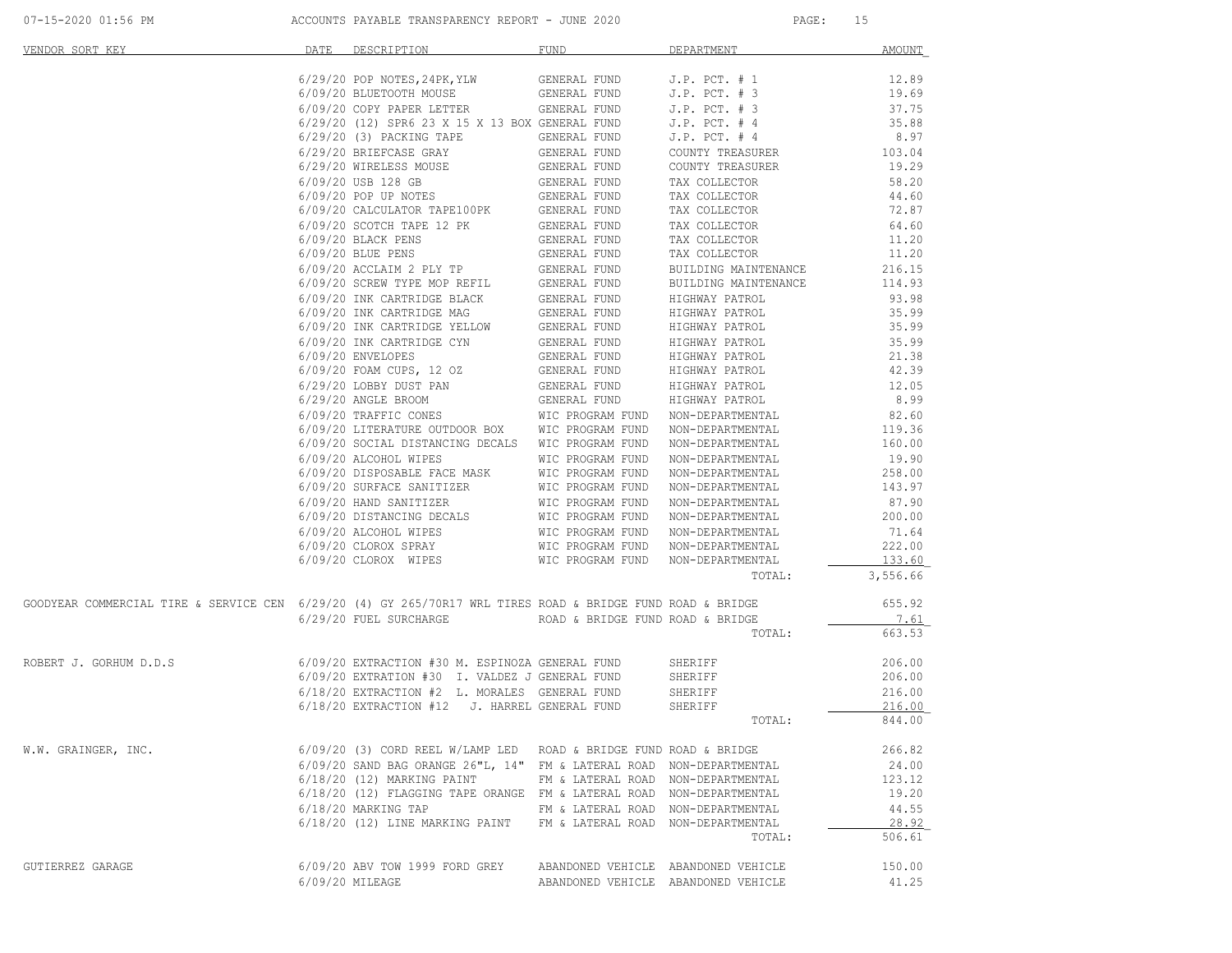| 07-15-2020 01:56 PM |  |  |
|---------------------|--|--|
|---------------------|--|--|

| VENDOR SORT KEY                                                                                            | DATE | DESCRIPTION                                                          | <b>FUND</b>                         | DEPARTMENT           | <b>AMOUNT</b> |
|------------------------------------------------------------------------------------------------------------|------|----------------------------------------------------------------------|-------------------------------------|----------------------|---------------|
|                                                                                                            |      | 6/29/20 POP NOTES, 24PK, YLW                                         | GENERAL FUND                        | $J.P.$ PCT. $# 1$    | 12.89         |
|                                                                                                            |      | 6/09/20 BLUETOOTH MOUSE                                              | GENERAL FUND                        | $J.P.$ PCT. $# 3$    | 19.69         |
|                                                                                                            |      | 6/09/20 COPY PAPER LETTER                                            | GENERAL FUND                        | J.P. PCT. # 3        | 37.75         |
|                                                                                                            |      | 6/29/20 (12) SPR6 23 X 15 X 13 BOX GENERAL FUND                      |                                     | $J.P.$ PCT. $# 4$    | 35.88         |
|                                                                                                            |      | 6/29/20 (3) PACKING TAPE                                             | GENERAL FUND                        | $J.P.$ PCT. $# 4$    | 8.97          |
|                                                                                                            |      | 6/29/20 BRIEFCASE GRAY                                               | GENERAL FUND                        | COUNTY TREASURER     | 103.04        |
|                                                                                                            |      | 6/29/20 WIRELESS MOUSE                                               | GENERAL FUND                        | COUNTY TREASURER     | 19.29         |
|                                                                                                            |      | 6/09/20 USB 128 GB                                                   | GENERAL FUND                        | TAX COLLECTOR        | 58.20         |
|                                                                                                            |      | 6/09/20 POP UP NOTES                                                 | GENERAL FUND                        | TAX COLLECTOR        | 44.60         |
|                                                                                                            |      | 6/09/20 CALCULATOR TAPE100PK                                         | GENERAL FUND                        | TAX COLLECTOR        | 72.87         |
|                                                                                                            |      | 6/09/20 SCOTCH TAPE 12 PK                                            | GENERAL FUND                        | TAX COLLECTOR        | 64.60         |
|                                                                                                            |      | 6/09/20 BLACK PENS                                                   | GENERAL FUND                        | TAX COLLECTOR        | 11.20         |
|                                                                                                            |      | 6/09/20 BLUE PENS                                                    | GENERAL FUND                        | TAX COLLECTOR        | 11.20         |
|                                                                                                            |      | 6/09/20 ACCLAIM 2 PLY TP                                             | GENERAL FUND                        | BUILDING MAINTENANCE | 216.15        |
|                                                                                                            |      | 6/09/20 SCREW TYPE MOP REFIL                                         | GENERAL FUND                        | BUILDING MAINTENANCE | 114.93        |
|                                                                                                            |      | 6/09/20 INK CARTRIDGE BLACK                                          | GENERAL FUND                        | HIGHWAY PATROL       | 93.98         |
|                                                                                                            |      | 6/09/20 INK CARTRIDGE MAG                                            | GENERAL FUND                        | HIGHWAY PATROL       | 35.99         |
|                                                                                                            |      | 6/09/20 INK CARTRIDGE YELLOW                                         | GENERAL FUND                        | HIGHWAY PATROL       | 35.99         |
|                                                                                                            |      | 6/09/20 INK CARTRIDGE CYN                                            | GENERAL FUND                        | HIGHWAY PATROL       | 35.99         |
|                                                                                                            |      | 6/09/20 ENVELOPES                                                    | GENERAL FUND                        | HIGHWAY PATROL       | 21.38         |
|                                                                                                            |      | 6/09/20 FOAM CUPS, 12 OZ                                             | GENERAL FUND                        | HIGHWAY PATROL       | 42.39         |
|                                                                                                            |      | 6/29/20 LOBBY DUST PAN                                               | GENERAL FUND                        | HIGHWAY PATROL       | 12.05         |
|                                                                                                            |      | 6/29/20 ANGLE BROOM                                                  | GENERAL FUND                        | HIGHWAY PATROL       | 8.99          |
|                                                                                                            |      | 6/09/20 TRAFFIC CONES                                                | WIC PROGRAM FUND                    | NON-DEPARTMENTAL     | 82.60         |
|                                                                                                            |      | 6/09/20 LITERATURE OUTDOOR BOX                                       | WIC PROGRAM FUND                    | NON-DEPARTMENTAL     | 119.36        |
|                                                                                                            |      | 6/09/20 SOCIAL DISTANCING DECALS WIC PROGRAM FUND                    |                                     | NON-DEPARTMENTAL     | 160.00        |
|                                                                                                            |      | 6/09/20 ALCOHOL WIPES                                                | WIC PROGRAM FUND                    | NON-DEPARTMENTAL     | 19.90         |
|                                                                                                            |      | 6/09/20 DISPOSABLE FACE MASK                                         | WIC PROGRAM FUND                    | NON-DEPARTMENTAL     | 258.00        |
|                                                                                                            |      | 6/09/20 SURFACE SANITIZER                                            | WIC PROGRAM FUND                    | NON-DEPARTMENTAL     | 143.97        |
|                                                                                                            |      | 6/09/20 HAND SANITIZER                                               | WIC PROGRAM FUND                    | NON-DEPARTMENTAL     | 87.90         |
|                                                                                                            |      | 6/09/20 DISTANCING DECALS                                            | WIC PROGRAM FUND                    | NON-DEPARTMENTAL     | 200.00        |
|                                                                                                            |      | 6/09/20 ALCOHOL WIPES                                                | WIC PROGRAM FUND                    | NON-DEPARTMENTAL     | 71.64         |
|                                                                                                            |      | 6/09/20 CLOROX SPRAY                                                 | WIC PROGRAM FUND                    | NON-DEPARTMENTAL     | 222.00        |
|                                                                                                            |      | 6/09/20 CLOROX WIPES                                                 | WIC PROGRAM FUND                    | NON-DEPARTMENTAL     | 133.60        |
|                                                                                                            |      |                                                                      |                                     | TOTAL:               | 3,556.66      |
| GOODYEAR COMMERCIAL TIRE & SERVICE CEN 6/29/20 (4) GY 265/70R17 WRL TIRES ROAD & BRIDGE FUND ROAD & BRIDGE |      |                                                                      |                                     |                      | 655.92        |
|                                                                                                            |      | 6/29/20 FUEL SURCHARGE                                               | ROAD & BRIDGE FUND ROAD & BRIDGE    |                      | 7.61          |
|                                                                                                            |      |                                                                      |                                     | TOTAL:               | 663.53        |
|                                                                                                            |      |                                                                      |                                     |                      |               |
| ROBERT J. GORHUM D.D.S                                                                                     |      | 6/09/20 EXTRACTION #30 M. ESPINOZA GENERAL FUND                      |                                     | SHERIFF              | 206.00        |
|                                                                                                            |      | 6/09/20 EXTRATION #30 I. VALDEZ J GENERAL FUND                       |                                     | SHERIFF              | 206.00        |
|                                                                                                            |      | 6/18/20 EXTRACTION #2 L. MORALES GENERAL FUND                        |                                     | SHERIFF              | 216.00        |
|                                                                                                            |      | $6/18/20$ EXTRACTION #12                                             | J. HARREL GENERAL FUND              | SHERIFF              | 216.00        |
|                                                                                                            |      |                                                                      |                                     | TOTAL:               | 844.00        |
| W.W. GRAINGER, INC.                                                                                        |      | 6/09/20 (3) CORD REEL W/LAMP LED ROAD & BRIDGE FUND ROAD & BRIDGE    |                                     |                      | 266.82        |
|                                                                                                            |      | 6/09/20 SAND BAG ORANGE 26"L, 14" FM & LATERAL ROAD NON-DEPARTMENTAL |                                     |                      | 24.00         |
|                                                                                                            |      | 6/18/20 (12) MARKING PAINT                                           | FM & LATERAL ROAD NON-DEPARTMENTAL  |                      | 123.12        |
|                                                                                                            |      | 6/18/20 (12) FLAGGING TAPE ORANGE FM & LATERAL ROAD NON-DEPARTMENTAL |                                     |                      | 19.20         |
|                                                                                                            |      | 6/18/20 MARKING TAP                                                  | FM & LATERAL ROAD NON-DEPARTMENTAL  |                      | 44.55         |
|                                                                                                            |      | 6/18/20 (12) LINE MARKING PAINT                                      | FM & LATERAL ROAD NON-DEPARTMENTAL  |                      | 28.92         |
|                                                                                                            |      |                                                                      |                                     | TOTAL:               | 506.61        |
| GUTIERREZ GARAGE                                                                                           |      | 6/09/20 ABV TOW 1999 FORD GREY                                       | ABANDONED VEHICLE ABANDONED VEHICLE |                      | 150.00        |
|                                                                                                            |      | 6/09/20 MILEAGE                                                      | ABANDONED VEHICLE ABANDONED VEHICLE |                      | 41.25         |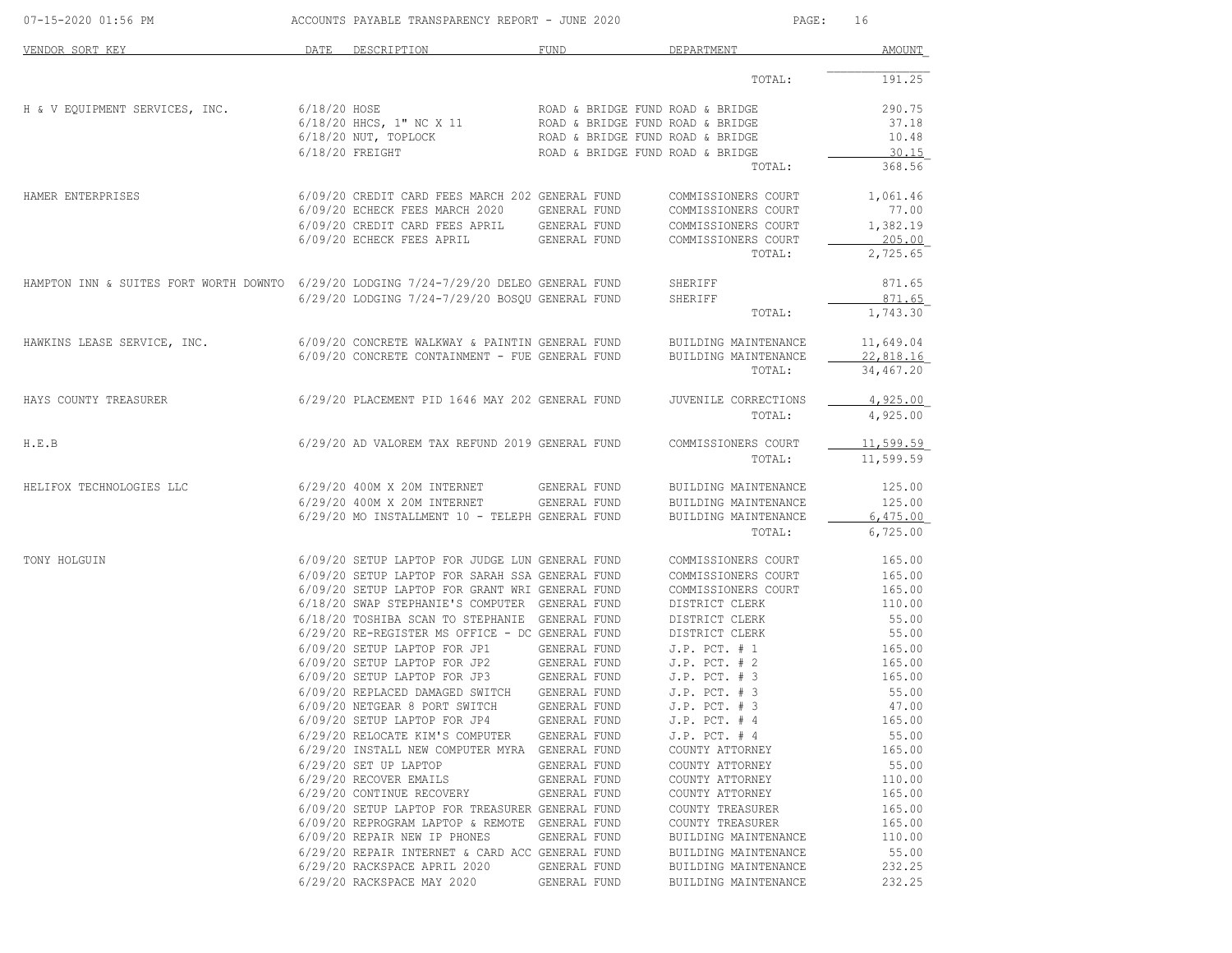| 07-15-2020 01:56 PM                                                                    |      | ACCOUNTS PAYABLE TRANSPARENCY REPORT - JUNE 2020                                                 |                              | PAGE:                                      | 16              |
|----------------------------------------------------------------------------------------|------|--------------------------------------------------------------------------------------------------|------------------------------|--------------------------------------------|-----------------|
| VENDOR SORT KEY                                                                        | DATE | DESCRIPTION                                                                                      | <b>FUND</b>                  | DEPARTMENT                                 | <b>AMOUNT</b>   |
|                                                                                        |      |                                                                                                  |                              | TOTAL:                                     | 191.25          |
| H & V EQUIPMENT SERVICES, INC.                                                         |      | 6/18/20 HOSE                                                                                     |                              | ROAD & BRIDGE FUND ROAD & BRIDGE           | 290.75          |
|                                                                                        |      | 6/18/20 HHCS, 1" NC X 11                                                                         |                              | ROAD & BRIDGE FUND ROAD & BRIDGE           | 37.18           |
|                                                                                        |      | $6/18/20$ NUT, TOPLOCK                                                                           |                              | ROAD & BRIDGE FUND ROAD & BRIDGE           | 10.48           |
|                                                                                        |      | $6/18/20$ FREIGHT                                                                                |                              | ROAD & BRIDGE FUND ROAD & BRIDGE<br>TOTAL: | 30.15<br>368.56 |
| HAMER ENTERPRISES                                                                      |      | 6/09/20 CREDIT CARD FEES MARCH 202 GENERAL FUND                                                  |                              | COMMISSIONERS COURT                        | 1,061.46        |
|                                                                                        |      | 6/09/20 ECHECK FEES MARCH 2020                                                                   | GENERAL FUND                 | COMMISSIONERS COURT                        | 77.00           |
|                                                                                        |      | 6/09/20 CREDIT CARD FEES APRIL                                                                   | GENERAL FUND                 | COMMISSIONERS COURT                        | 1,382.19        |
|                                                                                        |      | 6/09/20 ECHECK FEES APRIL                                                                        | GENERAL FUND                 | COMMISSIONERS COURT                        | 205.00          |
|                                                                                        |      |                                                                                                  |                              | TOTAL:                                     | 2,725.65        |
| HAMPTON INN & SUITES FORT WORTH DOWNTO 6/29/20 LODGING 7/24-7/29/20 DELEO GENERAL FUND |      |                                                                                                  |                              | SHERIFF                                    | 871.65          |
|                                                                                        |      | 6/29/20 LODGING 7/24-7/29/20 BOSQU GENERAL FUND                                                  |                              | SHERIFF                                    | 871.65          |
|                                                                                        |      |                                                                                                  |                              | TOTAL:                                     | 1,743.30        |
| HAWKINS LEASE SERVICE, INC.                                                            |      | 6/09/20 CONCRETE WALKWAY & PAINTIN GENERAL FUND                                                  |                              | BUILDING MAINTENANCE                       | 11,649.04       |
|                                                                                        |      | 6/09/20 CONCRETE CONTAINMENT - FUE GENERAL FUND                                                  |                              | BUILDING MAINTENANCE                       | 22,818.16       |
|                                                                                        |      |                                                                                                  |                              | TOTAL:                                     | 34,467.20       |
| HAYS COUNTY TREASURER                                                                  |      | 6/29/20 PLACEMENT PID 1646 MAY 202 GENERAL FUND                                                  |                              | JUVENILE CORRECTIONS                       | 4,925.00        |
|                                                                                        |      |                                                                                                  |                              | TOTAL:                                     | 4,925.00        |
| H.E.B                                                                                  |      | 6/29/20 AD VALOREM TAX REFUND 2019 GENERAL FUND                                                  |                              | COMMISSIONERS COURT                        | 11,599.59       |
|                                                                                        |      |                                                                                                  |                              | TOTAL:                                     | 11,599.59       |
| HELIFOX TECHNOLOGIES LLC                                                               |      | 6/29/20 400M X 20M INTERNET                                                                      | GENERAL FUND                 | BUILDING MAINTENANCE                       | 125.00          |
|                                                                                        |      | 6/29/20 400M X 20M INTERNET                                                                      | GENERAL FUND                 | BUILDING MAINTENANCE                       | 125.00          |
|                                                                                        |      | 6/29/20 MO INSTALLMENT 10 - TELEPH GENERAL FUND                                                  |                              | BUILDING MAINTENANCE                       | 6,475.00        |
|                                                                                        |      |                                                                                                  |                              | TOTAL:                                     | 6,725.00        |
| TONY HOLGUIN                                                                           |      | 6/09/20 SETUP LAPTOP FOR JUDGE LUN GENERAL FUND                                                  |                              | COMMISSIONERS COURT                        | 165.00          |
|                                                                                        |      | 6/09/20 SETUP LAPTOP FOR SARAH SSA GENERAL FUND                                                  |                              | COMMISSIONERS COURT                        | 165.00          |
|                                                                                        |      | 6/09/20 SETUP LAPTOP FOR GRANT WRI GENERAL FUND                                                  |                              | COMMISSIONERS COURT                        | 165.00          |
|                                                                                        |      | 6/18/20 SWAP STEPHANIE'S COMPUTER GENERAL FUND<br>6/18/20 TOSHIBA SCAN TO STEPHANIE GENERAL FUND |                              | DISTRICT CLERK<br>DISTRICT CLERK           | 110.00<br>55.00 |
|                                                                                        |      | 6/29/20 RE-REGISTER MS OFFICE - DC GENERAL FUND                                                  |                              | DISTRICT CLERK                             | 55.00           |
|                                                                                        |      | 6/09/20 SETUP LAPTOP FOR JP1                                                                     | GENERAL FUND                 | $J.P.$ PCT. $# 1$                          | 165.00          |
|                                                                                        |      |                                                                                                  |                              | $J.P.$ PCT. $# 2$                          | 165.00          |
|                                                                                        |      |                                                                                                  |                              | $J.P.$ PCT. $# 3$                          | 165.00          |
|                                                                                        |      | 6/09/20 REPLACED DAMAGED SWITCH                                                                  | GENERAL FUND                 | $J.P.$ PCT. $# 3$                          | 55.00           |
|                                                                                        |      | 6/09/20 NETGEAR 8 PORT SWITCH                                                                    | GENERAL FUND                 | $J.P.$ PCT. $# 3$                          | 47.00           |
|                                                                                        |      | 6/09/20 SETUP LAPTOP FOR JP4                                                                     | GENERAL FUND                 | $J.P.$ PCT. $#4$                           | 165.00          |
|                                                                                        |      | 6/29/20 RELOCATE KIM'S COMPUTER GENERAL FUND                                                     |                              | $J.P.$ PCT. $#4$                           | 55.00           |
|                                                                                        |      | 6/29/20 INSTALL NEW COMPUTER MYRA GENERAL FUND                                                   |                              | COUNTY ATTORNEY                            | 165.00          |
|                                                                                        |      | $6/29/20$ SET UP LAPTOP<br>6/29/20 RECOVER EMAILS                                                | GENERAL FUND                 | COUNTY ATTORNEY                            | 55.00<br>110.00 |
|                                                                                        |      | 6/29/20 CONTINUE RECOVERY                                                                        | GENERAL FUND<br>GENERAL FUND | COUNTY ATTORNEY<br>COUNTY ATTORNEY         | 165.00          |
|                                                                                        |      | 6/09/20 SETUP LAPTOP FOR TREASURER GENERAL FUND                                                  |                              | COUNTY TREASURER                           | 165.00          |
|                                                                                        |      | 6/09/20 REPROGRAM LAPTOP & REMOTE GENERAL FUND                                                   |                              | COUNTY TREASURER                           | 165.00          |
|                                                                                        |      | 6/09/20 REPAIR NEW IP PHONES                                                                     | GENERAL FUND                 | BUILDING MAINTENANCE                       | 110.00          |
|                                                                                        |      | 6/29/20 REPAIR INTERNET & CARD ACC GENERAL FUND                                                  |                              | BUILDING MAINTENANCE                       | 55.00           |
|                                                                                        |      | 6/29/20 RACKSPACE APRIL 2020                                                                     | GENERAL FUND                 | BUILDING MAINTENANCE                       | 232.25          |
|                                                                                        |      | 6/29/20 RACKSPACE MAY 2020                                                                       | GENERAL FUND                 | BUILDING MAINTENANCE                       | 232.25          |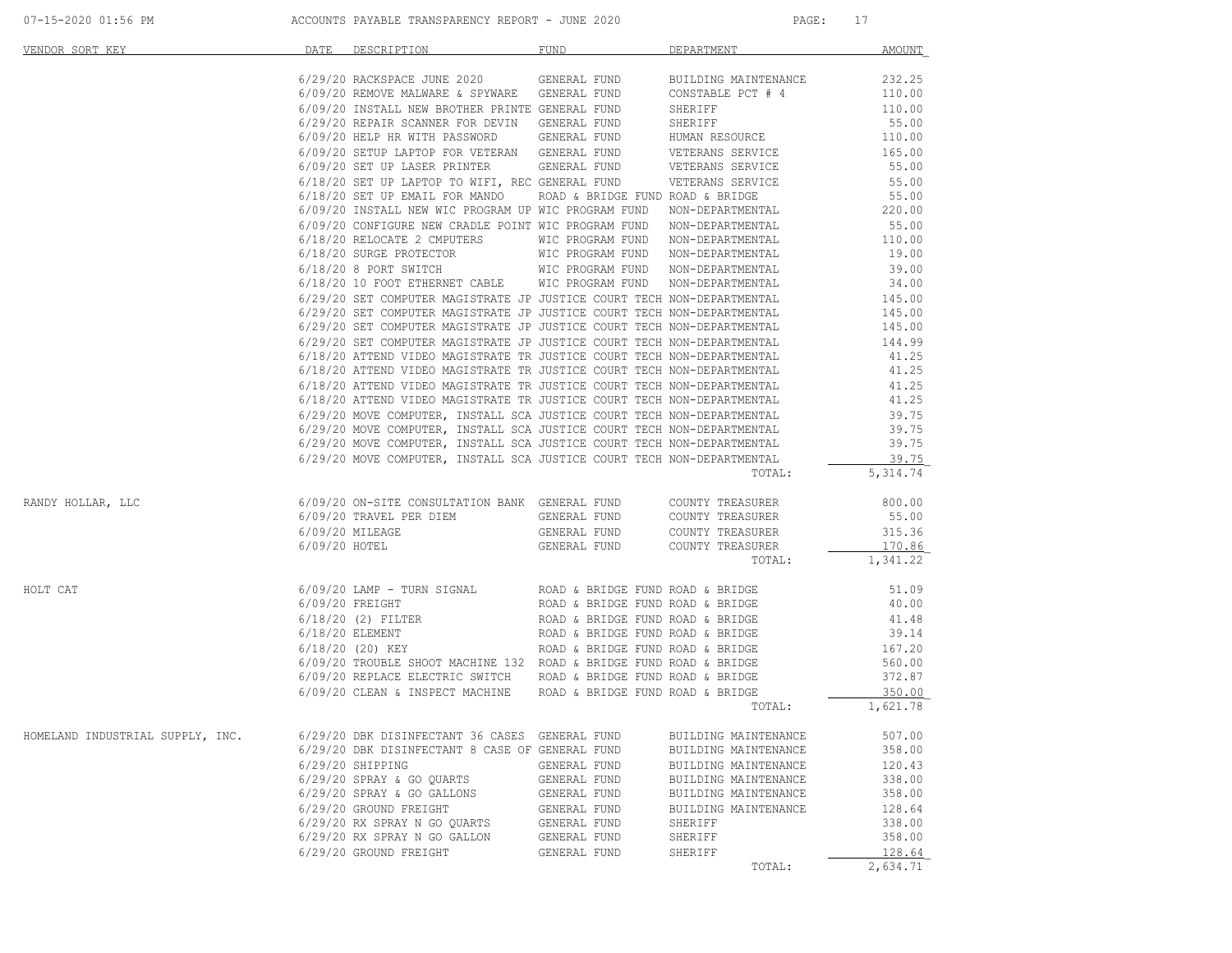| VENDOR SORT KEY                                                                                             | DATE | DESCRIPTION                                                                                                                                                                                                                                                                                                                                                                                                                                                       | FUND         | <b>DEPARTMENT</b>    | AMOUNT            |
|-------------------------------------------------------------------------------------------------------------|------|-------------------------------------------------------------------------------------------------------------------------------------------------------------------------------------------------------------------------------------------------------------------------------------------------------------------------------------------------------------------------------------------------------------------------------------------------------------------|--------------|----------------------|-------------------|
|                                                                                                             |      |                                                                                                                                                                                                                                                                                                                                                                                                                                                                   |              |                      |                   |
|                                                                                                             |      |                                                                                                                                                                                                                                                                                                                                                                                                                                                                   |              |                      |                   |
|                                                                                                             |      |                                                                                                                                                                                                                                                                                                                                                                                                                                                                   |              |                      |                   |
|                                                                                                             |      |                                                                                                                                                                                                                                                                                                                                                                                                                                                                   |              |                      |                   |
|                                                                                                             |      | 6/09/20 INSTALL NEW BROTHER PRINTE GENERAL FUND SHERIFF 1999/20 EPAIR SCANNER FOR DEVIN GENERAL FUND SHERIFF 1999/20 EPAIR SCANNER FOR DEVIN GENERAL FUND SHERIFF 55.00<br>6/09/20 HELP HR WITH PASSWORD GENERAL FUND HUMAN RESOU                                                                                                                                                                                                                                 |              |                      |                   |
|                                                                                                             |      |                                                                                                                                                                                                                                                                                                                                                                                                                                                                   |              |                      |                   |
|                                                                                                             |      | $6/09/20$ SETUP LAPTOP FOR VETERAN GENERAL FUND WETERANS SERVICE $$6/09/20$ SET UP LASER PRINTER GENERAL FUND VETERANS SERVICE $$51.00$                                                                                                                                                                                                                                                                                                                           |              |                      |                   |
|                                                                                                             |      |                                                                                                                                                                                                                                                                                                                                                                                                                                                                   |              |                      |                   |
|                                                                                                             |      |                                                                                                                                                                                                                                                                                                                                                                                                                                                                   |              |                      |                   |
|                                                                                                             |      |                                                                                                                                                                                                                                                                                                                                                                                                                                                                   |              |                      |                   |
|                                                                                                             |      |                                                                                                                                                                                                                                                                                                                                                                                                                                                                   |              |                      |                   |
|                                                                                                             |      |                                                                                                                                                                                                                                                                                                                                                                                                                                                                   |              |                      |                   |
|                                                                                                             |      |                                                                                                                                                                                                                                                                                                                                                                                                                                                                   |              |                      |                   |
|                                                                                                             |      |                                                                                                                                                                                                                                                                                                                                                                                                                                                                   |              |                      |                   |
|                                                                                                             |      |                                                                                                                                                                                                                                                                                                                                                                                                                                                                   |              |                      |                   |
|                                                                                                             |      |                                                                                                                                                                                                                                                                                                                                                                                                                                                                   |              |                      |                   |
|                                                                                                             |      |                                                                                                                                                                                                                                                                                                                                                                                                                                                                   |              |                      |                   |
|                                                                                                             |      |                                                                                                                                                                                                                                                                                                                                                                                                                                                                   |              |                      |                   |
|                                                                                                             |      |                                                                                                                                                                                                                                                                                                                                                                                                                                                                   |              |                      |                   |
|                                                                                                             |      |                                                                                                                                                                                                                                                                                                                                                                                                                                                                   |              |                      |                   |
|                                                                                                             |      |                                                                                                                                                                                                                                                                                                                                                                                                                                                                   |              |                      |                   |
|                                                                                                             |      |                                                                                                                                                                                                                                                                                                                                                                                                                                                                   |              |                      |                   |
|                                                                                                             |      |                                                                                                                                                                                                                                                                                                                                                                                                                                                                   |              |                      |                   |
|                                                                                                             |      |                                                                                                                                                                                                                                                                                                                                                                                                                                                                   |              |                      |                   |
|                                                                                                             |      |                                                                                                                                                                                                                                                                                                                                                                                                                                                                   |              |                      |                   |
|                                                                                                             |      |                                                                                                                                                                                                                                                                                                                                                                                                                                                                   |              |                      |                   |
|                                                                                                             |      |                                                                                                                                                                                                                                                                                                                                                                                                                                                                   |              |                      |                   |
|                                                                                                             |      |                                                                                                                                                                                                                                                                                                                                                                                                                                                                   |              |                      |                   |
|                                                                                                             |      | $\begin{minipage}[t]{0.9720\text{ SET UP} \text{ LAPESR PRINTER}\end{minipage}[t]{\footnotesize{0.9720\text{ SET UP} \text{ LAPESR PRINTER}\end{minipage}[t]{\footnotesize{0.9720\text{ SET UP} \text{ LAPESR PRINTER}\end{minipage}[t]{\footnotesize{0.9720\text{ OPT UP} \text{ LMPN}}\begin{minipage}[t]{0.9720\text{ SET UP} \text{ LAPESR PRINTER}\end{minipage}[t]{\footnotesize{0.9720\text{ OPT UP} \text{ PMRAL}}\end{minipage}[t]{\footnotesize{0.9720$ |              | TOTAL:               | 5,314.74          |
| RANDY HOLLAR, LLC                                                                                           |      | 6/09/20 ON-SITE CONSULTATION BANK GENERAL FUND COUNTY TREASURER 800.00<br>6/09/20 TRAVEL PER DIEM GENERAL FUND COUNTY TREASURER 55.00                                                                                                                                                                                                                                                                                                                             |              |                      |                   |
|                                                                                                             |      |                                                                                                                                                                                                                                                                                                                                                                                                                                                                   |              |                      |                   |
|                                                                                                             |      | 6/09/20 UN-SILE CONSULTATION DANK SENERAL FUND COUNTY TREASURER<br>6/09/20 NILEAGE GENERAL FUND COUNTY TREASURER<br>6/09/20 HOTEL GENERAL FUND COUNTY TREASURER<br>6/09/20 HOTEL GENERAL FUND COUNTY TREASURER                                                                                                                                                                                                                                                    |              |                      | 315.36            |
|                                                                                                             |      |                                                                                                                                                                                                                                                                                                                                                                                                                                                                   |              |                      | 170.86            |
|                                                                                                             |      |                                                                                                                                                                                                                                                                                                                                                                                                                                                                   |              | TOTAL:               | 1,341.22          |
| HOLT CAT                                                                                                    |      |                                                                                                                                                                                                                                                                                                                                                                                                                                                                   |              |                      |                   |
|                                                                                                             |      |                                                                                                                                                                                                                                                                                                                                                                                                                                                                   |              |                      |                   |
|                                                                                                             |      |                                                                                                                                                                                                                                                                                                                                                                                                                                                                   |              |                      |                   |
|                                                                                                             |      |                                                                                                                                                                                                                                                                                                                                                                                                                                                                   |              |                      |                   |
|                                                                                                             |      |                                                                                                                                                                                                                                                                                                                                                                                                                                                                   |              |                      |                   |
|                                                                                                             |      |                                                                                                                                                                                                                                                                                                                                                                                                                                                                   |              |                      |                   |
|                                                                                                             |      |                                                                                                                                                                                                                                                                                                                                                                                                                                                                   |              |                      |                   |
|                                                                                                             |      |                                                                                                                                                                                                                                                                                                                                                                                                                                                                   |              |                      |                   |
|                                                                                                             |      |                                                                                                                                                                                                                                                                                                                                                                                                                                                                   |              |                      | TOTAL: $1,621.78$ |
| HOMELAND INDUSTRIAL SUPPLY, INC. 6/29/20 DBK DISINFECTANT 36 CASES GENERAL FUND BUILDING MAINTENANCE 507.00 |      |                                                                                                                                                                                                                                                                                                                                                                                                                                                                   |              |                      |                   |
|                                                                                                             |      | 6/29/20 DBK DISINFECTANT 8 CASE OF GENERAL FUND                                                                                                                                                                                                                                                                                                                                                                                                                   |              | BUILDING MAINTENANCE | 358.00            |
|                                                                                                             |      | $6/29/20$ SHIPPING                                                                                                                                                                                                                                                                                                                                                                                                                                                | GENERAL FUND | BUILDING MAINTENANCE | 120.43            |
|                                                                                                             |      | 6/29/20 SPRAY & GO OUARTS                                                                                                                                                                                                                                                                                                                                                                                                                                         | GENERAL FUND | BUILDING MAINTENANCE | 338.00            |
|                                                                                                             |      | 6/29/20 SPRAY & GO GALLONS                                                                                                                                                                                                                                                                                                                                                                                                                                        | GENERAL FUND | BUILDING MAINTENANCE | 358.00            |
|                                                                                                             |      |                                                                                                                                                                                                                                                                                                                                                                                                                                                                   |              |                      |                   |
|                                                                                                             |      | 6/29/20 GROUND FREIGHT                                                                                                                                                                                                                                                                                                                                                                                                                                            | GENERAL FUND | BUILDING MAINTENANCE | 128.64            |
|                                                                                                             |      | 6/29/20 RX SPRAY N GO QUARTS                                                                                                                                                                                                                                                                                                                                                                                                                                      | GENERAL FUND | SHERIFF              | 338.00            |
|                                                                                                             |      | 6/29/20 RX SPRAY N GO GALLON                                                                                                                                                                                                                                                                                                                                                                                                                                      | GENERAL FUND | SHERIFF              | 358.00            |
|                                                                                                             |      | 6/29/20 GROUND FREIGHT                                                                                                                                                                                                                                                                                                                                                                                                                                            | GENERAL FUND | SHERIFF              | 128.64            |
|                                                                                                             |      |                                                                                                                                                                                                                                                                                                                                                                                                                                                                   |              | TOTAL:               | 2,634.71          |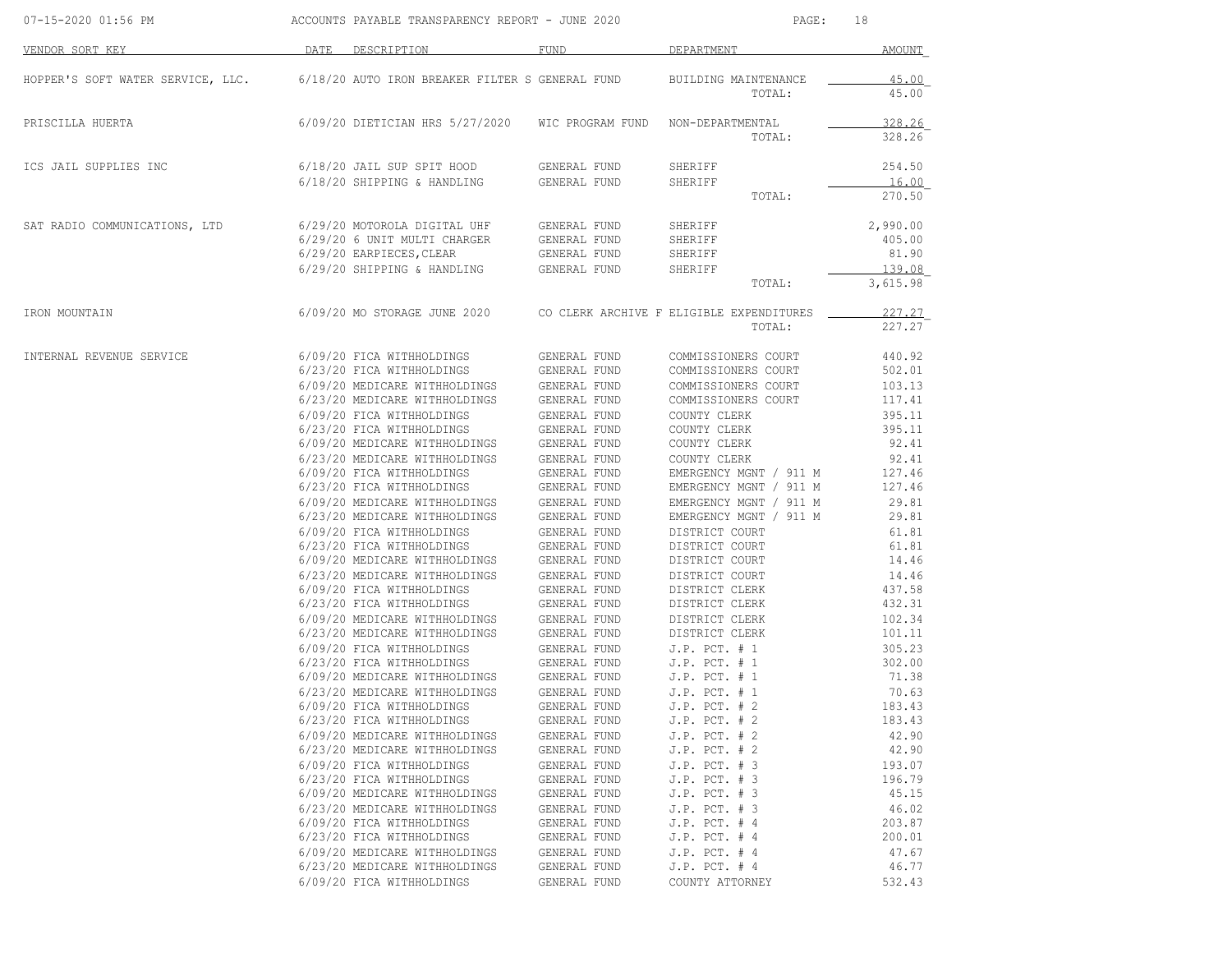| 07-15-2020 01:56 PM               |                                                                                                                                                                                                                                                                                                                                                                                                                                                                                                                                                                                                                                                                                                                                                  | ACCOUNTS PAYABLE TRANSPARENCY REPORT - JUNE 2020                                                                                                                                                                                                                                                                                                                                                     |                                                                                                                                                                                                                                                                                                                                                                                                                                                                                                                                                                                              | PAGE:                                                                                                                                                                                                                                                                                                                                                                                                                                                                                                                                                                                                                                                                                                                                                   | 18                                                                                                                                                                                                                                                                                                                                                   |
|-----------------------------------|--------------------------------------------------------------------------------------------------------------------------------------------------------------------------------------------------------------------------------------------------------------------------------------------------------------------------------------------------------------------------------------------------------------------------------------------------------------------------------------------------------------------------------------------------------------------------------------------------------------------------------------------------------------------------------------------------------------------------------------------------|------------------------------------------------------------------------------------------------------------------------------------------------------------------------------------------------------------------------------------------------------------------------------------------------------------------------------------------------------------------------------------------------------|----------------------------------------------------------------------------------------------------------------------------------------------------------------------------------------------------------------------------------------------------------------------------------------------------------------------------------------------------------------------------------------------------------------------------------------------------------------------------------------------------------------------------------------------------------------------------------------------|---------------------------------------------------------------------------------------------------------------------------------------------------------------------------------------------------------------------------------------------------------------------------------------------------------------------------------------------------------------------------------------------------------------------------------------------------------------------------------------------------------------------------------------------------------------------------------------------------------------------------------------------------------------------------------------------------------------------------------------------------------|------------------------------------------------------------------------------------------------------------------------------------------------------------------------------------------------------------------------------------------------------------------------------------------------------------------------------------------------------|
| VENDOR SORT KEY                   | DATE<br>DESCRIPTION                                                                                                                                                                                                                                                                                                                                                                                                                                                                                                                                                                                                                                                                                                                              |                                                                                                                                                                                                                                                                                                                                                                                                      | <b>FUND</b>                                                                                                                                                                                                                                                                                                                                                                                                                                                                                                                                                                                  | DEPARTMENT                                                                                                                                                                                                                                                                                                                                                                                                                                                                                                                                                                                                                                                                                                                                              | AMOUNT                                                                                                                                                                                                                                                                                                                                               |
| HOPPER'S SOFT WATER SERVICE, LLC. |                                                                                                                                                                                                                                                                                                                                                                                                                                                                                                                                                                                                                                                                                                                                                  |                                                                                                                                                                                                                                                                                                                                                                                                      | 6/18/20 AUTO IRON BREAKER FILTER S GENERAL FUND                                                                                                                                                                                                                                                                                                                                                                                                                                                                                                                                              | BUILDING MAINTENANCE<br>TOTAL:                                                                                                                                                                                                                                                                                                                                                                                                                                                                                                                                                                                                                                                                                                                          | 45.00<br>45.00                                                                                                                                                                                                                                                                                                                                       |
| PRISCILLA HUERTA                  |                                                                                                                                                                                                                                                                                                                                                                                                                                                                                                                                                                                                                                                                                                                                                  |                                                                                                                                                                                                                                                                                                                                                                                                      |                                                                                                                                                                                                                                                                                                                                                                                                                                                                                                                                                                                              | 6/09/20 DIETICIAN HRS 5/27/2020 WIC PROGRAM FUND NON-DEPARTMENTAL<br>TOTAL:                                                                                                                                                                                                                                                                                                                                                                                                                                                                                                                                                                                                                                                                             | 328.26<br>328.26                                                                                                                                                                                                                                                                                                                                     |
| ICS JAIL SUPPLIES INC             | 6/18/20 JAIL SUP SPIT HOOD<br>6/18/20 SHIPPING & HANDLING                                                                                                                                                                                                                                                                                                                                                                                                                                                                                                                                                                                                                                                                                        |                                                                                                                                                                                                                                                                                                                                                                                                      | GENERAL FUND<br>GENERAL FUND                                                                                                                                                                                                                                                                                                                                                                                                                                                                                                                                                                 | SHERIFF<br>SHERIFF<br>TOTAL:                                                                                                                                                                                                                                                                                                                                                                                                                                                                                                                                                                                                                                                                                                                            | 254.50<br>16.00<br>270.50                                                                                                                                                                                                                                                                                                                            |
| SAT RADIO COMMUNICATIONS, LTD     | 6/29/20 MOTOROLA DIGITAL UHF<br>6/29/20 6 UNIT MULTI CHARGER<br>6/29/20 SHIPPING & HANDLING                                                                                                                                                                                                                                                                                                                                                                                                                                                                                                                                                                                                                                                      | 6/29/20 EARPIECES, CLEAR                                                                                                                                                                                                                                                                                                                                                                             | GENERAL FUND<br>GENERAL FUND<br>GENERAL FUND<br>GENERAL FUND                                                                                                                                                                                                                                                                                                                                                                                                                                                                                                                                 | SHERIFF<br>SHERIFF<br>SHERIFF<br>SHERIFF<br>TOTAL:                                                                                                                                                                                                                                                                                                                                                                                                                                                                                                                                                                                                                                                                                                      | 2,990.00<br>405.00<br>81.90<br>139.08<br>3,615.98                                                                                                                                                                                                                                                                                                    |
| IRON MOUNTAIN                     | 6/09/20 MO STORAGE JUNE 2020                                                                                                                                                                                                                                                                                                                                                                                                                                                                                                                                                                                                                                                                                                                     |                                                                                                                                                                                                                                                                                                                                                                                                      |                                                                                                                                                                                                                                                                                                                                                                                                                                                                                                                                                                                              | CO CLERK ARCHIVE F ELIGIBLE EXPENDITURES<br>TOTAL:                                                                                                                                                                                                                                                                                                                                                                                                                                                                                                                                                                                                                                                                                                      | 227.27<br>227.27                                                                                                                                                                                                                                                                                                                                     |
| INTERNAL REVENUE SERVICE          | 6/09/20 FICA WITHHOLDINGS<br>6/23/20 FICA WITHHOLDINGS<br>6/09/20 FICA WITHHOLDINGS<br>6/23/20 FICA WITHHOLDINGS<br>6/09/20 FICA WITHHOLDINGS<br>6/23/20 FICA WITHHOLDINGS<br>6/09/20 FICA WITHHOLDINGS<br>6/23/20 FICA WITHHOLDINGS<br>6/09/20 FICA WITHHOLDINGS<br>6/23/20 FICA WITHHOLDINGS<br>6/09/20 FICA WITHHOLDINGS<br>6/23/20 MEDICARE WITHHOLDINGS<br>6/09/20 FICA WITHHOLDINGS<br>6/23/20 FICA WITHHOLDINGS<br>6/09/20 MEDICARE WITHHOLDINGS<br>6/23/20 MEDICARE WITHHOLDINGS<br>6/09/20 FICA WITHHOLDINGS<br>6/23/20 FICA WITHHOLDINGS<br>6/09/20 MEDICARE WITHHOLDINGS<br>6/23/20 MEDICARE WITHHOLDINGS<br>6/09/20 FICA WITHHOLDINGS<br>6/23/20 FICA WITHHOLDINGS<br>6/09/20 MEDICARE WITHHOLDINGS<br>6/23/20 MEDICARE WITHHOLDINGS | 6/09/20 MEDICARE WITHHOLDINGS<br>6/23/20 MEDICARE WITHHOLDINGS<br>6/09/20 MEDICARE WITHHOLDINGS<br>6/23/20 MEDICARE WITHHOLDINGS<br>6/09/20 MEDICARE WITHHOLDINGS<br>6/23/20 MEDICARE WITHHOLDINGS<br>6/09/20 MEDICARE WITHHOLDINGS<br>6/23/20 MEDICARE WITHHOLDINGS<br>6/09/20 MEDICARE WITHHOLDINGS<br>6/23/20 MEDICARE WITHHOLDINGS<br>6/23/20 FICA WITHHOLDINGS<br>6/09/20 MEDICARE WITHHOLDINGS | GENERAL FUND<br>GENERAL FUND<br>GENERAL FUND<br>GENERAL FUND<br>GENERAL FUND<br>GENERAL FUND<br>GENERAL FUND<br>GENERAL FUND<br>GENERAL FUND<br>GENERAL FUND<br>GENERAL FUND<br>GENERAL FUND<br>GENERAL FUND<br>GENERAL FUND<br>GENERAL FUND<br>GENERAL FUND<br>GENERAL FUND<br>GENERAL FUND<br>GENERAL FUND<br>GENERAL FUND<br>GENERAL FUND<br>GENERAL FUND<br>GENERAL FUND<br>GENERAL FUND<br>GENERAL FUND<br>GENERAL FUND<br>GENERAL FUND<br>GENERAL FUND<br>GENERAL FUND<br>GENERAL FUND<br>GENERAL FUND<br>GENERAL FUND<br>GENERAL FUND<br>GENERAL FUND<br>GENERAL FUND<br>GENERAL FUND | COMMISSIONERS COURT<br>COMMISSIONERS COURT<br>COMMISSIONERS COURT<br>COMMISSIONERS COURT<br>COUNTY CLERK<br>COUNTY CLERK<br>COUNTY CLERK<br>COUNTY CLERK<br>EMERGENCY MGNT / 911 M<br>EMERGENCY MGNT / 911 M<br>EMERGENCY MGNT / 911 M<br>EMERGENCY MGNT / 911 M<br>DISTRICT COURT<br>DISTRICT COURT<br>DISTRICT COURT<br>DISTRICT COURT<br>DISTRICT CLERK<br>DISTRICT CLERK<br>DISTRICT CLERK<br>DISTRICT CLERK<br>$J.P.$ PCT. # 1<br>$J.P.$ PCT. $# 1$<br>$J.P.$ PCT. $# 1$<br>$J.P.$ PCT. $# 1$<br>$J.P.$ PCT. $# 2$<br>$J.P.$ PCT. $# 2$<br>$J.P.$ PCT. $# 2$<br>$J.P.$ PCT. $# 2$<br>$J.P.$ PCT. $# 3$<br>$J.P.$ PCT. $# 3$<br>$J.P.$ PCT. $# 3$<br>J.P. PCT. # 3<br>$J.P.$ PCT. $#4$<br>$J.P.$ PCT. $#4$<br>$J.P.$ PCT. $#4$<br>$J.P.$ PCT. $# 4$ | 440.92<br>502.01<br>103.13<br>117.41<br>395.11<br>395.11<br>92.41<br>92.41<br>127.46<br>127.46<br>29.81<br>29.81<br>61.81<br>61.81<br>14.46<br>14.46<br>437.58<br>432.31<br>102.34<br>101.11<br>305.23<br>302.00<br>71.38<br>70.63<br>183.43<br>183.43<br>42.90<br>42.90<br>193.07<br>196.79<br>45.15<br>46.02<br>203.87<br>200.01<br>47.67<br>46.77 |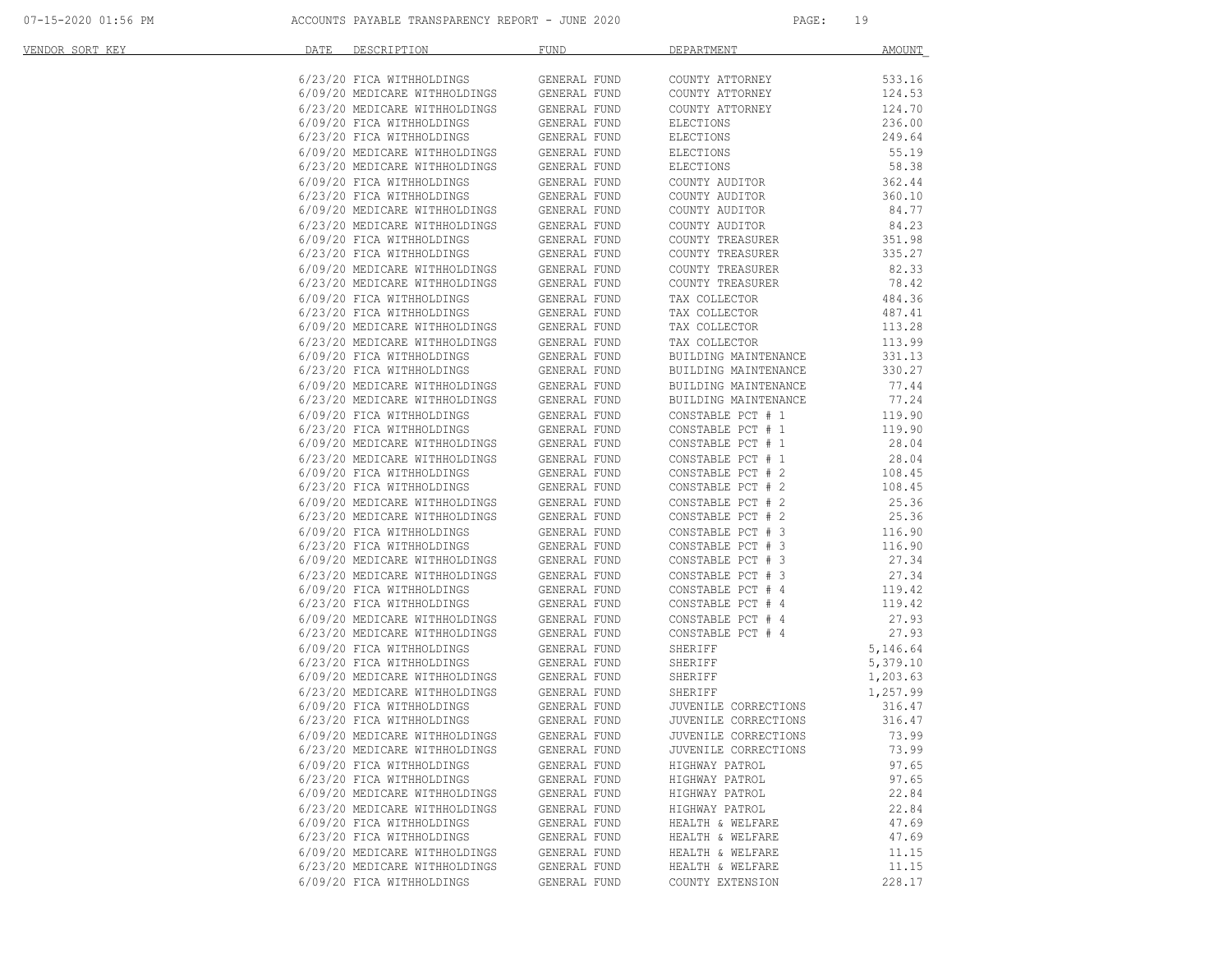| VENDOR SORT KEY | DATE<br>DESCRIPTION                                                                         | <b>FUND</b>                  | DEPARTMENT                             | AMOUNT           |
|-----------------|---------------------------------------------------------------------------------------------|------------------------------|----------------------------------------|------------------|
|                 | 6/23/20 FICA WITHHOLDINGS                                                                   | GENERAL FUND                 | COUNTY ATTORNEY                        | 533.16           |
|                 |                                                                                             |                              | COUNTY ATTORNEY                        | 124.53           |
|                 |                                                                                             |                              | COUNTY ATTORNEY                        | 124.70           |
|                 |                                                                                             |                              | ELECTIONS                              | 236.00           |
|                 | 6/23/20 FICA WITHHOLDINGS                                                                   | GENERAL FUND                 | ELECTIONS                              | 249.64           |
|                 | 6/09/20 MEDICARE WITHHOLDINGS                                                               | GENERAL FUND                 | ELECTIONS                              | 55.19            |
|                 | 6/23/20 MEDICARE WITHHOLDINGS<br>6/09/20 FTCA WITHHOLDINGS                                  | GENERAL FUND                 | ELECTIONS                              | 58.38            |
|                 | 6/09/20 FICA WITHHOLDINGS                                                                   | GENERAL FUND                 | COUNTY AUDITOR                         | 362.44           |
|                 | 6/23/20 FICA WITHHOLDINGS<br>6/09/20 MEDICARE WITHHOLDINGS                                  | GENERAL FUND                 | COUNTY AUDITOR                         | 360.10           |
|                 |                                                                                             | GENERAL FUND                 | COUNTY AUDITOR                         | 84.77            |
|                 | 6/23/20 MEDICARE WITHHOLDINGS                                                               | GENERAL FUND                 | COUNTY AUDITOR                         | 84.23            |
|                 | 6/09/20 FICA WITHHOLDINGS<br>6/23/20 FICA WITHHOLDINGS                                      | GENERAL FUND                 | COUNTY TREASURER                       | 351.98           |
|                 |                                                                                             | GENERAL FUND                 | COUNTY TREASURER                       | 335.27           |
|                 | 6/09/20 MEDICARE WITHHOLDINGS<br>6/23/20 MEDICARE WITHHOLDINGS                              | GENERAL FUND                 | COUNTY TREASURER                       | 82.33            |
|                 |                                                                                             | GENERAL FUND                 | COUNTY TREASURER                       | 78.42            |
|                 | 6/09/20 FICA WITHHOLDINGS                                                                   | GENERAL FUND                 | TAX COLLECTOR                          | 484.36           |
|                 | 6/23/20 FICA WITHHOLDINGS                                                                   | GENERAL FUND                 | TAX COLLECTOR                          | 487.41           |
|                 | 6/09/20 MEDICARE WITHHOLDINGS<br>6/23/20 MEDICARE WITHHOLDINGS<br>6/09/20 FICA WITHHOLDINGS | GENERAL FUND                 | TAX COLLECTOR                          | 113.28           |
|                 |                                                                                             | GENERAL FUND<br>GENERAL FUND | TAX COLLECTOR<br>BUILDING MAINTENANCE  | 113.99<br>331.13 |
|                 | 6/23/20 FICA WITHHOLDINGS                                                                   | GENERAL FUND                 | BUILDING MAINTENANCE                   | 330.27           |
|                 | 6/09/20 MEDICARE WITHHOLDINGS                                                               | GENERAL FUND                 | BUILDING MAINTENANCE                   | 77.44            |
|                 |                                                                                             | GENERAL FUND                 | BUILDING MAINTENANCE                   | 77.24            |
|                 | 6/23/20 MEDICARE WITHHOLDINGS<br>6/09/20 FICA WITHHOLDINGS                                  | GENERAL FUND                 | CONSTABLE PCT # 1                      | 119.90           |
|                 |                                                                                             | GENERAL FUND                 | CONSTABLE PCT # 1                      | 119.90           |
|                 | 6/23/20 FICA WITHHOLDINGS<br>6/09/20 MEDICARE WITHHOLDINGS                                  | GENERAL FUND                 | CONSTABLE PCT # 1                      | 28.04            |
|                 |                                                                                             | GENERAL FUND                 | CONSTABLE PCT # 1                      | 28.04            |
|                 | 6/23/20 MEDICARE WITHHOLDINGS<br>6/09/20 FICA WITHHOLDINGS<br>6/23/20 FICA WITHHOLDINGS     | GENERAL FUND                 | CONSTABLE PCT # 2                      | 108.45           |
|                 |                                                                                             | GENERAL FUND                 | CONSTABLE PCT # 2                      | 108.45           |
|                 |                                                                                             | GENERAL FUND                 |                                        | 25.36            |
|                 | 6/09/20 MEDICARE WITHHOLDINGS<br>6/23/20 MEDICARE WITHHOLDINGS                              | GENERAL FUND                 | CONSTABLE PCT # 2<br>CONSTABLE PCT # 2 | 25.36            |
|                 |                                                                                             | GENERAL FUND                 | CONSTABLE PCT # 3                      | 116.90           |
|                 | 6/09/20 FICA WITHHOLDINGS<br>6/23/20 FICA WITHHOLDINGS                                      | GENERAL FUND                 | CONSTABLE PCT # 3                      | 116.90           |
|                 | 6/09/20 MEDICARE WITHHOLDINGS                                                               | GENERAL FUND                 | CONSTABLE PCT # 3                      | 27.34            |
|                 |                                                                                             | GENERAL FUND                 | CONSTABLE PCT # 3                      | 27.34            |
|                 | 6/23/20 MEDICARE WITHHOLDINGS<br>6/09/20 FICA WITHHOLDINGS                                  | GENERAL FUND                 | CONSTABLE PCT # 4                      | 119.42           |
|                 | 6/23/20 FICA WITHHOLDINGS                                                                   | GENERAL FUND                 | CONSTABLE PCT # 4                      | 119.42           |
|                 | 6/09/20 MEDICARE WITHHOLDINGS                                                               | GENERAL FUND                 | CONSTABLE PCT # 4                      | 27.93            |
|                 | 6/23/20 MEDICARE WITHHOLDINGS<br>6/09/20 FICA WITHHOLDINGS                                  | GENERAL FUND                 | CONSTABLE PCT # 4                      | 27.93            |
|                 | 6/09/20 FICA WITHHOLDINGS                                                                   | GENERAL FUND                 | SHERIFF                                | 5,146.64         |
|                 | 6/23/20 FICA WITHHOLDINGS<br>6/09/20 MEDICARE WITHHOLDINGS                                  | GENERAL FUND                 | SHERIFF                                | 5,379.10         |
|                 |                                                                                             | GENERAL FUND                 | SHERIFF                                | 1,203.63         |
|                 | 6/23/20 MEDICARE WITHHOLDINGS<br>6/09/20 FICA WITHHOLDINGS<br>6/23/20 FICA WITHHOLDINGS     | GENERAL FUND                 | SHERIFF                                | 1,257.99         |
|                 |                                                                                             | GENERAL FUND                 | JUVENILE CORRECTIONS                   | 316.47           |
|                 |                                                                                             | GENERAL FUND                 | JUVENILE CORRECTIONS                   | 316.47           |
|                 | 6/09/20 MEDICARE WITHHOLDINGS                                                               | GENERAL FUND                 | JUVENILE CORRECTIONS                   | 73.99            |
|                 | 6/23/20 MEDICARE WITHHOLDINGS                                                               | GENERAL FUND                 | JUVENILE CORRECTIONS                   | 73.99            |
|                 | 6/09/20 FICA WITHHOLDINGS                                                                   | GENERAL FUND                 | HIGHWAY PATROL                         | 97.65            |
|                 | 6/23/20 FICA WITHHOLDINGS                                                                   | GENERAL FUND                 | HIGHWAY PATROL                         | 97.65            |
|                 | 6/09/20 MEDICARE WITHHOLDINGS                                                               | GENERAL FUND                 | HIGHWAY PATROL                         | 22.84            |
|                 | 6/23/20 MEDICARE WITHHOLDINGS                                                               | GENERAL FUND                 | HIGHWAY PATROL                         | 22.84            |
|                 | 6/09/20 FICA WITHHOLDINGS                                                                   | GENERAL FUND                 | HEALTH & WELFARE                       | 47.69            |
|                 | 6/23/20 FICA WITHHOLDINGS                                                                   | GENERAL FUND                 | HEALTH & WELFARE                       | 47.69            |
|                 | 6/09/20 MEDICARE WITHHOLDINGS<br>6/23/20 MEDICARE WITHHOLDINGS                              | GENERAL FUND                 | HEALTH & WELFARE                       | 11.15<br>11.15   |
|                 |                                                                                             | GENERAL FUND                 | HEALTH & WELFARE                       |                  |
|                 | 6/09/20 FICA WITHHOLDINGS                                                                   | GENERAL FUND                 | COUNTY EXTENSION                       | 228.17           |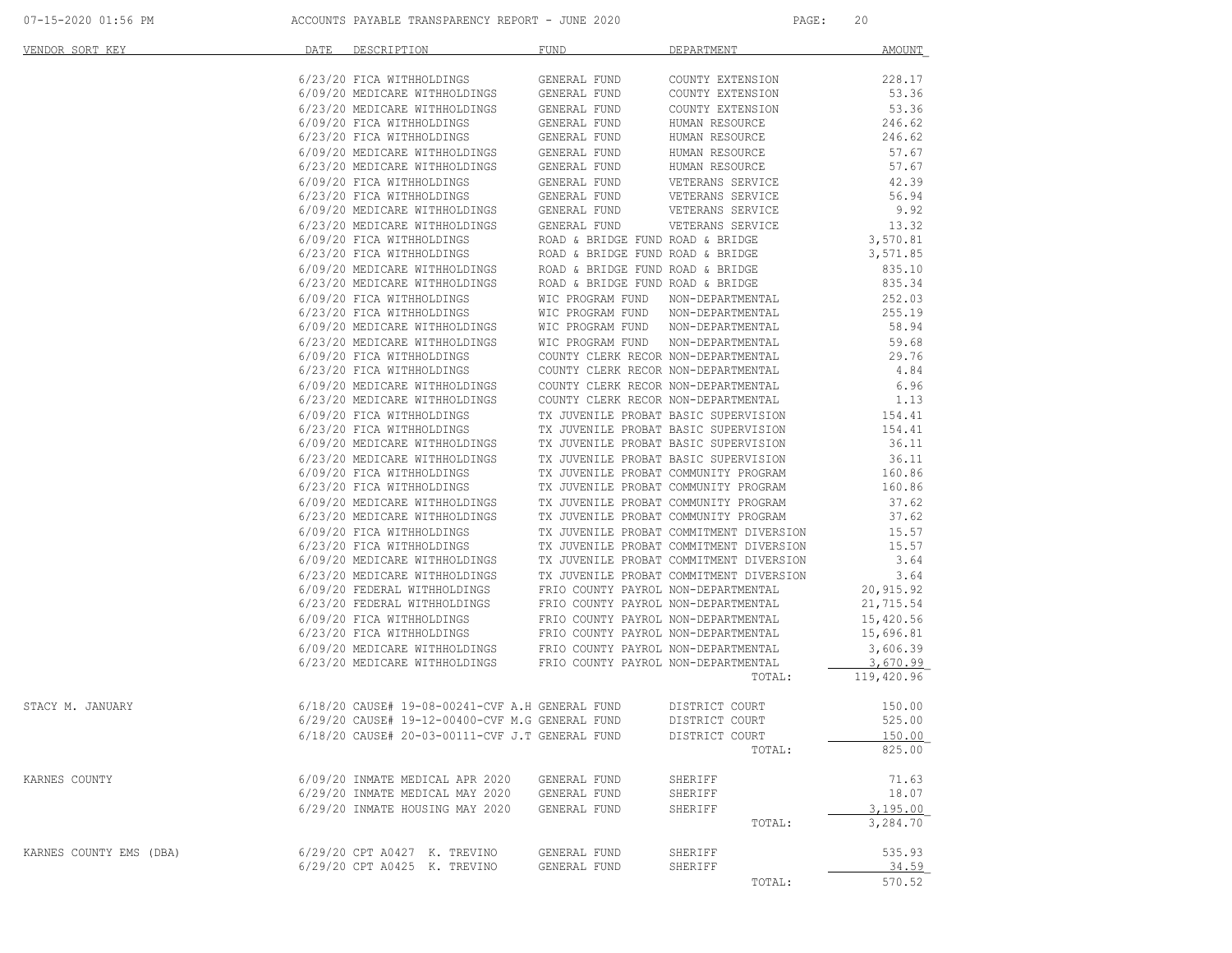| VENDOR SORT KEY         | DATE | DESCRIPTION                                                        | FUND         | DEPARTMENT        | <b>AMOUNT</b>  |
|-------------------------|------|--------------------------------------------------------------------|--------------|-------------------|----------------|
|                         |      |                                                                    |              |                   |                |
|                         |      |                                                                    |              |                   |                |
|                         |      |                                                                    |              |                   |                |
|                         |      |                                                                    |              |                   |                |
|                         |      |                                                                    |              |                   |                |
|                         |      |                                                                    |              |                   |                |
|                         |      |                                                                    |              |                   |                |
|                         |      |                                                                    |              |                   |                |
|                         |      |                                                                    |              |                   |                |
|                         |      |                                                                    |              |                   |                |
|                         |      |                                                                    |              |                   |                |
|                         |      |                                                                    |              |                   |                |
|                         |      |                                                                    |              |                   |                |
|                         |      |                                                                    |              |                   |                |
|                         |      |                                                                    |              |                   |                |
|                         |      |                                                                    |              |                   |                |
|                         |      |                                                                    |              |                   |                |
|                         |      |                                                                    |              |                   |                |
|                         |      |                                                                    |              |                   |                |
|                         |      |                                                                    |              |                   |                |
|                         |      |                                                                    |              |                   |                |
|                         |      |                                                                    |              |                   |                |
|                         |      |                                                                    |              |                   |                |
|                         |      |                                                                    |              |                   |                |
|                         |      |                                                                    |              |                   |                |
|                         |      |                                                                    |              |                   |                |
|                         |      |                                                                    |              |                   |                |
|                         |      |                                                                    |              |                   |                |
|                         |      |                                                                    |              |                   |                |
|                         |      |                                                                    |              |                   |                |
|                         |      |                                                                    |              |                   |                |
|                         |      |                                                                    |              |                   |                |
|                         |      |                                                                    |              |                   |                |
|                         |      |                                                                    |              |                   |                |
|                         |      |                                                                    |              |                   |                |
|                         |      |                                                                    |              |                   |                |
|                         |      |                                                                    |              |                   |                |
|                         |      |                                                                    |              |                   |                |
|                         |      |                                                                    |              |                   |                |
|                         |      |                                                                    |              |                   |                |
|                         |      |                                                                    |              | TOTAL:            | 119,420.96     |
| STACY M. JANUARY        |      | 6/18/20 CAUSE# 19-08-00241-CVF A.H GENERAL FUND DISTRICT COURT     |              |                   | 150.00         |
|                         |      | 6/29/20 CAUSE# 19-12-00400-CVF M.G GENERAL FUND                    |              | DISTRICT COURT    | 525.00         |
|                         |      | 6/18/20 CAUSE# 20-03-00111-CVF J.T GENERAL FUND                    |              | DISTRICT COURT    | 150.00         |
|                         |      |                                                                    |              | TOTAL:            | 825.00         |
|                         |      |                                                                    |              |                   |                |
| KARNES COUNTY           |      | 6/09/20 INMATE MEDICAL APR 2020<br>6/29/20 INMATE MEDICAL MAY 2020 | GENERAL FUND | SHERIFF           | 71.63<br>18.07 |
|                         |      | 6/29/20 INMATE HOUSING MAY 2020                                    | GENERAL FUND | SHERIFF           | 3.195.00       |
|                         |      |                                                                    | GENERAL FUND | SHERIFF<br>TOTAL: | 3,284.70       |
|                         |      |                                                                    |              |                   |                |
| KARNES COUNTY EMS (DBA) |      | 6/29/20 CPT A0427 K. TREVINO                                       | GENERAL FUND | SHERIFF           | 535.93         |
|                         |      | 6/29/20 CPT A0425 K. TREVINO                                       | GENERAL FUND | SHERIFF           | 34.59          |
|                         |      |                                                                    |              | TOTAL:            | 570.52         |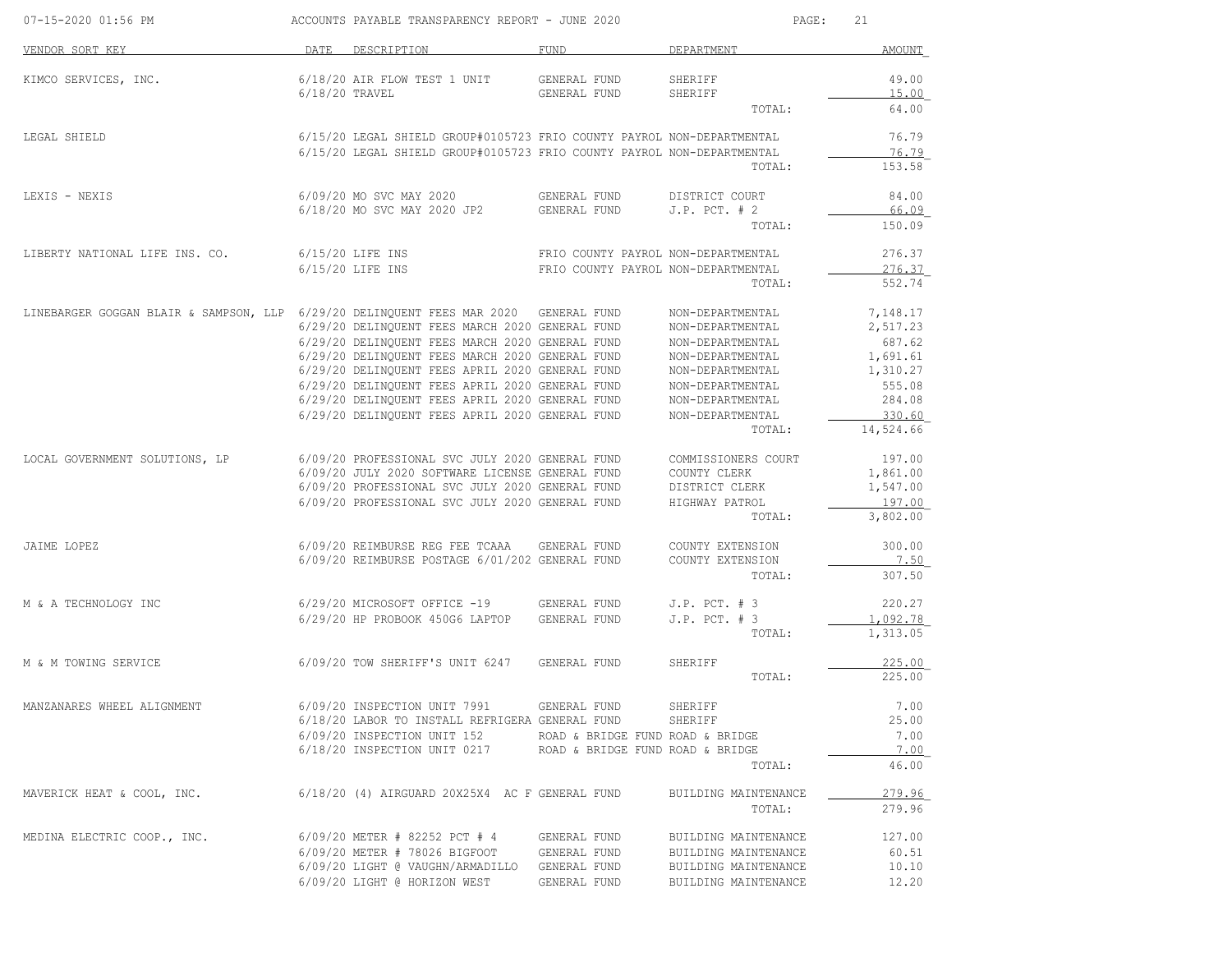| 07-15-2020 01:56 PM                                                                  |                  | ACCOUNTS PAYABLE TRANSPARENCY REPORT - JUNE 2020                       |                                     | PAGE:                | 21        |
|--------------------------------------------------------------------------------------|------------------|------------------------------------------------------------------------|-------------------------------------|----------------------|-----------|
| VENDOR SORT KEY                                                                      |                  | DATE DESCRIPTION                                                       | FUND                                | DEPARTMENT           | AMOUNT    |
| KIMCO SERVICES, INC.                                                                 |                  | 6/18/20 AIR FLOW TEST 1 UNIT                                           | GENERAL FUND                        | SHERIFF              | 49.00     |
|                                                                                      | $6/18/20$ TRAVEL |                                                                        | GENERAL FUND                        | SHERIFF              | 15.00     |
|                                                                                      |                  |                                                                        |                                     | TOTAL:               | 64.00     |
| LEGAL SHIELD                                                                         |                  | 6/15/20 LEGAL SHIELD GROUP#0105723 FRIO COUNTY PAYROL NON-DEPARTMENTAL |                                     |                      | 76.79     |
|                                                                                      |                  | 6/15/20 LEGAL SHIELD GROUP#0105723 FRIO COUNTY PAYROL NON-DEPARTMENTAL |                                     |                      | 76.79     |
|                                                                                      |                  |                                                                        |                                     | TOTAL:               | 153.58    |
| LEXIS - NEXIS                                                                        |                  | 6/09/20 MO SVC MAY 2020                                                | GENERAL FUND                        | DISTRICT COURT       | 84.00     |
|                                                                                      |                  | 6/18/20 MO SVC MAY 2020 JP2                                            | GENERAL FUND                        | $J.P.$ PCT. $# 2$    | 66.09     |
|                                                                                      |                  |                                                                        |                                     | TOTAL:               | 150.09    |
| LIBERTY NATIONAL LIFE INS. CO.                                                       |                  | 6/15/20 LIFE INS                                                       | FRIO COUNTY PAYROL NON-DEPARTMENTAL |                      | 276.37    |
|                                                                                      |                  | $6/15/20$ LIFE INS                                                     | FRIO COUNTY PAYROL NON-DEPARTMENTAL |                      | 276.37    |
|                                                                                      |                  |                                                                        |                                     | TOTAL:               | 552.74    |
| LINEBARGER GOGGAN BLAIR & SAMPSON, LLP 6/29/20 DELINQUENT FEES MAR 2020 GENERAL FUND |                  |                                                                        |                                     | NON-DEPARTMENTAL     | 7,148.17  |
|                                                                                      |                  | 6/29/20 DELINQUENT FEES MARCH 2020 GENERAL FUND                        |                                     | NON-DEPARTMENTAL     | 2,517.23  |
|                                                                                      |                  | 6/29/20 DELINQUENT FEES MARCH 2020 GENERAL FUND                        |                                     | NON-DEPARTMENTAL     | 687.62    |
|                                                                                      |                  | 6/29/20 DELINQUENT FEES MARCH 2020 GENERAL FUND                        |                                     | NON-DEPARTMENTAL     | 1,691.61  |
|                                                                                      |                  | 6/29/20 DELINQUENT FEES APRIL 2020 GENERAL FUND                        |                                     | NON-DEPARTMENTAL     | 1,310.27  |
|                                                                                      |                  | 6/29/20 DELINQUENT FEES APRIL 2020 GENERAL FUND                        |                                     | NON-DEPARTMENTAL     | 555.08    |
|                                                                                      |                  | 6/29/20 DELINQUENT FEES APRIL 2020 GENERAL FUND                        |                                     | NON-DEPARTMENTAL     | 284.08    |
|                                                                                      |                  | 6/29/20 DELINQUENT FEES APRIL 2020 GENERAL FUND                        |                                     | NON-DEPARTMENTAL     | 330.60    |
|                                                                                      |                  |                                                                        |                                     | TOTAL:               | 14,524.66 |
| LOCAL GOVERNMENT SOLUTIONS, LP                                                       |                  | 6/09/20 PROFESSIONAL SVC JULY 2020 GENERAL FUND                        |                                     | COMMISSIONERS COURT  | 197.00    |
|                                                                                      |                  | 6/09/20 JULY 2020 SOFTWARE LICENSE GENERAL FUND                        |                                     | COUNTY CLERK         | 1,861.00  |
|                                                                                      |                  | 6/09/20 PROFESSIONAL SVC JULY 2020 GENERAL FUND                        |                                     | DISTRICT CLERK       | 1,547.00  |
|                                                                                      |                  | 6/09/20 PROFESSIONAL SVC JULY 2020 GENERAL FUND                        |                                     | HIGHWAY PATROL       | 197.00    |
|                                                                                      |                  |                                                                        |                                     | TOTAL:               | 3,802.00  |
| JAIME LOPEZ                                                                          |                  | 6/09/20 REIMBURSE REG FEE TCAAA                                        | GENERAL FUND                        | COUNTY EXTENSION     | 300.00    |
|                                                                                      |                  | 6/09/20 REIMBURSE POSTAGE 6/01/202 GENERAL FUND                        |                                     | COUNTY EXTENSION     | 7.50      |
|                                                                                      |                  |                                                                        |                                     | TOTAL:               | 307.50    |
| M & A TECHNOLOGY INC                                                                 |                  | 6/29/20 MICROSOFT OFFICE -19                                           | GENERAL FUND                        | $J.P.$ PCT. $# 3$    | 220.27    |
|                                                                                      |                  | 6/29/20 HP PROBOOK 450G6 LAPTOP                                        | GENERAL FUND                        | $J.P.$ PCT. $# 3$    | 1,092.78  |
|                                                                                      |                  |                                                                        |                                     | TOTAL:               | 1,313.05  |
| M & M TOWING SERVICE                                                                 |                  | 6/09/20 TOW SHERIFF'S UNIT 6247                                        | GENERAL FUND                        | SHERIFF              | 225.00    |
|                                                                                      |                  |                                                                        |                                     | TOTAL:               | 225.00    |
| MANZANARES WHEEL ALIGNMENT                                                           |                  | 6/09/20 INSPECTION UNIT 7991                                           | GENERAL FUND                        | SHERIFF              | 7.00      |
|                                                                                      |                  | 6/18/20 LABOR TO INSTALL REFRIGERA GENERAL FUND                        |                                     | SHERIFF              | 25.00     |
|                                                                                      |                  | 6/09/20 INSPECTION UNIT 152                                            | ROAD & BRIDGE FUND ROAD & BRIDGE    |                      | 7.00      |
|                                                                                      |                  | $6/18/20$ INSPECTION UNIT 0217 ROAD & BRIDGE FUND ROAD & BRIDGE        |                                     |                      | 7.00      |
|                                                                                      |                  |                                                                        |                                     | TOTAL:               | 46.00     |
| MAVERICK HEAT & COOL, INC.                                                           |                  | 6/18/20 (4) AIRGUARD 20X25X4 AC F GENERAL FUND                         |                                     | BUILDING MAINTENANCE | 279.96    |
|                                                                                      |                  |                                                                        |                                     | TOTAL:               | 279.96    |
| MEDINA ELECTRIC COOP., INC.                                                          |                  | 6/09/20 METER # 82252 PCT # 4                                          | GENERAL FUND                        | BUILDING MAINTENANCE | 127.00    |
|                                                                                      |                  | 6/09/20 METER # 78026 BIGFOOT                                          | GENERAL FUND                        | BUILDING MAINTENANCE | 60.51     |
|                                                                                      |                  | 6/09/20 LIGHT @ VAUGHN/ARMADILLO                                       | GENERAL FUND                        | BUILDING MAINTENANCE | 10.10     |
|                                                                                      |                  | 6/09/20 LIGHT @ HORIZON WEST                                           | GENERAL FUND                        | BUILDING MAINTENANCE | 12.20     |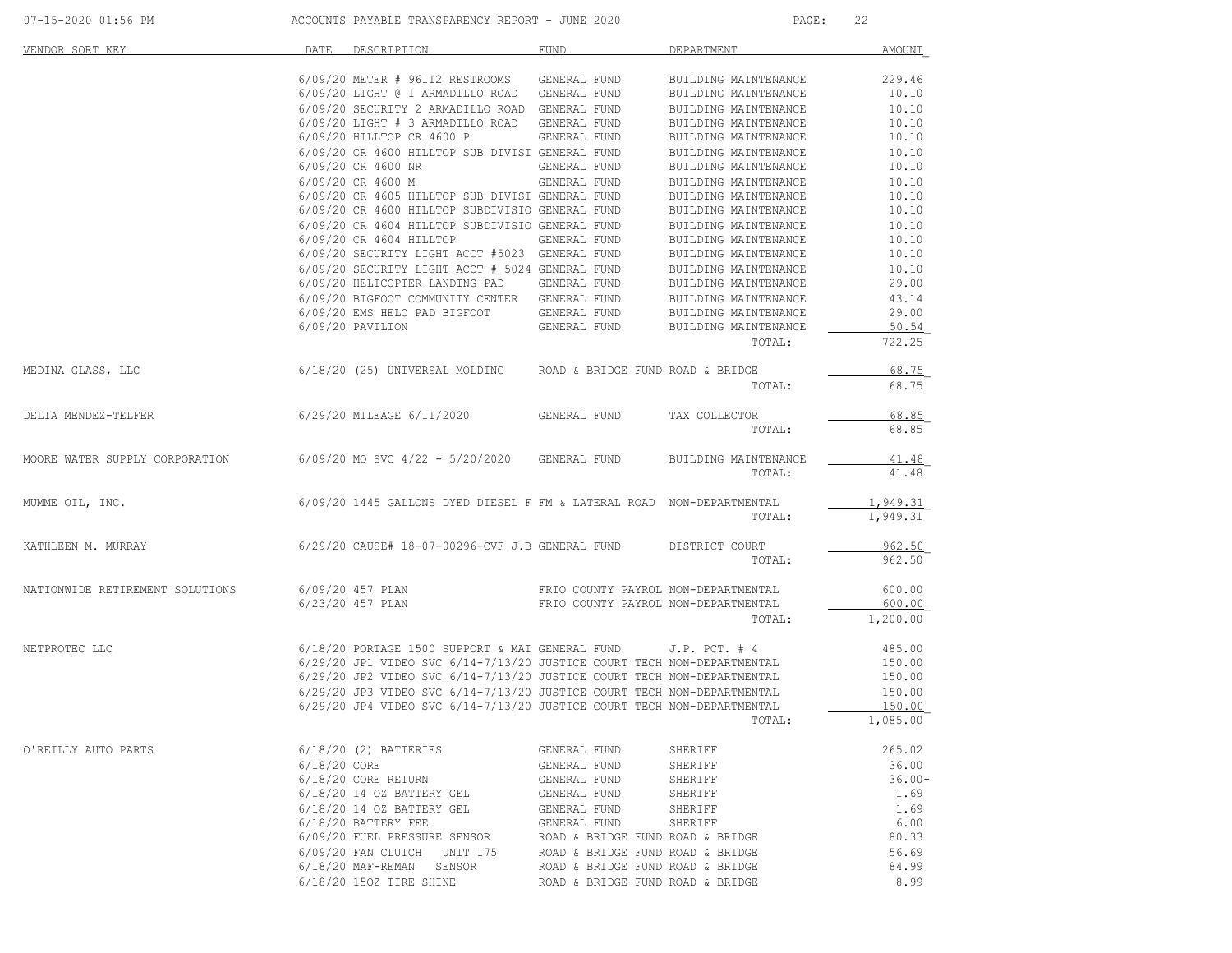| 07-15-2020 01:56 PM             | ACCOUNTS PAYABLE TRANSPARENCY REPORT - JUNE 2020                                |                                     | PAGE:                | 22        |
|---------------------------------|---------------------------------------------------------------------------------|-------------------------------------|----------------------|-----------|
| VENDOR SORT KEY                 | DATE DESCRIPTION                                                                | FUND                                | DEPARTMENT           | AMOUNT    |
|                                 | 6/09/20 METER # 96112 RESTROOMS GENERAL FUND                                    |                                     | BUILDING MAINTENANCE | 229.46    |
|                                 | 6/09/20 LIGHT @ 1 ARMADILLO ROAD GENERAL FUND                                   |                                     | BUILDING MAINTENANCE | 10.10     |
|                                 | 6/09/20 SECURITY 2 ARMADILLO ROAD GENERAL FUND                                  |                                     | BUILDING MAINTENANCE | 10.10     |
|                                 | 6/09/20 LIGHT # 3 ARMADILLO ROAD GENERAL FUND                                   |                                     | BUILDING MAINTENANCE | 10.10     |
|                                 | 6/09/20 HILLTOP CR 4600 P GENERAL FUND                                          |                                     | BUILDING MAINTENANCE | 10.10     |
|                                 | 6/09/20 CR 4600 HILLTOP SUB DIVISI GENERAL FUND                                 |                                     | BUILDING MAINTENANCE | 10.10     |
|                                 | 6/09/20 CR 4600 NR                                                              | GENERAL FUND                        | BUILDING MAINTENANCE | 10.10     |
|                                 |                                                                                 |                                     |                      |           |
|                                 | 6/09/20 CR 4600 M                                                               | GENERAL FUND                        | BUILDING MAINTENANCE | 10.10     |
|                                 | 6/09/20 CR 4605 HILLTOP SUB DIVISI GENERAL FUND                                 |                                     | BUILDING MAINTENANCE | 10.10     |
|                                 | 6/09/20 CR 4600 HILLTOP SUBDIVISIO GENERAL FUND                                 |                                     | BUILDING MAINTENANCE | 10.10     |
|                                 | 6/09/20 CR 4604 HILLTOP SUBDIVISIO GENERAL FUND                                 |                                     | BUILDING MAINTENANCE | 10.10     |
|                                 | 6/09/20 CR 4604 HILLTOP                                                         | GENERAL FUND                        | BUILDING MAINTENANCE | 10.10     |
|                                 | 6/09/20 SECURITY LIGHT ACCT #5023 GENERAL FUND                                  |                                     | BUILDING MAINTENANCE | 10.10     |
|                                 | 6/09/20 SECURITY LIGHT ACCT # 5024 GENERAL FUND                                 |                                     | BUILDING MAINTENANCE | 10.10     |
|                                 | 6/09/20 HELICOPTER LANDING PAD GENERAL FUND                                     |                                     | BUILDING MAINTENANCE | 29.00     |
|                                 | 6/09/20 BIGFOOT COMMUNITY CENTER GENERAL FUND                                   |                                     | BUILDING MAINTENANCE | 43.14     |
|                                 | 6/09/20 EMS HELO PAD BIGFOOT GENERAL FUND                                       |                                     | BUILDING MAINTENANCE | 29.00     |
|                                 | 6/09/20 PAVILION                                                                | GENERAL FUND                        | BUILDING MAINTENANCE | 50.54     |
|                                 |                                                                                 |                                     | TOTAL:               | 722.25    |
| MEDINA GLASS, LLC               | 6/18/20 (25) UNIVERSAL MOLDING ROAD & BRIDGE FUND ROAD & BRIDGE                 |                                     |                      | 68.75     |
|                                 |                                                                                 |                                     | TOTAL:               | 68.75     |
| DELIA MENDEZ-TELFER             | 6/29/20 MILEAGE 6/11/2020 GENERAL FUND                                          |                                     | TAX COLLECTOR        | 68.85     |
|                                 |                                                                                 |                                     | TOTAL:               | 68.85     |
|                                 | MOORE WATER SUPPLY CORPORATION 6/09/20 MO SVC $4/22$ - $5/20/2020$ GENERAL FUND |                                     | BUILDING MAINTENANCE | 41.48     |
|                                 |                                                                                 |                                     | TOTAL:               | 41.48     |
| MUMME OIL, INC.                 | 6/09/20 1445 GALLONS DYED DIESEL F FM & LATERAL ROAD NON-DEPARTMENTAL           |                                     |                      | 1,949.31  |
|                                 |                                                                                 |                                     | TOTAL:               | 1,949.31  |
|                                 | KATHLEEN M. MURRAY 6/29/20 CAUSE# 18-07-00296-CVF J.B GENERAL FUND              |                                     | DISTRICT COURT       | 962.50    |
|                                 |                                                                                 |                                     | TOTAL:               | 962.50    |
| NATIONWIDE RETIREMENT SOLUTIONS | 6/09/20 457 PLAN                                                                | FRIO COUNTY PAYROL NON-DEPARTMENTAL |                      | 600.00    |
|                                 | 6/23/20 457 PLAN                                                                | FRIO COUNTY PAYROL NON-DEPARTMENTAL |                      | 600.00    |
|                                 |                                                                                 |                                     | TOTAL:               | 1,200.00  |
| NETPROTEC LLC                   | 6/18/20 PORTAGE 1500 SUPPORT & MAI GENERAL FUND                                 |                                     | $J.P.$ PCT. $#4$     | 485.00    |
|                                 | 6/29/20 JP1 VIDEO SVC 6/14-7/13/20 JUSTICE COURT TECH NON-DEPARTMENTAL          |                                     |                      | 150.00    |
|                                 | 6/29/20 JP2 VIDEO SVC 6/14-7/13/20 JUSTICE COURT TECH NON-DEPARTMENTAL          |                                     |                      | 150.00    |
|                                 | 6/29/20 JP3 VIDEO SVC 6/14-7/13/20 JUSTICE COURT TECH NON-DEPARTMENTAL          |                                     |                      | 150.00    |
|                                 | 6/29/20 JP4 VIDEO SVC 6/14-7/13/20 JUSTICE COURT TECH NON-DEPARTMENTAL          |                                     |                      | 150.00    |
|                                 |                                                                                 |                                     | TOTAL:               | 1,085.00  |
|                                 |                                                                                 |                                     |                      |           |
| O'REILLY AUTO PARTS             | $6/18/20$ (2) BATTERIES                                                         | GENERAL FUND                        | SHERIFF              | 265.02    |
|                                 | $6/18/20$ CORE                                                                  | GENERAL FUND                        | SHERIFF              | 36.00     |
|                                 | $6/18/20$ CORE RETURN                                                           | GENERAL FUND                        | SHERIFF              | $36.00 -$ |
|                                 | $6/18/20$ 14 OZ BATTERY GEL                                                     | GENERAL FUND                        | SHERIFF              | 1.69      |
|                                 | $6/18/20$ 14 OZ BATTERY GEL                                                     | GENERAL FUND                        | SHERIFF              | 1.69      |
|                                 | $6/18/20$ BATTERY FEE                                                           | GENERAL FUND                        | SHERIFF              | 6.00      |
|                                 | 6/09/20 FUEL PRESSURE SENSOR                                                    | ROAD & BRIDGE FUND ROAD & BRIDGE    |                      | 80.33     |
|                                 | 6/09/20 FAN CLUTCH UNIT 175                                                     | ROAD & BRIDGE FUND ROAD & BRIDGE    |                      | 56.69     |
|                                 | 6/18/20 MAF-REMAN SENSOR                                                        | ROAD & BRIDGE FUND ROAD & BRIDGE    |                      | 84.99     |
|                                 | 6/18/20 150Z TIRE SHINE                                                         |                                     |                      | 8.99      |
|                                 |                                                                                 | ROAD & BRIDGE FUND ROAD & BRIDGE    |                      |           |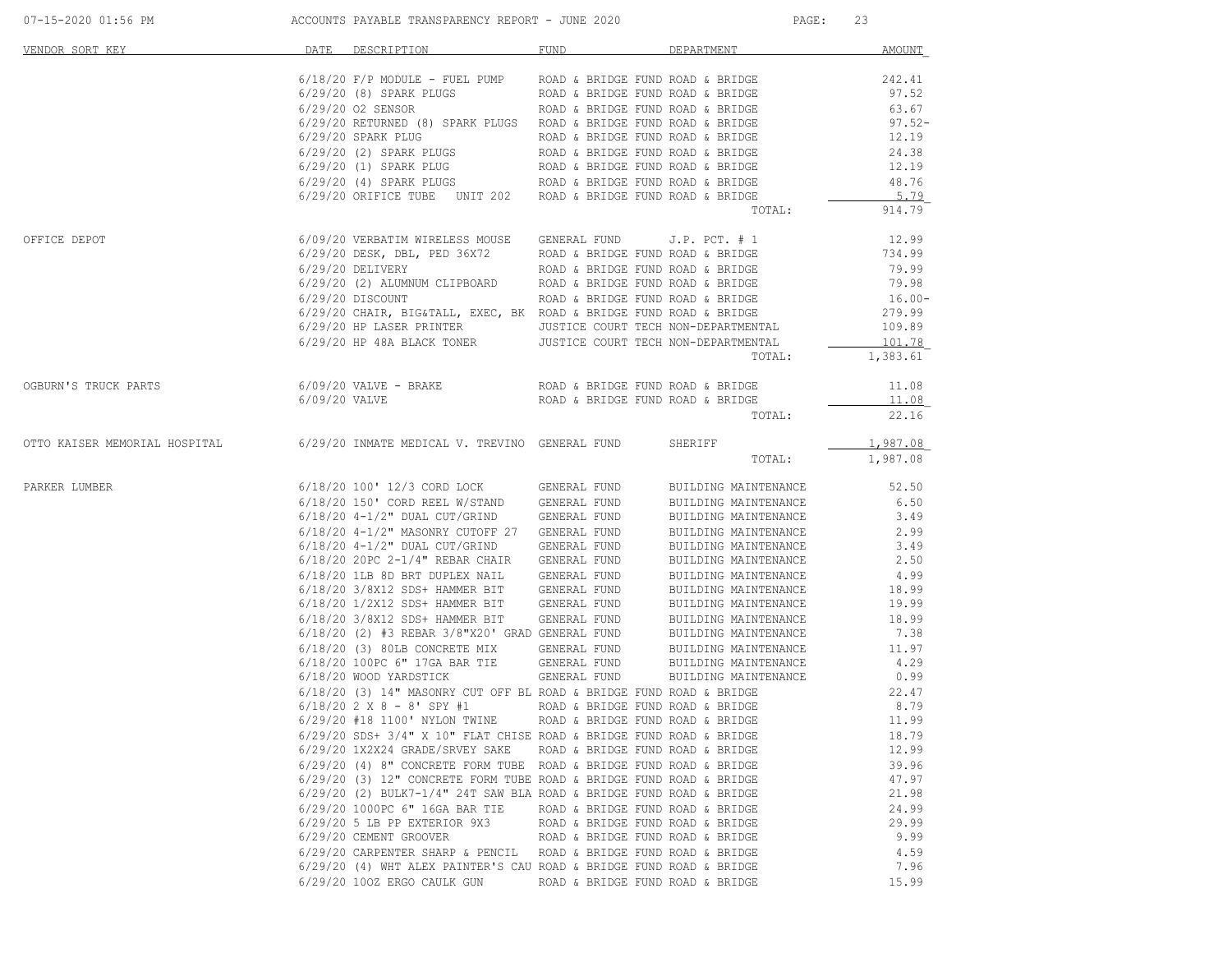| VENDOR SORT KEY                                                                      | DATE DESCRIPTION                                                                                                                                                                                                                        | FUND                             | <b>DEPARTMENT DEPARTMENT</b> | <b>AMOUNT</b>      |  |
|--------------------------------------------------------------------------------------|-----------------------------------------------------------------------------------------------------------------------------------------------------------------------------------------------------------------------------------------|----------------------------------|------------------------------|--------------------|--|
|                                                                                      |                                                                                                                                                                                                                                         |                                  |                              |                    |  |
|                                                                                      |                                                                                                                                                                                                                                         |                                  |                              |                    |  |
|                                                                                      |                                                                                                                                                                                                                                         |                                  |                              |                    |  |
|                                                                                      |                                                                                                                                                                                                                                         |                                  |                              |                    |  |
|                                                                                      |                                                                                                                                                                                                                                         |                                  |                              |                    |  |
|                                                                                      |                                                                                                                                                                                                                                         |                                  |                              |                    |  |
|                                                                                      |                                                                                                                                                                                                                                         |                                  |                              |                    |  |
|                                                                                      |                                                                                                                                                                                                                                         |                                  |                              |                    |  |
|                                                                                      |                                                                                                                                                                                                                                         |                                  | TOTAL:                       | 914.79             |  |
| OFFICE DEPOT                                                                         | $6/09/20$ VERBATIM WIRELESS MOUSE GENERAL FUND J.P. PCT. # 1 $12.99$                                                                                                                                                                    |                                  |                              |                    |  |
|                                                                                      |                                                                                                                                                                                                                                         |                                  |                              |                    |  |
|                                                                                      |                                                                                                                                                                                                                                         |                                  |                              |                    |  |
|                                                                                      |                                                                                                                                                                                                                                         |                                  |                              |                    |  |
|                                                                                      |                                                                                                                                                                                                                                         |                                  |                              |                    |  |
|                                                                                      |                                                                                                                                                                                                                                         |                                  |                              |                    |  |
|                                                                                      |                                                                                                                                                                                                                                         |                                  |                              |                    |  |
|                                                                                      | 6/29/20 DESK, DBL, PED 36X72 ROAD & BRIDGE FUND O.P. PCT. #1<br>6/29/20 DESK, DBL, PED 36X72 ROAD & BRIDGE FUND ROAD & BRIDGE 734.99<br>6/29/20 C2) ALUMNUM CLIPBOARD ROAD & BRIDGE FUND ROAD & BRIDGE 79.99<br>6/29/20 DISCOUNT ROAD & |                                  | TOTAL:                       | 101.78<br>1,383.61 |  |
|                                                                                      |                                                                                                                                                                                                                                         |                                  |                              |                    |  |
| OGBURN'S TRUCK PARTS                                                                 |                                                                                                                                                                                                                                         |                                  |                              | 11.08              |  |
|                                                                                      |                                                                                                                                                                                                                                         |                                  | TOTAL:                       | 11.08<br>22.16     |  |
| OTTO KAISER MEMORIAL HOSPITAL 6/29/20 INMATE MEDICAL V. TREVINO GENERAL FUND SHERIFF |                                                                                                                                                                                                                                         |                                  |                              | 1,987.08           |  |
|                                                                                      |                                                                                                                                                                                                                                         |                                  | TOTAL:                       | 1,987.08           |  |
| PARKER LUMBER                                                                        | 6/18/20 100' 12/3 CORD LOCK GENERAL FUND BUILDING MAINTENANCE<br>6/18/20 150' CORD REEL W/STAND GENERAL FUND BUILDING MAINTENANCE                                                                                                       |                                  | BUILDING MAINTENANCE         | 52.50              |  |
|                                                                                      |                                                                                                                                                                                                                                         |                                  |                              | 6.50               |  |
|                                                                                      | 6/18/20 4-1/2" DUAL CUT/GRIND GENERAL FUND BUILDING MAINTENANCE<br>6/18/20 4-1/2" MASONRY CUTOFF 27 GENERAL FUND BUILDING MAINTENANCE                                                                                                   |                                  |                              | 3.49               |  |
|                                                                                      |                                                                                                                                                                                                                                         |                                  | BUILDING MAINTENANCE         | 2.99               |  |
|                                                                                      | $6/18/20$ $4-1/2$ " DUAL CUT/GRIND GENERAL FUND<br>$6/18/20$ 20PC 2-1/4" REBAR CHAIR GENERAL FUND                                                                                                                                       |                                  | BUILDING MAINTENANCE         | 3.49               |  |
|                                                                                      | $6/18/20$ 20PC $2-1/4$ " REBAR CHAIR GENERAL FUND                                                                                                                                                                                       |                                  | BUILDING MAINTENANCE         | 2.50               |  |
|                                                                                      | 6/18/20 1LB 8D BRT DUPLEX NAIL GENERAL FUND BUILDING MAINTENANCE                                                                                                                                                                        |                                  |                              | 4.99               |  |
|                                                                                      |                                                                                                                                                                                                                                         |                                  |                              |                    |  |
|                                                                                      |                                                                                                                                                                                                                                         |                                  |                              | 18.99              |  |
|                                                                                      | $6/18/20$ $3/8$ X12 SDS+ HAMMER BIT GENERAL FUND BUILDING MAINTENANCE $6/18/20$ (2) #3 REBAR $3/8$ "X20' GRAD GENERAL FUND BUILDING MAINTENANCE                                                                                         |                                  |                              | 7.38               |  |
|                                                                                      |                                                                                                                                                                                                                                         |                                  |                              |                    |  |
|                                                                                      |                                                                                                                                                                                                                                         |                                  |                              |                    |  |
|                                                                                      |                                                                                                                                                                                                                                         |                                  |                              |                    |  |
|                                                                                      | $6/18/20$ (3) 14" MASONRY CUT OFF BL ROAD & BRIDGE FUND ROAD & BRIDGE $6/18/20$ 2 X 8 - 8' SPY #1 ROAD & BRIDGE FUND ROAD & BRIDGE                                                                                                      |                                  |                              | 22.47              |  |
|                                                                                      |                                                                                                                                                                                                                                         |                                  |                              | 8.79               |  |
|                                                                                      | 6/29/20 #18 1100' NYLON TWINE                                                                                                                                                                                                           | ROAD & BRIDGE FUND ROAD & BRIDGE |                              | 11.99              |  |
|                                                                                      | $6/29/20$ SDS+ $3/4$ " X 10" FLAT CHISE ROAD & BRIDGE FUND ROAD & BRIDGE                                                                                                                                                                |                                  |                              | 18.79              |  |
|                                                                                      | 6/29/20 1X2X24 GRADE/SRVEY SAKE                                                                                                                                                                                                         | ROAD & BRIDGE FUND ROAD & BRIDGE |                              | 12.99              |  |
|                                                                                      | 6/29/20 (4) 8" CONCRETE FORM TUBE ROAD & BRIDGE FUND ROAD & BRIDGE<br>6/29/20 (3) 12" CONCRETE FORM TUBE ROAD & BRIDGE FUND ROAD & BRIDGE                                                                                               |                                  |                              | 39.96              |  |
|                                                                                      | $6/29/20$ (2) BULK7-1/4" 24T SAW BLA ROAD & BRIDGE FUND ROAD & BRIDGE                                                                                                                                                                   |                                  |                              | 47.97<br>21.98     |  |
|                                                                                      | 6/29/20 1000PC 6" 16GA BAR TIE                                                                                                                                                                                                          | ROAD & BRIDGE FUND ROAD & BRIDGE |                              | 24.99              |  |
|                                                                                      | 6/29/20 5 LB PP EXTERIOR 9X3                                                                                                                                                                                                            | ROAD & BRIDGE FUND ROAD & BRIDGE |                              | 29.99              |  |
|                                                                                      | 6/29/20 CEMENT GROOVER                                                                                                                                                                                                                  | ROAD & BRIDGE FUND ROAD & BRIDGE |                              | 9.99               |  |
|                                                                                      | 6/29/20 CARPENTER SHARP & PENCIL ROAD & BRIDGE FUND ROAD & BRIDGE                                                                                                                                                                       |                                  |                              | 4.59               |  |
|                                                                                      | 6/29/20 (4) WHT ALEX PAINTER'S CAU ROAD & BRIDGE FUND ROAD & BRIDGE                                                                                                                                                                     |                                  |                              | 7.96               |  |
|                                                                                      | 6/29/20 100Z ERGO CAULK GUN                                                                                                                                                                                                             | ROAD & BRIDGE FUND ROAD & BRIDGE |                              | 15.99              |  |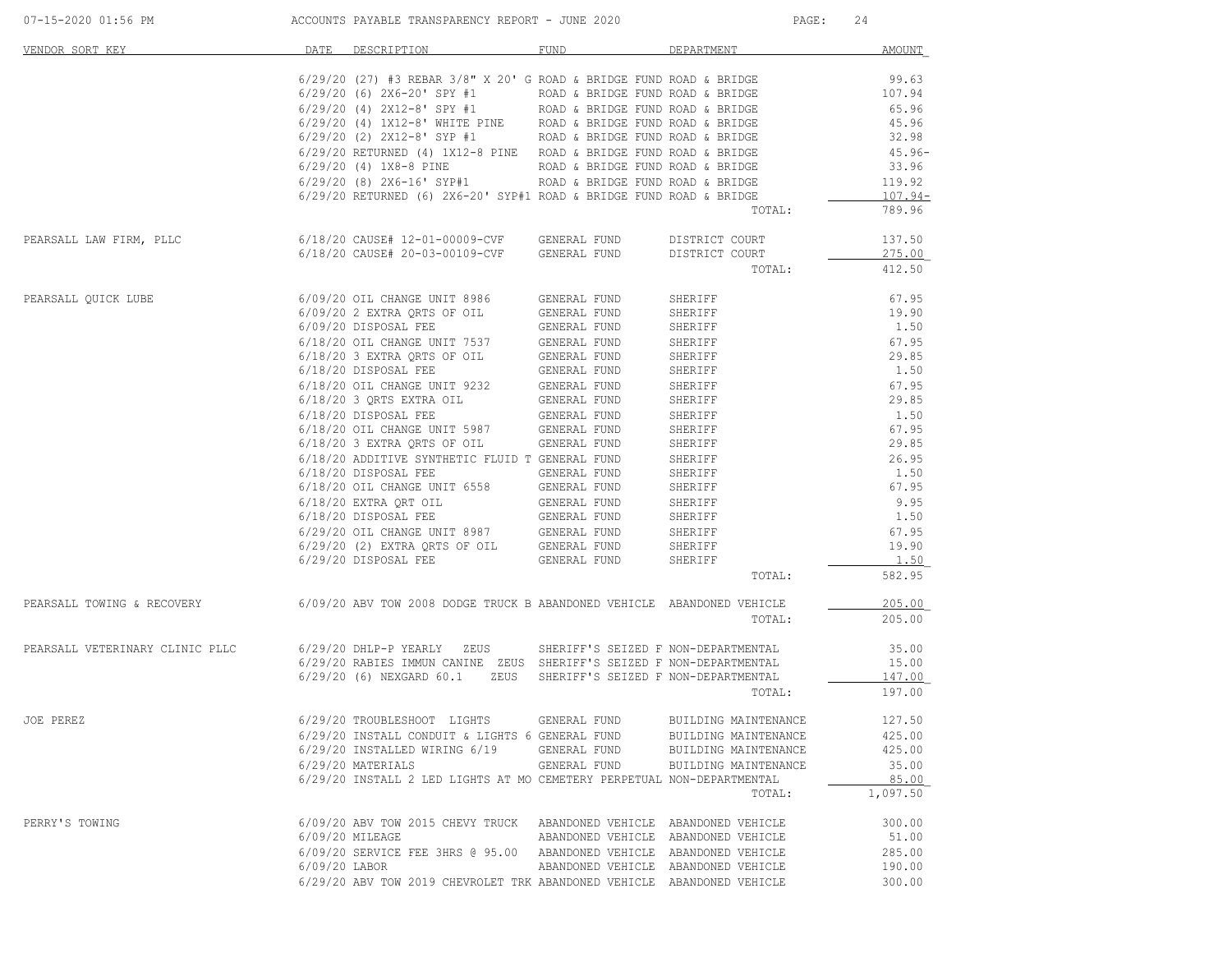| 07-15-2020 01:56 PM                                                                               | ACCOUNTS PAYABLE TRANSPARENCY REPORT - JUNE 2020 |                                                                                                         |                                     |                                  | PAGE:<br>24         |  |
|---------------------------------------------------------------------------------------------------|--------------------------------------------------|---------------------------------------------------------------------------------------------------------|-------------------------------------|----------------------------------|---------------------|--|
| VENDOR SORT KEY                                                                                   | DATE                                             | DESCRIPTION                                                                                             | FUND                                | DEPARTMENT                       | <b>AMOUNT</b>       |  |
|                                                                                                   |                                                  | $6/29/20$ (27) #3 REBAR 3/8" X 20' G ROAD & BRIDGE FUND ROAD & BRIDGE                                   |                                     |                                  | 99.63               |  |
|                                                                                                   |                                                  | $6/29/20$ (6) $2X6-20$ SPY #1 ROAD & BRIDGE FUND ROAD & BRIDGE                                          |                                     |                                  | 107.94              |  |
|                                                                                                   |                                                  | $6/29/20$ (4) $2X12-8$ ' SPY #1 ROAD & BRIDGE FUND ROAD & BRIDGE                                        |                                     |                                  | 65.96               |  |
|                                                                                                   |                                                  | $6/29/20$ (4) $1X12-8$ ' WHITE PINE ROAD & BRIDGE FUND ROAD & BRIDGE                                    |                                     |                                  | 45.96               |  |
|                                                                                                   |                                                  | $6/29/20$ (2) $2X12-8$ ' SYP #1 ROAD & BRIDGE FUND ROAD & BRIDGE                                        |                                     |                                  | 32.98               |  |
|                                                                                                   |                                                  | 6/29/20 RETURNED (4) 1X12-8 PINE ROAD & BRIDGE FUND ROAD & BRIDGE                                       |                                     |                                  | $45.96 -$           |  |
|                                                                                                   |                                                  | $6/29/20$ (4) $1X8-8$ PINE ROAD & BRIDGE FUND ROAD & BRIDGE                                             |                                     |                                  | 33.96               |  |
|                                                                                                   |                                                  | $6/29/20$ (8) $2X6-16$ ' SYP#1 ROAD & BRIDGE FUND ROAD & BRIDGE                                         |                                     |                                  | 119.92              |  |
|                                                                                                   |                                                  | $6/29/20$ RETURNED (6) 2X6-20' SYP#1 ROAD & BRIDGE FUND ROAD & BRIDGE                                   |                                     | TOTAL:                           | $107.94-$<br>789.96 |  |
|                                                                                                   |                                                  |                                                                                                         |                                     |                                  | 137.50              |  |
| PEARSALL LAW FIRM, PLLC                                                                           |                                                  | $6/18/20$ CAUSE# 12-01-00009-CVF GENERAL FUND<br>6/18/20 CAUSE# 20-03-00109-CVF                         | GENERAL FUND                        | DISTRICT COURT<br>DISTRICT COURT | 275.00              |  |
|                                                                                                   |                                                  |                                                                                                         |                                     | TOTAL:                           | 412.50              |  |
|                                                                                                   |                                                  |                                                                                                         |                                     |                                  |                     |  |
| PEARSALL QUICK LUBE                                                                               |                                                  | 6/09/20 OIL CHANGE UNIT 8986                                                                            | GENERAL FUND                        | SHERIFF                          | 67.95               |  |
|                                                                                                   |                                                  | 6/09/20 2 EXTRA QRTS OF OIL                                                                             | GENERAL FUND                        | SHERIFF                          | 19.90               |  |
|                                                                                                   |                                                  | 6/09/20 DISPOSAL FEE                                                                                    | GENERAL FUND                        | SHERIFF                          | 1.50                |  |
|                                                                                                   |                                                  |                                                                                                         |                                     | SHERIFF                          | 67.95               |  |
|                                                                                                   |                                                  |                                                                                                         |                                     | SHERIFF                          | 29.85               |  |
|                                                                                                   |                                                  | 6/18/20 DISPOSAL FEE                                                                                    | GENERAL FUND                        | SHERIFF                          | 1.50                |  |
|                                                                                                   |                                                  |                                                                                                         |                                     | SHERIFF                          | 67.95               |  |
|                                                                                                   |                                                  |                                                                                                         |                                     | SHERIFF                          | 29.85               |  |
|                                                                                                   |                                                  |                                                                                                         |                                     | SHERIFF                          | 1.50                |  |
|                                                                                                   |                                                  |                                                                                                         |                                     | SHERIFF                          | 67.95               |  |
|                                                                                                   |                                                  | 6/18/20 3 EXTRA QRTS OF OIL                                                                             | GENERAL FUND                        | SHERIFF                          | 29.85               |  |
|                                                                                                   |                                                  | 6/18/20 ADDITIVE SYNTHETIC FLUID T GENERAL FUND                                                         |                                     | SHERIFF                          | 26.95               |  |
|                                                                                                   |                                                  | 6/18/20 DISPOSAL FEE                                                                                    | GENERAL FUND                        | SHERIFF                          | 1.50                |  |
|                                                                                                   |                                                  | $6/18/20$ OIL CHANGE UNIT $6558$                                                                        | GENERAL FUND                        | SHERIFF                          | 67.95               |  |
|                                                                                                   |                                                  |                                                                                                         |                                     | SHERIFF                          | 9.95                |  |
|                                                                                                   |                                                  | 6/18/20 EXTRA QRT OIL<br>6/18/20 DISPOSAL FEE GENERAL FUND<br>6/29/20 OIL CHANGE UNIT 8987 GENERAL FUND |                                     | SHERIFF                          | 1.50                |  |
|                                                                                                   |                                                  |                                                                                                         |                                     | SHERIFF                          | 67.95               |  |
|                                                                                                   |                                                  | 6/29/20 (2) EXTRA QRTS OF OIL GENERAL FUND<br>6/29/20 (2) EXTRA QRTS OF OIL GENERAL FUND                |                                     | SHERIFF                          | 19.90               |  |
|                                                                                                   |                                                  |                                                                                                         |                                     | SHERIFF                          | 1.50                |  |
|                                                                                                   |                                                  |                                                                                                         |                                     | TOTAL:                           | 582.95              |  |
| PEARSALL TOWING & RECOVERY 6/09/20 ABV TOW 2008 DODGE TRUCK B ABANDONED VEHICLE ABANDONED VEHICLE |                                                  |                                                                                                         |                                     |                                  | 205.00              |  |
|                                                                                                   |                                                  |                                                                                                         |                                     | TOTAL:                           | 205.00              |  |
| PEARSALL VETERINARY CLINIC PLLC                                                                   |                                                  | 6/29/20 DHLP-P YEARLY ZEUS                                                                              | SHERIFF'S SEIZED F NON-DEPARTMENTAL |                                  | 35.00               |  |
|                                                                                                   |                                                  | 6/29/20 RABIES IMMUN CANINE ZEUS SHERIFF'S SEIZED F NON-DEPARTMENTAL                                    |                                     |                                  | 15.00               |  |
|                                                                                                   |                                                  | 6/29/20 (6) NEXGARD 60.1<br>ZEUS                                                                        | SHERIFF'S SEIZED F NON-DEPARTMENTAL |                                  | 147.00              |  |
|                                                                                                   |                                                  |                                                                                                         |                                     | TOTAL:                           | 197.00              |  |
| JOE PEREZ                                                                                         |                                                  | 6/29/20 TROUBLESHOOT LIGHTS                                                                             | GENERAL FUND                        | BUILDING MAINTENANCE             | 127.50              |  |
|                                                                                                   |                                                  | 6/29/20 INSTALL CONDUIT & LIGHTS 6 GENERAL FUND                                                         |                                     | BUILDING MAINTENANCE             | 425.00              |  |
|                                                                                                   |                                                  | 6/29/20 INSTALLED WIRING 6/19                                                                           | GENERAL FUND                        | BUILDING MAINTENANCE             | 425.00              |  |
|                                                                                                   |                                                  | 6/29/20 MATERIALS                                                                                       | GENERAL FUND                        | BUILDING MAINTENANCE             | 35.00               |  |
|                                                                                                   |                                                  | 6/29/20 INSTALL 2 LED LIGHTS AT MO CEMETERY PERPETUAL NON-DEPARTMENTAL                                  |                                     |                                  | 85.00               |  |
|                                                                                                   |                                                  |                                                                                                         |                                     | TOTAL:                           | 1,097.50            |  |
| PERRY'S TOWING                                                                                    |                                                  | 6/09/20 ABV TOW 2015 CHEVY TRUCK ABANDONED VEHICLE ABANDONED VEHICLE                                    |                                     |                                  | 300.00              |  |
|                                                                                                   | 6/09/20 MILEAGE                                  |                                                                                                         | ABANDONED VEHICLE ABANDONED VEHICLE |                                  | 51.00               |  |
|                                                                                                   |                                                  | 6/09/20 SERVICE FEE 3HRS @ 95.00 ABANDONED VEHICLE ABANDONED VEHICLE                                    |                                     |                                  | 285.00              |  |
|                                                                                                   | $6/09/20$ LABOR                                  |                                                                                                         | ABANDONED VEHICLE ABANDONED VEHICLE |                                  | 190.00              |  |
|                                                                                                   |                                                  | 6/29/20 ABV TOW 2019 CHEVROLET TRK ABANDONED VEHICLE ABANDONED VEHICLE                                  |                                     |                                  | 300.00              |  |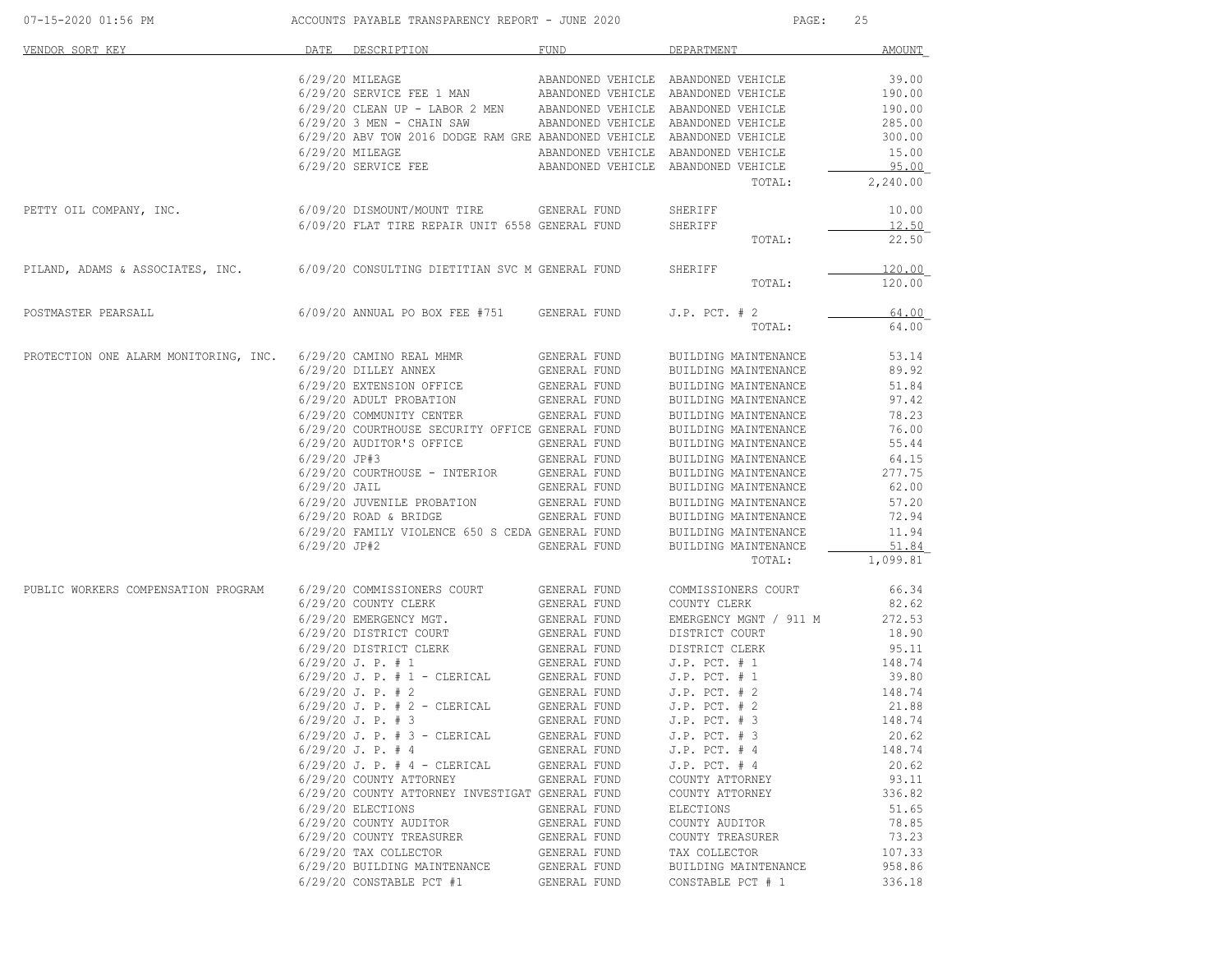| 07-15-2020 01:56 PM                                                              |                | ACCOUNTS PAYABLE TRANSPARENCY REPORT - JUNE 2020                                                   |                              | PAGE:                                           | 25              |
|----------------------------------------------------------------------------------|----------------|----------------------------------------------------------------------------------------------------|------------------------------|-------------------------------------------------|-----------------|
| VENDOR SORT KEY                                                                  |                | DATE DESCRIPTION                                                                                   | FUND                         | DEPARTMENT                                      | AMOUNT          |
|                                                                                  |                | 6/29/20 MILEAGE                                                                                    |                              | ABANDONED VEHICLE ABANDONED VEHICLE             | 39.00           |
|                                                                                  |                | 6/29/20 SERVICE FEE 1 MAN ABANDONED VEHICLE ABANDONED VEHICLE                                      |                              |                                                 | 190.00          |
|                                                                                  |                | 6/29/20 CLEAN UP - LABOR 2 MEN ABANDONED VEHICLE ABANDONED VEHICLE                                 |                              |                                                 | 190.00          |
|                                                                                  |                | $6/29/20$ 3 MEN - CHAIN SAW                                                                        |                              | ABANDONED VEHICLE ABANDONED VEHICLE             | 285.00          |
|                                                                                  |                | 6/29/20 ABV TOW 2016 DODGE RAM GRE ABANDONED VEHICLE ABANDONED VEHICLE                             |                              |                                                 | 300.00          |
|                                                                                  |                | 6/29/20 MILEAGE                                                                                    |                              | ABANDONED VEHICLE ABANDONED VEHICLE             | 15.00           |
|                                                                                  |                | 6/29/20 SERVICE FEE                                                                                |                              | ABANDONED VEHICLE ABANDONED VEHICLE             | 95.00           |
|                                                                                  |                |                                                                                                    |                              | TOTAL:                                          | 2,240.00        |
| PETTY OIL COMPANY, INC.                                                          |                | 6/09/20 DISMOUNT/MOUNT TIRE        GENERAL FUND<br>6/09/20 FLAT TIRE REPAIR UNIT 6558 GENERAL FUND |                              | SHERIFF                                         | 10.00           |
|                                                                                  |                |                                                                                                    |                              | SHERIFF                                         | 12.50           |
|                                                                                  |                |                                                                                                    |                              | TOTAL:                                          | 22.50           |
| PILAND, ADAMS & ASSOCIATES, INC. 6/09/20 CONSULTING DIETITIAN SVC M GENERAL FUND |                |                                                                                                    |                              | SHERIFF                                         | 120.00          |
|                                                                                  |                |                                                                                                    |                              | TOTAL:                                          | 120.00          |
| POSTMASTER PEARSALL                                                              |                | 6/09/20 ANNUAL PO BOX FEE #751 GENERAL FUND                                                        |                              | $J.P.$ PCT. $# 2$                               | 64.00           |
|                                                                                  |                |                                                                                                    |                              | TOTAL:                                          | 64.00           |
| PROTECTION ONE ALARM MONITORING, INC. 6/29/20 CAMINO REAL MHMR                   |                |                                                                                                    | GENERAL FUND                 | BUILDING MAINTENANCE                            | 53.14           |
|                                                                                  |                | 6/29/20 DILLEY ANNEX                                                                               | GENERAL FUND                 | BUILDING MAINTENANCE                            | 89.92           |
|                                                                                  |                | 6/29/20 EXTENSION OFFICE                                                                           | GENERAL FUND                 | BUILDING MAINTENANCE                            | 51.84           |
|                                                                                  |                | 6/29/20 ADULT PROBATION                                                                            | GENERAL FUND                 | BUILDING MAINTENANCE                            | 97.42           |
|                                                                                  |                | 6/29/20 COMMUNITY CENTER                                                                           | GENERAL FUND                 | BUILDING MAINTENANCE<br>BUILDING MAINTENANCE    | 78.23           |
|                                                                                  |                | 6/29/20 COURTHOUSE SECURITY OFFICE GENERAL FUND                                                    |                              |                                                 | 76.00           |
|                                                                                  |                | 6/29/20 AUDITOR'S OFFICE                                                                           | GENERAL FUND                 | BUILDING MAINTENANCE                            | 55.44           |
|                                                                                  | $6/29/20$ JP#3 |                                                                                                    | GENERAL FUND                 | BUILDING MAINTENANCE                            | 64.15           |
|                                                                                  |                | 6/29/20 COURTHOUSE - INTERIOR GENERAL FUND                                                         |                              | BUILDING MAINTENANCE                            | 277.75          |
|                                                                                  | $6/29/20$ JAIL |                                                                                                    | GENERAL FUND                 | BUILDING MAINTENANCE                            | 62.00           |
|                                                                                  |                | 6/29/20 JUVENILE PROBATION                                                                         | GENERAL FUND                 | BUILDING MAINTENANCE                            | 57.20           |
|                                                                                  |                | $6/29/20$ ROAD & BRIDGE                                                                            | GENERAL FUND                 | BUILDING MAINTENANCE                            | 72.94           |
|                                                                                  |                | 6/29/20 FAMILY VIOLENCE 650 S CEDA GENERAL FUND                                                    |                              | BUILDING MAINTENANCE                            | 11.94           |
|                                                                                  | $6/29/20$ JP#2 |                                                                                                    | GENERAL FUND                 | BUILDING MAINTENANCE                            | 51.84           |
|                                                                                  |                |                                                                                                    |                              | TOTAL:                                          | 1,099.81        |
| PUBLIC WORKERS COMPENSATION PROGRAM 6/29/20 COMMISSIONERS COURT                  |                |                                                                                                    | GENERAL FUND                 | COMMISSIONERS COURT                             | 66.34           |
|                                                                                  |                | 6/29/20 COUNTY CLERK                                                                               | GENERAL FUND                 | COUNTY CLERK                                    | 82.62           |
|                                                                                  |                | 6/29/20 EMERGENCY MGT.                                                                             | GENERAL FUND                 | EMERGENCY MGNT / 911 M                          | 272.53          |
|                                                                                  |                | $6/29/20$ DISTRICT COURT $\hfill \text{GENERAL FUND}$                                              |                              | DISTRICT COURT                                  | 18.90           |
|                                                                                  |                | 6/29/20 DISTRICT CLERK                                                                             | GENERAL FUND<br>GENERAL FUND | DISTRICT CLERK                                  | 95.11           |
|                                                                                  |                | $6/29/20$ J. P. # 1                                                                                |                              | $J.P.$ PCT. # 1                                 | 148.74<br>39.80 |
|                                                                                  |                | $6/29/20$ J. P. # 1 - CLERICAL                                                                     | GENERAL FUND                 | J.P. PCT. $\pi$ +<br>J.P. PCT. # 1<br>$\pi$ + 2 |                 |
|                                                                                  |                | $6/29/20$ J. P. # 2                                                                                | GENERAL FUND                 | J.P. PCT. # 2<br>J.P. PCT. # 2                  | 148.74<br>21.88 |
|                                                                                  |                | $6/29/20$ J. P. # 2 - CLERICAL<br>$6/29/20$ J. P. # 3                                              | GENERAL FUND<br>GENERAL FUND | $J.P.$ PCT. $# 2$<br>$J.P.$ PCT. $# 3$          | 148.74          |
|                                                                                  |                | $6/29/20$ J. P. # 3 - CLERICAL                                                                     | GENERAL FUND                 | $J.P.$ PCT. $# 3$                               | 20.62           |
|                                                                                  |                | $6/29/20$ J. P. # 4                                                                                | GENERAL FUND                 | $J.P.$ PCT. $# 4$                               | 148.74          |
|                                                                                  |                | $6/29/20$ J. P. # 4 - CLERICAL                                                                     | GENERAL FUND                 | $J.P.$ PCT. $# 4$                               | 20.62           |
|                                                                                  |                | 6/29/20 COUNTY ATTORNEY                                                                            | GENERAL FUND                 | COUNTY ATTORNEY                                 | 93.11           |
|                                                                                  |                | 6/29/20 COUNTY ATTORNEY INVESTIGAT GENERAL FUND                                                    |                              | COUNTY ATTORNEY                                 | 336.82          |
|                                                                                  |                | 6/29/20 ELECTIONS                                                                                  | GENERAL FUND                 | <b>ELECTIONS</b>                                | 51.65           |
|                                                                                  |                | 6/29/20 COUNTY AUDITOR                                                                             | GENERAL FUND                 | COUNTY AUDITOR                                  | 78.85           |
|                                                                                  |                | 6/29/20 COUNTY TREASURER                                                                           | GENERAL FUND                 | COUNTY TREASURER                                | 73.23           |
|                                                                                  |                | 6/29/20 TAX COLLECTOR                                                                              | GENERAL FUND                 | TAX COLLECTOR                                   | 107.33          |
|                                                                                  |                | 6/29/20 BUILDING MAINTENANCE                                                                       | GENERAL FUND                 | BUILDING MAINTENANCE                            | 958.86          |
|                                                                                  |                | 6/29/20 CONSTABLE PCT #1                                                                           | GENERAL FUND                 | CONSTABLE PCT # 1                               | 336.18          |
|                                                                                  |                |                                                                                                    |                              |                                                 |                 |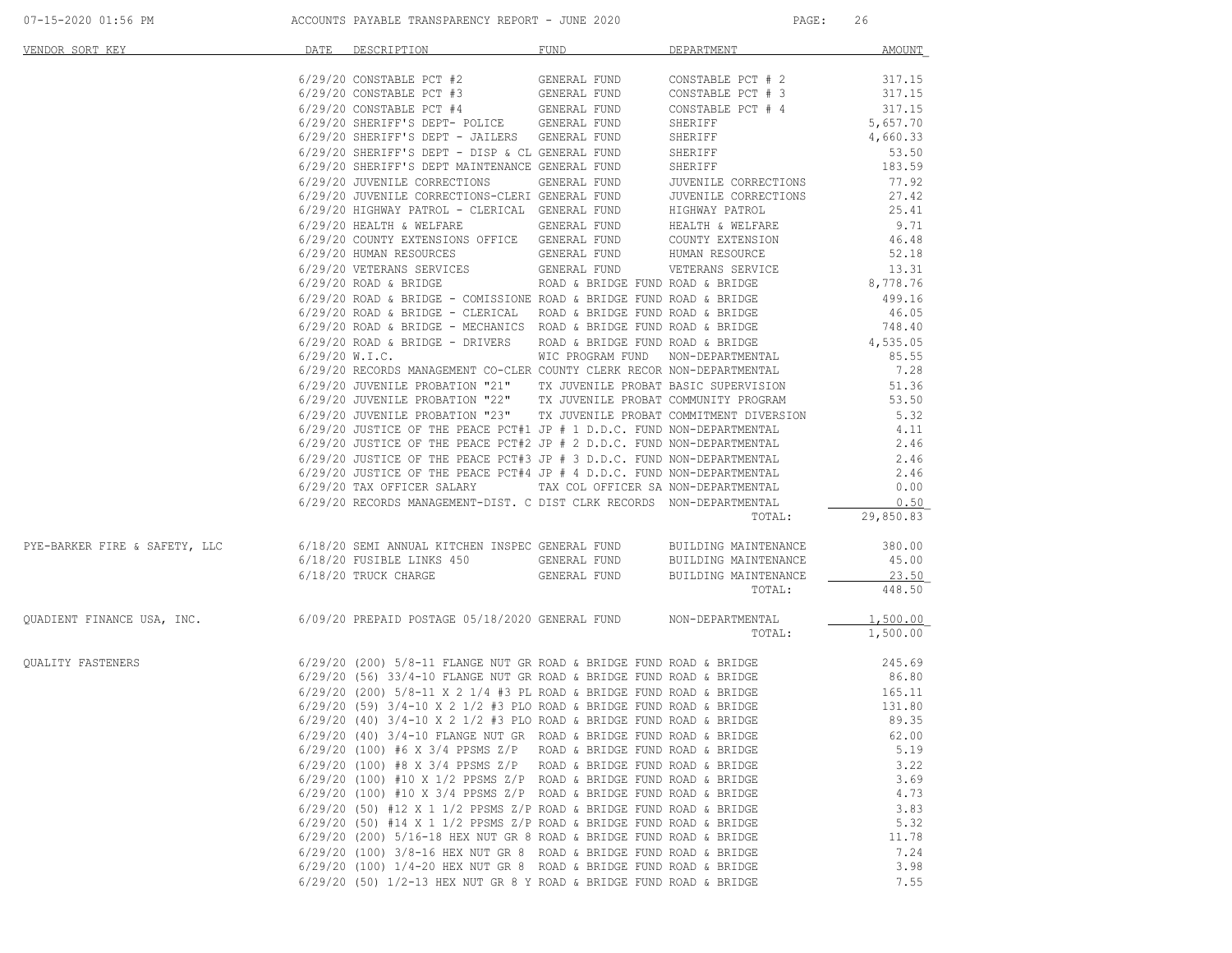| VENDOR SORT KEY                                                                                           | DATE | DESCRIPTION                                                                                                                                                                                                                             | FUND | DEPARTMENT | AMOUNT               |
|-----------------------------------------------------------------------------------------------------------|------|-----------------------------------------------------------------------------------------------------------------------------------------------------------------------------------------------------------------------------------------|------|------------|----------------------|
|                                                                                                           |      |                                                                                                                                                                                                                                         |      |            |                      |
|                                                                                                           |      |                                                                                                                                                                                                                                         |      |            |                      |
|                                                                                                           |      |                                                                                                                                                                                                                                         |      |            | 317.15               |
|                                                                                                           |      | 6/29/20 CONSTABLE $FCT + 4$<br>6/29/20 SHERIFF'S DEPT-POLICE GENERAL FUND                                                                                                                                                               |      | SHERIFF    | 5,657.70<br>4,660.33 |
|                                                                                                           |      | 6/29/20 SHERIFF'S DEPT - JAILERS GENERAL FUND                                                                                                                                                                                           |      | SHERIFF    | 4,660.33             |
|                                                                                                           |      | $6/29/20$ SHERIFF'S DEPT - DISP & CL GENERAL FUND                                                                                                                                                                                       |      | SHERIFF    | 53.50                |
|                                                                                                           |      | 6/29/20 SHERIFF'S DEPT MAINTENANCE GENERAL FUND                                                                                                                                                                                         |      | SHERIFF    | 183.59               |
|                                                                                                           |      | 6/29/20 JUVENILE CORRECTIONS GENERAL FUND JUVENILE CORRECTIONS                                                                                                                                                                          |      |            | 77.92                |
|                                                                                                           |      | 6/29/20 JUVENILE CORRECTIONS-CLERI GENERAL FUND<br>$6/29/20$ JUVENILE CORRECTIONS-CLERI GENERAL FUND $\,$ JUVENILE CORRECTIONS $6/29/20$ HIGHWAY PATROL - CLERICAL GENERAL FUND HIGHWAY PATROL                                          |      |            | 27.42                |
|                                                                                                           |      |                                                                                                                                                                                                                                         |      |            | 25.41                |
|                                                                                                           |      | $6/29/20$ HEALTH & WELFARE GENERAL FUND HEALTH & WELFARE $6/29/20$ COUNTY EXTENSIONS OFFICE GENERAL FUND COUNTY EXTENSION                                                                                                               |      |            | 9.71                 |
|                                                                                                           |      |                                                                                                                                                                                                                                         |      |            | 46.48                |
|                                                                                                           |      |                                                                                                                                                                                                                                         |      |            |                      |
|                                                                                                           |      | 6/29/20 HUMAN RESOURCES<br>6/29/20 VETERANS SERVICES GENERAL FUND WETERANS SERVICE 52.18<br>6/29/20 ROAD & BRIDGE ROAD & BRIDGE ROAD & BRIDGE RUND ROAD & BRIDGE 8,778.76                                                               |      |            |                      |
|                                                                                                           |      |                                                                                                                                                                                                                                         |      |            |                      |
|                                                                                                           |      | 6/29/20 ROAD & BRIDGE – COMISSIONE ROAD & BRIDGE FUND ROAD & BRIDGE (29/20 ROAD & BRIDGE – CLERICAL ROAD & BRIDGE FUND ROAD & BRIDGE (499.16)<br>6/29/20 ROAD & BRIDGE – MECHANICS ROAD & BRIDGE FUND ROAD & BRIDGE (46.05)<br>6/29/    |      |            |                      |
|                                                                                                           |      |                                                                                                                                                                                                                                         |      |            |                      |
|                                                                                                           |      |                                                                                                                                                                                                                                         |      |            |                      |
|                                                                                                           |      |                                                                                                                                                                                                                                         |      |            |                      |
|                                                                                                           |      |                                                                                                                                                                                                                                         |      |            |                      |
|                                                                                                           |      |                                                                                                                                                                                                                                         |      |            |                      |
|                                                                                                           |      | $6/29/20$ JUVENILE PROBATION "21" TX JUVENILE PROBAT BASIC SUPERVISION 51.36 $6/29/20$ JUVENILE PROBATION "22" TX JUVENILE PROBAT COMMUNITY PROGRAM 53.50                                                                               |      |            |                      |
|                                                                                                           |      | 6/29/20 JUVENILE PROBATION "23" TX JUVENILE PROBAT COMMITMENT DIVERSION 5.32                                                                                                                                                            |      |            |                      |
|                                                                                                           |      |                                                                                                                                                                                                                                         |      |            |                      |
|                                                                                                           |      | 6/29/20 JUSTICE OF THE PEACE PCT#1 JP # 1 D.D.C. FUND NON-DEPARTMENTAL $6/29/20$ JUSTICE OF THE PEACE PCT#2 JP # 2 D.D.C. FUND NON-DEPARTMENTAL $2.46$                                                                                  |      |            |                      |
|                                                                                                           |      |                                                                                                                                                                                                                                         |      |            |                      |
|                                                                                                           |      | 6/29/20 JUSTICE OF THE PEACE PCT#3 JP # 3 D.D.C. FUND NON-DEPARTMENTAL 2.46<br>6/29/20 JUSTICE OF THE PEACE PCT#4 JP # 4 D.D.C. FUND NON-DEPARTMENTAL 2.46<br>6/29/20 TAX OFFICER SALARY TAX COL OFFICER SA NON-DEPARTMENTAL 0.00<br>6  |      |            |                      |
|                                                                                                           |      |                                                                                                                                                                                                                                         |      |            |                      |
|                                                                                                           |      | 6/29/20 RECORDS MANAGEMENT-DIST. C DIST CLRK RECORDS NON-DEPARTMENTAL                                                                                                                                                                   |      |            | 0.50                 |
|                                                                                                           |      |                                                                                                                                                                                                                                         |      |            | TOTAL: 29,850.83     |
| PYE-BARKER FIRE & SAFETY, LLC 6/18/20 SEMI ANNUAL KITCHEN INSPEC GENERAL FUND BUILDING MAINTENANCE 380.00 |      |                                                                                                                                                                                                                                         |      |            |                      |
|                                                                                                           |      |                                                                                                                                                                                                                                         |      |            | 45.00                |
|                                                                                                           |      | $\texttt{6/18/20 FUSIBLE LINKS 450} \begin{array}{c} \texttt{GENERAL FUND} \end{array} \begin{array}{c} \texttt{BULDING MATINENANCE} \end{array}$                                                                                       |      |            | $-23.50$             |
|                                                                                                           |      |                                                                                                                                                                                                                                         |      | TOTAL:     | 448.50               |
| QUADIENT FINANCE USA, INC. 6/09/20 PREPAID POSTAGE 05/18/2020 GENERAL FUND NON-DEPARTMENTAL               |      |                                                                                                                                                                                                                                         |      |            | 1,500.00             |
|                                                                                                           |      |                                                                                                                                                                                                                                         |      | TOTAL:     | 1,500.00             |
| QUALITY FASTENERS                                                                                         |      | 6/29/20 (200) 5/8-11 FLANGE NUT GR ROAD & BRIDGE FUND ROAD & BRIDGE 245.69<br>6/29/20 (56) 33/4-10 FLANGE NUT GR ROAD & BRIDGE FUND ROAD & BRIDGE 36.80                                                                                 |      |            |                      |
|                                                                                                           |      |                                                                                                                                                                                                                                         |      |            |                      |
|                                                                                                           |      |                                                                                                                                                                                                                                         |      |            |                      |
|                                                                                                           |      | 6/29/20 (30) 33/4-10 ELENOLD NOTE & BRIDGE TUND ROAD & BRIDGE 165.11<br>6/29/20 (59) 3/4-10 x 2 1/2 #3 PLO ROAD & BRIDGE FUND ROAD & BRIDGE 131.80<br>6/29/20 (40) 3/4-10 x 2 1/2 #3 PLO ROAD & BRIDGE FUND ROAD & BRIDGE 131.80<br>6/2 |      |            |                      |
|                                                                                                           |      |                                                                                                                                                                                                                                         |      |            |                      |
|                                                                                                           |      | 6/29/20 (40) 3/4-10 FLANGE NUT GR ROAD & BRIDGE FUND ROAD & BRIDGE                                                                                                                                                                      |      |            | 62.00                |
|                                                                                                           |      | $6/29/20$ (100) #6 X 3/4 PPSMS Z/P ROAD & BRIDGE FUND ROAD & BRIDGE                                                                                                                                                                     |      |            | 5.19                 |
|                                                                                                           |      | $6/29/20$ (100) #8 X 3/4 PPSMS Z/P ROAD & BRIDGE FUND ROAD & BRIDGE                                                                                                                                                                     |      |            | 3.22                 |
|                                                                                                           |      | $6/29/20$ (100) #10 X 1/2 PPSMS Z/P ROAD & BRIDGE FUND ROAD & BRIDGE                                                                                                                                                                    |      |            | 3.69                 |
|                                                                                                           |      | $6/29/20$ (100) #10 X 3/4 PPSMS Z/P ROAD & BRIDGE FUND ROAD & BRIDGE                                                                                                                                                                    |      |            | 4.73                 |
|                                                                                                           |      | $6/29/20$ (50) #12 X 1 1/2 PPSMS Z/P ROAD & BRIDGE FUND ROAD & BRIDGE                                                                                                                                                                   |      |            | 3.83                 |
|                                                                                                           |      | $6/29/20$ (50) #14 X 1 1/2 PPSMS Z/P ROAD & BRIDGE FUND ROAD & BRIDGE                                                                                                                                                                   |      |            | 5.32                 |
|                                                                                                           |      | $6/29/20$ (200) $5/16-18$ HEX NUT GR 8 ROAD & BRIDGE FUND ROAD & BRIDGE                                                                                                                                                                 |      |            | 11.78                |
|                                                                                                           |      | $6/29/20$ (100) $3/8-16$ HEX NUT GR 8 ROAD & BRIDGE FUND ROAD & BRIDGE                                                                                                                                                                  |      |            | 7.24                 |
|                                                                                                           |      | $6/29/20$ (100) $1/4-20$ HEX NUT GR 8 ROAD & BRIDGE FUND ROAD & BRIDGE                                                                                                                                                                  |      |            | 3.98                 |
|                                                                                                           |      | $6/29/20$ (50) $1/2-13$ HEX NUT GR 8 Y ROAD & BRIDGE FUND ROAD & BRIDGE                                                                                                                                                                 |      |            | 7.55                 |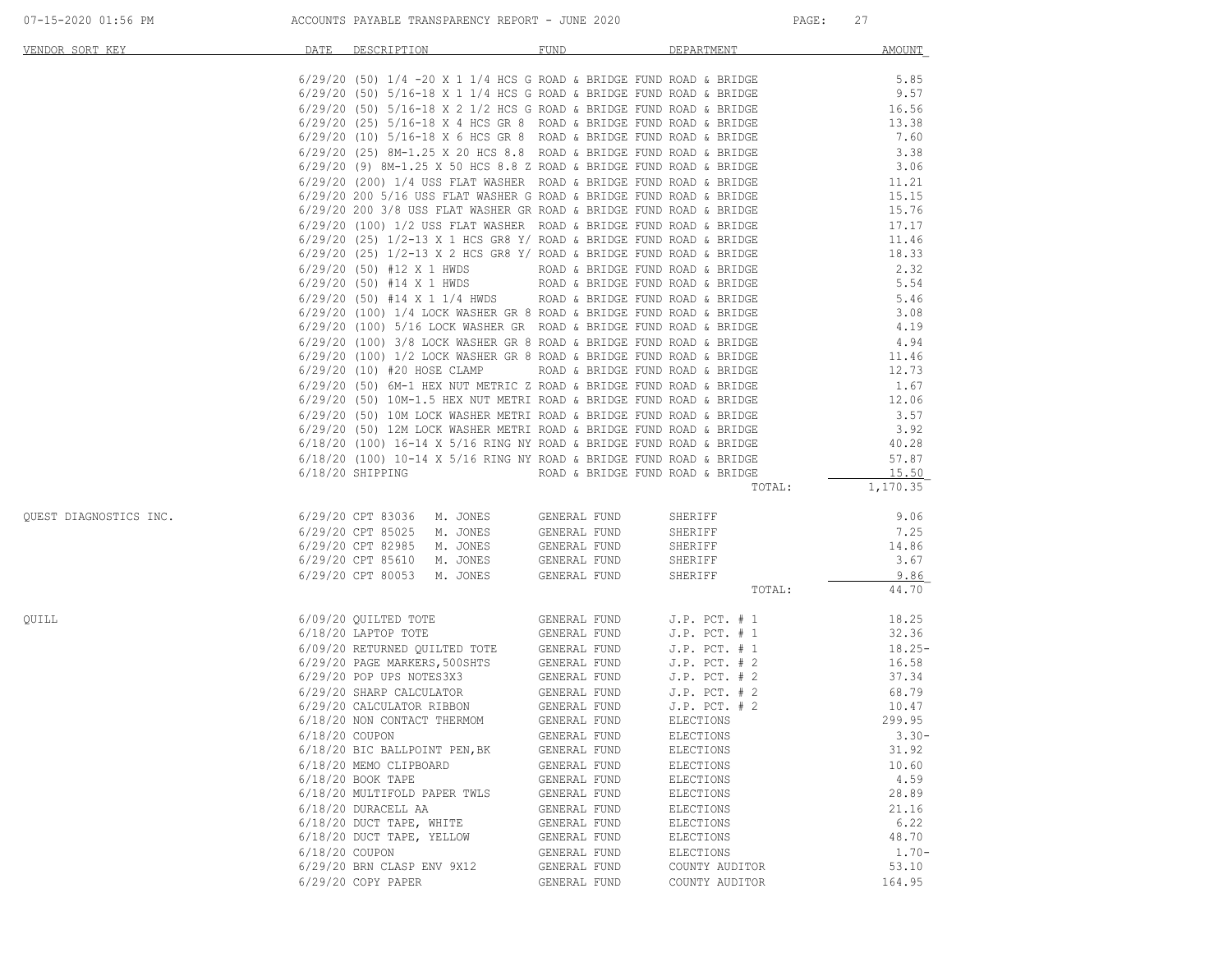| VENDOR SORT KEY        | DATE<br>DESCRIPTION                                                                                                                                                                                                                    | FUND                         | DEPARTMENT                     | AMOUNT            |
|------------------------|----------------------------------------------------------------------------------------------------------------------------------------------------------------------------------------------------------------------------------------|------------------------------|--------------------------------|-------------------|
|                        | $6/29/20$ (50) $1/4$ -20 X 1 $1/4$ HCS G ROAD & BRIDGE FUND ROAD & BRIDGE<br>$6/29/20$ (50) 5/16-18 X 1 1/4 HCS G ROAD & BRIDGE FUND ROAD & BRIDGE                                                                                     |                              |                                | 5.85              |
|                        |                                                                                                                                                                                                                                        |                              |                                | 9.57              |
|                        | $6/29/20$ (50) $5/16-18$ X 2 1/2 HCS G ROAD & BRIDGE FUND ROAD & BRIDGE                                                                                                                                                                |                              |                                | 16.56             |
|                        | $6/29/20$ (25) $5/16-18$ X 4 HCS GR 8 ROAD & BRIDGE FUND ROAD & BRIDGE                                                                                                                                                                 |                              |                                | 13.38             |
|                        | $6/29/20$ (10) $5/16-18$ X 6 HCS GR 8 ROAD & BRIDGE FUND ROAD & BRIDGE<br>$6/29/20$ (25) $8M-1.25$ X 20 HCS 8.8 ROAD & BRIDGE FUND ROAD & BRIDGE                                                                                       |                              |                                | 7.60              |
|                        |                                                                                                                                                                                                                                        |                              |                                | 3.38<br>3.06      |
|                        | $6/29/20$ (9) $8M-1.25$ X 50 HCS 8.8 Z ROAD & BRIDGE FUND ROAD & BRIDGE<br>$6/29/20$ (200) 1/4 USS FLAT WASHER ROAD & BRIDGE FUND ROAD & BRIDGE                                                                                        |                              |                                | 11.21             |
|                        | $6/29/20$ (200) 1/4 USS FLAT WASHER KOAD & BRIDGE FUND ROAD & BRIDGE 6/29/20 200 5/16 USS FLAT WASHER G ROAD & BRIDGE FUND ROAD & BRIDGE                                                                                               |                              |                                | 15.15             |
|                        | $6/29/20$ 200 3/8 USS FLAT WASHER GR ROAD & BRIDGE FUND ROAD & BRIDGE                                                                                                                                                                  |                              |                                | 15.76             |
|                        | $6/29/20$ (100) 1/2 USS FLAT WASHER ROAD & BRIDGE FUND ROAD & BRIDGE                                                                                                                                                                   |                              |                                | 17.17             |
|                        |                                                                                                                                                                                                                                        |                              |                                | 11.46             |
|                        | $6/29/20$ (25) $1/2-13$ X 1 HCS GR8 Y/ ROAD & BRIDGE FUND ROAD & BRIDGE $6/29/20$ (25) $1/2-13$ X 2 HCS GR8 Y/ ROAD & BRIDGE FUND ROAD & BRIDGE                                                                                        |                              |                                | 18.33             |
|                        | $6/29/20$ (50) #12 X 1 HWDS<br>$6/29/20$ (50) #14 X 1 HWDS<br>ROAD & BRIDGE FUND ROAD & BRIDGE                                                                                                                                         |                              |                                | 2.32              |
|                        |                                                                                                                                                                                                                                        |                              |                                | 5.54              |
|                        | 6/29/20 (50) #14 X 1 HWDS<br>6/29/20 (50) #14 X 1 1/4 HWDS ROAD & BRIDGE FUND ROAD & BRIDGE<br>6/29/20 (100) 1/4 LOCK WASHER GR 8 ROAD & BRIDGE FUND ROAD & BRIDGE<br>6/29/20 (100) 5/16 LOCK WASHER GR ROAD & BRIDGE FUND ROAD & BRID |                              |                                | 5.46              |
|                        |                                                                                                                                                                                                                                        |                              |                                | 3.08<br>4.19      |
|                        |                                                                                                                                                                                                                                        |                              |                                | 4.94              |
|                        | $6/29/20$ (100) 3/8 LOCK WASHER GR 8 ROAD & BRIDGE FUND ROAD & BRIDGE $6/29/20$ (100) 1/2 LOCK WASHER GR 8 ROAD & BRIDGE FUND ROAD & BRIDGE                                                                                            |                              |                                | 11.46             |
|                        | $6/29/20$ (10) #20 HOSE CLAMP ROAD & BRIDGE FUND ROAD & BRIDGE                                                                                                                                                                         |                              |                                | 12.73             |
|                        | 6/29/20 (50) 6M-1 HEX NUT METRIC Z ROAD & BRIDGE FUND ROAD & BRIDGE                                                                                                                                                                    |                              |                                | 1.67              |
|                        |                                                                                                                                                                                                                                        |                              |                                | 12.06             |
|                        | 6/29/20 (50) 10M-1.5 HEX NUT METRI ROAD & BRIDGE FUND ROAD & BRIDGE<br>6/29/20 (50) 10M-1.5 HEX NUT METRI ROAD & BRIDGE FUND ROAD & BRIDGE<br>6/29/20 (50) 12M LOCK WASHER METRI ROAD & BRIDGE FUND ROAD & BRIDGE<br>6/18/20 (100) 16- |                              |                                | 3.57              |
|                        |                                                                                                                                                                                                                                        |                              |                                | 3.92              |
|                        |                                                                                                                                                                                                                                        |                              |                                | 40.28             |
|                        |                                                                                                                                                                                                                                        |                              |                                | 57.87             |
|                        | $6/18/20$ SHIPPING $\qquad$ ROAD & BRIDGE FUND ROAD & BRIDGE                                                                                                                                                                           |                              | TOTAL:                         | 15.50<br>1,170.35 |
|                        |                                                                                                                                                                                                                                        |                              |                                |                   |
| QUEST DIAGNOSTICS INC. | 6/29/20 CPT 83036 M. JONES GENERAL FUND                                                                                                                                                                                                |                              | SHERIFF                        | 9.06              |
|                        | 6/29/20 CPT 85025 M. JONES                                                                                                                                                                                                             | GENERAL FUND                 | SHERIFF                        | 7.25              |
|                        | 6/29/20 CPT 82985 M. JONES                                                                                                                                                                                                             | GENERAL FUND                 | SHERIFF                        | 14.86             |
|                        | 6/29/20 CPT 85610 M. JONES                                                                                                                                                                                                             | GENERAL FUND                 | SHERIFF                        | 3.67              |
|                        | 6/29/20 CPT 80053 M. JONES GENERAL FUND                                                                                                                                                                                                |                              | SHERIFF<br>TOTAL:              | 9.86<br>44.70     |
|                        |                                                                                                                                                                                                                                        |                              |                                |                   |
| OUILL                  | $6/09/20$ QUILTED TOTE GENERAL FUND J.P. PCT. # 1                                                                                                                                                                                      |                              |                                | 18.25             |
|                        | 6/18/20 LAPTOP TOTE<br>6/09/20 RETURNED QUILTED TOTE<br>6ENERAL FUND J.P. PCT. # 1                                                                                                                                                     |                              |                                | 32.36             |
|                        |                                                                                                                                                                                                                                        |                              |                                | $18.25 -$         |
|                        | 6/29/20 PAGE MARKERS, 500SHTS GENERAL FUND J.P. PCT. # 2<br>6/29/20 POP UPS NOTES3X3 GENERAL FUND J.P. PCT. # 2                                                                                                                        |                              |                                | 16.58             |
|                        |                                                                                                                                                                                                                                        |                              |                                | 37.34             |
|                        |                                                                                                                                                                                                                                        |                              |                                | 68.79             |
|                        | 6/29/20 CALCULATOR RIBBON<br>6/18/20 NON CONTACT THERMOM                                                                                                                                                                               | GENERAL FUND<br>GENERAL FUND | $J.P.$ PCT. $# 2$<br>ELECTIONS | 10.47<br>299.95   |
|                        | 6/18/20 COUPON                                                                                                                                                                                                                         | GENERAL FUND                 | ELECTIONS                      | $3.30-$           |
|                        | 6/18/20 BIC BALLPOINT PEN, BK                                                                                                                                                                                                          | GENERAL FUND                 | ELECTIONS                      | 31.92             |
|                        | 6/18/20 MEMO CLIPBOARD                                                                                                                                                                                                                 | GENERAL FUND                 | ELECTIONS                      | 10.60             |
|                        | 6/18/20 BOOK TAPE                                                                                                                                                                                                                      | GENERAL FUND                 | ELECTIONS                      | 4.59              |
|                        | 6/18/20 MULTIFOLD PAPER TWLS                                                                                                                                                                                                           | GENERAL FUND                 | ELECTIONS                      | 28.89             |
|                        | 6/18/20 DURACELL AA                                                                                                                                                                                                                    | GENERAL FUND                 | ELECTIONS                      | 21.16             |
|                        | 6/18/20 DUCT TAPE, WHITE                                                                                                                                                                                                               | GENERAL FUND                 | ELECTIONS                      | 6.22              |
|                        | 6/18/20 DUCT TAPE, YELLOW                                                                                                                                                                                                              | GENERAL FUND                 | ELECTIONS                      | 48.70             |
|                        | $6/18/20$ COUPON                                                                                                                                                                                                                       | GENERAL FUND                 | ELECTIONS                      | $1.70 -$          |
|                        | 6/29/20 BRN CLASP ENV 9X12                                                                                                                                                                                                             | GENERAL FUND                 | COUNTY AUDITOR                 | 53.10             |
|                        | 6/29/20 COPY PAPER                                                                                                                                                                                                                     | GENERAL FUND                 | COUNTY AUDITOR                 | 164.95            |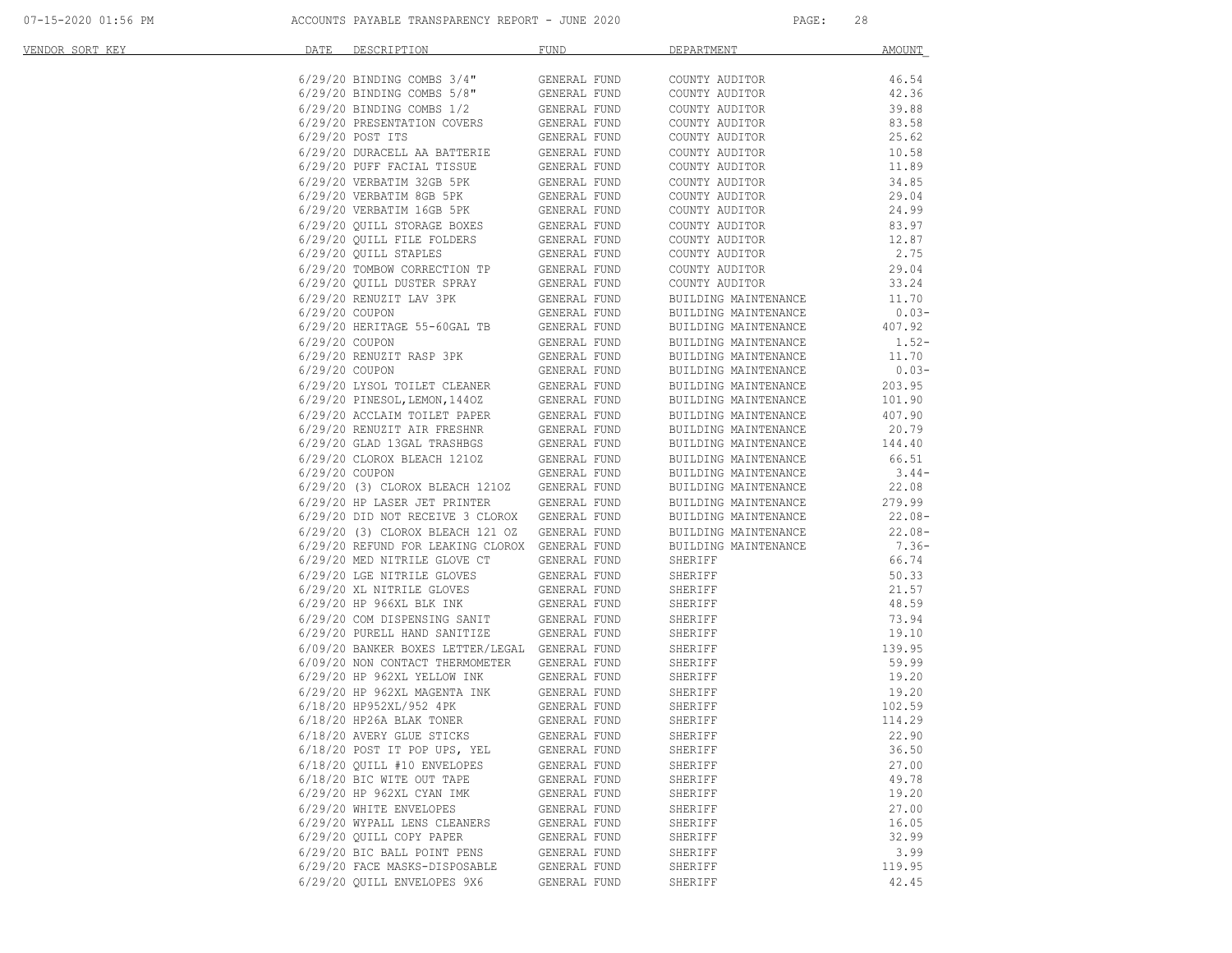07-15-2020 01:56 PM ACCOUNTS PAYABLE TRANSPARENCY REPORT - JUNE 2020 PAGE: 28

| <u>VENDOR SORT KEY</u> | DATE           | DESCRIPTION                                                                                                                                                                                                                        | FUND                                         | DEPARTMENT                                                | AMOUNT   |
|------------------------|----------------|------------------------------------------------------------------------------------------------------------------------------------------------------------------------------------------------------------------------------------|----------------------------------------------|-----------------------------------------------------------|----------|
|                        |                | 6/29/20 BINDING COMBS 3/4" GENERAL FUND                                                                                                                                                                                            |                                              | COUNTY AUDITOR                                            | 46.54    |
|                        |                |                                                                                                                                                                                                                                    |                                              | COUNTY AUDITOR                                            | 42.36    |
|                        |                | $\begin{array}{lll} 6/29/20 & \text{BINDING COMBS} & 5/8 \text{''} & \text{GENERAL FUND} \\ 6/29/20 & \text{BINDING COMBS} & 1/2 & \text{GENERAL FUND} \end{array}$                                                                |                                              | COUNTY AUDITOR                                            | 39.88    |
|                        |                | 6/29/20 PRESENTATION COVERS GENERAL FUND<br>6/29/20 POST ITS GENERAL FUND                                                                                                                                                          |                                              | COUNTY AUDITOR                                            | 83.58    |
|                        |                |                                                                                                                                                                                                                                    |                                              | COUNTY AUDITOR                                            | 25.62    |
|                        |                |                                                                                                                                                                                                                                    |                                              | COUNTY AUDITOR                                            | 10.58    |
|                        |                |                                                                                                                                                                                                                                    |                                              | COUNTY AUDITOR                                            | 11.89    |
|                        |                |                                                                                                                                                                                                                                    |                                              | COUNTY AUDITOR                                            | 34.85    |
|                        |                |                                                                                                                                                                                                                                    |                                              | COUNTY AUDITOR                                            | 29.04    |
|                        |                |                                                                                                                                                                                                                                    |                                              | COUNTY AUDITOR                                            | 24.99    |
|                        |                |                                                                                                                                                                                                                                    |                                              | COUNTY AUDITOR                                            | 83.97    |
|                        |                |                                                                                                                                                                                                                                    |                                              | COUNTY AUDITOR                                            | 12.87    |
|                        |                |                                                                                                                                                                                                                                    |                                              | COUNTY AUDITOR                                            | 2.75     |
|                        |                | 6/29/20 QUILL STORAGE BOXES<br>6/29/20 QUILL FILE FOLDERS<br>6/29/20 QUILL FILE FOLDERS<br>6/29/20 QUILL STAPLES<br>6/29/20 QUILL STAPLES<br>6/29/20 QUILL DUSTER SPRAY<br>6/29/20 QUILL DUSTER SPRAY<br>629/20 QUILL DUSTER SPRAY |                                              | COUNTY AUDITOR                                            | 29.04    |
|                        |                |                                                                                                                                                                                                                                    |                                              | COUNTY AUDITOR                                            | 33.24    |
|                        |                |                                                                                                                                                                                                                                    |                                              | BUILDING MAINTENANCE                                      | 11.70    |
|                        |                | 6/29/20 RENUZIT LAV 3PK<br>6/29/20 COUPON                                                                                                                                                                                          | GENERAL FUND<br>GENERAL FUND<br>GENERAL FUND | BUILDING MAINTENANCE                                      | $0.03-$  |
|                        |                | $6/29/20$ HERITAGE 55-60GAL TB GENERAL FUND                                                                                                                                                                                        |                                              | BUILDING MAINTENANCE                                      | 407.92   |
|                        | 6/29/20 COUPON |                                                                                                                                                                                                                                    | GENERAL FUND                                 | BUILDING MAINTENANCE                                      | $1.52-$  |
|                        |                | 6/29/20 RENUZIT RASP 3PK                                                                                                                                                                                                           | GENERAL FUND                                 | BUILDING MAINTENANCE                                      | 11.70    |
|                        | 6/29/20 COUPON |                                                                                                                                                                                                                                    | GENERAL FUND                                 | BUILDING MAINTENANCE                                      | $0.03-$  |
|                        |                | 6/29/20 LYSOL TOILET CLEANER<br>6/29/20 PINESOL, LEMON, 1440Z GENERAL FUND<br>6/29/20 PINESOL, LEMON, 1440Z GENERAL FUND<br>6/29/20 RENUZIT AIR FRESHNR GENERAL FUND<br>6/29/20 GLAD 13GAL TRASHBGS GENERAL FUND                   |                                              | BUILDING MAINTENANCE                                      | 203.95   |
|                        |                |                                                                                                                                                                                                                                    |                                              | BUILDING MAINTENANCE                                      | 101.90   |
|                        |                |                                                                                                                                                                                                                                    |                                              | BUILDING MAINTENANCE                                      | 407.90   |
|                        |                |                                                                                                                                                                                                                                    |                                              | BUILDING MAINTENANCE                                      | 20.79    |
|                        |                |                                                                                                                                                                                                                                    |                                              | BUILDING MAINTENANCE                                      | 144.40   |
|                        |                |                                                                                                                                                                                                                                    |                                              | BUILDING MAINTENANCE                                      | 66.51    |
|                        |                | $\begin{tabular}{llll} 6/29/20 & CLOROX & BLEACH & 1210Z & & GENERAL FUND \\ 6/29/20 & COUPON & & & GENERAL FUND \\ \end{tabular}$                                                                                                 |                                              | BUILDING MAINTENANCE                                      | $3.44-$  |
|                        |                | 6/29/20 (3) CLOROX BLEACH 1210Z GENERAL FUND                                                                                                                                                                                       |                                              | BUILDING MAINTENANCE                                      | 22.08    |
|                        |                | 6/29/20 HP LASER JET PRINTER                                                                                                                                                                                                       | GENERAL FUND                                 | BUILDING MAINTENANCE                                      | 279.99   |
|                        |                | 6/29/20 DID NOT RECEIVE 3 CLOROX GENERAL FUND                                                                                                                                                                                      |                                              | BUILDING MAINTENANCE                                      | 22.08-   |
|                        |                | 6/29/20 (3) CLOROX BLEACH 121 OZ GENERAL FUND                                                                                                                                                                                      |                                              | BUILDING MAINTENANCE                                      | $22.08-$ |
|                        |                | 6/29/20 REFUND FOR LEAKING CLOROX GENERAL FUND                                                                                                                                                                                     |                                              | BUILDING MAINTENANCE                                      | $7.36-$  |
|                        |                | 6/29/20 MED NITRILE GLOVE CT                                                                                                                                                                                                       | GENERAL FUND                                 | SHERIFF                                                   | 66.74    |
|                        |                |                                                                                                                                                                                                                                    | GENERAL FUND                                 | SHERIFF                                                   | 50.33    |
|                        |                | 6/29/20 LGE NITRILE GLOVES<br>6/29/20 XL NITRILE GLOVES                                                                                                                                                                            | GENERAL FUND                                 | SHERIFF                                                   | 21.57    |
|                        |                |                                                                                                                                                                                                                                    | GENERAL FUND                                 | SHERIFF                                                   | 48.59    |
|                        |                |                                                                                                                                                                                                                                    |                                              | SHERIFF                                                   | 73.94    |
|                        |                | $\begin{tabular}{llll} \bf 6/29/20 & COM DISPENSING SANTT & GENERAL FUND \\ \bf 6/29/20 & PURELL HAND SANTIZE & GENERAL FUND \end{tabular}$                                                                                        |                                              |                                                           |          |
|                        |                | 6/09/20 BANKER BOXES LETTER/LEGAL GENERAL FUND                                                                                                                                                                                     |                                              |                                                           |          |
|                        |                | 6/09/20 NON CONTACT THERMOMETER                                                                                                                                                                                                    | GENERAL FUND                                 | 19.10<br>SHERIFF 139.95<br>SHERIFF 59.99<br>SHERIFF 12.20 |          |
|                        |                | 6/29/20 HP 962XL YELLOW INK                                                                                                                                                                                                        | GENERAL FUND                                 |                                                           |          |
|                        |                |                                                                                                                                                                                                                                    |                                              | SHERIFF                                                   | 19.20    |
|                        |                |                                                                                                                                                                                                                                    |                                              | SHERIFF                                                   | 102.59   |
|                        |                | $6/18/20$ HP26A BLAK TONER                                                                                                                                                                                                         | GENERAL FUND                                 | SHERIFF                                                   | 114.29   |
|                        |                | 6/18/20 AVERY GLUE STICKS                                                                                                                                                                                                          | GENERAL FUND                                 | SHERIFF                                                   | 22.90    |
|                        |                | 6/18/20 POST IT POP UPS, YEL                                                                                                                                                                                                       | GENERAL FUND                                 | SHERIFF                                                   | 36.50    |
|                        |                | 6/18/20 OUILL #10 ENVELOPES                                                                                                                                                                                                        | GENERAL FUND                                 | SHERIFF                                                   | 27.00    |
|                        |                | 6/18/20 BIC WITE OUT TAPE                                                                                                                                                                                                          | GENERAL FUND                                 | SHERIFF                                                   | 49.78    |
|                        |                | 6/29/20 HP 962XL CYAN IMK                                                                                                                                                                                                          | GENERAL FUND                                 | SHERIFF                                                   | 19.20    |
|                        |                | 6/29/20 WHITE ENVELOPES                                                                                                                                                                                                            | GENERAL FUND                                 | SHERIFF                                                   | 27.00    |
|                        |                | 6/29/20 WYPALL LENS CLEANERS                                                                                                                                                                                                       | GENERAL FUND                                 | SHERIFF                                                   | 16.05    |
|                        |                | 6/29/20 QUILL COPY PAPER                                                                                                                                                                                                           | GENERAL FUND                                 | SHERIFF                                                   | 32.99    |
|                        |                | 6/29/20 BIC BALL POINT PENS                                                                                                                                                                                                        | GENERAL FUND                                 | SHERIFF                                                   | 3.99     |
|                        |                | 6/29/20 FACE MASKS-DISPOSABLE                                                                                                                                                                                                      | GENERAL FUND                                 | SHERIFF                                                   | 119.95   |
|                        |                | 6/29/20 QUILL ENVELOPES 9X6                                                                                                                                                                                                        | GENERAL FUND                                 | SHERIFF                                                   | 42.45    |
|                        |                |                                                                                                                                                                                                                                    |                                              |                                                           |          |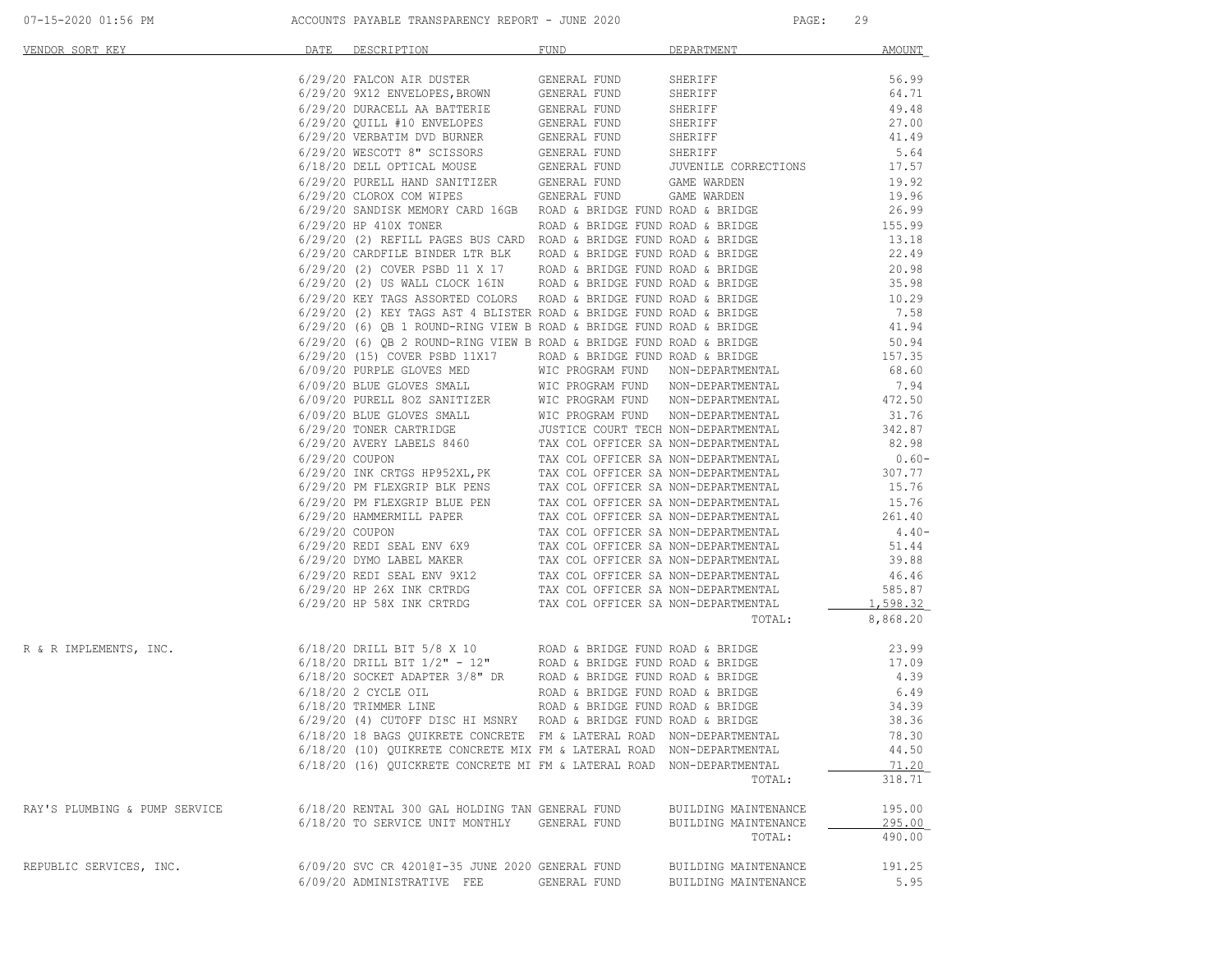| VENDOR SORT KEY                                                                                                                                                                                                               | DATE DESCRIPTION                                                                                                                                                                                                                     | <b>FUND</b>  | DEPARTMENT           | AMOUNT         |
|-------------------------------------------------------------------------------------------------------------------------------------------------------------------------------------------------------------------------------|--------------------------------------------------------------------------------------------------------------------------------------------------------------------------------------------------------------------------------------|--------------|----------------------|----------------|
|                                                                                                                                                                                                                               | 6/29/20 FALCON AIR DUSTER<br>6/29/20 9X12 ENVELOPES, BROWN GENERAL FUND SHERIFF<br>6/29/20 DURACELL AA BATTERIE GENERAL FUND SHERIFF<br>6/29/20 QUILL #10 ENVELOPES GENERAL FUND SHERIFF<br>6/29/20 VERBATIM DVD BURNER GENERAL FUND |              |                      | 56.99          |
|                                                                                                                                                                                                                               |                                                                                                                                                                                                                                      |              |                      | 64.71          |
|                                                                                                                                                                                                                               |                                                                                                                                                                                                                                      |              |                      | 49.48          |
|                                                                                                                                                                                                                               |                                                                                                                                                                                                                                      |              |                      | 27.00          |
|                                                                                                                                                                                                                               |                                                                                                                                                                                                                                      |              |                      | 41.49          |
|                                                                                                                                                                                                                               |                                                                                                                                                                                                                                      |              |                      | 5.64           |
|                                                                                                                                                                                                                               |                                                                                                                                                                                                                                      |              |                      | 17.57          |
|                                                                                                                                                                                                                               |                                                                                                                                                                                                                                      |              |                      | 19.92          |
|                                                                                                                                                                                                                               |                                                                                                                                                                                                                                      |              |                      | 19.96          |
|                                                                                                                                                                                                                               | 6/29/20 SANDISK MEMORY CARD 16GB ROAD & BRIDGE FUND ROAD & BRIDGE                                                                                                                                                                    |              |                      | 26.99          |
|                                                                                                                                                                                                                               | $6/29/20$ HP 410X TONER ROAD & BRIDGE FUND ROAD & BRIDGE $155.99$                                                                                                                                                                    |              |                      |                |
|                                                                                                                                                                                                                               | $6/29/20$ (2) REFILL PAGES BUS CARD ROAD & BRIDGE FUND ROAD & BRIDGE $6/29/20$ CARDFILE BINDER LTR BLK ROAD & BRIDGE FUND ROAD & BRIDGE                                                                                              |              |                      | 13.18<br>22.49 |
|                                                                                                                                                                                                                               | $6/29/20$ (2) COVER PSBD 11 X 17 ROAD & BRIDGE FUND ROAD & BRIDGE $6/29/20$ (2) US WALL CLOCK 16IN ROAD & BRIDGE FUND ROAD & BRIDGE                                                                                                  |              |                      | 20.98          |
|                                                                                                                                                                                                                               |                                                                                                                                                                                                                                      |              |                      | 35.98          |
|                                                                                                                                                                                                                               | 6/29/20 KEY TAGS ASSORTED COLORS ROAD & BRIDGE FUND ROAD & BRIDGE $10.29$                                                                                                                                                            |              |                      |                |
|                                                                                                                                                                                                                               |                                                                                                                                                                                                                                      |              |                      |                |
|                                                                                                                                                                                                                               | 6/29/20 (2) KEY TAGS AST 4 BLISTER ROAD & BRIDGE FUND ROAD & BRIDGE $6/29/20$ (6) QB 1 ROUND-RING VIEW B ROAD & BRIDGE FUND ROAD & BRIDGE $41.94$                                                                                    |              |                      |                |
|                                                                                                                                                                                                                               | $6/29/20$ (6) QB 2 ROUND-RING VIEW B ROAD & BRIDGE FUND ROAD & BRIDGE 50.94 $6/29/20$ (15) COVER PSBD 11X17 ROAD & BRIDGE FUND ROAD & BRIDGE 157.35                                                                                  |              |                      |                |
|                                                                                                                                                                                                                               |                                                                                                                                                                                                                                      |              |                      |                |
|                                                                                                                                                                                                                               |                                                                                                                                                                                                                                      |              |                      |                |
|                                                                                                                                                                                                                               |                                                                                                                                                                                                                                      |              |                      |                |
|                                                                                                                                                                                                                               |                                                                                                                                                                                                                                      |              |                      |                |
|                                                                                                                                                                                                                               |                                                                                                                                                                                                                                      |              |                      |                |
|                                                                                                                                                                                                                               |                                                                                                                                                                                                                                      |              |                      |                |
|                                                                                                                                                                                                                               |                                                                                                                                                                                                                                      |              |                      |                |
|                                                                                                                                                                                                                               |                                                                                                                                                                                                                                      |              |                      |                |
|                                                                                                                                                                                                                               |                                                                                                                                                                                                                                      |              |                      |                |
|                                                                                                                                                                                                                               |                                                                                                                                                                                                                                      |              |                      |                |
|                                                                                                                                                                                                                               |                                                                                                                                                                                                                                      |              |                      |                |
|                                                                                                                                                                                                                               |                                                                                                                                                                                                                                      |              |                      |                |
|                                                                                                                                                                                                                               |                                                                                                                                                                                                                                      |              |                      |                |
|                                                                                                                                                                                                                               |                                                                                                                                                                                                                                      |              |                      |                |
|                                                                                                                                                                                                                               |                                                                                                                                                                                                                                      |              |                      |                |
|                                                                                                                                                                                                                               |                                                                                                                                                                                                                                      |              |                      |                |
|                                                                                                                                                                                                                               |                                                                                                                                                                                                                                      |              |                      |                |
|                                                                                                                                                                                                                               | ERACULAR SA NON-DEPARTMENTAL 261.40<br>6/29/20 COUPON TAX COLOFFICER SA NON-DEPARTMENTAL 4.40-<br>6/29/20 NMO LABEL MAKER TAX COLOFFICER SA NON-DEPARTMENTAL 51.44<br>6/29/20 NMO LABEL MAKER TAX COLOFFICER SA NON-DEPARTMENTAL 39. |              | TOTAL:               | 8,868.20       |
|                                                                                                                                                                                                                               |                                                                                                                                                                                                                                      |              |                      |                |
|                                                                                                                                                                                                                               |                                                                                                                                                                                                                                      |              |                      | 23.99          |
| R & R IMPLEMENTS, INC.                            6/18/20 DRILL BIT 5/8 X 10         ROAD & BRIDGE FUND ROAD & BRIDGE<br>6/18/20 DRILL BIT 1/2" - 12"      ROAD & BRIDGE FUND ROAD & BRIDGE<br>6/18/20 SOCKET ADAPTER 3/8" DR |                                                                                                                                                                                                                                      |              |                      | 17.09          |
|                                                                                                                                                                                                                               | 6/18/20 SUCKET ADAPTER 3/6 DK KOAD & BRIDGE FUND ROAD & BRIDGE 6.49<br>6/18/20 TRIMMER LINE ROAD & BRIDGE FUND ROAD & BRIDGE 34.39<br>6/29/20 (4) CUTOFF DISC HI MSNRY ROAD & BRIDGE FUND ROAD & BRIDGE 38.36                        |              |                      | 4.39           |
|                                                                                                                                                                                                                               |                                                                                                                                                                                                                                      |              |                      |                |
|                                                                                                                                                                                                                               |                                                                                                                                                                                                                                      |              |                      |                |
|                                                                                                                                                                                                                               | 6/18/20 18 BAGS QUIKRETE CONCRETE FM & LATERAL ROAD NON-DEPARTMENTAL                                                                                                                                                                 |              |                      | 78.30          |
|                                                                                                                                                                                                                               | 6/18/20 (10) OUIKRETE CONCRETE MIX FM & LATERAL ROAD NON-DEPARTMENTAL                                                                                                                                                                |              |                      | 44.50          |
|                                                                                                                                                                                                                               | 6/18/20 (16) QUICKRETE CONCRETE MI FM & LATERAL ROAD NON-DEPARTMENTAL                                                                                                                                                                |              |                      | 71.20          |
|                                                                                                                                                                                                                               |                                                                                                                                                                                                                                      |              | TOTAL:               | 318.71         |
|                                                                                                                                                                                                                               | 6/18/20 RENTAL 300 GAL HOLDING TAN GENERAL FUND                                                                                                                                                                                      |              | BUILDING MAINTENANCE | 195.00         |
| RAY'S PLUMBING & PUMP SERVICE                                                                                                                                                                                                 | 6/18/20 TO SERVICE UNIT MONTHLY                                                                                                                                                                                                      | GENERAL FUND | BUILDING MAINTENANCE | 295.00         |
|                                                                                                                                                                                                                               |                                                                                                                                                                                                                                      |              | TOTAL:               | 490.00         |
|                                                                                                                                                                                                                               |                                                                                                                                                                                                                                      |              |                      |                |
| REPUBLIC SERVICES, INC.                                                                                                                                                                                                       | 6/09/20 SVC CR 42010I-35 JUNE 2020 GENERAL FUND                                                                                                                                                                                      |              | BUILDING MAINTENANCE | 191.25         |
|                                                                                                                                                                                                                               | 6/09/20 ADMINISTRATIVE FEE                                                                                                                                                                                                           | GENERAL FUND | BUILDING MAINTENANCE | 5.95           |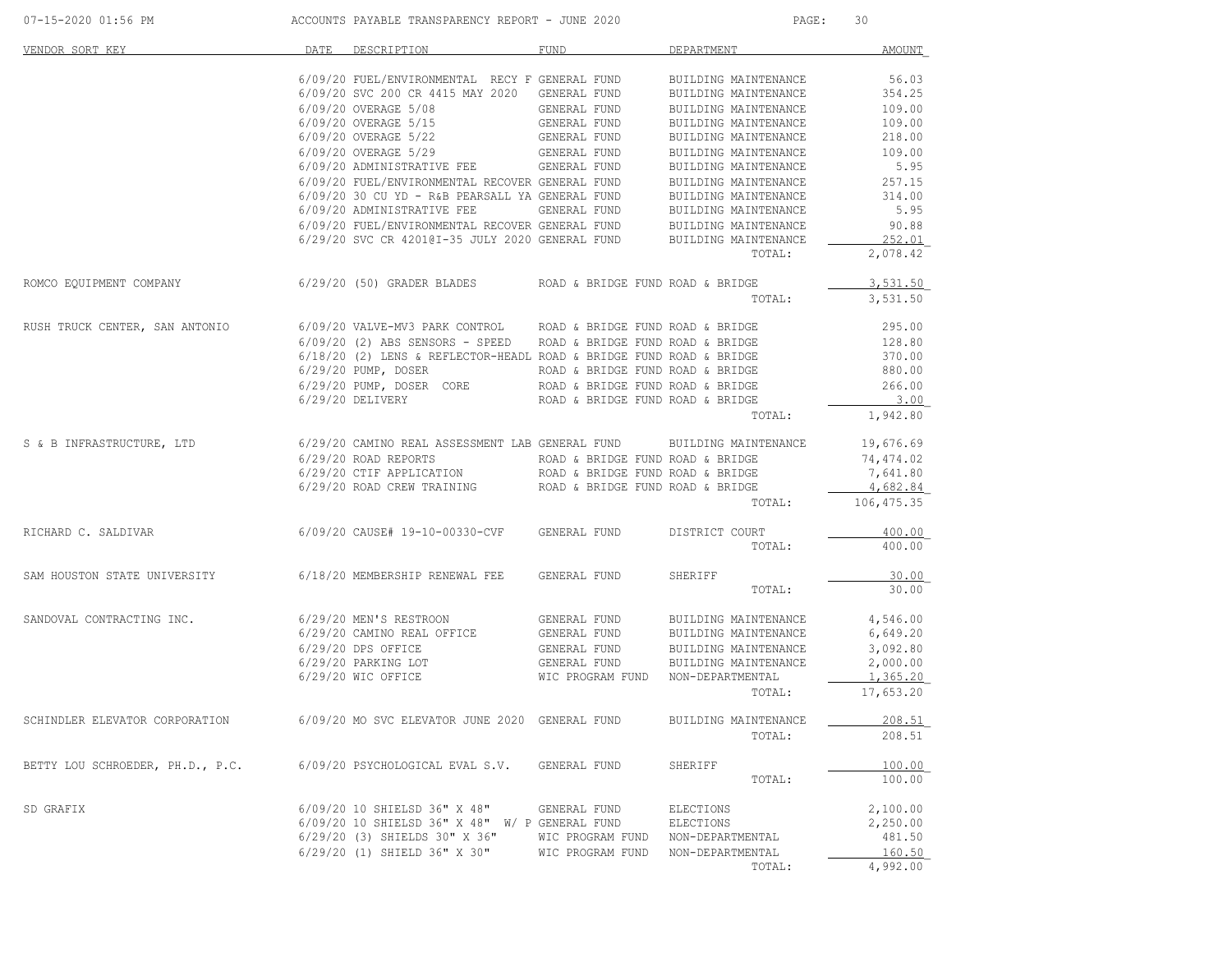| 07-15-2020 01:56 PM              | ACCOUNTS PAYABLE TRANSPARENCY REPORT - JUNE 2020                                                                                                                                                                                                                                                                                                                                                                                                   |                                  | PAGE:                | 30         |
|----------------------------------|----------------------------------------------------------------------------------------------------------------------------------------------------------------------------------------------------------------------------------------------------------------------------------------------------------------------------------------------------------------------------------------------------------------------------------------------------|----------------------------------|----------------------|------------|
| VENDOR SORT KEY                  | DATE DESCRIPTION                                                                                                                                                                                                                                                                                                                                                                                                                                   | FUND                             | DEPARTMENT           | AMOUNT     |
|                                  | 6/09/20 FUEL/ENVIRONMENTAL RECY F GENERAL FUND                                                                                                                                                                                                                                                                                                                                                                                                     |                                  | BUILDING MAINTENANCE | 56.03      |
|                                  | 6/09/20 SVC 200 CR 4415 MAY 2020 GENERAL FUND                                                                                                                                                                                                                                                                                                                                                                                                      |                                  | BUILDING MAINTENANCE | 354.25     |
|                                  | $6/09/20$ OVERAGE 5/08<br>$6/09/20$ OVERAGE 5/15<br>$6/09/20$ OVERAGE 5/15<br>$6/09/20$ OVERAGE 5/22<br>$6/09/20$ OVERAGE 5/22<br>$6/09/20$ OVERAGE 5/29<br>$6/09/20$ ADMINICED ARTIVE THE GENERAL FUND                                                                                                                                                                                                                                            |                                  | BUILDING MAINTENANCE | 109.00     |
|                                  |                                                                                                                                                                                                                                                                                                                                                                                                                                                    |                                  | BUILDING MAINTENANCE | 109.00     |
|                                  |                                                                                                                                                                                                                                                                                                                                                                                                                                                    |                                  | BUILDING MAINTENANCE | 218.00     |
|                                  |                                                                                                                                                                                                                                                                                                                                                                                                                                                    |                                  | BUILDING MAINTENANCE | 109.00     |
|                                  | 6/09/20 ADMINISTRATIVE FEE                                                                                                                                                                                                                                                                                                                                                                                                                         | GENERAL FUND                     | BUILDING MAINTENANCE | 5.95       |
|                                  | 6/09/20 FUEL/ENVIRONMENTAL RECOVER GENERAL FUND                                                                                                                                                                                                                                                                                                                                                                                                    |                                  | BUILDING MAINTENANCE | 257.15     |
|                                  | 6/09/20 30 CU YD - R&B PEARSALL YA GENERAL FUND                                                                                                                                                                                                                                                                                                                                                                                                    |                                  | BUILDING MAINTENANCE | 314.00     |
|                                  |                                                                                                                                                                                                                                                                                                                                                                                                                                                    |                                  |                      | 5.95       |
|                                  | $6/09/20$ ADMINISTRATIVE FEE GENERAL FUND BUILDING MAINTENANCE $6/09/20$ FUEL/ENVIRONMENTAL RECOVER GENERAL FUND BUILDING MAINTENANCE                                                                                                                                                                                                                                                                                                              |                                  |                      | 90.88      |
|                                  | 6/29/20 SVC CR 42010I-35 JULY 2020 GENERAL FUND                                                                                                                                                                                                                                                                                                                                                                                                    |                                  | BUILDING MAINTENANCE | 252.01     |
|                                  |                                                                                                                                                                                                                                                                                                                                                                                                                                                    |                                  | TOTAL:               | 2,078.42   |
| ROMCO EQUIPMENT COMPANY          | 6/29/20 (50) GRADER BLADES                                                                                                                                                                                                                                                                                                                                                                                                                         | ROAD & BRIDGE FUND ROAD & BRIDGE |                      | 3,531.50   |
|                                  |                                                                                                                                                                                                                                                                                                                                                                                                                                                    |                                  |                      |            |
|                                  |                                                                                                                                                                                                                                                                                                                                                                                                                                                    |                                  | TOTAL:               | 3,531.50   |
| RUSH TRUCK CENTER, SAN ANTONIO   | 6/09/20 VALVE-MV3 PARK CONTROL ROAD & BRIDGE FUND ROAD & BRIDGE                                                                                                                                                                                                                                                                                                                                                                                    |                                  |                      | 295.00     |
|                                  | $6/09/20$ (2) ABS SENSORS - SPEED ROAD & BRIDGE FUND ROAD & BRIDGE                                                                                                                                                                                                                                                                                                                                                                                 |                                  |                      | 128.80     |
|                                  | $6/18/20$ (2) LENS & REFLECTOR-HEADL ROAD & BRIDGE FUND ROAD & BRIDGE                                                                                                                                                                                                                                                                                                                                                                              |                                  |                      | 370.00     |
|                                  | $\begin{minipage}{0.03cm} \begin{minipage}{0.03cm} \begin{minipage}{0.03cm} \textbf{6/29/20} & \textbf{PUMP, DOSER} \end{minipage} \end{minipage} \begin{minipage}{0.03cm} \begin{minipage}{0.03cm} \begin{minipage}{0.03cm} \textbf{ROAD & BRIDE} \end{minipage} \end{minipage} \begin{minipage}{0.03cm} \begin{minipage}{0.03cm} \begin{minipage}{0.03cm} \textbf{ROAD & BRIDGE} \end{minipage} \end{minipage} \end{minipage} \begin{minipage}{$ | ROAD & BRIDGE FUND ROAD & BRIDGE |                      | 880.00     |
|                                  |                                                                                                                                                                                                                                                                                                                                                                                                                                                    |                                  |                      | 266.00     |
|                                  | 6/29/20 DELIVERY                                                                                                                                                                                                                                                                                                                                                                                                                                   | ROAD & BRIDGE FUND ROAD & BRIDGE |                      | 3.00       |
|                                  |                                                                                                                                                                                                                                                                                                                                                                                                                                                    |                                  | TOTAL:               | 1,942.80   |
| S & B INFRASTRUCTURE, LTD        | 6/29/20 CAMINO REAL ASSESSMENT LAB GENERAL FUND                                                                                                                                                                                                                                                                                                                                                                                                    |                                  | BUILDING MAINTENANCE | 19,676.69  |
|                                  | $6/29/20$ ROAD REPORTS ROAD & BRIDGE FUND ROAD & BRIDGE                                                                                                                                                                                                                                                                                                                                                                                            |                                  |                      | 74,474.02  |
|                                  |                                                                                                                                                                                                                                                                                                                                                                                                                                                    | ROAD & BRIDGE FUND ROAD & BRIDGE |                      | 7,641.80   |
|                                  | 6/29/20 ROAD REPURTS<br>6/29/20 CTIF APPLICATION<br>6/29/20 ROAD CREW TRAINING                                                                                                                                                                                                                                                                                                                                                                     | ROAD & BRIDGE FUND ROAD & BRIDGE |                      | 4,682.84   |
|                                  |                                                                                                                                                                                                                                                                                                                                                                                                                                                    |                                  | TOTAL:               | 106,475.35 |
|                                  |                                                                                                                                                                                                                                                                                                                                                                                                                                                    |                                  |                      |            |
| RICHARD C. SALDIVAR              | 6/09/20 CAUSE# 19-10-00330-CVF                                                                                                                                                                                                                                                                                                                                                                                                                     | GENERAL FUND                     | DISTRICT COURT       | 400.00     |
|                                  |                                                                                                                                                                                                                                                                                                                                                                                                                                                    |                                  | TOTAL:               | 400.00     |
| SAM HOUSTON STATE UNIVERSITY     | 6/18/20 MEMBERSHIP RENEWAL FEE                                                                                                                                                                                                                                                                                                                                                                                                                     | GENERAL FUND                     | SHERIFF              | 30.00      |
|                                  |                                                                                                                                                                                                                                                                                                                                                                                                                                                    |                                  | TOTAL:               | 30.00      |
| SANDOVAL CONTRACTING INC.        | 6/29/20 MEN'S RESTROON                                                                                                                                                                                                                                                                                                                                                                                                                             | GENERAL FUND                     | BUILDING MAINTENANCE | 4,546.00   |
|                                  | $6/29/20$ CAMINO REAL OFFICE GENERAL FUND                                                                                                                                                                                                                                                                                                                                                                                                          |                                  | BUILDING MAINTENANCE | 6,649.20   |
|                                  | 6/29/20 DPS OFFICE                                                                                                                                                                                                                                                                                                                                                                                                                                 | GENERAL FUND                     | BUILDING MAINTENANCE | 3,092.80   |
|                                  | 6/29/20 PARKING LOT                                                                                                                                                                                                                                                                                                                                                                                                                                | GENERAL FUND                     | BUILDING MAINTENANCE | 2,000.00   |
|                                  | 6/29/20 WIC OFFICE                                                                                                                                                                                                                                                                                                                                                                                                                                 | WIC PROGRAM FUND                 | NON-DEPARTMENTAL     | 1,365.20   |
|                                  |                                                                                                                                                                                                                                                                                                                                                                                                                                                    |                                  | TOTAL:               | 17,653.20  |
|                                  |                                                                                                                                                                                                                                                                                                                                                                                                                                                    |                                  |                      |            |
| SCHINDLER ELEVATOR CORPORATION   | 6/09/20 MO SVC ELEVATOR JUNE 2020 GENERAL FUND                                                                                                                                                                                                                                                                                                                                                                                                     |                                  | BUILDING MAINTENANCE | 208.51     |
|                                  |                                                                                                                                                                                                                                                                                                                                                                                                                                                    |                                  | TOTAL:               | 208.51     |
| BETTY LOU SCHROEDER, PH.D., P.C. | 6/09/20 PSYCHOLOGICAL EVAL S.V.                                                                                                                                                                                                                                                                                                                                                                                                                    | GENERAL FUND                     | SHERIFF              | 100.00     |
|                                  |                                                                                                                                                                                                                                                                                                                                                                                                                                                    |                                  | TOTAL:               | 100.00     |
| SD GRAFIX                        | 6/09/20 10 SHIELSD 36" X 48"                                                                                                                                                                                                                                                                                                                                                                                                                       | GENERAL FUND                     | ELECTIONS            | 2,100.00   |
|                                  | 6/09/20 10 SHIELSD 36" X 48" W/ P GENERAL FUND                                                                                                                                                                                                                                                                                                                                                                                                     |                                  | ELECTIONS            | 2,250.00   |
|                                  | $6/29/20$ (3) SHIELDS 30" X 36"                                                                                                                                                                                                                                                                                                                                                                                                                    | WIC PROGRAM FUND                 | NON-DEPARTMENTAL     | 481.50     |
|                                  | 6/29/20 (1) SHIELD 36" X 30"                                                                                                                                                                                                                                                                                                                                                                                                                       | WIC PROGRAM FUND                 | NON-DEPARTMENTAL     | 160.50     |
|                                  |                                                                                                                                                                                                                                                                                                                                                                                                                                                    |                                  | TOTAL:               | 4,992.00   |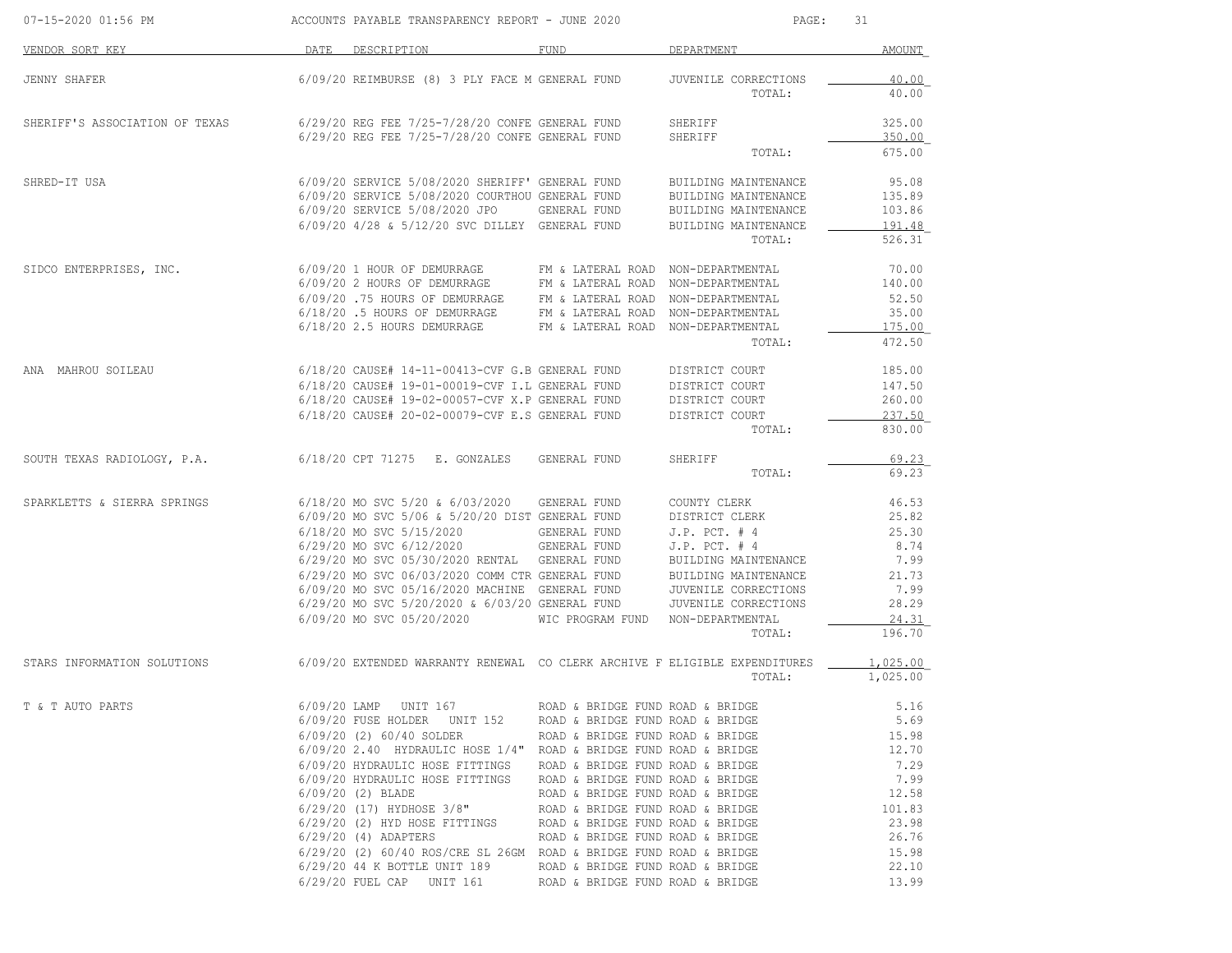| 07-15-2020 01:56 PM            |                | ACCOUNTS PAYABLE TRANSPARENCY REPORT - JUNE 2020                                                   |                                                                      | PAGE:                                        | 31               |
|--------------------------------|----------------|----------------------------------------------------------------------------------------------------|----------------------------------------------------------------------|----------------------------------------------|------------------|
| VENDOR SORT KEY                |                | DATE DESCRIPTION                                                                                   | FUND                                                                 | DEPARTMENT                                   | AMOUNT           |
| <b>JENNY SHAFER</b>            |                | 6/09/20 REIMBURSE (8) 3 PLY FACE M GENERAL FUND                                                    |                                                                      | JUVENILE CORRECTIONS                         | 40.00            |
|                                |                |                                                                                                    |                                                                      | TOTAL:                                       | 40.00            |
| SHERIFF'S ASSOCIATION OF TEXAS |                | 6/29/20 REG FEE 7/25-7/28/20 CONFE GENERAL FUND                                                    |                                                                      | SHERIFF                                      | 325.00           |
|                                |                | 6/29/20 REG FEE 7/25-7/28/20 CONFE GENERAL FUND                                                    |                                                                      | SHERIFF<br>TOTAL:                            | 350.00<br>675.00 |
|                                |                |                                                                                                    |                                                                      |                                              |                  |
| SHRED-IT USA                   |                | 6/09/20 SERVICE 5/08/2020 SHERIFF' GENERAL FUND<br>6/09/20 SERVICE 5/08/2020 COURTHOU GENERAL FUND |                                                                      | BUILDING MAINTENANCE<br>BUILDING MAINTENANCE | 95.08<br>135.89  |
|                                |                | 6/09/20 SERVICE 5/08/2020 JPO                                                                      | GENERAL FUND                                                         | BUILDING MAINTENANCE                         | 103.86           |
|                                |                | 6/09/20 4/28 & 5/12/20 SVC DILLEY GENERAL FUND                                                     |                                                                      | BUILDING MAINTENANCE                         | 191.48           |
|                                |                |                                                                                                    |                                                                      | TOTAL:                                       | 526.31           |
| SIDCO ENTERPRISES, INC.        |                | 6/09/20 1 HOUR OF DEMURRAGE                                                                        | FM & LATERAL ROAD NON-DEPARTMENTAL                                   |                                              | 70.00            |
|                                |                | 6/09/20 2 HOURS OF DEMURRAGE                                                                       | FM & LATERAL ROAD NON-DEPARTMENTAL                                   |                                              | 140.00           |
|                                |                | 6/09/20 .75 HOURS OF DEMURRAGE                                                                     | FM & LATERAL ROAD NON-DEPARTMENTAL                                   |                                              | 52.50            |
|                                |                | 6/18/20.5 HOURS OF DEMURRAGE                                                                       | FM & LATERAL ROAD NON-DEPARTMENTAL                                   |                                              | 35.00            |
|                                |                | 6/18/20 2.5 HOURS DEMURRAGE                                                                        | FM & LATERAL ROAD NON-DEPARTMENTAL                                   |                                              | 175.00           |
|                                |                |                                                                                                    |                                                                      | TOTAL:                                       | 472.50           |
| ANA MAHROU SOILEAU             |                | $6/18/20$ CAUSE# 14-11-00413-CVF G.B GENERAL FUND                                                  |                                                                      | DISTRICT COURT                               | 185.00           |
|                                |                | 6/18/20 CAUSE# 19-01-00019-CVF I.L GENERAL FUND                                                    |                                                                      | DISTRICT COURT                               | 147.50           |
|                                |                | 6/18/20 CAUSE# 19-02-00057-CVF X.P GENERAL FUND                                                    |                                                                      | DISTRICT COURT                               | 260.00           |
|                                |                | 6/18/20 CAUSE# 20-02-00079-CVF E.S GENERAL FUND                                                    |                                                                      | DISTRICT COURT<br>TOTAL:                     | 237.50<br>830.00 |
|                                |                | 6/18/20 CPT 71275 E. GONZALES                                                                      | GENERAL FUND                                                         | SHERIFF                                      | 69.23            |
| SOUTH TEXAS RADIOLOGY, P.A.    |                |                                                                                                    |                                                                      | TOTAL:                                       | 69.23            |
| SPARKLETTS & SIERRA SPRINGS    |                | 6/18/20 MO SVC 5/20 & 6/03/2020                                                                    | GENERAL FUND                                                         | COUNTY CLERK                                 | 46.53            |
|                                |                | 6/09/20 MO SVC 5/06 & 5/20/20 DIST GENERAL FUND                                                    |                                                                      | DISTRICT CLERK                               | 25.82            |
|                                |                | 6/18/20 MO SVC 5/15/2020                                                                           | GENERAL FUND                                                         | $J.P.$ PCT. $# 4$                            | 25.30            |
|                                |                | 6/29/20 MO SVC 6/12/2020                                                                           | GENERAL FUND                                                         | $J.P.$ PCT. $# 4$                            | 8.74             |
|                                |                | 6/29/20 MO SVC 05/30/2020 RENTAL GENERAL FUND                                                      |                                                                      | BUILDING MAINTENANCE                         | 7.99             |
|                                |                | 6/29/20 MO SVC 06/03/2020 COMM CTR GENERAL FUND                                                    |                                                                      | BUILDING MAINTENANCE                         | 21.73            |
|                                |                | 6/09/20 MO SVC 05/16/2020 MACHINE GENERAL FUND<br>6/29/20 MO SVC 5/20/2020 & 6/03/20 GENERAL FUND  |                                                                      | JUVENILE CORRECTIONS<br>JUVENILE CORRECTIONS | 7.99<br>28.29    |
|                                |                | 6/09/20 MO SVC 05/20/2020                                                                          | WIC PROGRAM FUND                                                     | NON-DEPARTMENTAL                             | 24.31            |
|                                |                |                                                                                                    |                                                                      | TOTAL:                                       | 196.70           |
| STARS INFORMATION SOLUTIONS    |                | 6/09/20 EXTENDED WARRANTY RENEWAL CO CLERK ARCHIVE F ELIGIBLE EXPENDITURES                         |                                                                      |                                              | 1,025.00         |
|                                |                |                                                                                                    |                                                                      | TOTAL:                                       | 1,025.00         |
| T & T AUTO PARTS               | $6/09/20$ LAMP | UNIT 167                                                                                           | ROAD & BRIDGE FUND ROAD & BRIDGE                                     |                                              | 5.16             |
|                                |                | 6/09/20 FUSE HOLDER UNIT 152                                                                       | ROAD & BRIDGE FUND ROAD & BRIDGE                                     |                                              | 5.69             |
|                                |                | 6/09/20 (2) 60/40 SOLDER                                                                           | ROAD & BRIDGE FUND ROAD & BRIDGE                                     |                                              | 15.98            |
|                                |                | 6/09/20 2.40 HYDRAULIC HOSE 1/4"                                                                   | ROAD & BRIDGE FUND ROAD & BRIDGE                                     |                                              | 12.70            |
|                                |                | 6/09/20 HYDRAULIC HOSE FITTINGS                                                                    | ROAD & BRIDGE FUND ROAD & BRIDGE                                     |                                              | 7.29             |
|                                |                | 6/09/20 HYDRAULIC HOSE FITTINGS<br>6/09/20 (2) BLADE                                               | ROAD & BRIDGE FUND ROAD & BRIDGE<br>ROAD & BRIDGE FUND ROAD & BRIDGE |                                              | 7.99<br>12.58    |
|                                |                | $6/29/20$ (17) HYDHOSE 3/8"                                                                        | ROAD & BRIDGE FUND ROAD & BRIDGE                                     |                                              | 101.83           |
|                                |                | 6/29/20 (2) HYD HOSE FITTINGS                                                                      | ROAD & BRIDGE FUND ROAD & BRIDGE                                     |                                              | 23.98            |
|                                |                | $6/29/20$ (4) ADAPTERS                                                                             | ROAD & BRIDGE FUND ROAD & BRIDGE                                     |                                              | 26.76            |
|                                |                | $6/29/20$ (2) $60/40$ ROS/CRE SL 26GM ROAD & BRIDGE FUND ROAD & BRIDGE                             |                                                                      |                                              | 15.98            |
|                                |                | 6/29/20 44 K BOTTLE UNIT 189<br>6/29/20 FUEL CAP UNIT 161                                          | ROAD & BRIDGE FUND ROAD & BRIDGE<br>ROAD & BRIDGE FUND ROAD & BRIDGE |                                              | 22.10<br>13.99   |
|                                |                |                                                                                                    |                                                                      |                                              |                  |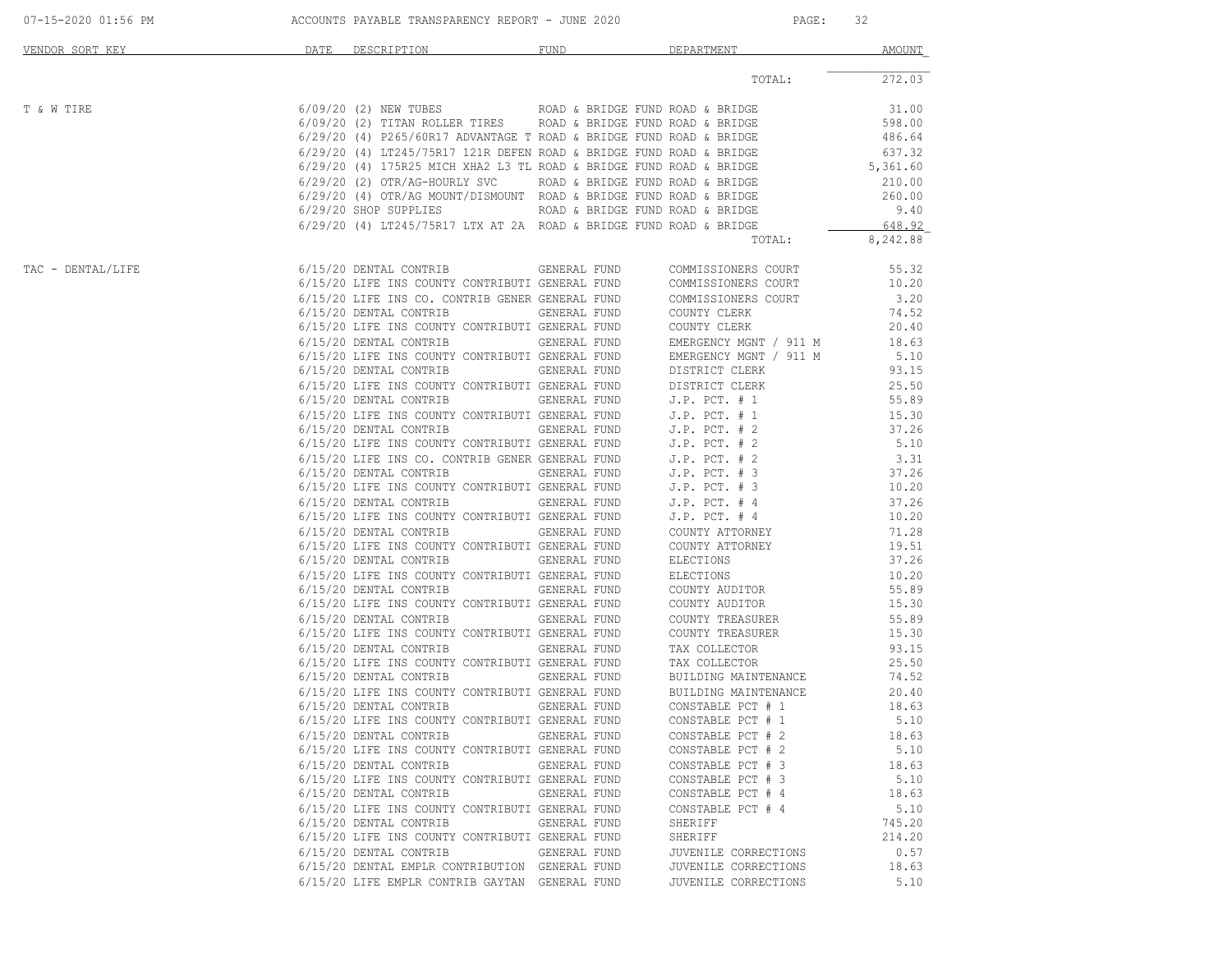| TOTAL:<br>$6/09/20$ (2) NEW TUBES ROAD & BRIDGE FUND ROAD & BRIDGE<br>T & W TIRE<br>$6/09/20$ (2) TITAN ROLLER TIRES ROAD & BRIDGE FUND ROAD & BRIDGE<br>$6/29/20$ (4) P265/60R17 ADVANTAGE T ROAD & BRIDGE FUND ROAD & BRIDGE<br>$6/29/20$ (4) LT245/75R17 121R DEFEN ROAD & BRIDGE FUND ROAD & BRIDGE<br>6/29/20 (4) 175R25 MICH XHA2 L3 TL ROAD & BRIDGE FUND ROAD & BRIDGE<br>6/29/20 (2) OTR/AG-HOURLY SVC<br>ROAD & BRIDGE FUND ROAD & BRIDGE<br>6/29/20 (4) OTR/AG MOUNT/DISMOUNT ROAD & BRIDGE FUND ROAD & BRIDGE<br>6/29/20 SHOP SUPPLIES<br>ROAD & BRIDGE FUND ROAD & BRIDGE<br>$6/29/20$ (4) LT245/75R17 LTX AT 2A ROAD & BRIDGE FUND ROAD & BRIDGE | 272.03<br>31.00 |
|----------------------------------------------------------------------------------------------------------------------------------------------------------------------------------------------------------------------------------------------------------------------------------------------------------------------------------------------------------------------------------------------------------------------------------------------------------------------------------------------------------------------------------------------------------------------------------------------------------------------------------------------------------------|-----------------|
|                                                                                                                                                                                                                                                                                                                                                                                                                                                                                                                                                                                                                                                                |                 |
|                                                                                                                                                                                                                                                                                                                                                                                                                                                                                                                                                                                                                                                                |                 |
|                                                                                                                                                                                                                                                                                                                                                                                                                                                                                                                                                                                                                                                                | 598.00          |
|                                                                                                                                                                                                                                                                                                                                                                                                                                                                                                                                                                                                                                                                | 486.64          |
|                                                                                                                                                                                                                                                                                                                                                                                                                                                                                                                                                                                                                                                                | 637.32          |
|                                                                                                                                                                                                                                                                                                                                                                                                                                                                                                                                                                                                                                                                | 5,361.60        |
|                                                                                                                                                                                                                                                                                                                                                                                                                                                                                                                                                                                                                                                                | 210.00          |
|                                                                                                                                                                                                                                                                                                                                                                                                                                                                                                                                                                                                                                                                | 260.00<br>9.40  |
|                                                                                                                                                                                                                                                                                                                                                                                                                                                                                                                                                                                                                                                                | 648.92          |
| TOTAL:                                                                                                                                                                                                                                                                                                                                                                                                                                                                                                                                                                                                                                                         | 8,242.88        |
| 6/15/20 DENTAL CONTRIB<br>TAC - DENTAL/LIFE<br>GENERAL FUND<br>COMMISSIONERS COURT                                                                                                                                                                                                                                                                                                                                                                                                                                                                                                                                                                             | 55.32           |
| 6/15/20 LIFE INS COUNTY CONTRIBUTI GENERAL FUND<br>COMMISSIONERS COURT                                                                                                                                                                                                                                                                                                                                                                                                                                                                                                                                                                                         | 10.20           |
| 6/15/20 LIFE INS CO. CONTRIB GENER GENERAL FUND<br>COMMISSIONERS COURT                                                                                                                                                                                                                                                                                                                                                                                                                                                                                                                                                                                         | 3.20            |
| 6/15/20 DENTAL CONTRIB<br>GENERAL FUND<br>COUNTY CLERK                                                                                                                                                                                                                                                                                                                                                                                                                                                                                                                                                                                                         | 74.52           |
| 6/15/20 LIFE INS COUNTY CONTRIBUTI GENERAL FUND<br>COUNTY CLERK                                                                                                                                                                                                                                                                                                                                                                                                                                                                                                                                                                                                | 20.40           |
| 6/15/20 DENTAL CONTRIB<br>GENERAL FUND<br>EMERGENCY MGNT / 911 M                                                                                                                                                                                                                                                                                                                                                                                                                                                                                                                                                                                               | 18.63           |
| 6/15/20 LIFE INS COUNTY CONTRIBUTI GENERAL FUND<br>EMERGENCY MGNT / 911 M                                                                                                                                                                                                                                                                                                                                                                                                                                                                                                                                                                                      | 5.10            |
| 6/15/20 DENTAL CONTRIB<br>GENERAL FUND<br>DISTRICT CLERK                                                                                                                                                                                                                                                                                                                                                                                                                                                                                                                                                                                                       | 93.15           |
| 6/15/20 LIFE INS COUNTY CONTRIBUTI GENERAL FUND<br>DISTRICT CLERK                                                                                                                                                                                                                                                                                                                                                                                                                                                                                                                                                                                              | 25.50           |
| 6/15/20 DENTAL CONTRIB<br>GENERAL FUND<br>$J.P.$ PCT. $# 1$<br>$J.P.$ PCT. $# 1$                                                                                                                                                                                                                                                                                                                                                                                                                                                                                                                                                                               | 55.89<br>15.30  |
| 6/15/20 LIFE INS COUNTY CONTRIBUTI GENERAL FUND<br>6/15/20 DENTAL CONTRIB<br>GENERAL FUND<br>$J.P.$ PCT. $# 2$                                                                                                                                                                                                                                                                                                                                                                                                                                                                                                                                                 | 37.26           |
| 6/15/20 LIFE INS COUNTY CONTRIBUTI GENERAL FUND<br>$J.P.$ PCT. $# 2$                                                                                                                                                                                                                                                                                                                                                                                                                                                                                                                                                                                           | 5.10            |
| 6/15/20 LIFE INS CO. CONTRIB GENER GENERAL FUND<br>$J.P.$ PCT. $# 2$                                                                                                                                                                                                                                                                                                                                                                                                                                                                                                                                                                                           | 3.31            |
| 6/15/20 DENTAL CONTRIB<br>GENERAL FUND<br>$J.P.$ PCT. $# 3$                                                                                                                                                                                                                                                                                                                                                                                                                                                                                                                                                                                                    | 37.26           |
| 6/15/20 LIFE INS COUNTY CONTRIBUTI GENERAL FUND<br>$J.P.$ PCT. $# 3$                                                                                                                                                                                                                                                                                                                                                                                                                                                                                                                                                                                           | 10.20           |
| 6/15/20 DENTAL CONTRIB<br>GENERAL FUND<br>$J.P.$ PCT. $#4$                                                                                                                                                                                                                                                                                                                                                                                                                                                                                                                                                                                                     | 37.26           |
| 6/15/20 LIFE INS COUNTY CONTRIBUTI GENERAL FUND<br>$J.P.$ PCT. $#4$                                                                                                                                                                                                                                                                                                                                                                                                                                                                                                                                                                                            | 10.20           |
| 6/15/20 DENTAL CONTRIB<br>GENERAL FUND<br>COUNTY ATTORNEY                                                                                                                                                                                                                                                                                                                                                                                                                                                                                                                                                                                                      | 71.28           |
| 6/15/20 LIFE INS COUNTY CONTRIBUTI GENERAL FUND<br>COUNTY ATTORNEY                                                                                                                                                                                                                                                                                                                                                                                                                                                                                                                                                                                             | 19.51           |
| 6/15/20 DENTAL CONTRIB<br>GENERAL FUND<br>ELECTIONS                                                                                                                                                                                                                                                                                                                                                                                                                                                                                                                                                                                                            | 37.26           |
| 6/15/20 LIFE INS COUNTY CONTRIBUTI GENERAL FUND<br>ELECTIONS                                                                                                                                                                                                                                                                                                                                                                                                                                                                                                                                                                                                   | 10.20           |
| 6/15/20 DENTAL CONTRIB<br>GENERAL FUND<br>COUNTY AUDITOR                                                                                                                                                                                                                                                                                                                                                                                                                                                                                                                                                                                                       | 55.89           |
| 6/15/20 LIFE INS COUNTY CONTRIBUTI GENERAL FUND<br>COUNTY AUDITOR                                                                                                                                                                                                                                                                                                                                                                                                                                                                                                                                                                                              | 15.30           |
| 6/15/20 DENTAL CONTRIB<br>GENERAL FUND<br>COUNTY TREASURER                                                                                                                                                                                                                                                                                                                                                                                                                                                                                                                                                                                                     | 55.89           |
| 6/15/20 LIFE INS COUNTY CONTRIBUTI GENERAL FUND<br>COUNTY TREASURER                                                                                                                                                                                                                                                                                                                                                                                                                                                                                                                                                                                            | 15.30           |
| 6/15/20 DENTAL CONTRIB<br>GENERAL FUND<br>TAX COLLECTOR                                                                                                                                                                                                                                                                                                                                                                                                                                                                                                                                                                                                        | 93.15           |
| 6/15/20 LIFE INS COUNTY CONTRIBUTI GENERAL FUND<br>TAX COLLECTOR                                                                                                                                                                                                                                                                                                                                                                                                                                                                                                                                                                                               | 25.50           |
| 6/15/20 DENTAL CONTRIB<br>GENERAL FUND<br>BUILDING MAINTENANCE                                                                                                                                                                                                                                                                                                                                                                                                                                                                                                                                                                                                 | 74.52           |
| 6/15/20 LIFE INS COUNTY CONTRIBUTI GENERAL FUND<br>BUILDING MAINTENANCE                                                                                                                                                                                                                                                                                                                                                                                                                                                                                                                                                                                        | 20.40           |
| 6/15/20 DENTAL CONTRIB<br>GENERAL FUND<br>CONSTABLE PCT # 1<br>6/15/20 LIFE INS COUNTY CONTRIBUTI GENERAL FUND<br>CONSTABLE PCT # 1                                                                                                                                                                                                                                                                                                                                                                                                                                                                                                                            | 18.63<br>5.10   |
| 6/15/20 DENTAL CONTRIB<br>CONSTABLE PCT # 2                                                                                                                                                                                                                                                                                                                                                                                                                                                                                                                                                                                                                    | 18.63           |
| GENERAL FUND<br>6/15/20 LIFE INS COUNTY CONTRIBUTI GENERAL FUND<br>CONSTABLE PCT # 2                                                                                                                                                                                                                                                                                                                                                                                                                                                                                                                                                                           | 5.10            |
| 6/15/20 DENTAL CONTRIB<br>GENERAL FUND<br>CONSTABLE PCT # 3                                                                                                                                                                                                                                                                                                                                                                                                                                                                                                                                                                                                    | 18.63           |
| 6/15/20 LIFE INS COUNTY CONTRIBUTI GENERAL FUND<br>CONSTABLE PCT # 3                                                                                                                                                                                                                                                                                                                                                                                                                                                                                                                                                                                           | 5.10            |
| 6/15/20 DENTAL CONTRIB<br>GENERAL FUND<br>CONSTABLE PCT # 4                                                                                                                                                                                                                                                                                                                                                                                                                                                                                                                                                                                                    | 18.63           |
| 6/15/20 LIFE INS COUNTY CONTRIBUTI GENERAL FUND<br>CONSTABLE PCT # 4                                                                                                                                                                                                                                                                                                                                                                                                                                                                                                                                                                                           | 5.10            |
| 6/15/20 DENTAL CONTRIB<br>GENERAL FUND<br>SHERIFF                                                                                                                                                                                                                                                                                                                                                                                                                                                                                                                                                                                                              | 745.20          |
| 6/15/20 LIFE INS COUNTY CONTRIBUTI GENERAL FUND<br>SHERIFF                                                                                                                                                                                                                                                                                                                                                                                                                                                                                                                                                                                                     | 214.20          |
| 6/15/20 DENTAL CONTRIB<br>GENERAL FUND<br>JUVENILE CORRECTIONS                                                                                                                                                                                                                                                                                                                                                                                                                                                                                                                                                                                                 | 0.57            |
| 6/15/20 DENTAL EMPLR CONTRIBUTION GENERAL FUND<br>JUVENILE CORRECTIONS                                                                                                                                                                                                                                                                                                                                                                                                                                                                                                                                                                                         | 18.63           |
| 6/15/20 LIFE EMPLR CONTRIB GAYTAN GENERAL FUND<br>JUVENILE CORRECTIONS                                                                                                                                                                                                                                                                                                                                                                                                                                                                                                                                                                                         | 5.10            |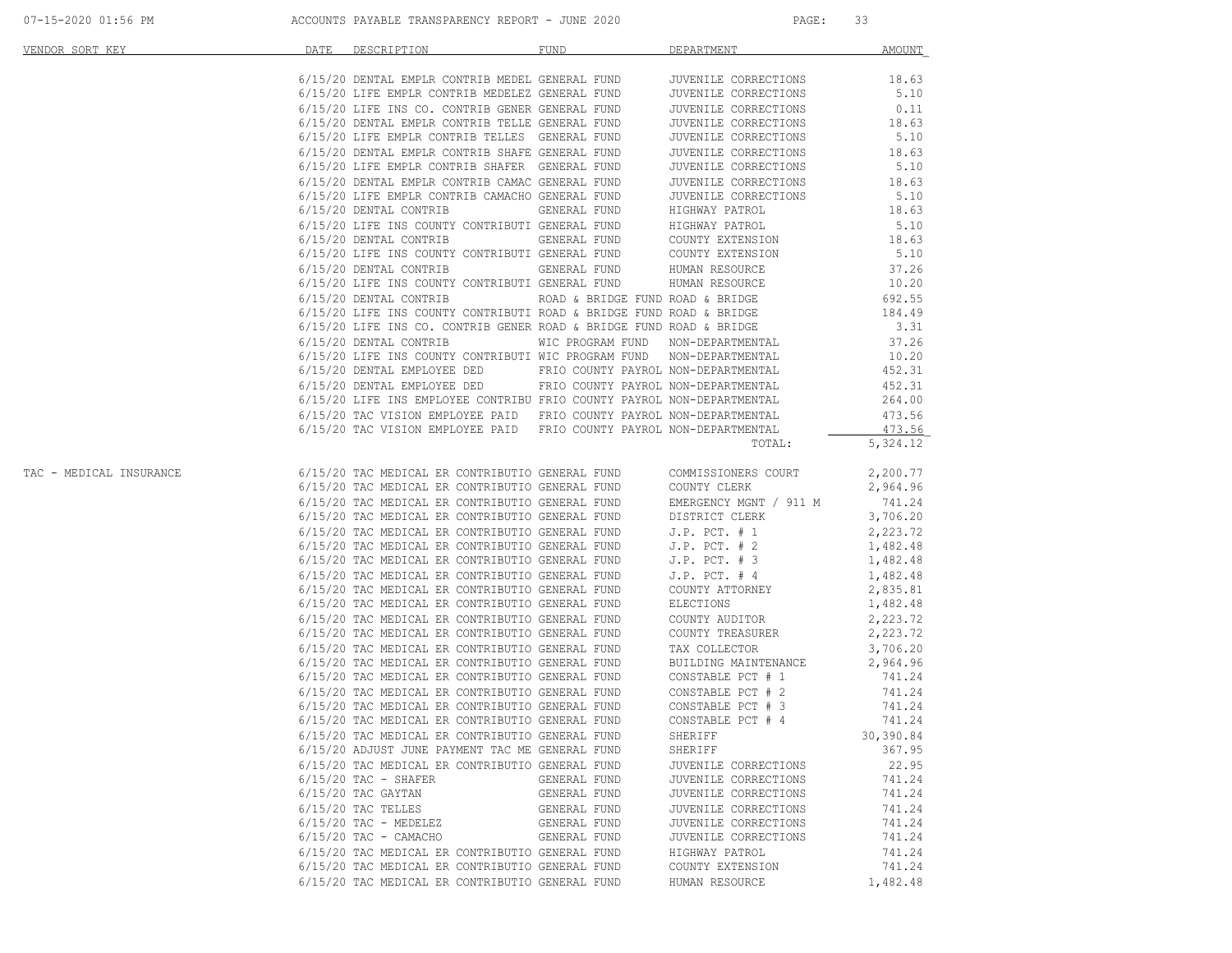| VENDOR SORT KEY                                                                                                                                                                                                                         | DATE | DESCRIPTION                                     | FUND FUND    | DEPARTMENT           | AMOUNT   |
|-----------------------------------------------------------------------------------------------------------------------------------------------------------------------------------------------------------------------------------------|------|-------------------------------------------------|--------------|----------------------|----------|
|                                                                                                                                                                                                                                         |      |                                                 |              |                      |          |
|                                                                                                                                                                                                                                         |      |                                                 |              |                      |          |
|                                                                                                                                                                                                                                         |      |                                                 |              |                      |          |
|                                                                                                                                                                                                                                         |      |                                                 |              |                      |          |
|                                                                                                                                                                                                                                         |      |                                                 |              |                      |          |
|                                                                                                                                                                                                                                         |      |                                                 |              |                      |          |
|                                                                                                                                                                                                                                         |      |                                                 |              |                      |          |
|                                                                                                                                                                                                                                         |      |                                                 |              |                      |          |
|                                                                                                                                                                                                                                         |      |                                                 |              |                      |          |
|                                                                                                                                                                                                                                         |      |                                                 |              |                      |          |
|                                                                                                                                                                                                                                         |      |                                                 |              |                      |          |
|                                                                                                                                                                                                                                         |      |                                                 |              |                      |          |
|                                                                                                                                                                                                                                         |      |                                                 |              |                      |          |
|                                                                                                                                                                                                                                         |      |                                                 |              |                      |          |
|                                                                                                                                                                                                                                         |      |                                                 |              |                      |          |
|                                                                                                                                                                                                                                         |      |                                                 |              |                      |          |
|                                                                                                                                                                                                                                         |      |                                                 |              |                      |          |
|                                                                                                                                                                                                                                         |      |                                                 |              |                      |          |
|                                                                                                                                                                                                                                         |      |                                                 |              |                      |          |
|                                                                                                                                                                                                                                         |      |                                                 |              |                      |          |
|                                                                                                                                                                                                                                         |      |                                                 |              |                      |          |
|                                                                                                                                                                                                                                         |      |                                                 |              |                      |          |
|                                                                                                                                                                                                                                         |      |                                                 |              |                      |          |
|                                                                                                                                                                                                                                         |      |                                                 |              |                      |          |
|                                                                                                                                                                                                                                         |      |                                                 |              |                      |          |
|                                                                                                                                                                                                                                         |      |                                                 |              | TOTAL:               | 5,324.12 |
| TAC - MEDICAL INSURANCE<br>6/15/20 TAC MEDICAL ER CONTRIBUTIO GENERAL FUND<br>6/15/20 TAC MEDICAL ER CONTRIBUTIO GENERAL FUND<br>6/15/20 TAC MEDICAL ER CONTRIBUTIO GENERAL FUND<br>6/15/20 TAC MEDICAL ER CONTRIBUTIO GENERAL FUND<br> |      |                                                 |              |                      |          |
|                                                                                                                                                                                                                                         |      |                                                 |              |                      |          |
|                                                                                                                                                                                                                                         |      |                                                 |              |                      |          |
|                                                                                                                                                                                                                                         |      |                                                 |              |                      |          |
|                                                                                                                                                                                                                                         |      |                                                 |              |                      |          |
|                                                                                                                                                                                                                                         |      |                                                 |              |                      |          |
|                                                                                                                                                                                                                                         |      |                                                 |              |                      |          |
|                                                                                                                                                                                                                                         |      |                                                 |              |                      |          |
|                                                                                                                                                                                                                                         |      |                                                 |              |                      |          |
|                                                                                                                                                                                                                                         |      |                                                 |              |                      |          |
|                                                                                                                                                                                                                                         |      |                                                 |              |                      |          |
|                                                                                                                                                                                                                                         |      |                                                 |              |                      |          |
|                                                                                                                                                                                                                                         |      |                                                 |              |                      |          |
|                                                                                                                                                                                                                                         |      |                                                 |              |                      |          |
|                                                                                                                                                                                                                                         |      |                                                 |              |                      |          |
|                                                                                                                                                                                                                                         |      |                                                 |              |                      |          |
|                                                                                                                                                                                                                                         |      |                                                 |              |                      |          |
|                                                                                                                                                                                                                                         |      |                                                 |              |                      |          |
|                                                                                                                                                                                                                                         |      |                                                 |              |                      |          |
|                                                                                                                                                                                                                                         |      | 6/15/20 ADJUST JUNE PAYMENT TAC ME GENERAL FUND |              | SHERIFF              | 367.95   |
|                                                                                                                                                                                                                                         |      | 6/15/20 TAC MEDICAL ER CONTRIBUTIO GENERAL FUND |              | JUVENILE CORRECTIONS | 22.95    |
|                                                                                                                                                                                                                                         |      | $6/15/20$ TAC - SHAFER                          | GENERAL FUND | JUVENILE CORRECTIONS | 741.24   |
|                                                                                                                                                                                                                                         |      | $6/15/20$ TAC GAYTAN                            | GENERAL FUND | JUVENILE CORRECTIONS | 741.24   |
|                                                                                                                                                                                                                                         |      | 6/15/20 TAC TELLES                              | GENERAL FUND | JUVENILE CORRECTIONS | 741.24   |
|                                                                                                                                                                                                                                         |      | $6/15/20$ TAC - MEDELEZ                         | GENERAL FUND | JUVENILE CORRECTIONS | 741.24   |
|                                                                                                                                                                                                                                         |      | $6/15/20$ TAC - CAMACHO                         | GENERAL FUND | JUVENILE CORRECTIONS | 741.24   |
|                                                                                                                                                                                                                                         |      | 6/15/20 TAC MEDICAL ER CONTRIBUTIO GENERAL FUND |              | HIGHWAY PATROL       | 741.24   |
|                                                                                                                                                                                                                                         |      | 6/15/20 TAC MEDICAL ER CONTRIBUTIO GENERAL FUND |              | COUNTY EXTENSION     | 741.24   |
|                                                                                                                                                                                                                                         |      | 6/15/20 TAC MEDICAL ER CONTRIBUTIO GENERAL FUND |              | HUMAN RESOURCE       | 1,482.48 |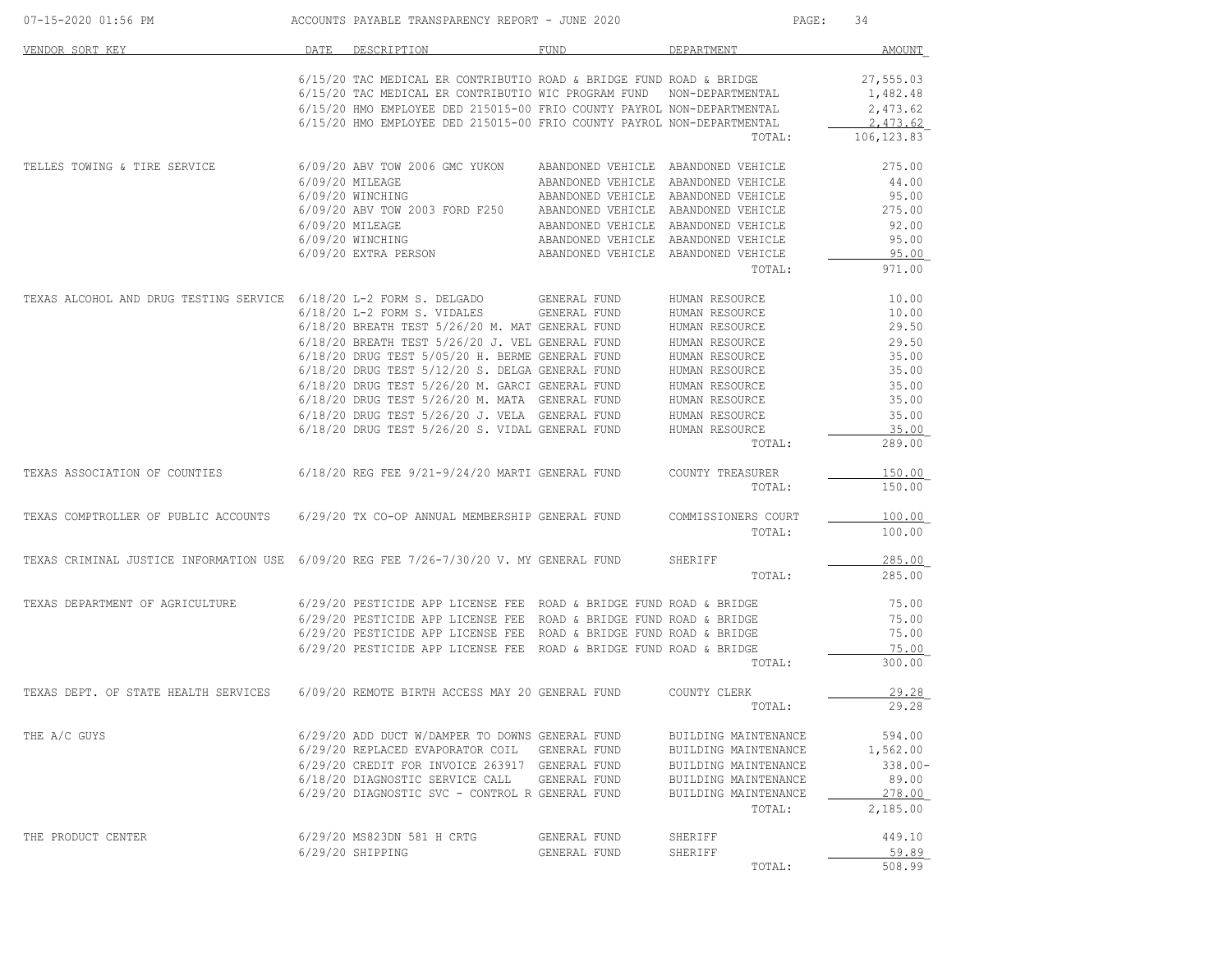| 07-15-2020 01:56 PM                                                                    |      | ACCOUNTS PAYABLE TRANSPARENCY REPORT - JUNE 2020                                                  |                                                                            |                                  | 34<br>PAGE:             |
|----------------------------------------------------------------------------------------|------|---------------------------------------------------------------------------------------------------|----------------------------------------------------------------------------|----------------------------------|-------------------------|
| VENDOR SORT KEY                                                                        | DATE | DESCRIPTION                                                                                       | FUND                                                                       | DEPARTMENT                       | AMOUNT                  |
|                                                                                        |      | 6/15/20 TAC MEDICAL ER CONTRIBUTIO ROAD & BRIDGE FUND ROAD & BRIDGE                               |                                                                            |                                  | 27,555.03               |
|                                                                                        |      | 6/15/20 TAC MEDICAL ER CONTRIBUTIO WIC PROGRAM FUND                                               |                                                                            | NON-DEPARTMENTAL                 | 1,482.48                |
|                                                                                        |      | 6/15/20 HMO EMPLOYEE DED 215015-00 FRIO COUNTY PAYROL NON-DEPARTMENTAL                            |                                                                            |                                  | 2,473.62                |
|                                                                                        |      | 6/15/20 HMO EMPLOYEE DED 215015-00 FRIO COUNTY PAYROL NON-DEPARTMENTAL                            |                                                                            | TOTAL:                           | 2,473.62<br>106, 123.83 |
|                                                                                        |      |                                                                                                   |                                                                            |                                  |                         |
| TELLES TOWING & TIRE SERVICE                                                           |      | 6/09/20 ABV TOW 2006 GMC YUKON                                                                    | ABANDONED VEHICLE ABANDONED VEHICLE                                        |                                  | 275.00                  |
|                                                                                        |      | 6/09/20 MILEAGE<br>6/09/20 WINCHING                                                               | ABANDONED VEHICLE ABANDONED VEHICLE<br>ABANDONED VEHICLE ABANDONED VEHICLE |                                  | 44.00<br>95.00          |
|                                                                                        |      | 6/09/20 ABV TOW 2003 FORD F250                                                                    | ABANDONED VEHICLE ABANDONED VEHICLE                                        |                                  | 275.00                  |
|                                                                                        |      | 6/09/20 MILEAGE                                                                                   | ABANDONED VEHICLE ABANDONED VEHICLE                                        |                                  | 92.00                   |
|                                                                                        |      | 6/09/20 WINCHING                                                                                  | ABANDONED VEHICLE ABANDONED VEHICLE                                        |                                  | 95.00                   |
|                                                                                        |      | 6/09/20 EXTRA PERSON                                                                              | ABANDONED VEHICLE ABANDONED VEHICLE                                        |                                  | 95.00                   |
|                                                                                        |      |                                                                                                   |                                                                            | TOTAL:                           | 971.00                  |
| TEXAS ALCOHOL AND DRUG TESTING SERVICE 6/18/20 L-2 FORM S. DELGADO                     |      |                                                                                                   | GENERAL FUND                                                               | HUMAN RESOURCE                   | 10.00                   |
|                                                                                        |      | 6/18/20 L-2 FORM S. VIDALES                                                                       | GENERAL FUND                                                               | HUMAN RESOURCE                   | 10.00                   |
|                                                                                        |      | 6/18/20 BREATH TEST 5/26/20 M. MAT GENERAL FUND                                                   |                                                                            | HUMAN RESOURCE                   | 29.50                   |
|                                                                                        |      | 6/18/20 BREATH TEST 5/26/20 J. VEL GENERAL FUND                                                   |                                                                            | HUMAN RESOURCE                   | 29.50                   |
|                                                                                        |      | 6/18/20 DRUG TEST 5/05/20 H. BERME GENERAL FUND                                                   |                                                                            | HUMAN RESOURCE                   | 35.00                   |
|                                                                                        |      | 6/18/20 DRUG TEST 5/12/20 S. DELGA GENERAL FUND                                                   |                                                                            | HUMAN RESOURCE                   | 35.00                   |
|                                                                                        |      | 6/18/20 DRUG TEST 5/26/20 M. GARCI GENERAL FUND                                                   |                                                                            | HUMAN RESOURCE                   | 35.00                   |
|                                                                                        |      | 6/18/20 DRUG TEST 5/26/20 M. MATA GENERAL FUND                                                    |                                                                            | HUMAN RESOURCE                   | 35.00                   |
|                                                                                        |      | 6/18/20 DRUG TEST 5/26/20 J. VELA GENERAL FUND<br>6/18/20 DRUG TEST 5/26/20 S. VIDAL GENERAL FUND |                                                                            | HUMAN RESOURCE<br>HUMAN RESOURCE | 35.00<br>35.00          |
|                                                                                        |      |                                                                                                   |                                                                            | TOTAL:                           | 289.00                  |
| TEXAS ASSOCIATION OF COUNTIES                                                          |      | 6/18/20 REG FEE 9/21-9/24/20 MARTI GENERAL FUND                                                   |                                                                            | COUNTY TREASURER                 | 150.00                  |
|                                                                                        |      |                                                                                                   |                                                                            | TOTAL:                           | 150.00                  |
| TEXAS COMPTROLLER OF PUBLIC ACCOUNTS                                                   |      | 6/29/20 TX CO-OP ANNUAL MEMBERSHIP GENERAL FUND                                                   |                                                                            | COMMISSIONERS COURT              | 100.00                  |
|                                                                                        |      |                                                                                                   |                                                                            | TOTAL:                           | 100.00                  |
| TEXAS CRIMINAL JUSTICE INFORMATION USE 6/09/20 REG FEE 7/26-7/30/20 V. MY GENERAL FUND |      |                                                                                                   |                                                                            | SHERIFF                          | 285.00                  |
|                                                                                        |      |                                                                                                   |                                                                            | TOTAL:                           | 285.00                  |
| TEXAS DEPARTMENT OF AGRICULTURE                                                        |      | 6/29/20 PESTICIDE APP LICENSE FEE ROAD & BRIDGE FUND ROAD & BRIDGE                                |                                                                            |                                  | 75.00                   |
|                                                                                        |      | 6/29/20 PESTICIDE APP LICENSE FEE ROAD & BRIDGE FUND ROAD & BRIDGE                                |                                                                            |                                  | 75.00                   |
|                                                                                        |      | 6/29/20 PESTICIDE APP LICENSE FEE ROAD & BRIDGE FUND ROAD & BRIDGE                                |                                                                            |                                  | 75.00                   |
|                                                                                        |      | 6/29/20 PESTICIDE APP LICENSE FEE ROAD & BRIDGE FUND ROAD & BRIDGE                                |                                                                            | TOTAL:                           | 75.00<br>300.00         |
|                                                                                        |      |                                                                                                   |                                                                            |                                  | 29.28                   |
| TEXAS DEPT. OF STATE HEALTH SERVICES                                                   |      | 6/09/20 REMOTE BIRTH ACCESS MAY 20 GENERAL FUND                                                   |                                                                            | COUNTY CLERK<br>TOTAL:           | 29.28                   |
|                                                                                        |      |                                                                                                   |                                                                            |                                  |                         |
| THE A/C GUYS                                                                           |      | 6/29/20 ADD DUCT W/DAMPER TO DOWNS GENERAL FUND                                                   |                                                                            | BUILDING MAINTENANCE             | 594.00                  |
|                                                                                        |      | 6/29/20 REPLACED EVAPORATOR COIL GENERAL FUND                                                     |                                                                            | BUILDING MAINTENANCE             | 1,562.00                |
|                                                                                        |      | 6/29/20 CREDIT FOR INVOICE 263917 GENERAL FUND                                                    |                                                                            | BUILDING MAINTENANCE             | $338.00 -$              |
|                                                                                        |      | 6/18/20 DIAGNOSTIC SERVICE CALL                                                                   | GENERAL FUND                                                               | BUILDING MAINTENANCE             | 89.00                   |
|                                                                                        |      | 6/29/20 DIAGNOSTIC SVC - CONTROL R GENERAL FUND                                                   |                                                                            | BUILDING MAINTENANCE<br>TOTAL:   | 278.00<br>2,185.00      |
| THE PRODUCT CENTER                                                                     |      |                                                                                                   | GENERAL FUND                                                               |                                  | 449.10                  |
|                                                                                        |      | 6/29/20 MS823DN 581 H CRTG<br>6/29/20 SHIPPING                                                    | GENERAL FUND                                                               | SHERIFF<br>SHERIFF               | 59.89                   |
|                                                                                        |      |                                                                                                   |                                                                            | TOTAL:                           | 508.99                  |
|                                                                                        |      |                                                                                                   |                                                                            |                                  |                         |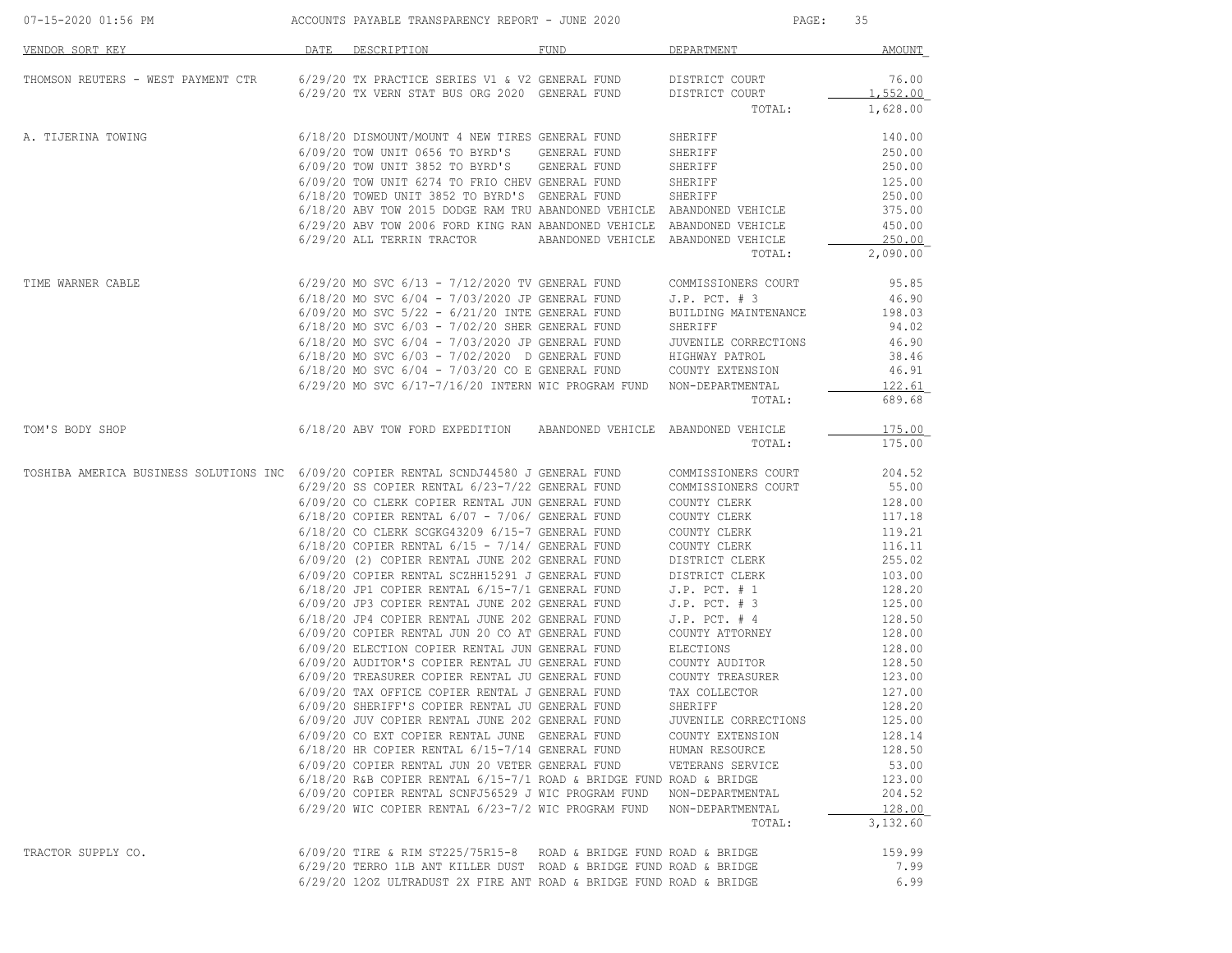| 07-15-2020 01:56 PM                                                                    |      | ACCOUNTS PAYABLE TRANSPARENCY REPORT - JUNE 2020                                                                         |                                     | PAGE:                              | 35                |
|----------------------------------------------------------------------------------------|------|--------------------------------------------------------------------------------------------------------------------------|-------------------------------------|------------------------------------|-------------------|
| <u>VENDOR SORT KEY</u>                                                                 | DATE | DESCRIPTION                                                                                                              | FUND                                | DEPARTMENT                         | <b>AMOUNT</b>     |
| THOMSON REUTERS - WEST PAYMENT CTR                                                     |      | 6/29/20 TX PRACTICE SERIES V1 & V2 GENERAL FUND<br>6/29/20 TX VERN STAT BUS ORG 2020 GENERAL FUND                        |                                     | DISTRICT COURT<br>DISTRICT COURT   | 76.00<br>1,552.00 |
|                                                                                        |      |                                                                                                                          |                                     | TOTAL:                             | 1,628.00          |
| A. TIJERINA TOWING                                                                     |      | 6/18/20 DISMOUNT/MOUNT 4 NEW TIRES GENERAL FUND                                                                          |                                     | SHERIFF                            | 140.00            |
|                                                                                        |      | 6/09/20 TOW UNIT 0656 TO BYRD'S                                                                                          | GENERAL FUND                        | SHERIFF                            | 250.00            |
|                                                                                        |      | 6/09/20 TOW UNIT 3852 TO BYRD'S                                                                                          | GENERAL FUND                        | SHERIFF                            | 250.00            |
|                                                                                        |      | 6/09/20 TOW UNIT 6274 TO FRIO CHEV GENERAL FUND                                                                          |                                     | SHERIFF                            | 125.00            |
|                                                                                        |      | 6/18/20 TOWED UNIT 3852 TO BYRD'S GENERAL FUND<br>6/18/20 ABV TOW 2015 DODGE RAM TRU ABANDONED VEHICLE ABANDONED VEHICLE |                                     | SHERIFF                            | 250.00<br>375.00  |
|                                                                                        |      | 6/29/20 ABV TOW 2006 FORD KING RAN ABANDONED VEHICLE ABANDONED VEHICLE                                                   |                                     |                                    | 450.00            |
|                                                                                        |      | 6/29/20 ALL TERRIN TRACTOR                                                                                               | ABANDONED VEHICLE ABANDONED VEHICLE |                                    | 250.00            |
|                                                                                        |      |                                                                                                                          |                                     | TOTAL:                             | 2,090.00          |
| TIME WARNER CABLE                                                                      |      | $6/29/20$ MO SVC $6/13 - 7/12/2020$ TV GENERAL FUND                                                                      |                                     | COMMISSIONERS COURT                | 95.85             |
|                                                                                        |      | 6/18/20 MO SVC 6/04 - 7/03/2020 JP GENERAL FUND                                                                          |                                     | $J.P.$ PCT. $# 3$                  | 46.90             |
|                                                                                        |      | $6/09/20$ MO SVC $5/22 - 6/21/20$ INTE GENERAL FUND                                                                      |                                     | BUILDING MAINTENANCE               | 198.03            |
|                                                                                        |      | $6/18/20$ MO SVC $6/03 - 7/02/20$ SHER GENERAL FUND                                                                      |                                     | SHERIFF                            | 94.02             |
|                                                                                        |      | 6/18/20 MO SVC 6/04 - 7/03/2020 JP GENERAL FUND                                                                          |                                     | JUVENILE CORRECTIONS               | 46.90             |
|                                                                                        |      | 6/18/20 MO SVC 6/03 - 7/02/2020 D GENERAL FUND                                                                           |                                     | HIGHWAY PATROL<br>COUNTY EXTENSION | 38.46<br>46.91    |
|                                                                                        |      | $6/18/20$ MO SVC $6/04 - 7/03/20$ CO E GENERAL FUND<br>$6/29/20$ MO SVC $6/17-7/16/20$ INTERN WIC PROGRAM FUND           |                                     | NON-DEPARTMENTAL                   | 122.61            |
|                                                                                        |      |                                                                                                                          |                                     | TOTAL:                             | 689.68            |
| TOM'S BODY SHOP                                                                        |      | 6/18/20 ABV TOW FORD EXPEDITION ABANDONED VEHICLE                                                                        |                                     | ABANDONED VEHICLE<br>TOTAL:        | 175.00<br>175.00  |
| TOSHIBA AMERICA BUSINESS SOLUTIONS INC 6/09/20 COPIER RENTAL SCNDJ44580 J GENERAL FUND |      |                                                                                                                          |                                     | COMMISSIONERS COURT                | 204.52            |
|                                                                                        |      | 6/29/20 SS COPIER RENTAL 6/23-7/22 GENERAL FUND                                                                          |                                     | COMMISSIONERS COURT                | 55.00             |
|                                                                                        |      | 6/09/20 CO CLERK COPIER RENTAL JUN GENERAL FUND                                                                          |                                     | COUNTY CLERK                       | 128.00            |
|                                                                                        |      | $6/18/20$ COPIER RENTAL $6/07 - 7/06/$ GENERAL FUND                                                                      |                                     | COUNTY CLERK                       | 117.18            |
|                                                                                        |      | 6/18/20 CO CLERK SCGKG43209 6/15-7 GENERAL FUND<br>$6/18/20$ COPIER RENTAL $6/15$ - $7/14/$ GENERAL FUND                 |                                     | COUNTY CLERK<br>COUNTY CLERK       | 119.21<br>116.11  |
|                                                                                        |      | 6/09/20 (2) COPIER RENTAL JUNE 202 GENERAL FUND                                                                          |                                     | DISTRICT CLERK                     | 255.02            |
|                                                                                        |      | 6/09/20 COPIER RENTAL SCZHH15291 J GENERAL FUND                                                                          |                                     | DISTRICT CLERK                     | 103.00            |
|                                                                                        |      | 6/18/20 JP1 COPIER RENTAL 6/15-7/1 GENERAL FUND                                                                          |                                     | $J.P.$ PCT. $# 1$                  | 128.20            |
|                                                                                        |      | 6/09/20 JP3 COPIER RENTAL JUNE 202 GENERAL FUND                                                                          |                                     | $J.P.$ PCT. $# 3$                  | 125.00            |
|                                                                                        |      | 6/18/20 JP4 COPIER RENTAL JUNE 202 GENERAL FUND                                                                          |                                     | $J.P.$ PCT. $#4$                   | 128.50            |
|                                                                                        |      | 6/09/20 COPIER RENTAL JUN 20 CO AT GENERAL FUND                                                                          |                                     | COUNTY ATTORNEY                    | 128.00            |
|                                                                                        |      | 6/09/20 ELECTION COPIER RENTAL JUN GENERAL FUND                                                                          |                                     | ELECTIONS                          | 128.00            |
|                                                                                        |      | 6/09/20 AUDITOR'S COPIER RENTAL JU GENERAL FUND                                                                          |                                     | COUNTY AUDITOR                     | 128.50            |
|                                                                                        |      | 6/09/20 TREASURER COPIER RENTAL JU GENERAL FUND<br>6/09/20 TAX OFFICE COPIER RENTAL J GENERAL FUND                       |                                     | COUNTY TREASURER<br>TAX COLLECTOR  | 123.00            |
|                                                                                        |      | 6/09/20 SHERIFF'S COPIER RENTAL JU GENERAL FUND                                                                          |                                     | SHERIFF                            | 127.00<br>128.20  |
|                                                                                        |      | 6/09/20 JUV COPIER RENTAL JUNE 202 GENERAL FUND                                                                          |                                     | JUVENILE CORRECTIONS               | 125.00            |
|                                                                                        |      | 6/09/20 CO EXT COPIER RENTAL JUNE GENERAL FUND                                                                           |                                     | COUNTY EXTENSION                   | 128.14            |
|                                                                                        |      | 6/18/20 HR COPIER RENTAL 6/15-7/14 GENERAL FUND                                                                          |                                     | HUMAN RESOURCE                     | 128.50            |
|                                                                                        |      | 6/09/20 COPIER RENTAL JUN 20 VETER GENERAL FUND                                                                          |                                     | VETERANS SERVICE                   | 53.00             |
|                                                                                        |      | $6/18/20$ R&B COPIER RENTAL $6/15-7/1$ ROAD & BRIDGE FUND ROAD & BRIDGE                                                  |                                     |                                    | 123.00            |
|                                                                                        |      | 6/09/20 COPIER RENTAL SCNFJ56529 J WIC PROGRAM FUND                                                                      |                                     | NON-DEPARTMENTAL                   | 204.52            |
|                                                                                        |      | 6/29/20 WIC COPIER RENTAL 6/23-7/2 WIC PROGRAM FUND                                                                      |                                     | NON-DEPARTMENTAL                   | 128.00            |
|                                                                                        |      |                                                                                                                          |                                     | TOTAL:                             | 3,132.60          |
| TRACTOR SUPPLY CO.                                                                     |      | $6/09/20$ TIRE & RIM ST225/75R15-8 ROAD & BRIDGE FUND ROAD & BRIDGE                                                      |                                     |                                    | 159.99            |
|                                                                                        |      | 6/29/20 TERRO 1LB ANT KILLER DUST ROAD & BRIDGE FUND ROAD & BRIDGE                                                       |                                     |                                    | 7.99              |
|                                                                                        |      | 6/29/20 120Z ULTRADUST 2X FIRE ANT ROAD & BRIDGE FUND ROAD & BRIDGE                                                      |                                     |                                    | 6.99              |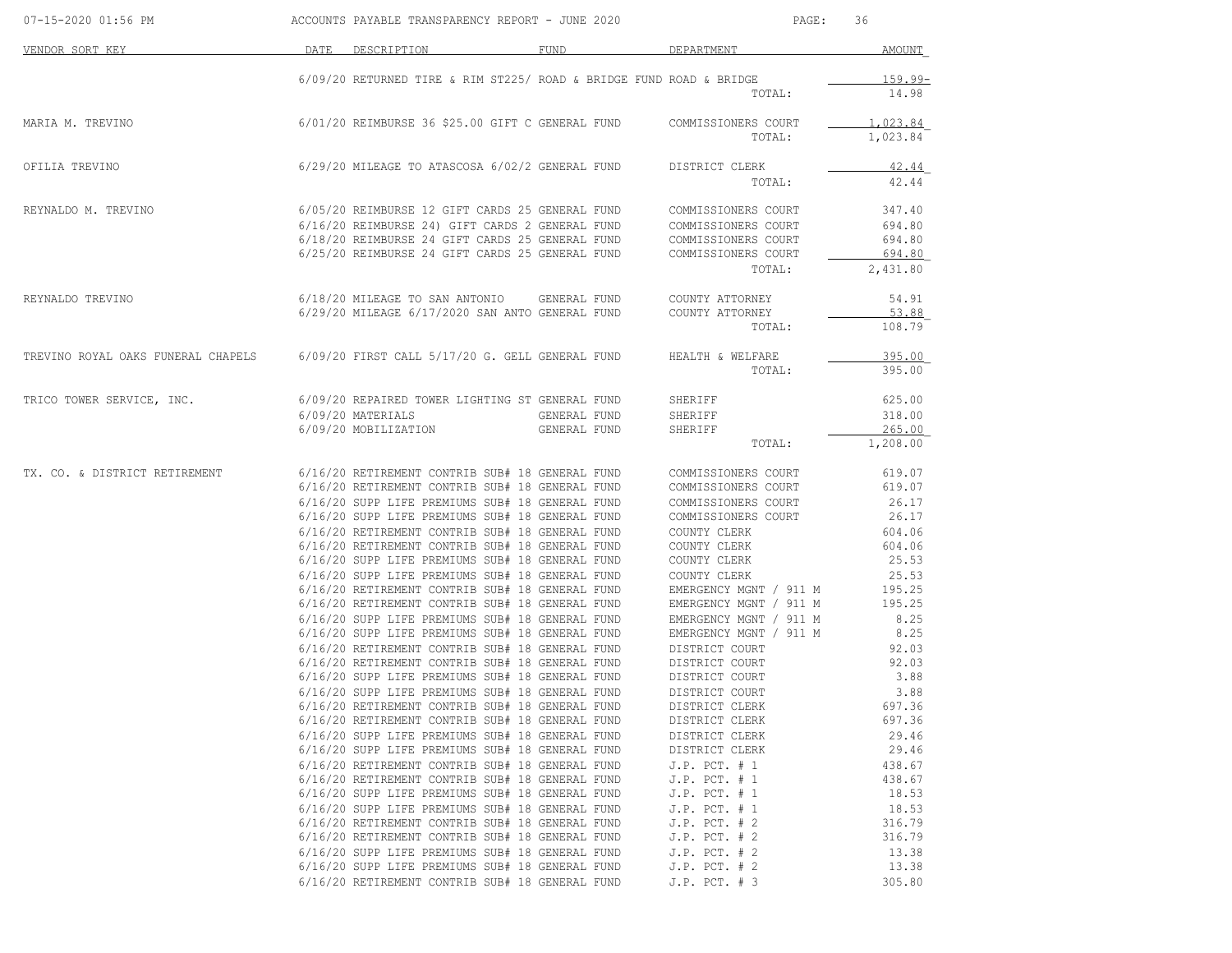| 07-15-2020 01:56 PM                                                                                 |      | ACCOUNTS PAYABLE TRANSPARENCY REPORT - JUNE 2020                                                   | PAGE:<br>36  |                                                  |                  |
|-----------------------------------------------------------------------------------------------------|------|----------------------------------------------------------------------------------------------------|--------------|--------------------------------------------------|------------------|
| VENDOR SORT KEY                                                                                     | DATE | DESCRIPTION                                                                                        | FUND         | DEPARTMENT                                       | AMOUNT           |
|                                                                                                     |      | 6/09/20 RETURNED TIRE & RIM ST225/ ROAD & BRIDGE FUND ROAD & BRIDGE                                |              |                                                  | $159.99 -$       |
|                                                                                                     |      |                                                                                                    |              | TOTAL:                                           | 14.98            |
| MARIA M. TREVINO                                                                                    |      | 6/01/20 REIMBURSE 36 \$25.00 GIFT C GENERAL FUND COMMISSIONERS COURT                               |              |                                                  | 1,023.84         |
|                                                                                                     |      |                                                                                                    |              | TOTAL:                                           | 1,023.84         |
| OFILIA TREVINO                                                                                      |      | 6/29/20 MILEAGE TO ATASCOSA 6/02/2 GENERAL FUND                                                    |              | DISTRICT CLERK                                   | 42.44            |
|                                                                                                     |      |                                                                                                    |              | TOTAL:                                           | 42.44            |
| REYNALDO M. TREVINO                                                                                 |      | 6/05/20 REIMBURSE 12 GIFT CARDS 25 GENERAL FUND COMMISSIONERS COURT                                |              |                                                  | 347.40           |
|                                                                                                     |      | 6/16/20 REIMBURSE 24) GIFT CARDS 2 GENERAL FUND                                                    |              | COMMISSIONERS COURT                              | 694.80           |
|                                                                                                     |      | 6/18/20 REIMBURSE 24 GIFT CARDS 25 GENERAL FUND COMMISSIONERS COURT                                |              |                                                  | 694.80           |
|                                                                                                     |      | 6/25/20 REIMBURSE 24 GIFT CARDS 25 GENERAL FUND                                                    |              | COMMISSIONERS COURT                              | 694.80           |
|                                                                                                     |      |                                                                                                    |              | TOTAL:                                           | 2,431.80         |
| REYNALDO TREVINO                                                                                    |      | 6/18/20 MILEAGE TO SAN ANTONIO GENERAL FUND                                                        |              | COUNTY ATTORNEY                                  | 54.91            |
|                                                                                                     |      | 6/29/20 MILEAGE 6/17/2020 SAN ANTO GENERAL FUND COUNTY ATTORNEY                                    |              |                                                  | 53.88            |
|                                                                                                     |      |                                                                                                    |              | TOTAL:                                           | 108.79           |
| TREVINO ROYAL OAKS FUNERAL CHAPELS 6/09/20 FIRST CALL 5/17/20 G. GELL GENERAL FUND HEALTH & WELFARE |      |                                                                                                    |              |                                                  | 395.00           |
|                                                                                                     |      |                                                                                                    |              | TOTAL:                                           | 395.00           |
| TRICO TOWER SERVICE, INC.                                                                           |      | 6/09/20 REPAIRED TOWER LIGHTING ST GENERAL FUND                                                    |              | SHERIFF                                          | 625.00           |
|                                                                                                     |      | 6/09/20 MATERIALS                                                                                  | GENERAL FUND | SHERIFF                                          | 318.00           |
|                                                                                                     |      | 6/09/20 MOBILIZATION                                                                               | GENERAL FUND | SHERIFF                                          | 265.00           |
|                                                                                                     |      |                                                                                                    |              | TOTAL:                                           | 1,208.00         |
| TX. CO. & DISTRICT RETIREMENT                                                                       |      | 6/16/20 RETIREMENT CONTRIB SUB# 18 GENERAL FUND                                                    |              | COMMISSIONERS COURT                              | 619.07           |
|                                                                                                     |      | 6/16/20 RETIREMENT CONTRIB SUB# 18 GENERAL FUND                                                    |              | COMMISSIONERS COURT                              | 619.07           |
|                                                                                                     |      | 6/16/20 SUPP LIFE PREMIUMS SUB# 18 GENERAL FUND                                                    |              | COMMISSIONERS COURT                              | 26.17            |
|                                                                                                     |      | 6/16/20 SUPP LIFE PREMIUMS SUB# 18 GENERAL FUND                                                    |              | COMMISSIONERS COURT                              | 26.17            |
|                                                                                                     |      | 6/16/20 RETIREMENT CONTRIB SUB# 18 GENERAL FUND                                                    |              | COUNTY CLERK                                     | 604.06           |
|                                                                                                     |      | 6/16/20 RETIREMENT CONTRIB SUB# 18 GENERAL FUND                                                    |              | COUNTY CLERK                                     | 604.06           |
|                                                                                                     |      | 6/16/20 SUPP LIFE PREMIUMS SUB# 18 GENERAL FUND                                                    |              | COUNTY CLERK                                     | 25.53            |
|                                                                                                     |      | 6/16/20 SUPP LIFE PREMIUMS SUB# 18 GENERAL FUND                                                    |              | COUNTY CLERK                                     | 25.53            |
|                                                                                                     |      | 6/16/20 RETIREMENT CONTRIB SUB# 18 GENERAL FUND<br>6/16/20 RETIREMENT CONTRIB SUB# 18 GENERAL FUND |              | EMERGENCY MGNT / 911 M<br>EMERGENCY MGNT / 911 M | 195.25<br>195.25 |
|                                                                                                     |      | 6/16/20 SUPP LIFE PREMIUMS SUB# 18 GENERAL FUND                                                    |              | EMERGENCY MGNT / 911 M                           | 8.25             |
|                                                                                                     |      | 6/16/20 SUPP LIFE PREMIUMS SUB# 18 GENERAL FUND                                                    |              | EMERGENCY MGNT / 911 M                           | 8.25             |
|                                                                                                     |      | 6/16/20 RETIREMENT CONTRIB SUB# 18 GENERAL FUND                                                    |              | DISTRICT COURT                                   | 92.03            |
|                                                                                                     |      | 6/16/20 RETIREMENT CONTRIB SUB# 18 GENERAL FUND                                                    |              | DISTRICT COURT<br>DISTRICT COURT                 | 92.03            |
|                                                                                                     |      | 6/16/20 SUPP LIFE PREMIUMS SUB# 18 GENERAL FUND                                                    |              | DISTRICT COURT                                   | 3.88             |
|                                                                                                     |      | 6/16/20 SUPP LIFE PREMIUMS SUB# 18 GENERAL FUND                                                    |              | DISTRICT COURT                                   | 3.88             |
|                                                                                                     |      | 6/16/20 RETIREMENT CONTRIB SUB# 18 GENERAL FUND                                                    |              | DISTRICT CLERK                                   | 697.36           |
|                                                                                                     |      | 6/16/20 RETIREMENT CONTRIB SUB# 18 GENERAL FUND                                                    |              | DISTRICT CLERK                                   | 697.36           |
|                                                                                                     |      | 6/16/20 SUPP LIFE PREMIUMS SUB# 18 GENERAL FUND                                                    |              | DISTRICT CLERK                                   | 29.46            |
|                                                                                                     |      | 6/16/20 SUPP LIFE PREMIUMS SUB# 18 GENERAL FUND                                                    |              | DISTRICT CLERK                                   | 29.46            |
|                                                                                                     |      | 6/16/20 RETIREMENT CONTRIB SUB# 18 GENERAL FUND                                                    |              | $J.P.$ PCT. $# 1$                                | 438.67           |
|                                                                                                     |      | 6/16/20 RETIREMENT CONTRIB SUB# 18 GENERAL FUND                                                    |              | $J.P.$ PCT. $# 1$                                | 438.67           |
|                                                                                                     |      | 6/16/20 SUPP LIFE PREMIUMS SUB# 18 GENERAL FUND                                                    |              | J.P. PCT. # 1                                    | 18.53            |
|                                                                                                     |      | 6/16/20 SUPP LIFE PREMIUMS SUB# 18 GENERAL FUND                                                    |              | $J.P.$ PCT. $# 1$                                | 18.53            |
|                                                                                                     |      | 6/16/20 RETIREMENT CONTRIB SUB# 18 GENERAL FUND                                                    |              | $J.P.$ PCT. $# 2$                                | 316.79           |
|                                                                                                     |      | 6/16/20 RETIREMENT CONTRIB SUB# 18 GENERAL FUND                                                    |              | $J.P.$ PCT. $# 2$                                | 316.79           |
|                                                                                                     |      | 6/16/20 SUPP LIFE PREMIUMS SUB# 18 GENERAL FUND                                                    |              | $J.P.$ PCT. $# 2$                                | 13.38            |
|                                                                                                     |      | 6/16/20 SUPP LIFE PREMIUMS SUB# 18 GENERAL FUND                                                    |              | $J.P.$ PCT. $# 2$                                | 13.38            |
|                                                                                                     |      | 6/16/20 RETIREMENT CONTRIB SUB# 18 GENERAL FUND                                                    |              | J.P. PCT. # 3                                    | 305.80           |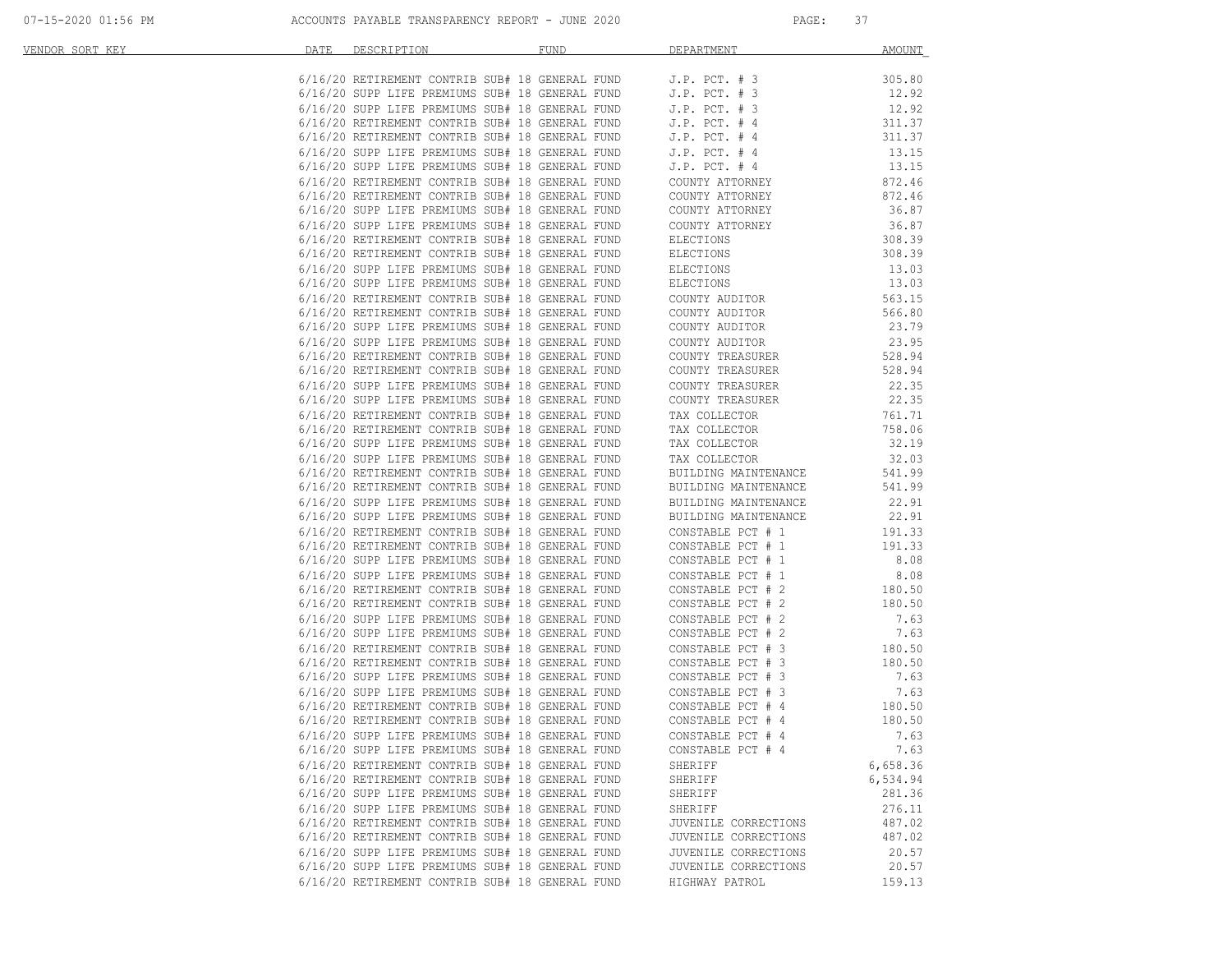| <u>VENDOR SORT KEY</u> | DATE | DESCRIPTION DESCRIPTION                                                                                                        | FUND | DEPARTMENT                                                                                                                                                                                        | AMOUNT           |
|------------------------|------|--------------------------------------------------------------------------------------------------------------------------------|------|---------------------------------------------------------------------------------------------------------------------------------------------------------------------------------------------------|------------------|
|                        |      | 6/16/20 RETIREMENT CONTRIB SUB# 18 GENERAL FUND J.P. PCT. # 3                                                                  |      |                                                                                                                                                                                                   | 305.80           |
|                        |      |                                                                                                                                |      |                                                                                                                                                                                                   | 12.92            |
|                        |      | 6/16/20 SUPP LIFE PREMIUMS SUB# 18 GENERAL FUND J.P. PCT. # 3<br>6/16/20 SUPP LIFE PREMIUMS SUB# 18 GENERAL FUND J.P. PCT. # 3 |      |                                                                                                                                                                                                   | 12.92            |
|                        |      |                                                                                                                                |      | 6/16/20 RETIREMENT CONTRIB SUB# 18 GENERAL FUND J.P. PCT. # 4<br>6/16/20 RETIREMENT CONTRIB SUB# 18 GENERAL FUND J.P. PCT. # 4                                                                    | 311.37           |
|                        |      |                                                                                                                                |      |                                                                                                                                                                                                   | 311.37           |
|                        |      |                                                                                                                                |      |                                                                                                                                                                                                   | 13.15            |
|                        |      |                                                                                                                                |      | 6/16/20 SUPP LIFE PREMIUMS SUB# 18 GENERAL FUND J.P. PCT. # 4<br>6/16/20 SUPP LIFE PREMIUMS SUB# 18 GENERAL FUND J.P. PCT. # 4<br>6/16/20 RETIREMENT COURRIE SUB# 18 GENERAL FUND COUNTY ATTORNEY | 13.15            |
|                        |      |                                                                                                                                |      |                                                                                                                                                                                                   | 872.46           |
|                        |      | 6/16/20 RETIREMENT CONTRIB SUB# 18 GENERAL FUND                                                                                |      | COUNTY ATTORNEY                                                                                                                                                                                   | 872.46           |
|                        |      | 6/16/20 SUPP LIFE PREMIUMS SUB# 18 GENERAL FUND                                                                                |      | COUNTY ATTORNEY                                                                                                                                                                                   | 36.87            |
|                        |      | 6/16/20 SUPP LIFE PREMIUMS SUB# 18 GENERAL FUND                                                                                |      | COUNTY ATTORNEY                                                                                                                                                                                   | 36.87            |
|                        |      | 6/16/20 RETIREMENT CONTRIB SUB# 18 GENERAL FUND                                                                                |      | ELECTIONS                                                                                                                                                                                         | 308.39           |
|                        |      | 6/16/20 RETIREMENT CONTRIB SUB# 18 GENERAL FUND                                                                                |      | ELECTIONS                                                                                                                                                                                         | 308.39           |
|                        |      | 6/16/20 SUPP LIFE PREMIUMS SUB# 18 GENERAL FUND                                                                                |      | ELECTIONS<br>ELECTIONS<br>ELECTIONS                                                                                                                                                               | 13.03            |
|                        |      | 6/16/20 SUPP LIFE PREMIUMS SUB# 18 GENERAL FUND                                                                                |      |                                                                                                                                                                                                   | 13.03            |
|                        |      | 6/16/20 RETIREMENT CONTRIB SUB# 18 GENERAL FUND<br>6/16/20 RETIREMENT CONTRIB SUB# 18 GENERAL FUND                             |      | COUNTY AUDITOR                                                                                                                                                                                    | 563.15           |
|                        |      | 6/16/20 SUPP LIFE PREMIUMS SUB# 18 GENERAL FUND                                                                                |      | COUNTY AUDITOR                                                                                                                                                                                    | 566.80<br>23.79  |
|                        |      | 6/16/20 SUPP LIFE PREMIUMS SUB# 18 GENERAL FUND                                                                                |      | COUNTY AUDITOR<br>COUNTY AUDITOR                                                                                                                                                                  | 23.95            |
|                        |      | 6/16/20 RETIREMENT CONTRIB SUB# 18 GENERAL FUND                                                                                |      | COUNTY TREASURER                                                                                                                                                                                  | 528.94           |
|                        |      | 6/16/20 RETIREMENT CONTRIB SUB# 18 GENERAL FUND                                                                                |      | COUNTY TREASURER                                                                                                                                                                                  | 528.94           |
|                        |      | 6/16/20 SUPP LIFE PREMIUMS SUB# 18 GENERAL FUND                                                                                |      | COUNTY TREASURER                                                                                                                                                                                  | 22.35            |
|                        |      | 6/16/20 SUPP LIFE PREMIUMS SUB# 18 GENERAL FUND                                                                                |      | COUNTY TREASURER                                                                                                                                                                                  | 22.35            |
|                        |      | 6/16/20 RETIREMENT CONTRIB SUB# 18 GENERAL FUND                                                                                |      | TAX COLLECTOR                                                                                                                                                                                     | 761.71           |
|                        |      | 6/16/20 RETIREMENT CONTRIB SUB# 18 GENERAL FUND                                                                                |      |                                                                                                                                                                                                   | 758.06           |
|                        |      | 6/16/20 SUPP LIFE PREMIUMS SUB# 18 GENERAL FUND                                                                                |      | TAX COLLECTOR<br>TAX COLLECTOR                                                                                                                                                                    | 32.19            |
|                        |      | 6/16/20 SUPP LIFE PREMIUMS SUB# 18 GENERAL FUND                                                                                |      | TAX COLLECTOR                                                                                                                                                                                     | 32.03            |
|                        |      | 6/16/20 RETIREMENT CONTRIB SUB# 18 GENERAL FUND                                                                                |      | BUILDING MAINTENANCE                                                                                                                                                                              | 541.99           |
|                        |      | 6/16/20 RETIREMENT CONTRIB SUB# 18 GENERAL FUND                                                                                |      | BUILDING MAINTENANCE                                                                                                                                                                              | 541.99           |
|                        |      | 6/16/20 SUPP LIFE PREMIUMS SUB# 18 GENERAL FUND                                                                                |      | BUILDING MAINTENANCE                                                                                                                                                                              | 22.91            |
|                        |      | 6/16/20 SUPP LIFE PREMIUMS SUB# 18 GENERAL FUND                                                                                |      | BUILDING MAINTENANCE                                                                                                                                                                              | 22.91            |
|                        |      | 6/16/20 RETIREMENT CONTRIB SUB# 18 GENERAL FUND                                                                                |      | CONSTABLE PCT # 1                                                                                                                                                                                 | 191.33           |
|                        |      | 6/16/20 RETIREMENT CONTRIB SUB# 18 GENERAL FUND                                                                                |      | CONSTABLE PCT # 1                                                                                                                                                                                 | 191.33           |
|                        |      | 6/16/20 SUPP LIFE PREMIUMS SUB# 18 GENERAL FUND                                                                                |      | CONSTABLE PCT # 1                                                                                                                                                                                 | 8.08             |
|                        |      | 6/16/20 SUPP LIFE PREMIUMS SUB# 18 GENERAL FUND                                                                                |      | CONSTABLE PCT # 1                                                                                                                                                                                 | 8.08             |
|                        |      | 6/16/20 RETIREMENT CONTRIB SUB# 18 GENERAL FUND                                                                                |      | CONSTABLE PCT # 2                                                                                                                                                                                 | 180.50           |
|                        |      | 6/16/20 RETIREMENT CONTRIB SUB# 18 GENERAL FUND                                                                                |      | CONSTABLE PCT # 2                                                                                                                                                                                 | 180.50           |
|                        |      | 6/16/20 SUPP LIFE PREMIUMS SUB# 18 GENERAL FUND                                                                                |      | CONSTABLE PCT # 2                                                                                                                                                                                 | 7.63             |
|                        |      | 6/16/20 SUPP LIFE PREMIUMS SUB# 18 GENERAL FUND                                                                                |      | CONSTABLE PCT # 2<br>CONSTABLE PCT # 3                                                                                                                                                            | 7.63             |
|                        |      | 6/16/20 RETIREMENT CONTRIB SUB# 18 GENERAL FUND                                                                                |      |                                                                                                                                                                                                   | 180.50           |
|                        |      | 6/16/20 RETIREMENT CONTRIB SUB# 18 GENERAL FUND                                                                                |      | CONSTABLE PCT # 3                                                                                                                                                                                 | 180.50           |
|                        |      | 6/16/20 SUPP LIFE PREMIUMS SUB# 18 GENERAL FUND                                                                                |      | CONSTABLE PCT # 3                                                                                                                                                                                 | 7.63             |
|                        |      | 6/16/20 SUPP LIFE PREMIUMS SUB# 18 GENERAL FUND<br>6/16/20 RETIREMENT CONTRIB SUB# 18 GENERAL FUND                             |      | CONSTABLE PCT # 3<br>CONSTABLE PCT # 4                                                                                                                                                            | 7.63             |
|                        |      | 6/16/20 RETIREMENT CONTRIB SUB# 18 GENERAL FUND                                                                                |      | CONSTABLE PCT # 4                                                                                                                                                                                 | 180.50<br>180.50 |
|                        |      | 6/16/20 SUPP LIFE PREMIUMS SUB# 18 GENERAL FUND                                                                                |      | CONSTABLE PCT # 4                                                                                                                                                                                 | 7.63             |
|                        |      | 6/16/20 SUPP LIFE PREMIUMS SUB# 18 GENERAL FUND                                                                                |      | CONSTABLE PCT # 4                                                                                                                                                                                 | 7.63             |
|                        |      | 6/16/20 RETIREMENT CONTRIB SUB# 18 GENERAL FUND                                                                                |      | SHERIFF                                                                                                                                                                                           | 6,658.36         |
|                        |      | 6/16/20 RETIREMENT CONTRIB SUB# 18 GENERAL FUND                                                                                |      | SHERIFF                                                                                                                                                                                           | 6,534.94         |
|                        |      | 6/16/20 SUPP LIFE PREMIUMS SUB# 18 GENERAL FUND                                                                                |      | SHERIFF                                                                                                                                                                                           | 281.36           |
|                        |      | 6/16/20 SUPP LIFE PREMIUMS SUB# 18 GENERAL FUND                                                                                |      | SHERIFF                                                                                                                                                                                           | 276.11           |
|                        |      | 6/16/20 RETIREMENT CONTRIB SUB# 18 GENERAL FUND                                                                                |      | JUVENILE CORRECTIONS                                                                                                                                                                              | 487.02           |
|                        |      | 6/16/20 RETIREMENT CONTRIB SUB# 18 GENERAL FUND                                                                                |      | JUVENILE CORRECTIONS                                                                                                                                                                              | 487.02           |
|                        |      | 6/16/20 SUPP LIFE PREMIUMS SUB# 18 GENERAL FUND                                                                                |      | JUVENILE CORRECTIONS                                                                                                                                                                              | 20.57            |
|                        |      | 6/16/20 SUPP LIFE PREMIUMS SUB# 18 GENERAL FUND                                                                                |      | JUVENILE CORRECTIONS                                                                                                                                                                              | 20.57            |
|                        |      | 6/16/20 RETIREMENT CONTRIB SUB# 18 GENERAL FUND                                                                                |      | HIGHWAY PATROL                                                                                                                                                                                    | 159.13           |
|                        |      |                                                                                                                                |      |                                                                                                                                                                                                   |                  |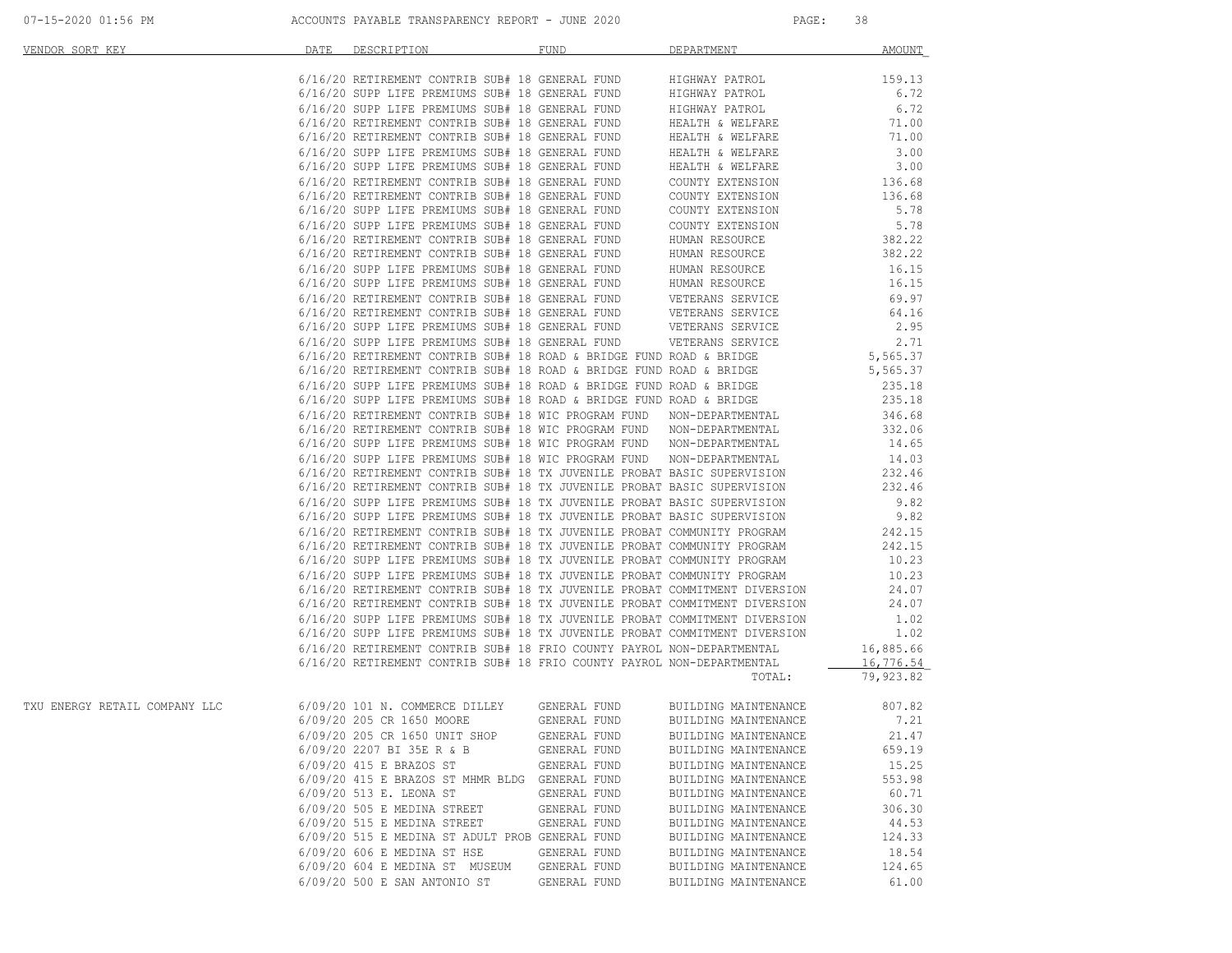| 07-15-2020 01:56 PM | ACCOUNTS PAYABLE TRANSPARENCY REPORT - JUNE 2020 | PAGE |  |
|---------------------|--------------------------------------------------|------|--|
|                     |                                                  |      |  |

| VENDOR SORT KEY               | DATE DESCRIPTION                                                                                                                                                                                                                                                                                                                                                                  | FUND         | DEPARTMENT                                   | <b>AMOUNT</b>    |
|-------------------------------|-----------------------------------------------------------------------------------------------------------------------------------------------------------------------------------------------------------------------------------------------------------------------------------------------------------------------------------------------------------------------------------|--------------|----------------------------------------------|------------------|
|                               |                                                                                                                                                                                                                                                                                                                                                                                   |              |                                              |                  |
|                               | $6/16/20$ RETIREMENT CONTRIB SUB# 18 GENERAL FUND HIGHWAY PATROL $6/16/20$ SUPP LIFE PREMIUMS SUB# 18 GENERAL FUND HIGHWAY PATROL                                                                                                                                                                                                                                                 |              |                                              | 159.13           |
|                               |                                                                                                                                                                                                                                                                                                                                                                                   |              |                                              | 6.72             |
|                               | $6/16/20$ SUPP LIFE PREMIUMS SUB# 18 GENERAL FUND HIGHWAY PATROL $6/16/20$ RETIREMENT CONTRIB SUB# 18 GENERAL FUND HEALTH & WELFARE<br>6/16/20 SUPP LIFE PREMIUMS SUB# 10 GENERAL FUND<br>6/16/20 RETIREMENT CONTRIB SUB# 18 GENERAL FUND<br>6/16/20 SUPP LIFE PREMIUMS SUB# 18 GENERAL FUND<br>6/16/20 SUPP LIFE PREMIUMS SUB# 18 GENERAL FUND<br>6/16/20 SUPP LIFE PREMIUMS SUB |              |                                              |                  |
|                               |                                                                                                                                                                                                                                                                                                                                                                                   |              |                                              |                  |
|                               |                                                                                                                                                                                                                                                                                                                                                                                   |              |                                              |                  |
|                               |                                                                                                                                                                                                                                                                                                                                                                                   |              |                                              |                  |
|                               |                                                                                                                                                                                                                                                                                                                                                                                   |              |                                              |                  |
|                               |                                                                                                                                                                                                                                                                                                                                                                                   |              |                                              |                  |
|                               |                                                                                                                                                                                                                                                                                                                                                                                   |              |                                              |                  |
|                               | 6/16/20 SUPP LIFE PREMIUMS SUB# 18 GENERAL FUND COUNTY EXTENSION<br>6/16/20 SUPP LIFE PREMIUMS SUB# 18 GENERAL FUND COUNTY EXTENSION<br>6/16/20 RETIREMENT CONTRIB SUB# 18 GENERAL FUND HUMAN RESOURCE<br>6/16/20 RETIREMENT CONTRIB SU                                                                                                                                           |              |                                              | 5.78             |
|                               |                                                                                                                                                                                                                                                                                                                                                                                   |              |                                              | 5.78             |
|                               |                                                                                                                                                                                                                                                                                                                                                                                   |              |                                              | 382.22<br>382.22 |
|                               |                                                                                                                                                                                                                                                                                                                                                                                   |              |                                              |                  |
|                               |                                                                                                                                                                                                                                                                                                                                                                                   |              |                                              | 16.15            |
|                               |                                                                                                                                                                                                                                                                                                                                                                                   |              |                                              | 16.15            |
|                               |                                                                                                                                                                                                                                                                                                                                                                                   |              |                                              | 69.97            |
|                               |                                                                                                                                                                                                                                                                                                                                                                                   |              |                                              | 64.16            |
|                               | 6/16/20 SUPP LIFE PREMIUMS SUB# 18 GENERAL FUND HUMAN RESOURCE<br>6/16/20 SUPP LIFE PREMIUMS SUB# 18 GENERAL FUND HUMAN RESOURCE<br>6/16/20 RETIREMENT CONTRIB SUB# 18 GENERAL FUND VETERANS SERVICE<br>6/16/20 RETIREMENT CONTRIB SUB#                                                                                                                                           |              |                                              | 2.95             |
|                               | $6/16/20$ SUPP LIFE PREMIUMS SUB# 18 GENERAL FUND VETERANS SERVICE $2.71$ 6/16/20 RETIREMENT CONTRIB SUB# 18 ROAD & BRIDGE FUND ROAD & BRIDGE $5,565.37$                                                                                                                                                                                                                          |              |                                              |                  |
|                               |                                                                                                                                                                                                                                                                                                                                                                                   |              |                                              |                  |
|                               | $6/16/20$ RETIREMENT CONTRIB SUB# 18 ROAD & BRIDGE FUND ROAD & BRIDGE 5,565.37                                                                                                                                                                                                                                                                                                    |              |                                              |                  |
|                               | 6/16/20 SUPP LIFE PREMIUMS SUB# 18 ROAD & BRIDGE FUND ROAD & BRIDGE 6/16/20 SUPP LIFE PREMIUMS SUB# 18 ROAD & BRIDGE FUND ROAD & BRIDGE 6/16/20 SUPP LIFE PREMIUMS SUB# 18 ROAD & BRIDGE 6/16/20                                                                                                                                                                                  |              |                                              |                  |
|                               |                                                                                                                                                                                                                                                                                                                                                                                   |              |                                              |                  |
|                               |                                                                                                                                                                                                                                                                                                                                                                                   |              |                                              |                  |
|                               | $6/16/20$ RETIREMENT CONTRIB SUB# 18 WIC PROGRAM FUND NON-DEPARTMENTAL 6/16/20 RETIREMENT CONTRIB SUB# 18 WIC PROGRAM FUND NON-DEPARTMENTAL 332.06                                                                                                                                                                                                                                |              |                                              |                  |
|                               | $\begin{tabular}{l c c c c c} 6/16/20 {\begin{tabular}{l c c c} } 6/16/20 {\begin{tabular}{l c c c} } 6/16/20 {\begin{tabular}{l c c c} } 6/16/20 {\begin{tabular}{l c c c} } 6/16/20 {\begin{tabular}{l c c c} } 6/16/20 {\begin{tabular}{l c c c} } 6/16/20 {\begin{tabular}{l c c c} } 6/16/20 {\begin{tabular}{l c c c} } 6/16/20 {\begin{tabular}{l c}$                      |              |                                              |                  |
|                               |                                                                                                                                                                                                                                                                                                                                                                                   |              |                                              |                  |
|                               |                                                                                                                                                                                                                                                                                                                                                                                   |              |                                              |                  |
|                               |                                                                                                                                                                                                                                                                                                                                                                                   |              |                                              |                  |
|                               |                                                                                                                                                                                                                                                                                                                                                                                   |              |                                              |                  |
|                               |                                                                                                                                                                                                                                                                                                                                                                                   |              |                                              |                  |
|                               |                                                                                                                                                                                                                                                                                                                                                                                   |              |                                              |                  |
|                               |                                                                                                                                                                                                                                                                                                                                                                                   |              |                                              |                  |
|                               |                                                                                                                                                                                                                                                                                                                                                                                   |              |                                              |                  |
|                               |                                                                                                                                                                                                                                                                                                                                                                                   |              |                                              |                  |
|                               |                                                                                                                                                                                                                                                                                                                                                                                   |              |                                              |                  |
|                               | 6/16/20 RETIREMENT CONTRIB SUB# 18 TX JUVENILE FROBAT COMMITMENT DIVERSION 24.07<br>6/16/20 RETIREMENT CONTRIB SUB# 18 TX JUVENILE PROBAT COMMITMENT DIVERSION 24.07                                                                                                                                                                                                              |              |                                              |                  |
|                               |                                                                                                                                                                                                                                                                                                                                                                                   |              |                                              |                  |
|                               | 6/16/20 SUPP LIFE PREMIUMS SUB# 18 TX JUVENILE PROBAT COMMITMENT DIVERSION 1.02<br>6/16/20 SUPP LIFE PREMIUMS SUB# 18 TX JUVENILE PROBAT COMMITMENT DIVERSION 1.02                                                                                                                                                                                                                |              |                                              |                  |
|                               | 6/16/20 RETIREMENT CONTRIB SUB# 18 FRIO COUNTY PAYROL NON-DEPARTMENTAL                                                                                                                                                                                                                                                                                                            |              |                                              | 16,885.66        |
|                               | 6/16/20 RETIREMENT CONTRIB SUB# 18 FRIO COUNTY PAYROL NON-DEPARTMENTAL                                                                                                                                                                                                                                                                                                            |              |                                              | 16,776.54        |
|                               |                                                                                                                                                                                                                                                                                                                                                                                   |              | TOTAL:                                       | 79,923.82        |
| TXU ENERGY RETAIL COMPANY LLC | 6/09/20 101 N. COMMERCE DILLEY                                                                                                                                                                                                                                                                                                                                                    |              | BUILDING MAINTENANCE                         | 807.82           |
|                               | 6/09/20 101 N. COMMERCE DILLEY GENERAL FUND<br>6/09/20 205 CR 1650 MOORE GENERAL FUND                                                                                                                                                                                                                                                                                             |              | BUILDING MAINTENANCE                         | 7.21             |
|                               | 6/09/20 205 CR 1650 UNIT SHOP                                                                                                                                                                                                                                                                                                                                                     | GENERAL FUND | BUILDING MAINTENANCE                         | 21.47            |
|                               | 6/09/20 2207 BI 35E R & B                                                                                                                                                                                                                                                                                                                                                         | GENERAL FUND | BUILDING MAINTENANCE                         | 659.19           |
|                               | 6/09/20 415 E BRAZOS ST                                                                                                                                                                                                                                                                                                                                                           |              | BUILDING MAINTENANCE                         | 15.25            |
|                               | 6/09/20 415 E BRAZOS ST MHMR BLDG GENERAL FUND                                                                                                                                                                                                                                                                                                                                    | GENERAL FUND | BUILDING MAINTENANCE                         | 553.98           |
|                               | 6/09/20 513 E. LEONA ST                                                                                                                                                                                                                                                                                                                                                           | GENERAL FUND | BUILDING MAINTENANCE                         | 60.71            |
|                               |                                                                                                                                                                                                                                                                                                                                                                                   | GENERAL FUND |                                              | 306.30           |
|                               | 6/09/20 505 E MEDINA STREET                                                                                                                                                                                                                                                                                                                                                       |              | BUILDING MAINTENANCE                         |                  |
|                               | 6/09/20 515 E MEDINA STREET<br>6/09/20 515 E MEDINA ST ADULT PROB GENERAL FUND                                                                                                                                                                                                                                                                                                    | GENERAL FUND | BUILDING MAINTENANCE<br>BUILDING MAINTENANCE | 44.53<br>124.33  |
|                               |                                                                                                                                                                                                                                                                                                                                                                                   |              |                                              |                  |
|                               | 6/09/20 606 E MEDINA ST HSE<br>6/09/20 604 E MEDINA ST MUSEUM                                                                                                                                                                                                                                                                                                                     | GENERAL FUND | BUILDING MAINTENANCE<br>BUILDING MAINTENANCE | 18.54            |
|                               |                                                                                                                                                                                                                                                                                                                                                                                   | GENERAL FUND |                                              | 124.65           |
|                               | 6/09/20 500 E SAN ANTONIO ST                                                                                                                                                                                                                                                                                                                                                      | GENERAL FUND | BUILDING MAINTENANCE                         | 61.00            |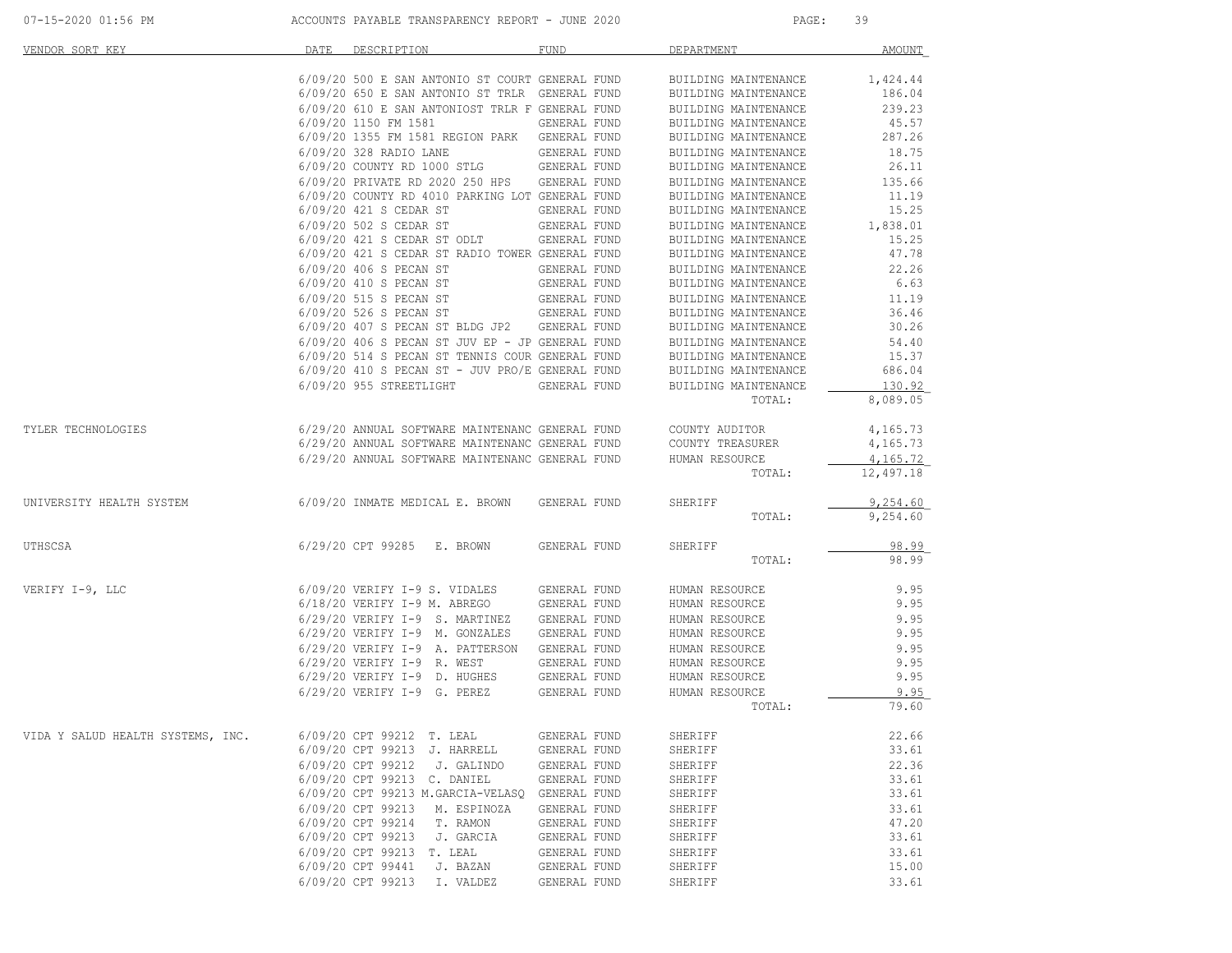| 07-15-2020 01:56 PM               |      | ACCOUNTS PAYABLE TRANSPARENCY REPORT - JUNE 2020  |              | PAGE:                | 39         |
|-----------------------------------|------|---------------------------------------------------|--------------|----------------------|------------|
| VENDOR SORT KEY                   | DATE | DESCRIPTION                                       | <b>FUND</b>  | DEPARTMENT           | AMOUNT     |
|                                   |      | 6/09/20 500 E SAN ANTONIO ST COURT GENERAL FUND   |              | BUILDING MAINTENANCE | 1,424.44   |
|                                   |      | 6/09/20 650 E SAN ANTONIO ST TRLR GENERAL FUND    |              | BUILDING MAINTENANCE | 186.04     |
|                                   |      | 6/09/20 610 E SAN ANTONIOST TRLR F GENERAL FUND   |              | BUILDING MAINTENANCE | 239.23     |
|                                   |      | 6/09/20 1150 FM 1581                              | GENERAL FUND | BUILDING MAINTENANCE | 45.57      |
|                                   |      | 6/09/20 1355 FM 1581 REGION PARK GENERAL FUND     |              | BUILDING MAINTENANCE | 287.26     |
|                                   |      | 6/09/20 328 RADIO LANE                            | GENERAL FUND | BUILDING MAINTENANCE | 18.75      |
|                                   |      | 6/09/20 COUNTY RD 1000 STLG                       | GENERAL FUND | BUILDING MAINTENANCE | 26.11      |
|                                   |      | 6/09/20 PRIVATE RD 2020 250 HPS                   | GENERAL FUND | BUILDING MAINTENANCE | 135.66     |
|                                   |      | 6/09/20 COUNTY RD 4010 PARKING LOT GENERAL FUND   |              | BUILDING MAINTENANCE | 11.19      |
|                                   |      | 6/09/20 421 S CEDAR ST                            | GENERAL FUND | BUILDING MAINTENANCE | 15.25      |
|                                   |      | 6/09/20 502 S CEDAR ST                            | GENERAL FUND | BUILDING MAINTENANCE | 1,838.01   |
|                                   |      | 6/09/20 421 S CEDAR ST ODLT                       | GENERAL FUND | BUILDING MAINTENANCE | 15.25      |
|                                   |      | 6/09/20 421 S CEDAR ST RADIO TOWER GENERAL FUND   |              | BUILDING MAINTENANCE | 47.78      |
|                                   |      | 6/09/20 406 S PECAN ST                            | GENERAL FUND | BUILDING MAINTENANCE | 22.26      |
|                                   |      | 6/09/20 410 S PECAN ST                            | GENERAL FUND | BUILDING MAINTENANCE | 6.63       |
|                                   |      | 6/09/20 515 S PECAN ST                            | GENERAL FUND | BUILDING MAINTENANCE | 11.19      |
|                                   |      | 6/09/20 526 S PECAN ST                            | GENERAL FUND | BUILDING MAINTENANCE | 36.46      |
|                                   |      | 6/09/20 407 S PECAN ST BLDG JP2 GENERAL FUND      |              | BUILDING MAINTENANCE | 30.26      |
|                                   |      | 6/09/20 406 S PECAN ST JUV EP - JP GENERAL FUND   |              | BUILDING MAINTENANCE | 54.40      |
|                                   |      | 6/09/20 514 S PECAN ST TENNIS COUR GENERAL FUND   |              | BUILDING MAINTENANCE | 15.37      |
|                                   |      | $6/09/20$ 410 S PECAN ST - JUV PRO/E GENERAL FUND |              | BUILDING MAINTENANCE | 686.04     |
|                                   |      | 6/09/20 955 STREETLIGHT                           | GENERAL FUND | BUILDING MAINTENANCE | 130.92     |
|                                   |      |                                                   |              | TOTAL:               | 8,089.05   |
| TYLER TECHNOLOGIES                |      | 6/29/20 ANNUAL SOFTWARE MAINTENANC GENERAL FUND   |              | COUNTY AUDITOR       | 4,165.73   |
|                                   |      | 6/29/20 ANNUAL SOFTWARE MAINTENANC GENERAL FUND   |              | COUNTY TREASURER     | 4,165.73   |
|                                   |      | 6/29/20 ANNUAL SOFTWARE MAINTENANC GENERAL FUND   |              | HUMAN RESOURCE       | 4, 165, 72 |
|                                   |      |                                                   |              | TOTAL:               | 12,497.18  |
| UNIVERSITY HEALTH SYSTEM          |      | 6/09/20 INMATE MEDICAL E. BROWN                   | GENERAL FUND | SHERIFF              | 9,254.60   |
|                                   |      |                                                   |              | TOTAL:               | 9,254.60   |
| UTHSCSA                           |      | 6/29/20 CPT 99285 E. BROWN                        | GENERAL FUND | SHERIFF              | 98.99      |
|                                   |      |                                                   |              | TOTAL:               | 98.99      |
| VERIFY I-9, LLC                   |      | 6/09/20 VERIFY I-9 S. VIDALES                     | GENERAL FUND | HUMAN RESOURCE       | 9.95       |
|                                   |      | $6/18/20$ VERIFY I-9 M. ABREGO                    | GENERAL FUND | HUMAN RESOURCE       | 9.95       |
|                                   |      | $6/29/20$ VERIFY I-9 S. MARTINEZ                  | GENERAL FUND | HUMAN RESOURCE       | 9.95       |
|                                   |      | 6/29/20 VERIFY I-9 M. GONZALES                    | GENERAL FUND | HUMAN RESOURCE       | 9.95       |
|                                   |      | 6/29/20 VERIFY I-9 A. PATTERSON                   | GENERAL FUND | HUMAN RESOURCE       | 9.95       |
|                                   |      | 6/29/20 VERIFY I-9 R. WEST                        | GENERAL FUND | HUMAN RESOURCE       | 9.95       |
|                                   |      | 6/29/20 VERIFY I-9 D. HUGHES                      | GENERAL FUND | HUMAN RESOURCE       | 9.95       |
|                                   |      | 6/29/20 VERIFY I-9 G. PEREZ                       | GENERAL FUND | HUMAN RESOURCE       | 9.95       |
|                                   |      |                                                   |              | TOTAL:               | 79.60      |
| VIDA Y SALUD HEALTH SYSTEMS, INC. |      | 6/09/20 CPT 99212 T. LEAL                         | GENERAL FUND | SHERIFF              | 22.66      |
|                                   |      | 6/09/20 CPT 99213 J. HARRELL                      | GENERAL FUND | SHERIFF              | 33.61      |
|                                   |      | 6/09/20 CPT 99212<br>J. GALINDO                   | GENERAL FUND | SHERIFF              | 22.36      |
|                                   |      | 6/09/20 CPT 99213 C. DANIEL                       | GENERAL FUND | SHERIFF              | 33.61      |
|                                   |      | 6/09/20 CPT 99213 M.GARCIA-VELASQ                 | GENERAL FUND | SHERIFF              | 33.61      |
|                                   |      | 6/09/20 CPT 99213<br>M. ESPINOZA                  | GENERAL FUND | SHERIFF              | 33.61      |
|                                   |      | 6/09/20 CPT 99214<br>T. RAMON                     | GENERAL FUND | SHERIFF              | 47.20      |
|                                   |      | 6/09/20 CPT 99213<br>J. GARCIA                    | GENERAL FUND | SHERIFF              | 33.61      |
|                                   |      | 6/09/20 CPT 99213<br>T. LEAL                      | GENERAL FUND | SHERIFF              | 33.61      |
|                                   |      | 6/09/20 CPT 99441<br>J. BAZAN                     | GENERAL FUND | SHERIFF              | 15.00      |
|                                   |      | 6/09/20 CPT 99213<br>I. VALDEZ                    | GENERAL FUND | SHERIFF              | 33.61      |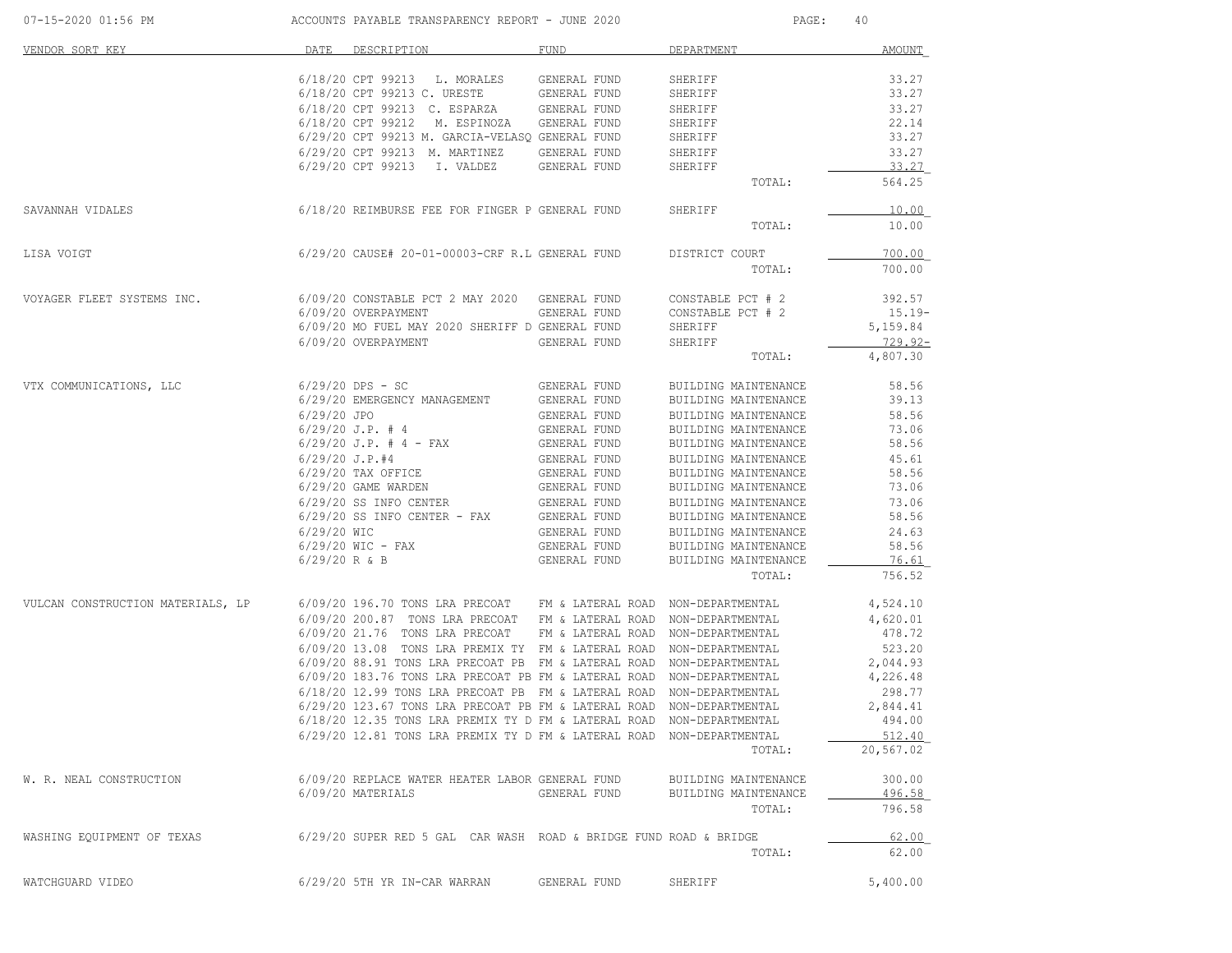| 07-15-2020 01:56 PM               |                 | ACCOUNTS PAYABLE TRANSPARENCY REPORT - JUNE 2020                      |              | PAGE:                              | 40           |
|-----------------------------------|-----------------|-----------------------------------------------------------------------|--------------|------------------------------------|--------------|
| VENDOR SORT KEY                   | DATE            | DESCRIPTION                                                           | FUND         | DEPARTMENT                         | AMOUNT       |
|                                   |                 | 6/18/20 CPT 99213 L. MORALES                                          | GENERAL FUND | SHERIFF                            | 33.27        |
|                                   |                 | 6/18/20 CPT 99213 C. URESTE                                           | GENERAL FUND | SHERIFF                            | 33.27        |
|                                   |                 | 6/18/20 CPT 99213 C. ESPARZA                                          | GENERAL FUND | SHERIFF                            | 33.27        |
|                                   |                 | 6/18/20 CPT 99212 M. ESPINOZA                                         | GENERAL FUND | SHERIFF                            | 22.14        |
|                                   |                 | 6/29/20 CPT 99213 M. GARCIA-VELASQ GENERAL FUND                       |              | SHERIFF                            | 33.27        |
|                                   |                 | 6/29/20 CPT 99213 M. MARTINEZ                                         | GENERAL FUND | SHERIFF                            | 33.27        |
|                                   |                 | 6/29/20 CPT 99213 I. VALDEZ                                           | GENERAL FUND | SHERIFF                            | 33.27        |
|                                   |                 |                                                                       |              | TOTAL:                             | 564.25       |
| SAVANNAH VIDALES                  |                 | 6/18/20 REIMBURSE FEE FOR FINGER P GENERAL FUND                       |              | SHERIFF                            | 10.00        |
|                                   |                 |                                                                       |              | TOTAL:                             | 10.00        |
| LISA VOIGT                        |                 | 6/29/20 CAUSE# 20-01-00003-CRF R.L GENERAL FUND                       |              | DISTRICT COURT                     | 700.00       |
|                                   |                 |                                                                       |              | TOTAL:                             | 700.00       |
| VOYAGER FLEET SYSTEMS INC.        |                 | 6/09/20 CONSTABLE PCT 2 MAY 2020 GENERAL FUND                         |              | CONSTABLE PCT # 2                  | 392.57       |
|                                   |                 | 6/09/20 OVERPAYMENT                                                   | GENERAL FUND | CONSTABLE PCT # 2                  | $15.19-$     |
|                                   |                 | 6/09/20 MO FUEL MAY 2020 SHERIFF D GENERAL FUND                       |              | SHERIFF                            | 5,159.84     |
|                                   |                 | 6/09/20 OVERPAYMENT                                                   | GENERAL FUND | SHERIFF                            | $729.92 -$   |
|                                   |                 |                                                                       |              | TOTAL:                             | 4,807.30     |
| VTX COMMUNICATIONS, LLC           |                 | $6/29/20$ DPS - SC                                                    | GENERAL FUND | BUILDING MAINTENANCE               | 58.56        |
|                                   |                 | 6/29/20 EMERGENCY MANAGEMENT                                          | GENERAL FUND | BUILDING MAINTENANCE               | 39.13        |
|                                   | 6/29/20 JPO     |                                                                       | GENERAL FUND | BUILDING MAINTENANCE               | 58.56        |
|                                   |                 | $6/29/20$ J.P. # 4                                                    | GENERAL FUND | BUILDING MAINTENANCE               | 73.06        |
|                                   |                 | $6/29/20$ J.P. # 4 - FAX                                              | GENERAL FUND | BUILDING MAINTENANCE               | 58.56        |
|                                   |                 | $6/29/20$ J.P.#4                                                      | GENERAL FUND | BUILDING MAINTENANCE               | 45.61        |
|                                   |                 | $6/29/20$ TAX OFFICE                                                  | GENERAL FUND | BUILDING MAINTENANCE               | 58.56        |
|                                   |                 | 6/29/20 GAME WARDEN                                                   | GENERAL FUND | BUILDING MAINTENANCE               | 73.06        |
|                                   |                 | 6/29/20 SS INFO CENTER                                                | GENERAL FUND | BUILDING MAINTENANCE               | 73.06        |
|                                   |                 | $6/29/20$ SS INFO CENTER - FAX                                        | GENERAL FUND | BUILDING MAINTENANCE               | 58.56        |
|                                   | 6/29/20 WIC     |                                                                       | GENERAL FUND | BUILDING MAINTENANCE               | 24.63        |
|                                   |                 | $6/29/20$ WIC - FAX                                                   | GENERAL FUND | BUILDING MAINTENANCE               | 58.56        |
|                                   | $6/29/20$ R & B |                                                                       | GENERAL FUND | BUILDING MAINTENANCE               | <u>76.61</u> |
|                                   |                 |                                                                       |              | TOTAL:                             | 756.52       |
| VULCAN CONSTRUCTION MATERIALS, LP |                 | 6/09/20 196.70 TONS LRA PRECOAT FM & LATERAL ROAD NON-DEPARTMENTAL    |              |                                    | 4,524.10     |
|                                   |                 | 6/09/20 200.87 TONS LRA PRECOAT FM & LATERAL ROAD NON-DEPARTMENTAL    |              |                                    | 4,620.01     |
|                                   |                 | 6/09/20 21.76 TONS LRA PRECOAT                                        |              | FM & LATERAL ROAD NON-DEPARTMENTAL | 478.72       |
|                                   |                 | 6/09/20 13.08 TONS LRA PREMIX TY FM & LATERAL ROAD NON-DEPARTMENTAL   |              |                                    | 523.20       |
|                                   |                 | 6/09/20 88.91 TONS LRA PRECOAT PB FM & LATERAL ROAD NON-DEPARTMENTAL  |              |                                    | 2,044.93     |
|                                   |                 | 6/09/20 183.76 TONS LRA PRECOAT PB FM & LATERAL ROAD                  |              | NON-DEPARTMENTAL                   | 4,226.48     |
|                                   |                 | 6/18/20 12.99 TONS LRA PRECOAT PB FM & LATERAL ROAD                   |              | NON-DEPARTMENTAL                   | 298.77       |
|                                   |                 | 6/29/20 123.67 TONS LRA PRECOAT PB FM & LATERAL ROAD NON-DEPARTMENTAL |              |                                    | 2,844.41     |
|                                   |                 | 6/18/20 12.35 TONS LRA PREMIX TY D FM & LATERAL ROAD NON-DEPARTMENTAL |              |                                    | 494.00       |
|                                   |                 | 6/29/20 12.81 TONS LRA PREMIX TY D FM & LATERAL ROAD NON-DEPARTMENTAL |              |                                    | 512.40       |
|                                   |                 |                                                                       |              | TOTAL:                             | 20,567.02    |
| W. R. NEAL CONSTRUCTION           |                 | 6/09/20 REPLACE WATER HEATER LABOR GENERAL FUND                       |              | BUILDING MAINTENANCE               | 300.00       |
|                                   |                 | 6/09/20 MATERIALS                                                     | GENERAL FUND | BUILDING MAINTENANCE               | 496.58       |
|                                   |                 |                                                                       |              | TOTAL:                             | 796.58       |
| WASHING EQUIPMENT OF TEXAS        |                 | 6/29/20 SUPER RED 5 GAL CAR WASH ROAD & BRIDGE FUND ROAD & BRIDGE     |              |                                    | 62.00        |
|                                   |                 |                                                                       |              | TOTAL:                             | 62.00        |
| WATCHGUARD VIDEO                  |                 | 6/29/20 5TH YR IN-CAR WARRAN                                          | GENERAL FUND | SHERIFF                            | 5,400.00     |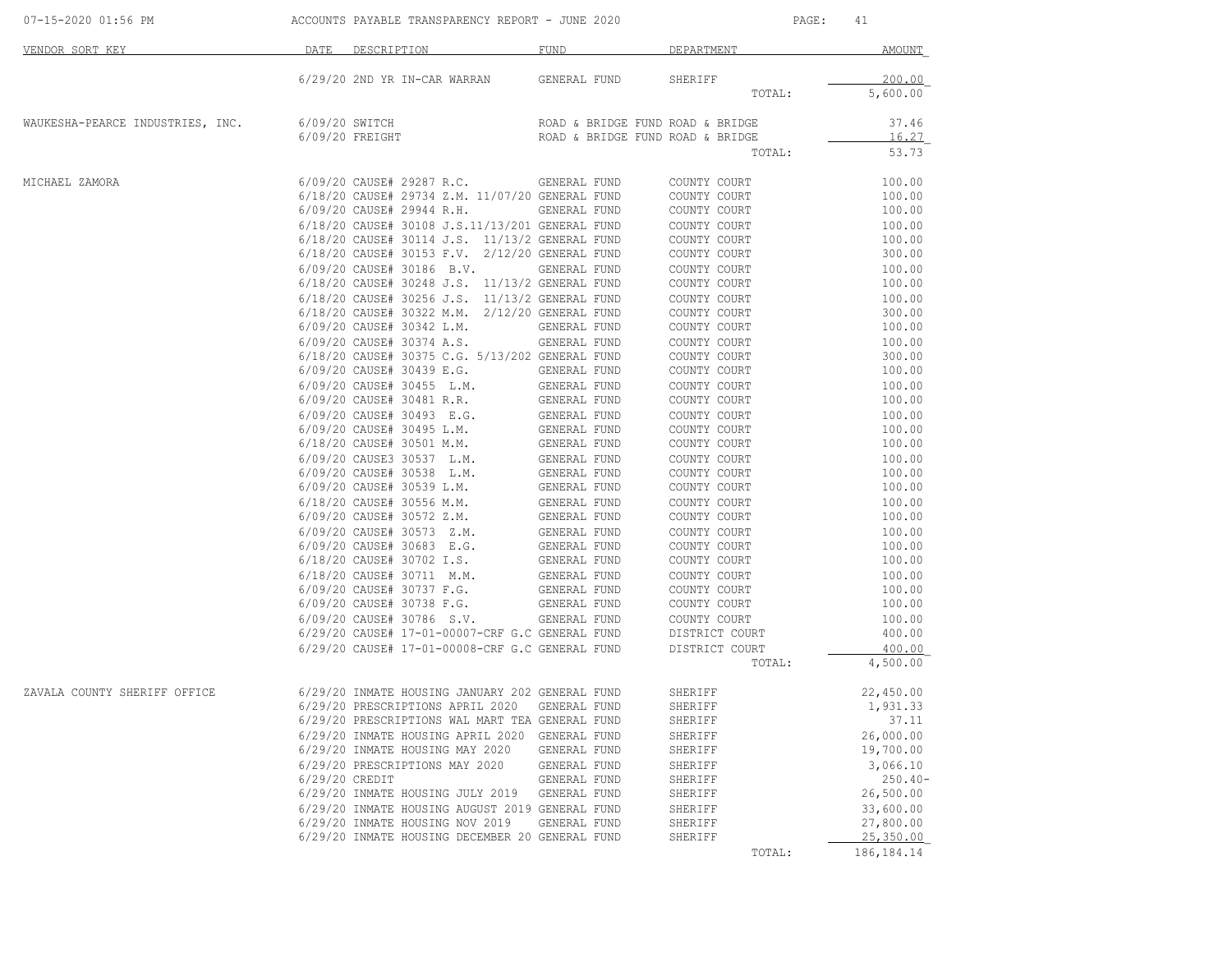| 07-15-2020 01:56 PM              |                | ACCOUNTS PAYABLE TRANSPARENCY REPORT - JUNE 2020                                                                                                      |                                                                      | PAGE:          | 41             |
|----------------------------------|----------------|-------------------------------------------------------------------------------------------------------------------------------------------------------|----------------------------------------------------------------------|----------------|----------------|
| <b>DATE</b><br>VENDOR SORT KEY   |                | DESCRIPTION                                                                                                                                           | FUND                                                                 | DEPARTMENT     | AMOUNT         |
|                                  |                | 6/29/20 2ND YR IN-CAR WARRAN                                                                                                                          | GENERAL FUND                                                         | SHERIFF        | 200.00         |
|                                  |                |                                                                                                                                                       |                                                                      | TOTAL:         | 5,600.00       |
| WAUKESHA-PEARCE INDUSTRIES, INC. |                | 6/09/20 SWITCH<br>6/09/20 FREIGHT                                                                                                                     | ROAD & BRIDGE FUND ROAD & BRIDGE<br>ROAD & BRIDGE FUND ROAD & BRIDGE |                | 37.46<br>16.27 |
|                                  |                |                                                                                                                                                       |                                                                      | TOTAL:         | 53.73          |
| MICHAEL ZAMORA                   |                | 6/09/20 CAUSE# 29287 R.C.                                                                                                                             | GENERAL FUND                                                         | COUNTY COURT   | 100.00         |
|                                  |                | 6/18/20 CAUSE# 29734 Z.M. 11/07/20 GENERAL FUND                                                                                                       |                                                                      | COUNTY COURT   | 100.00         |
|                                  |                | 6/09/20 CAUSE# 29944 R.H.                                                                                                                             | GENERAL FUND                                                         | COUNTY COURT   | 100.00         |
|                                  |                | 6/18/20 CAUSE# 30108 J.S.11/13/201 GENERAL FUND                                                                                                       |                                                                      | COUNTY COURT   | 100.00         |
|                                  |                | 6/18/20 CAUSE# 30114 J.S. 11/13/2 GENERAL FUND                                                                                                        |                                                                      | COUNTY COURT   | 100.00         |
|                                  |                | 6/18/20 CAUSE# 30153 F.V. 2/12/20 GENERAL FUND                                                                                                        |                                                                      | COUNTY COURT   | 300.00         |
|                                  |                | $6/09/20$ CAUSE# 30186 B.V.                                                                                                                           | GENERAL FUND                                                         | COUNTY COURT   | 100.00         |
|                                  |                | 6/18/20 CAUSE# 30248 J.S. 11/13/2 GENERAL FUND                                                                                                        |                                                                      | COUNTY COURT   | 100.00         |
|                                  |                | 6/18/20 CAUSE# 30256 J.S. 11/13/2 GENERAL FUND                                                                                                        |                                                                      | COUNTY COURT   | 100.00         |
|                                  |                | 6/18/20 CAUSE# 30322 M.M. 2/12/20 GENERAL FUND                                                                                                        |                                                                      | COUNTY COURT   | 300.00         |
|                                  |                | 6/09/20 CAUSE# 30342 L.M.                                                                                                                             | GENERAL FUND                                                         | COUNTY COURT   | 100.00         |
|                                  |                | 6/09/20 CAUSE# 30374 A.S.                                                                                                                             | GENERAL FUND                                                         | COUNTY COURT   | 100.00         |
|                                  |                | 6/18/20 CAUSE# 30375 C.G. 5/13/202 GENERAL FUND                                                                                                       |                                                                      | COUNTY COURT   | 300.00         |
|                                  |                | 6/09/20 CAUSE# 30439 E.G.                                                                                                                             | GENERAL FUND                                                         | COUNTY COURT   | 100.00         |
|                                  |                |                                                                                                                                                       |                                                                      | COUNTY COURT   | 100.00         |
|                                  |                |                                                                                                                                                       |                                                                      | COUNTY COURT   | 100.00         |
|                                  |                | $6/09/20$ CAUSE# 30493 E.G. GENERAL FUND                                                                                                              |                                                                      | COUNTY COURT   | 100.00         |
|                                  |                | 6/09/20 CAUSE# 30495 L.M.                                                                                                                             | GENERAL FUND                                                         | COUNTY COURT   | 100.00         |
|                                  |                | 6/18/20 CAUSE# 30501 M.M. GENERAL FUND                                                                                                                |                                                                      | COUNTY COURT   | 100.00         |
|                                  |                |                                                                                                                                                       |                                                                      | COUNTY COURT   | 100.00         |
|                                  |                |                                                                                                                                                       |                                                                      | COUNTY COURT   | 100.00         |
|                                  |                |                                                                                                                                                       |                                                                      | COUNTY COURT   | 100.00         |
|                                  |                | $\begin{tabular}{lllllllll} 6/09/20 & CAUSE\# & 30539 & L.M. & & & GENERAL FUND \\ 6/18/20 & CAUSE\# & 30556 & M.M. & & & GENERAL FUND \end{tabular}$ |                                                                      | COUNTY COURT   | 100.00         |
|                                  |                |                                                                                                                                                       |                                                                      | COUNTY COURT   | 100.00         |
|                                  |                | $6/09/20$ CAUSE# 30572 Z.M.<br>$6/09/20$ CAUSE# 30573 Z.M. GENERAL FUND<br>6/09/20 CAUSE# 30573 Z.M.                                                  |                                                                      | COUNTY COURT   | 100.00         |
|                                  |                | 6/09/20 CAUSE# 30683 E.G.                                                                                                                             | GENERAL FUND                                                         | COUNTY COURT   | 100.00         |
|                                  |                | 6/18/20 CAUSE# 30702 I.S.                                                                                                                             | GENERAL FUND                                                         | COUNTY COURT   | 100.00         |
|                                  |                | 6/18/20 CAUSE# 30711 M.M.                                                                                                                             | GENERAL FUND                                                         | COUNTY COURT   | 100.00         |
|                                  |                | 6/09/20 CAUSE# 30737 F.G.                                                                                                                             | GENERAL FUND                                                         | COUNTY COURT   | 100.00         |
|                                  |                | $6/09/20$ CAUSE# 30738 F.G.                                                                                                                           | GENERAL FUND                                                         | COUNTY COURT   | 100.00         |
|                                  |                | 6/09/20 CAUSE# 30786 S.V.                                                                                                                             | GENERAL FUND                                                         | COUNTY COURT   | 100.00         |
|                                  |                | 6/29/20 CAUSE# 17-01-00007-CRF G.C GENERAL FUND<br>6/29/20 CAUSE# 17-01-00007-CRF G.C GENERAL FUND                                                    |                                                                      | DISTRICT COURT | 400.00         |
|                                  |                | 6/29/20 CAUSE# 17-01-00008-CRF G.C GENERAL FUND DISTRICT COURT                                                                                        |                                                                      |                | 400.00         |
|                                  |                |                                                                                                                                                       |                                                                      | TOTAL:         | 4,500.00       |
| ZAVALA COUNTY SHERIFF OFFICE     |                | 6/29/20 INMATE HOUSING JANUARY 202 GENERAL FUND                                                                                                       |                                                                      | SHERIFF        | 22,450.00      |
|                                  |                | 6/29/20 PRESCRIPTIONS APRIL 2020 GENERAL FUND                                                                                                         |                                                                      | SHERIFF        | 1,931.33       |
|                                  |                | 6/29/20 PRESCRIPTIONS WAL MART TEA GENERAL FUND                                                                                                       |                                                                      | SHERIFF        | 37.11          |
|                                  |                | 6/29/20 INMATE HOUSING APRIL 2020 GENERAL FUND                                                                                                        |                                                                      | SHERIFF        | 26,000.00      |
|                                  |                | 6/29/20 INMATE HOUSING MAY 2020                                                                                                                       | GENERAL FUND                                                         | SHERIFF        | 19,700.00      |
|                                  |                | 6/29/20 PRESCRIPTIONS MAY 2020                                                                                                                        | GENERAL FUND                                                         | SHERIFF        | 3,066.10       |
|                                  | 6/29/20 CREDIT |                                                                                                                                                       | GENERAL FUND                                                         | SHERIFF        | $250.40-$      |
|                                  |                | 6/29/20 INMATE HOUSING JULY 2019                                                                                                                      | GENERAL FUND                                                         | SHERIFF        | 26,500.00      |
|                                  |                | 6/29/20 INMATE HOUSING AUGUST 2019 GENERAL FUND                                                                                                       |                                                                      | SHERIFF        | 33,600.00      |
|                                  |                | 6/29/20 INMATE HOUSING NOV 2019                                                                                                                       | GENERAL FUND                                                         | SHERIFF        | 27,800.00      |
|                                  |                | 6/29/20 INMATE HOUSING DECEMBER 20 GENERAL FUND                                                                                                       |                                                                      | SHERIFF        | 25,350.00      |
|                                  |                |                                                                                                                                                       |                                                                      | TOTAL:         | 186,184.14     |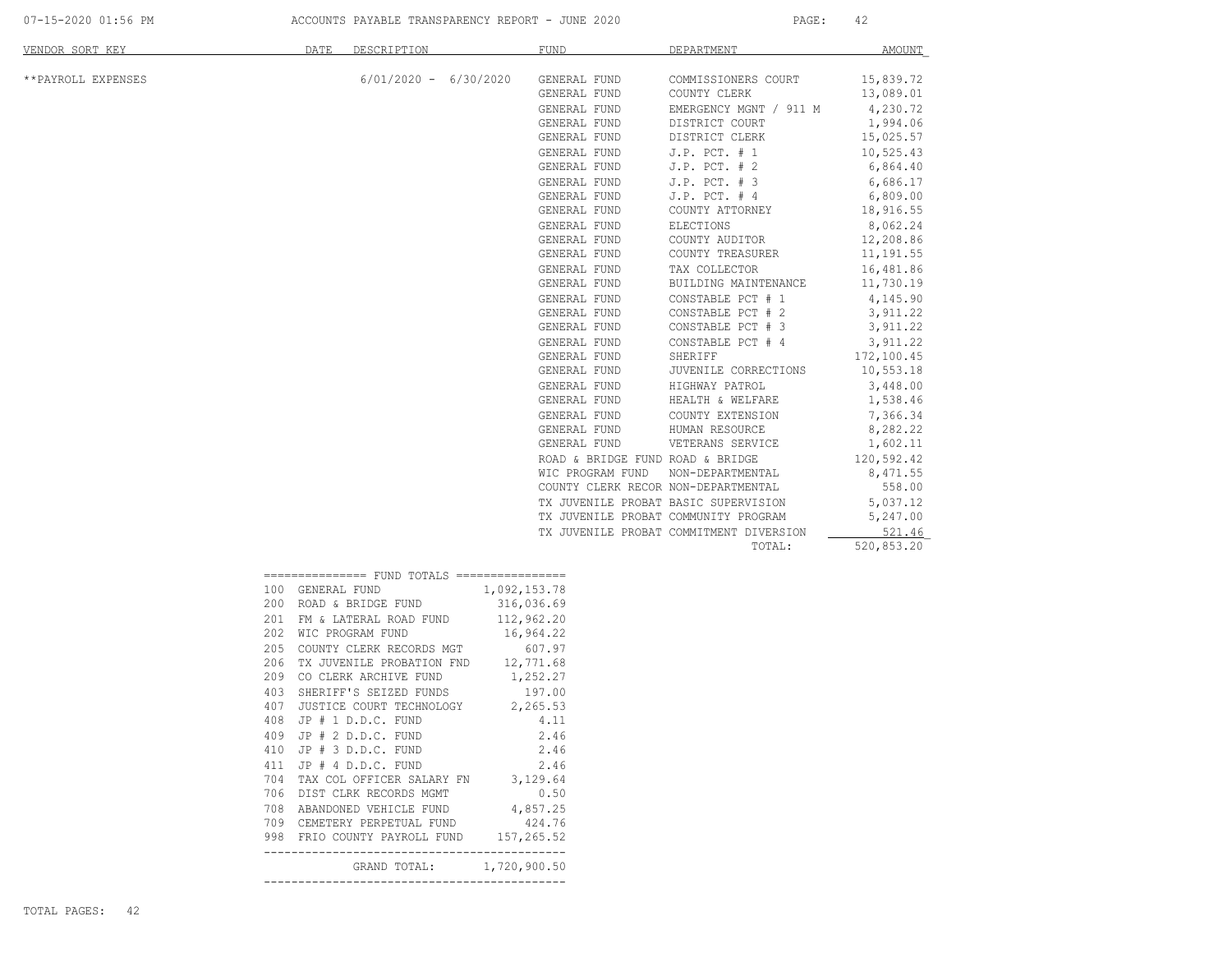| VENDOR SORT KEY    |     | DATE<br>DESCRIPTION                          | <b>FUND</b>                         | DEPARTMENT                              | <b>AMOUNT</b>          |
|--------------------|-----|----------------------------------------------|-------------------------------------|-----------------------------------------|------------------------|
| **PAYROLL EXPENSES |     | $6/01/2020 - 6/30/2020$                      | GENERAL FUND<br>GENERAL FUND        | COMMISSIONERS COURT<br>COUNTY CLERK     | 15,839.72<br>13,089.01 |
|                    |     |                                              | GENERAL FUND                        | EMERGENCY MGNT / 911 M                  | 4,230.72               |
|                    |     |                                              | GENERAL FUND                        | DISTRICT COURT                          | 1,994.06               |
|                    |     |                                              | GENERAL FUND                        | DISTRICT CLERK                          | 15,025.57              |
|                    |     |                                              | GENERAL FUND                        | $J.P.$ PCT. $# 1$                       | 10,525.43              |
|                    |     |                                              | GENERAL FUND                        | $J.P.$ PCT. $# 2$                       | 6,864.40               |
|                    |     |                                              | GENERAL FUND                        | $J.P.$ PCT. $# 3$                       | 6,686.17               |
|                    |     |                                              | GENERAL FUND                        | $J.P.$ PCT. $#4$                        | 6,809.00               |
|                    |     |                                              | GENERAL FUND                        | COUNTY ATTORNEY                         | 18,916.55              |
|                    |     |                                              | GENERAL FUND                        | ELECTIONS                               | 8,062.24               |
|                    |     |                                              | GENERAL FUND                        | COUNTY AUDITOR                          | 12,208.86              |
|                    |     |                                              | GENERAL FUND                        | COUNTY TREASURER                        | 11,191.55              |
|                    |     |                                              | GENERAL FUND                        | TAX COLLECTOR                           | 16,481.86              |
|                    |     |                                              | GENERAL FUND                        | BUILDING MAINTENANCE                    | 11,730.19              |
|                    |     |                                              | GENERAL FUND                        | CONSTABLE PCT # 1                       | 4,145.90               |
|                    |     |                                              | GENERAL FUND                        | CONSTABLE PCT # 2                       | 3,911.22               |
|                    |     |                                              | GENERAL FUND                        | CONSTABLE PCT # 3                       | 3,911.22               |
|                    |     |                                              | GENERAL FUND                        | CONSTABLE PCT # 4                       | 3,911.22               |
|                    |     |                                              | GENERAL FUND                        | SHERIFF                                 | 172,100.45             |
|                    |     |                                              | GENERAL FUND                        | JUVENILE CORRECTIONS                    | 10,553.18              |
|                    |     |                                              | GENERAL FUND                        | HIGHWAY PATROL                          | 3,448.00               |
|                    |     |                                              | GENERAL FUND                        | HEALTH & WELFARE                        | 1,538.46               |
|                    |     |                                              | GENERAL FUND                        | COUNTY EXTENSION                        | 7,366.34               |
|                    |     |                                              | GENERAL FUND                        | HUMAN RESOURCE                          | 8,282.22               |
|                    |     |                                              | GENERAL FUND                        | VETERANS SERVICE                        | 1,602.11               |
|                    |     |                                              | ROAD & BRIDGE FUND ROAD & BRIDGE    |                                         | 120,592.42             |
|                    |     |                                              | WIC PROGRAM FUND                    | NON-DEPARTMENTAL                        | 8,471.55               |
|                    |     |                                              | COUNTY CLERK RECOR NON-DEPARTMENTAL |                                         | 558.00                 |
|                    |     |                                              |                                     | TX JUVENILE PROBAT BASIC SUPERVISION    | 5,037.12               |
|                    |     |                                              |                                     | TX JUVENILE PROBAT COMMUNITY PROGRAM    | 5,247.00               |
|                    |     |                                              |                                     | TX JUVENILE PROBAT COMMITMENT DIVERSION | 521.46                 |
|                    |     |                                              |                                     | TOTAL:                                  | 520,853.20             |
|                    |     | =============== FUND TOTALS ================ |                                     |                                         |                        |
|                    |     | 100 GENERAL FUND                             | 1,092,153.78                        |                                         |                        |
|                    |     | 200 ROAD & BRIDGE FUND                       | 316,036.69                          |                                         |                        |
|                    |     | 201 FM & LATERAL ROAD FUND                   | 112,962.20                          |                                         |                        |
|                    |     | 202 WIC PROGRAM FUND                         | 16,964.22                           |                                         |                        |
|                    | 205 | COUNTY CLERK RECORDS MGT                     | 607.97                              |                                         |                        |
|                    | 206 | TX JUVENILE PROBATION FND                    | 12,771.68                           |                                         |                        |
|                    | 209 | CO CLERK ARCHIVE FUND                        | 1,252.27                            |                                         |                        |
|                    | 403 | SHERIFF'S SEIZED FUNDS                       | 197.00                              |                                         |                        |
|                    | 407 | JUSTICE COURT TECHNOLOGY                     | 2,265.53                            |                                         |                        |
|                    | 408 | $JP$ $#$ $1$ $D.D.C.$ $FUND$                 | 4.11                                |                                         |                        |
|                    |     | 409 JP # 2 D.D.C. FUND                       | 2.46                                |                                         |                        |
|                    | 410 | JP # 3 D.D.C. FUND                           | 2.46                                |                                         |                        |
|                    | 411 | JP # 4 D.D.C. FUND                           | 2.46                                |                                         |                        |
|                    | 704 | TAX COL OFFICER SALARY FN                    | 3,129.64                            |                                         |                        |
|                    |     | 706 DIST CLRK RECORDS MGMT                   | 0.50                                |                                         |                        |
|                    |     | 708 ABANDONED VEHICLE FUND                   | 4,857.25                            |                                         |                        |
|                    | 709 | CEMETERY PERPETUAL FUND                      | 424.76                              |                                         |                        |
|                    |     | 998 FRIO COUNTY PAYROLL FUND                 | 157,265.52                          |                                         |                        |

--------------------------------------------

--------------------------------------------

GRAND TOTAL: 1,720,900.50